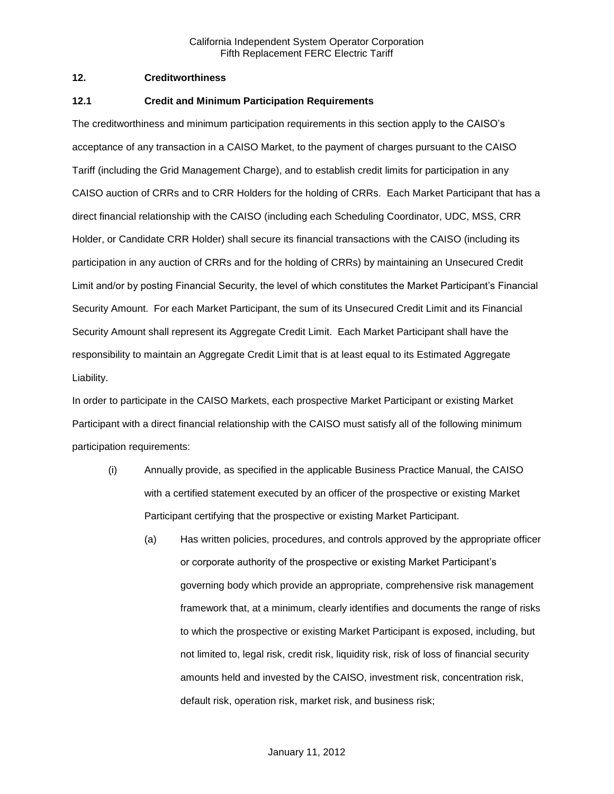# **12. Creditworthiness**

#### **12.1 Credit and Minimum Participation Requirements**

The creditworthiness and minimum participation requirements in this section apply to the CAISO's acceptance of any transaction in a CAISO Market, to the payment of charges pursuant to the CAISO Tariff (including the Grid Management Charge), and to establish credit limits for participation in any CAISO auction of CRRs and to CRR Holders for the holding of CRRs. Each Market Participant that has a direct financial relationship with the CAISO (including each Scheduling Coordinator, UDC, MSS, CRR Holder, or Candidate CRR Holder) shall secure its financial transactions with the CAISO (including its participation in any auction of CRRs and for the holding of CRRs) by maintaining an Unsecured Credit Limit and/or by posting Financial Security, the level of which constitutes the Market Participant's Financial Security Amount. For each Market Participant, the sum of its Unsecured Credit Limit and its Financial Security Amount shall represent its Aggregate Credit Limit. Each Market Participant shall have the responsibility to maintain an Aggregate Credit Limit that is at least equal to its Estimated Aggregate Liability.

In order to participate in the CAISO Markets, each prospective Market Participant or existing Market Participant with a direct financial relationship with the CAISO must satisfy all of the following minimum participation requirements:

- (i) Annually provide, as specified in the applicable Business Practice Manual, the CAISO with a certified statement executed by an officer of the prospective or existing Market Participant certifying that the prospective or existing Market Participant.
	- (a) Has written policies, procedures, and controls approved by the appropriate officer or corporate authority of the prospective or existing Market Participant's governing body which provide an appropriate, comprehensive risk management framework that, at a minimum, clearly identifies and documents the range of risks to which the prospective or existing Market Participant is exposed, including, but not limited to, legal risk, credit risk, liquidity risk, risk of loss of financial security amounts held and invested by the CAISO, investment risk, concentration risk, default risk, operation risk, market risk, and business risk;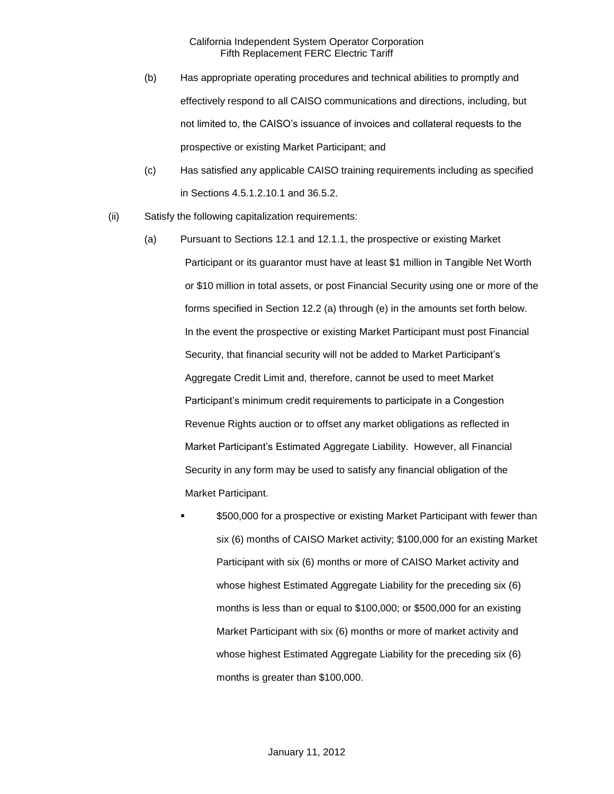- (b) Has appropriate operating procedures and technical abilities to promptly and effectively respond to all CAISO communications and directions, including, but not limited to, the CAISO's issuance of invoices and collateral requests to the prospective or existing Market Participant; and
- (c) Has satisfied any applicable CAISO training requirements including as specified in Sections 4.5.1.2.10.1 and 36.5.2.
- (ii) Satisfy the following capitalization requirements:
	- (a) Pursuant to Sections 12.1 and 12.1.1, the prospective or existing Market Participant or its guarantor must have at least \$1 million in Tangible Net Worth or \$10 million in total assets, or post Financial Security using one or more of the forms specified in Section 12.2 (a) through (e) in the amounts set forth below. In the event the prospective or existing Market Participant must post Financial Security, that financial security will not be added to Market Participant's Aggregate Credit Limit and, therefore, cannot be used to meet Market Participant's minimum credit requirements to participate in a Congestion Revenue Rights auction or to offset any market obligations as reflected in Market Participant's Estimated Aggregate Liability. However, all Financial Security in any form may be used to satisfy any financial obligation of the Market Participant.
		- \$500,000 for a prospective or existing Market Participant with fewer than six (6) months of CAISO Market activity; \$100,000 for an existing Market Participant with six (6) months or more of CAISO Market activity and whose highest Estimated Aggregate Liability for the preceding six (6) months is less than or equal to \$100,000; or \$500,000 for an existing Market Participant with six (6) months or more of market activity and whose highest Estimated Aggregate Liability for the preceding six (6) months is greater than \$100,000.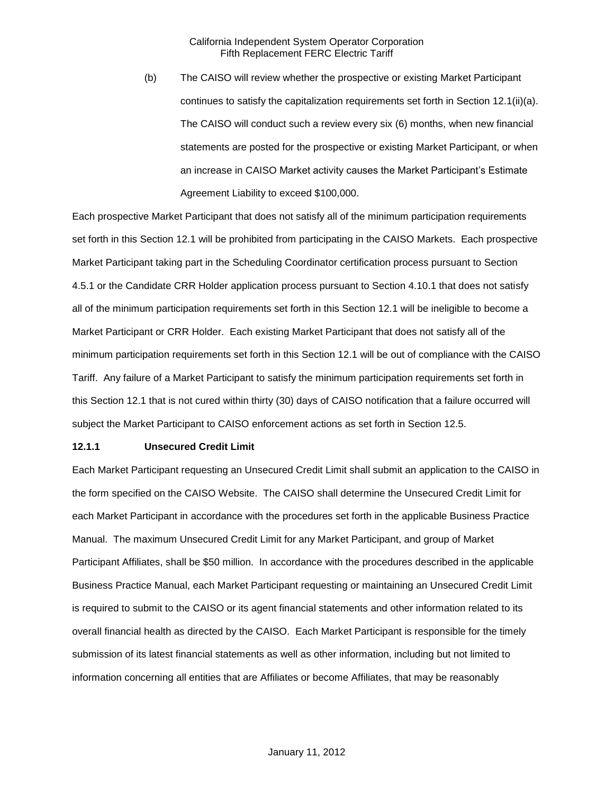(b) The CAISO will review whether the prospective or existing Market Participant continues to satisfy the capitalization requirements set forth in Section 12.1(ii)(a). The CAISO will conduct such a review every six (6) months, when new financial statements are posted for the prospective or existing Market Participant, or when an increase in CAISO Market activity causes the Market Participant's Estimate Agreement Liability to exceed \$100,000.

Each prospective Market Participant that does not satisfy all of the minimum participation requirements set forth in this Section 12.1 will be prohibited from participating in the CAISO Markets. Each prospective Market Participant taking part in the Scheduling Coordinator certification process pursuant to Section 4.5.1 or the Candidate CRR Holder application process pursuant to Section 4.10.1 that does not satisfy all of the minimum participation requirements set forth in this Section 12.1 will be ineligible to become a Market Participant or CRR Holder. Each existing Market Participant that does not satisfy all of the minimum participation requirements set forth in this Section 12.1 will be out of compliance with the CAISO Tariff. Any failure of a Market Participant to satisfy the minimum participation requirements set forth in this Section 12.1 that is not cured within thirty (30) days of CAISO notification that a failure occurred will subject the Market Participant to CAISO enforcement actions as set forth in Section 12.5.

#### **12.1.1 Unsecured Credit Limit**

Each Market Participant requesting an Unsecured Credit Limit shall submit an application to the CAISO in the form specified on the CAISO Website. The CAISO shall determine the Unsecured Credit Limit for each Market Participant in accordance with the procedures set forth in the applicable Business Practice Manual. The maximum Unsecured Credit Limit for any Market Participant, and group of Market Participant Affiliates, shall be \$50 million. In accordance with the procedures described in the applicable Business Practice Manual, each Market Participant requesting or maintaining an Unsecured Credit Limit is required to submit to the CAISO or its agent financial statements and other information related to its overall financial health as directed by the CAISO. Each Market Participant is responsible for the timely submission of its latest financial statements as well as other information, including but not limited to information concerning all entities that are Affiliates or become Affiliates, that may be reasonably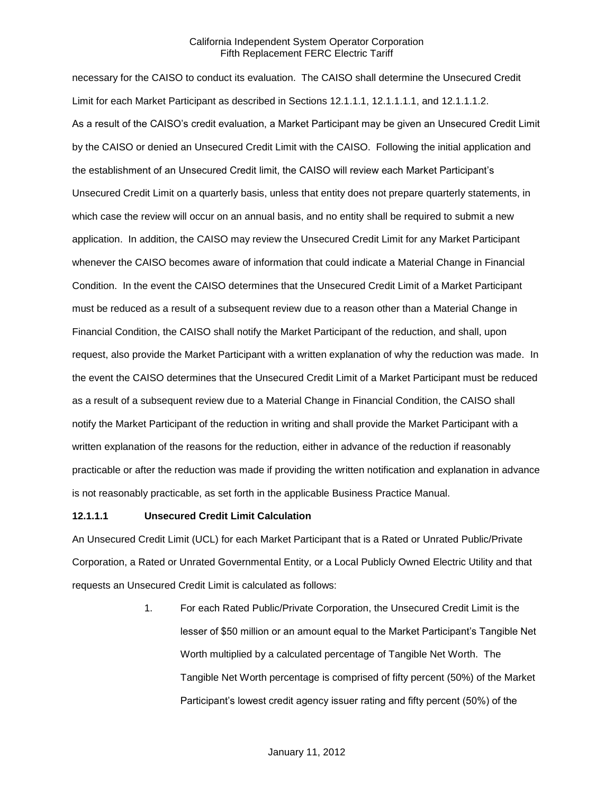necessary for the CAISO to conduct its evaluation. The CAISO shall determine the Unsecured Credit Limit for each Market Participant as described in Sections 12.1.1.1, 12.1.1.1.1, and 12.1.1.1.2. As a result of the CAISO's credit evaluation, a Market Participant may be given an Unsecured Credit Limit by the CAISO or denied an Unsecured Credit Limit with the CAISO. Following the initial application and the establishment of an Unsecured Credit limit, the CAISO will review each Market Participant's Unsecured Credit Limit on a quarterly basis, unless that entity does not prepare quarterly statements, in which case the review will occur on an annual basis, and no entity shall be required to submit a new application. In addition, the CAISO may review the Unsecured Credit Limit for any Market Participant whenever the CAISO becomes aware of information that could indicate a Material Change in Financial Condition. In the event the CAISO determines that the Unsecured Credit Limit of a Market Participant must be reduced as a result of a subsequent review due to a reason other than a Material Change in Financial Condition, the CAISO shall notify the Market Participant of the reduction, and shall, upon request, also provide the Market Participant with a written explanation of why the reduction was made. In the event the CAISO determines that the Unsecured Credit Limit of a Market Participant must be reduced as a result of a subsequent review due to a Material Change in Financial Condition, the CAISO shall notify the Market Participant of the reduction in writing and shall provide the Market Participant with a written explanation of the reasons for the reduction, either in advance of the reduction if reasonably practicable or after the reduction was made if providing the written notification and explanation in advance is not reasonably practicable, as set forth in the applicable Business Practice Manual.

#### **12.1.1.1 Unsecured Credit Limit Calculation**

An Unsecured Credit Limit (UCL) for each Market Participant that is a Rated or Unrated Public/Private Corporation, a Rated or Unrated Governmental Entity, or a Local Publicly Owned Electric Utility and that requests an Unsecured Credit Limit is calculated as follows:

> 1. For each Rated Public/Private Corporation, the Unsecured Credit Limit is the lesser of \$50 million or an amount equal to the Market Participant's Tangible Net Worth multiplied by a calculated percentage of Tangible Net Worth. The Tangible Net Worth percentage is comprised of fifty percent (50%) of the Market Participant's lowest credit agency issuer rating and fifty percent (50%) of the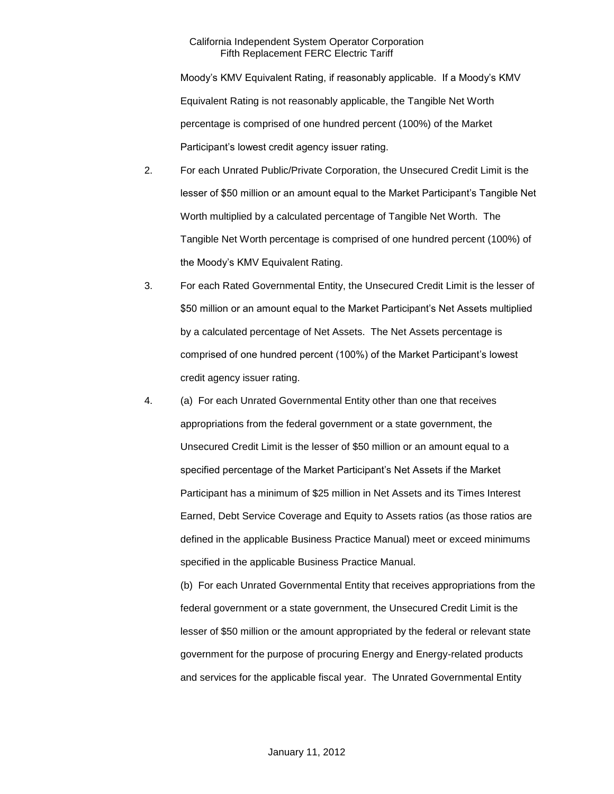Moody's KMV Equivalent Rating, if reasonably applicable. If a Moody's KMV Equivalent Rating is not reasonably applicable, the Tangible Net Worth percentage is comprised of one hundred percent (100%) of the Market Participant's lowest credit agency issuer rating.

- 2. For each Unrated Public/Private Corporation, the Unsecured Credit Limit is the lesser of \$50 million or an amount equal to the Market Participant's Tangible Net Worth multiplied by a calculated percentage of Tangible Net Worth. The Tangible Net Worth percentage is comprised of one hundred percent (100%) of the Moody's KMV Equivalent Rating.
- 3. For each Rated Governmental Entity, the Unsecured Credit Limit is the lesser of \$50 million or an amount equal to the Market Participant's Net Assets multiplied by a calculated percentage of Net Assets. The Net Assets percentage is comprised of one hundred percent (100%) of the Market Participant's lowest credit agency issuer rating.
- 4. (a) For each Unrated Governmental Entity other than one that receives appropriations from the federal government or a state government, the Unsecured Credit Limit is the lesser of \$50 million or an amount equal to a specified percentage of the Market Participant's Net Assets if the Market Participant has a minimum of \$25 million in Net Assets and its Times Interest Earned, Debt Service Coverage and Equity to Assets ratios (as those ratios are defined in the applicable Business Practice Manual) meet or exceed minimums specified in the applicable Business Practice Manual.

(b) For each Unrated Governmental Entity that receives appropriations from the federal government or a state government, the Unsecured Credit Limit is the lesser of \$50 million or the amount appropriated by the federal or relevant state government for the purpose of procuring Energy and Energy-related products and services for the applicable fiscal year. The Unrated Governmental Entity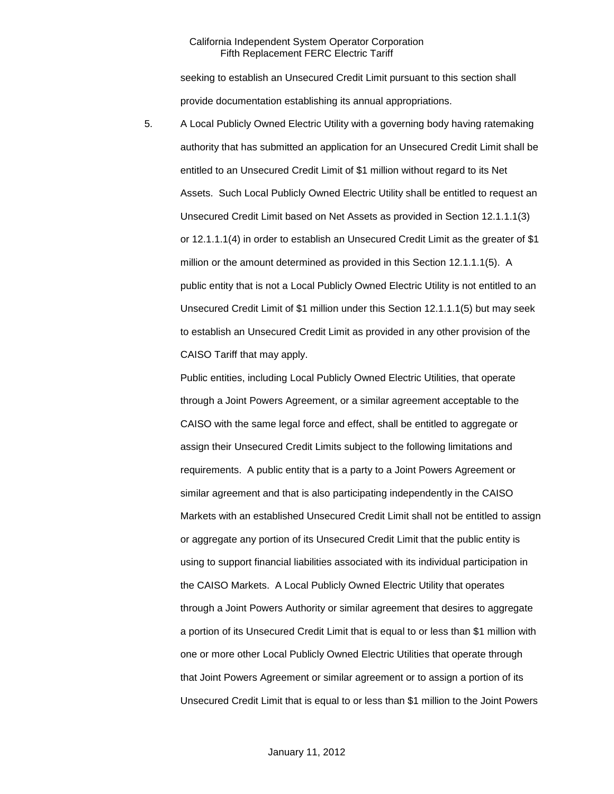seeking to establish an Unsecured Credit Limit pursuant to this section shall provide documentation establishing its annual appropriations.

5. A Local Publicly Owned Electric Utility with a governing body having ratemaking authority that has submitted an application for an Unsecured Credit Limit shall be entitled to an Unsecured Credit Limit of \$1 million without regard to its Net Assets. Such Local Publicly Owned Electric Utility shall be entitled to request an Unsecured Credit Limit based on Net Assets as provided in Section 12.1.1.1(3) or 12.1.1.1(4) in order to establish an Unsecured Credit Limit as the greater of \$1 million or the amount determined as provided in this Section 12.1.1.1(5). A public entity that is not a Local Publicly Owned Electric Utility is not entitled to an Unsecured Credit Limit of \$1 million under this Section 12.1.1.1(5) but may seek to establish an Unsecured Credit Limit as provided in any other provision of the CAISO Tariff that may apply.

Public entities, including Local Publicly Owned Electric Utilities, that operate through a Joint Powers Agreement, or a similar agreement acceptable to the CAISO with the same legal force and effect, shall be entitled to aggregate or assign their Unsecured Credit Limits subject to the following limitations and requirements. A public entity that is a party to a Joint Powers Agreement or similar agreement and that is also participating independently in the CAISO Markets with an established Unsecured Credit Limit shall not be entitled to assign or aggregate any portion of its Unsecured Credit Limit that the public entity is using to support financial liabilities associated with its individual participation in the CAISO Markets. A Local Publicly Owned Electric Utility that operates through a Joint Powers Authority or similar agreement that desires to aggregate a portion of its Unsecured Credit Limit that is equal to or less than \$1 million with one or more other Local Publicly Owned Electric Utilities that operate through that Joint Powers Agreement or similar agreement or to assign a portion of its Unsecured Credit Limit that is equal to or less than \$1 million to the Joint Powers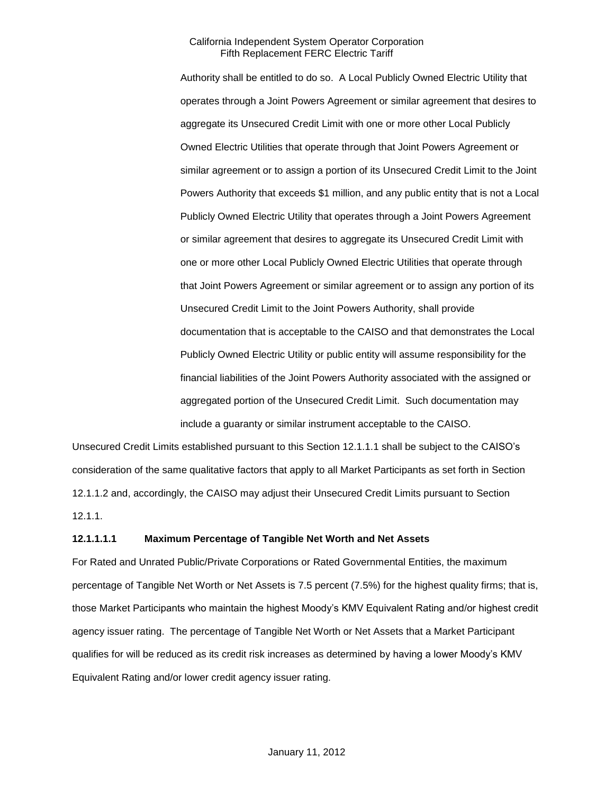Authority shall be entitled to do so. A Local Publicly Owned Electric Utility that operates through a Joint Powers Agreement or similar agreement that desires to aggregate its Unsecured Credit Limit with one or more other Local Publicly Owned Electric Utilities that operate through that Joint Powers Agreement or similar agreement or to assign a portion of its Unsecured Credit Limit to the Joint Powers Authority that exceeds \$1 million, and any public entity that is not a Local Publicly Owned Electric Utility that operates through a Joint Powers Agreement or similar agreement that desires to aggregate its Unsecured Credit Limit with one or more other Local Publicly Owned Electric Utilities that operate through that Joint Powers Agreement or similar agreement or to assign any portion of its Unsecured Credit Limit to the Joint Powers Authority, shall provide documentation that is acceptable to the CAISO and that demonstrates the Local Publicly Owned Electric Utility or public entity will assume responsibility for the financial liabilities of the Joint Powers Authority associated with the assigned or aggregated portion of the Unsecured Credit Limit. Such documentation may include a guaranty or similar instrument acceptable to the CAISO.

Unsecured Credit Limits established pursuant to this Section 12.1.1.1 shall be subject to the CAISO's consideration of the same qualitative factors that apply to all Market Participants as set forth in Section 12.1.1.2 and, accordingly, the CAISO may adjust their Unsecured Credit Limits pursuant to Section 12.1.1.

#### **12.1.1.1.1 Maximum Percentage of Tangible Net Worth and Net Assets**

For Rated and Unrated Public/Private Corporations or Rated Governmental Entities, the maximum percentage of Tangible Net Worth or Net Assets is 7.5 percent (7.5%) for the highest quality firms; that is, those Market Participants who maintain the highest Moody's KMV Equivalent Rating and/or highest credit agency issuer rating. The percentage of Tangible Net Worth or Net Assets that a Market Participant qualifies for will be reduced as its credit risk increases as determined by having a lower Moody's KMV Equivalent Rating and/or lower credit agency issuer rating.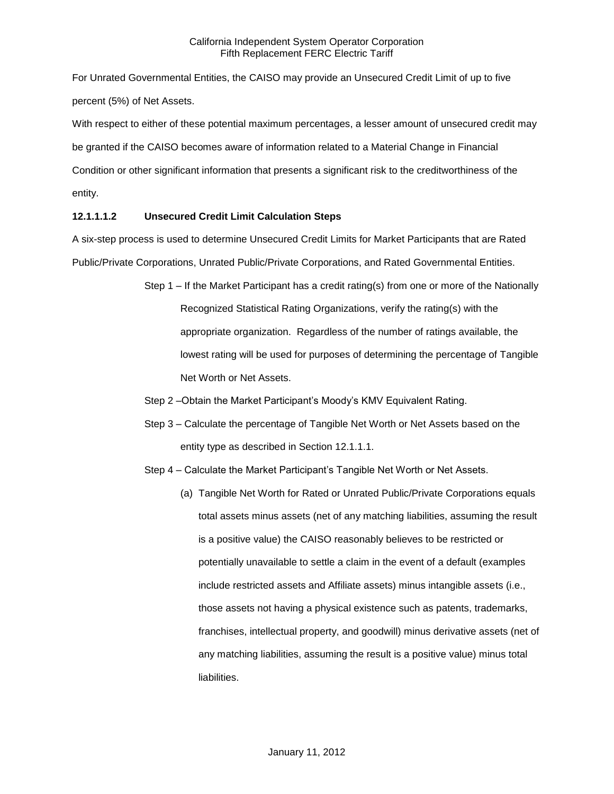For Unrated Governmental Entities, the CAISO may provide an Unsecured Credit Limit of up to five percent (5%) of Net Assets.

With respect to either of these potential maximum percentages, a lesser amount of unsecured credit may be granted if the CAISO becomes aware of information related to a Material Change in Financial Condition or other significant information that presents a significant risk to the creditworthiness of the entity.

# **12.1.1.1.2 Unsecured Credit Limit Calculation Steps**

A six-step process is used to determine Unsecured Credit Limits for Market Participants that are Rated Public/Private Corporations, Unrated Public/Private Corporations, and Rated Governmental Entities.

- Step 1 If the Market Participant has a credit rating(s) from one or more of the Nationally Recognized Statistical Rating Organizations, verify the rating(s) with the appropriate organization. Regardless of the number of ratings available, the lowest rating will be used for purposes of determining the percentage of Tangible Net Worth or Net Assets.
- Step 2 –Obtain the Market Participant's Moody's KMV Equivalent Rating.
- Step 3 Calculate the percentage of Tangible Net Worth or Net Assets based on the entity type as described in Section 12.1.1.1.
- Step 4 Calculate the Market Participant's Tangible Net Worth or Net Assets.
	- (a) Tangible Net Worth for Rated or Unrated Public/Private Corporations equals total assets minus assets (net of any matching liabilities, assuming the result is a positive value) the CAISO reasonably believes to be restricted or potentially unavailable to settle a claim in the event of a default (examples include restricted assets and Affiliate assets) minus intangible assets (i.e., those assets not having a physical existence such as patents, trademarks, franchises, intellectual property, and goodwill) minus derivative assets (net of any matching liabilities, assuming the result is a positive value) minus total liabilities.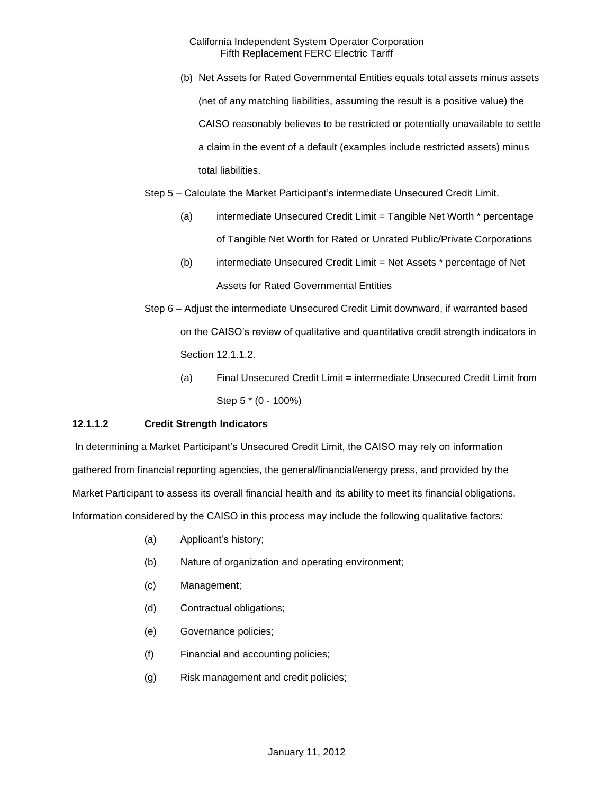(b) Net Assets for Rated Governmental Entities equals total assets minus assets (net of any matching liabilities, assuming the result is a positive value) the CAISO reasonably believes to be restricted or potentially unavailable to settle a claim in the event of a default (examples include restricted assets) minus total liabilities.

Step 5 – Calculate the Market Participant's intermediate Unsecured Credit Limit.

- (a) intermediate Unsecured Credit Limit = Tangible Net Worth \* percentage of Tangible Net Worth for Rated or Unrated Public/Private Corporations
- (b) intermediate Unsecured Credit Limit = Net Assets \* percentage of Net Assets for Rated Governmental Entities
- Step 6 Adjust the intermediate Unsecured Credit Limit downward, if warranted based on the CAISO's review of qualitative and quantitative credit strength indicators in Section 12.1.1.2.
	- (a) Final Unsecured Credit Limit = intermediate Unsecured Credit Limit from Step 5 \* (0 - 100%)

# **12.1.1.2 Credit Strength Indicators**

In determining a Market Participant's Unsecured Credit Limit, the CAISO may rely on information gathered from financial reporting agencies, the general/financial/energy press, and provided by the Market Participant to assess its overall financial health and its ability to meet its financial obligations. Information considered by the CAISO in this process may include the following qualitative factors:

- (a) Applicant's history;
- (b) Nature of organization and operating environment;
- (c) Management;
- (d) Contractual obligations;
- (e) Governance policies;
- (f) Financial and accounting policies;
- (g) Risk management and credit policies;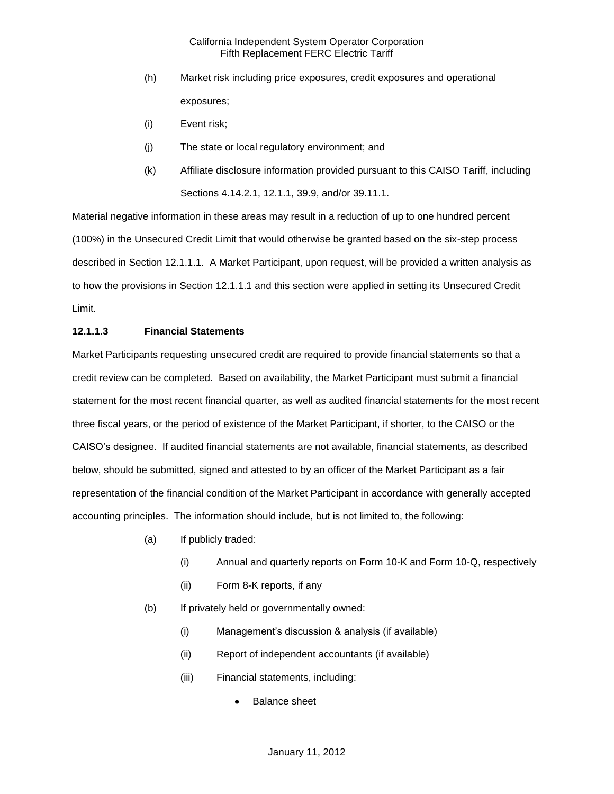- (h) Market risk including price exposures, credit exposures and operational exposures;
- (i) Event risk;
- (j) The state or local regulatory environment; and
- (k) Affiliate disclosure information provided pursuant to this CAISO Tariff, including Sections 4.14.2.1, 12.1.1, 39.9, and/or 39.11.1.

Material negative information in these areas may result in a reduction of up to one hundred percent (100%) in the Unsecured Credit Limit that would otherwise be granted based on the six-step process described in Section 12.1.1.1. A Market Participant, upon request, will be provided a written analysis as to how the provisions in Section 12.1.1.1 and this section were applied in setting its Unsecured Credit Limit.

#### **12.1.1.3 Financial Statements**

Market Participants requesting unsecured credit are required to provide financial statements so that a credit review can be completed. Based on availability, the Market Participant must submit a financial statement for the most recent financial quarter, as well as audited financial statements for the most recent three fiscal years, or the period of existence of the Market Participant, if shorter, to the CAISO or the CAISO's designee. If audited financial statements are not available, financial statements, as described below, should be submitted, signed and attested to by an officer of the Market Participant as a fair representation of the financial condition of the Market Participant in accordance with generally accepted accounting principles. The information should include, but is not limited to, the following:

- (a) If publicly traded:
	- (i) Annual and quarterly reports on Form 10-K and Form 10-Q, respectively
	- (ii) Form 8-K reports, if any
- (b) If privately held or governmentally owned:
	- (i) Management's discussion & analysis (if available)
	- (ii) Report of independent accountants (if available)
	- (iii) Financial statements, including:
		- Balance sheet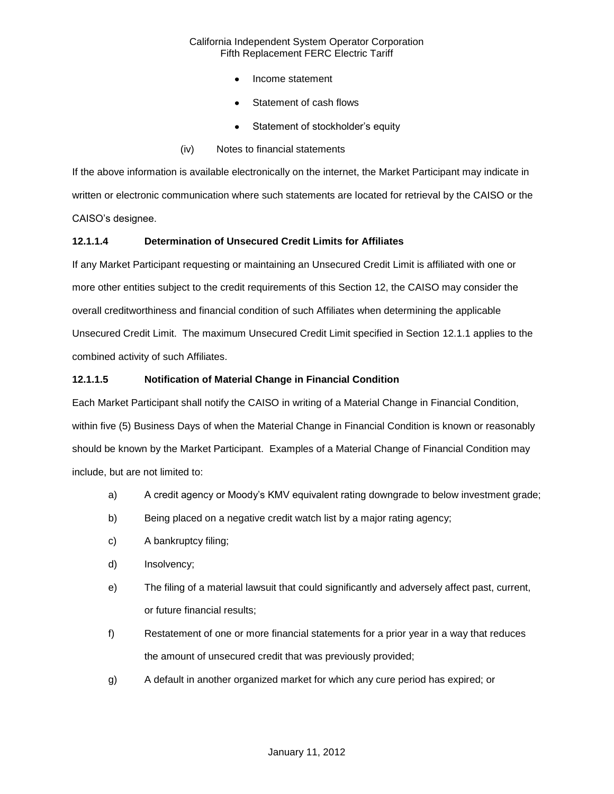- Income statement
- Statement of cash flows
- Statement of stockholder's equity
- (iv) Notes to financial statements

If the above information is available electronically on the internet, the Market Participant may indicate in written or electronic communication where such statements are located for retrieval by the CAISO or the CAISO's designee.

# **12.1.1.4 Determination of Unsecured Credit Limits for Affiliates**

If any Market Participant requesting or maintaining an Unsecured Credit Limit is affiliated with one or more other entities subject to the credit requirements of this Section 12, the CAISO may consider the overall creditworthiness and financial condition of such Affiliates when determining the applicable Unsecured Credit Limit. The maximum Unsecured Credit Limit specified in Section 12.1.1 applies to the combined activity of such Affiliates.

# **12.1.1.5 Notification of Material Change in Financial Condition**

Each Market Participant shall notify the CAISO in writing of a Material Change in Financial Condition, within five (5) Business Days of when the Material Change in Financial Condition is known or reasonably should be known by the Market Participant. Examples of a Material Change of Financial Condition may include, but are not limited to:

- a) A credit agency or Moody's KMV equivalent rating downgrade to below investment grade;
- b) Being placed on a negative credit watch list by a major rating agency;
- c) A bankruptcy filing;
- d) Insolvency;
- e) The filing of a material lawsuit that could significantly and adversely affect past, current, or future financial results;
- f) Restatement of one or more financial statements for a prior year in a way that reduces the amount of unsecured credit that was previously provided;
- g) A default in another organized market for which any cure period has expired; or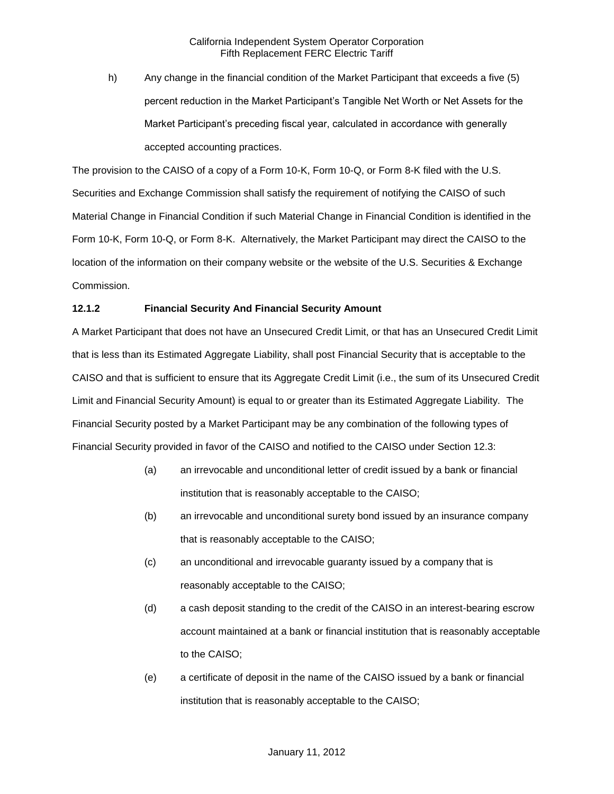h) Any change in the financial condition of the Market Participant that exceeds a five (5) percent reduction in the Market Participant's Tangible Net Worth or Net Assets for the Market Participant's preceding fiscal year, calculated in accordance with generally accepted accounting practices.

The provision to the CAISO of a copy of a Form 10-K, Form 10-Q, or Form 8-K filed with the U.S. Securities and Exchange Commission shall satisfy the requirement of notifying the CAISO of such Material Change in Financial Condition if such Material Change in Financial Condition is identified in the Form 10-K, Form 10-Q, or Form 8-K. Alternatively, the Market Participant may direct the CAISO to the location of the information on their company website or the website of the U.S. Securities & Exchange Commission.

# **12.1.2 Financial Security And Financial Security Amount**

A Market Participant that does not have an Unsecured Credit Limit, or that has an Unsecured Credit Limit that is less than its Estimated Aggregate Liability, shall post Financial Security that is acceptable to the CAISO and that is sufficient to ensure that its Aggregate Credit Limit (i.e., the sum of its Unsecured Credit Limit and Financial Security Amount) is equal to or greater than its Estimated Aggregate Liability. The Financial Security posted by a Market Participant may be any combination of the following types of Financial Security provided in favor of the CAISO and notified to the CAISO under Section 12.3:

- (a) an irrevocable and unconditional letter of credit issued by a bank or financial institution that is reasonably acceptable to the CAISO;
- (b) an irrevocable and unconditional surety bond issued by an insurance company that is reasonably acceptable to the CAISO;
- (c) an unconditional and irrevocable guaranty issued by a company that is reasonably acceptable to the CAISO;
- (d) a cash deposit standing to the credit of the CAISO in an interest-bearing escrow account maintained at a bank or financial institution that is reasonably acceptable to the CAISO;
- (e) a certificate of deposit in the name of the CAISO issued by a bank or financial institution that is reasonably acceptable to the CAISO;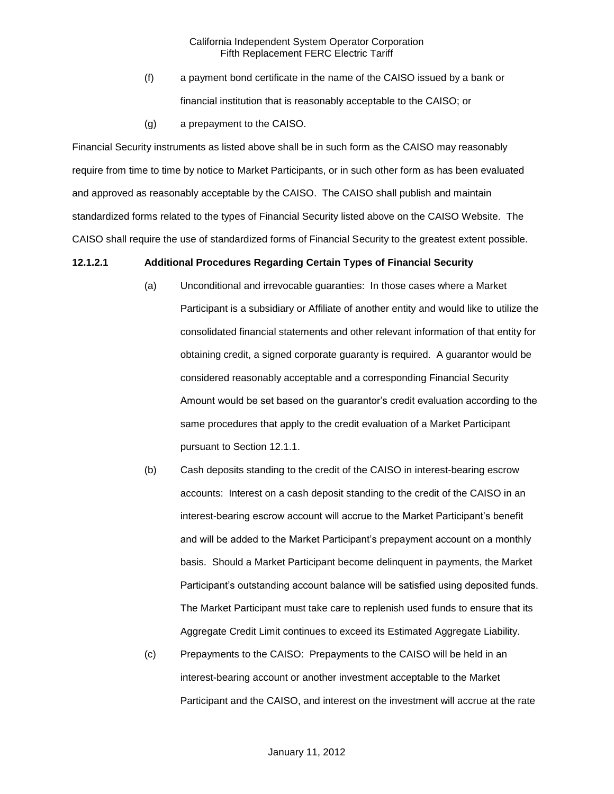- (f) a payment bond certificate in the name of the CAISO issued by a bank or financial institution that is reasonably acceptable to the CAISO; or
- (g) a prepayment to the CAISO.

Financial Security instruments as listed above shall be in such form as the CAISO may reasonably require from time to time by notice to Market Participants, or in such other form as has been evaluated and approved as reasonably acceptable by the CAISO. The CAISO shall publish and maintain standardized forms related to the types of Financial Security listed above on the CAISO Website. The CAISO shall require the use of standardized forms of Financial Security to the greatest extent possible.

#### **12.1.2.1 Additional Procedures Regarding Certain Types of Financial Security**

- (a) Unconditional and irrevocable guaranties: In those cases where a Market Participant is a subsidiary or Affiliate of another entity and would like to utilize the consolidated financial statements and other relevant information of that entity for obtaining credit, a signed corporate guaranty is required. A guarantor would be considered reasonably acceptable and a corresponding Financial Security Amount would be set based on the guarantor's credit evaluation according to the same procedures that apply to the credit evaluation of a Market Participant pursuant to Section 12.1.1.
- (b) Cash deposits standing to the credit of the CAISO in interest-bearing escrow accounts: Interest on a cash deposit standing to the credit of the CAISO in an interest-bearing escrow account will accrue to the Market Participant's benefit and will be added to the Market Participant's prepayment account on a monthly basis. Should a Market Participant become delinquent in payments, the Market Participant's outstanding account balance will be satisfied using deposited funds. The Market Participant must take care to replenish used funds to ensure that its Aggregate Credit Limit continues to exceed its Estimated Aggregate Liability.
- (c) Prepayments to the CAISO: Prepayments to the CAISO will be held in an interest-bearing account or another investment acceptable to the Market Participant and the CAISO, and interest on the investment will accrue at the rate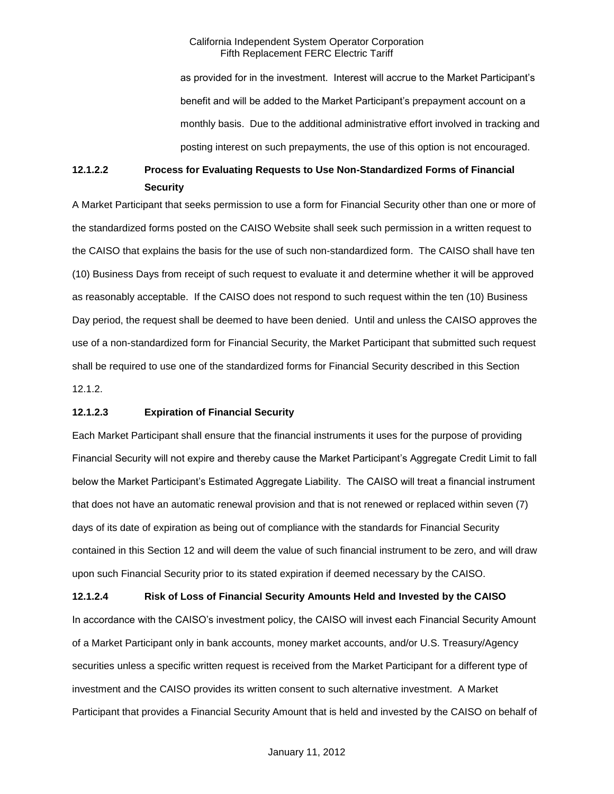as provided for in the investment. Interest will accrue to the Market Participant's benefit and will be added to the Market Participant's prepayment account on a monthly basis. Due to the additional administrative effort involved in tracking and posting interest on such prepayments, the use of this option is not encouraged.

# **12.1.2.2 Process for Evaluating Requests to Use Non-Standardized Forms of Financial Security**

A Market Participant that seeks permission to use a form for Financial Security other than one or more of the standardized forms posted on the CAISO Website shall seek such permission in a written request to the CAISO that explains the basis for the use of such non-standardized form. The CAISO shall have ten (10) Business Days from receipt of such request to evaluate it and determine whether it will be approved as reasonably acceptable. If the CAISO does not respond to such request within the ten (10) Business Day period, the request shall be deemed to have been denied. Until and unless the CAISO approves the use of a non-standardized form for Financial Security, the Market Participant that submitted such request shall be required to use one of the standardized forms for Financial Security described in this Section 12.1.2.

#### **12.1.2.3 Expiration of Financial Security**

Each Market Participant shall ensure that the financial instruments it uses for the purpose of providing Financial Security will not expire and thereby cause the Market Participant's Aggregate Credit Limit to fall below the Market Participant's Estimated Aggregate Liability. The CAISO will treat a financial instrument that does not have an automatic renewal provision and that is not renewed or replaced within seven (7) days of its date of expiration as being out of compliance with the standards for Financial Security contained in this Section 12 and will deem the value of such financial instrument to be zero, and will draw upon such Financial Security prior to its stated expiration if deemed necessary by the CAISO.

**12.1.2.4 Risk of Loss of Financial Security Amounts Held and Invested by the CAISO** In accordance with the CAISO's investment policy, the CAISO will invest each Financial Security Amount of a Market Participant only in bank accounts, money market accounts, and/or U.S. Treasury/Agency securities unless a specific written request is received from the Market Participant for a different type of investment and the CAISO provides its written consent to such alternative investment. A Market Participant that provides a Financial Security Amount that is held and invested by the CAISO on behalf of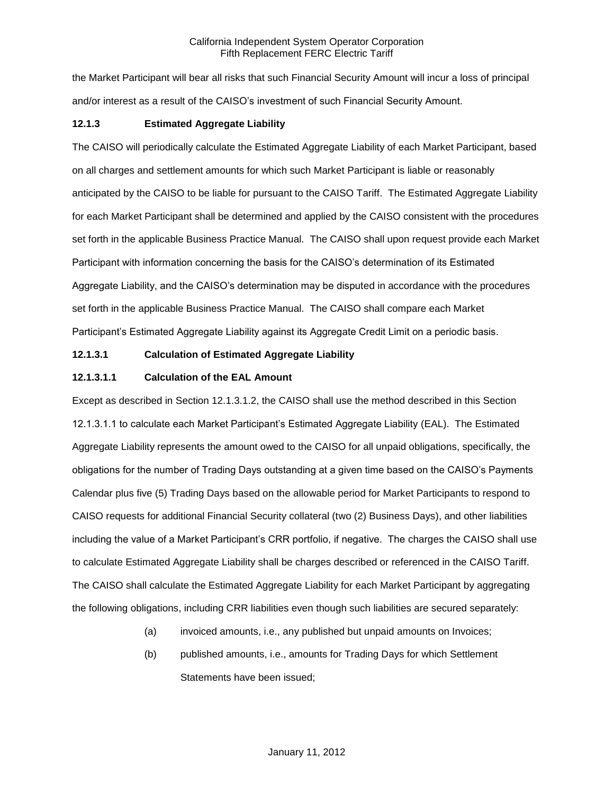the Market Participant will bear all risks that such Financial Security Amount will incur a loss of principal and/or interest as a result of the CAISO's investment of such Financial Security Amount.

## **12.1.3 Estimated Aggregate Liability**

The CAISO will periodically calculate the Estimated Aggregate Liability of each Market Participant, based on all charges and settlement amounts for which such Market Participant is liable or reasonably anticipated by the CAISO to be liable for pursuant to the CAISO Tariff. The Estimated Aggregate Liability for each Market Participant shall be determined and applied by the CAISO consistent with the procedures set forth in the applicable Business Practice Manual. The CAISO shall upon request provide each Market Participant with information concerning the basis for the CAISO's determination of its Estimated Aggregate Liability, and the CAISO's determination may be disputed in accordance with the procedures set forth in the applicable Business Practice Manual. The CAISO shall compare each Market Participant's Estimated Aggregate Liability against its Aggregate Credit Limit on a periodic basis.

#### **12.1.3.1 Calculation of Estimated Aggregate Liability**

#### **12.1.3.1.1 Calculation of the EAL Amount**

Except as described in Section 12.1.3.1.2, the CAISO shall use the method described in this Section 12.1.3.1.1 to calculate each Market Participant's Estimated Aggregate Liability (EAL). The Estimated Aggregate Liability represents the amount owed to the CAISO for all unpaid obligations, specifically, the obligations for the number of Trading Days outstanding at a given time based on the CAISO's Payments Calendar plus five (5) Trading Days based on the allowable period for Market Participants to respond to CAISO requests for additional Financial Security collateral (two (2) Business Days), and other liabilities including the value of a Market Participant's CRR portfolio, if negative. The charges the CAISO shall use to calculate Estimated Aggregate Liability shall be charges described or referenced in the CAISO Tariff. The CAISO shall calculate the Estimated Aggregate Liability for each Market Participant by aggregating the following obligations, including CRR liabilities even though such liabilities are secured separately:

- (a) invoiced amounts, i.e., any published but unpaid amounts on Invoices;
- (b) published amounts, i.e., amounts for Trading Days for which Settlement Statements have been issued;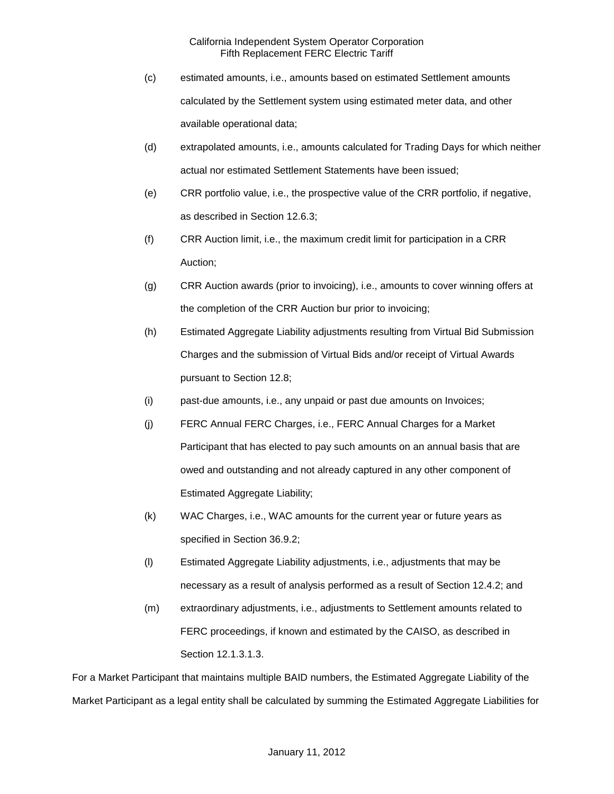- (c) estimated amounts, i.e., amounts based on estimated Settlement amounts calculated by the Settlement system using estimated meter data, and other available operational data;
- (d) extrapolated amounts, i.e., amounts calculated for Trading Days for which neither actual nor estimated Settlement Statements have been issued;
- (e) CRR portfolio value, i.e., the prospective value of the CRR portfolio, if negative, as described in Section 12.6.3;
- (f) CRR Auction limit, i.e., the maximum credit limit for participation in a CRR Auction;
- (g) CRR Auction awards (prior to invoicing), i.e., amounts to cover winning offers at the completion of the CRR Auction bur prior to invoicing;
- (h) Estimated Aggregate Liability adjustments resulting from Virtual Bid Submission Charges and the submission of Virtual Bids and/or receipt of Virtual Awards pursuant to Section 12.8;
- (i) past-due amounts, i.e., any unpaid or past due amounts on Invoices;
- (j) FERC Annual FERC Charges, i.e., FERC Annual Charges for a Market Participant that has elected to pay such amounts on an annual basis that are owed and outstanding and not already captured in any other component of Estimated Aggregate Liability;
- (k) WAC Charges, i.e., WAC amounts for the current year or future years as specified in Section 36.9.2;
- (l) Estimated Aggregate Liability adjustments, i.e., adjustments that may be necessary as a result of analysis performed as a result of Section 12.4.2; and
- (m) extraordinary adjustments, i.e., adjustments to Settlement amounts related to FERC proceedings, if known and estimated by the CAISO, as described in Section 12.1.3.1.3.

For a Market Participant that maintains multiple BAID numbers, the Estimated Aggregate Liability of the Market Participant as a legal entity shall be calculated by summing the Estimated Aggregate Liabilities for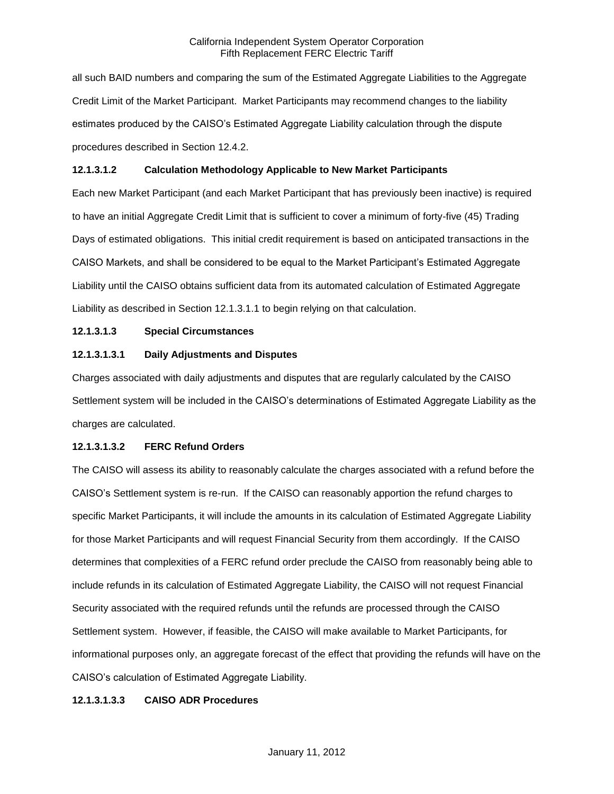all such BAID numbers and comparing the sum of the Estimated Aggregate Liabilities to the Aggregate Credit Limit of the Market Participant. Market Participants may recommend changes to the liability estimates produced by the CAISO's Estimated Aggregate Liability calculation through the dispute procedures described in Section 12.4.2.

## **12.1.3.1.2 Calculation Methodology Applicable to New Market Participants**

Each new Market Participant (and each Market Participant that has previously been inactive) is required to have an initial Aggregate Credit Limit that is sufficient to cover a minimum of forty-five (45) Trading Days of estimated obligations. This initial credit requirement is based on anticipated transactions in the CAISO Markets, and shall be considered to be equal to the Market Participant's Estimated Aggregate Liability until the CAISO obtains sufficient data from its automated calculation of Estimated Aggregate Liability as described in Section 12.1.3.1.1 to begin relying on that calculation.

# **12.1.3.1.3 Special Circumstances**

# **12.1.3.1.3.1 Daily Adjustments and Disputes**

Charges associated with daily adjustments and disputes that are regularly calculated by the CAISO Settlement system will be included in the CAISO's determinations of Estimated Aggregate Liability as the charges are calculated.

#### **12.1.3.1.3.2 FERC Refund Orders**

The CAISO will assess its ability to reasonably calculate the charges associated with a refund before the CAISO's Settlement system is re-run. If the CAISO can reasonably apportion the refund charges to specific Market Participants, it will include the amounts in its calculation of Estimated Aggregate Liability for those Market Participants and will request Financial Security from them accordingly. If the CAISO determines that complexities of a FERC refund order preclude the CAISO from reasonably being able to include refunds in its calculation of Estimated Aggregate Liability, the CAISO will not request Financial Security associated with the required refunds until the refunds are processed through the CAISO Settlement system. However, if feasible, the CAISO will make available to Market Participants, for informational purposes only, an aggregate forecast of the effect that providing the refunds will have on the CAISO's calculation of Estimated Aggregate Liability.

#### **12.1.3.1.3.3 CAISO ADR Procedures**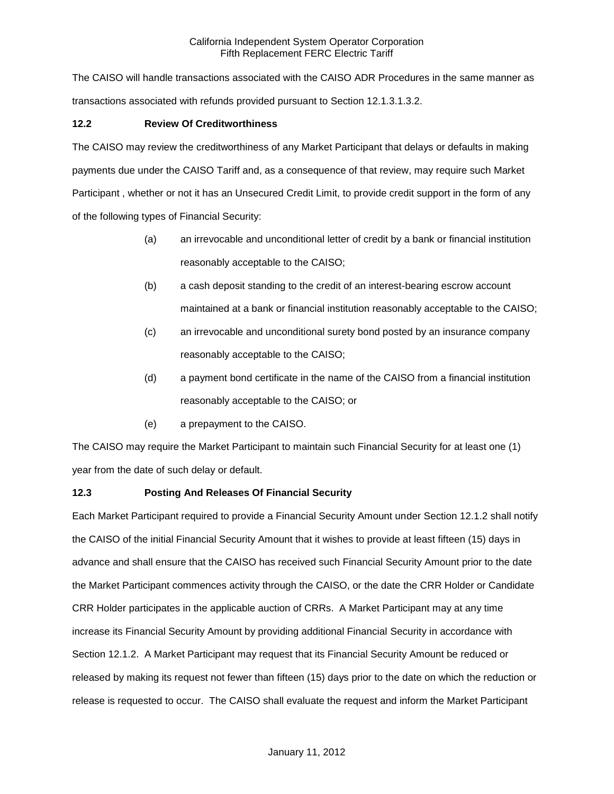The CAISO will handle transactions associated with the CAISO ADR Procedures in the same manner as transactions associated with refunds provided pursuant to Section 12.1.3.1.3.2.

# **12.2 Review Of Creditworthiness**

The CAISO may review the creditworthiness of any Market Participant that delays or defaults in making payments due under the CAISO Tariff and, as a consequence of that review, may require such Market Participant , whether or not it has an Unsecured Credit Limit, to provide credit support in the form of any of the following types of Financial Security:

- (a) an irrevocable and unconditional letter of credit by a bank or financial institution reasonably acceptable to the CAISO;
- (b) a cash deposit standing to the credit of an interest-bearing escrow account maintained at a bank or financial institution reasonably acceptable to the CAISO;
- (c) an irrevocable and unconditional surety bond posted by an insurance company reasonably acceptable to the CAISO;
- (d) a payment bond certificate in the name of the CAISO from a financial institution reasonably acceptable to the CAISO; or
- (e) a prepayment to the CAISO.

The CAISO may require the Market Participant to maintain such Financial Security for at least one (1) year from the date of such delay or default.

# **12.3 Posting And Releases Of Financial Security**

Each Market Participant required to provide a Financial Security Amount under Section 12.1.2 shall notify the CAISO of the initial Financial Security Amount that it wishes to provide at least fifteen (15) days in advance and shall ensure that the CAISO has received such Financial Security Amount prior to the date the Market Participant commences activity through the CAISO, or the date the CRR Holder or Candidate CRR Holder participates in the applicable auction of CRRs. A Market Participant may at any time increase its Financial Security Amount by providing additional Financial Security in accordance with Section 12.1.2. A Market Participant may request that its Financial Security Amount be reduced or released by making its request not fewer than fifteen (15) days prior to the date on which the reduction or release is requested to occur. The CAISO shall evaluate the request and inform the Market Participant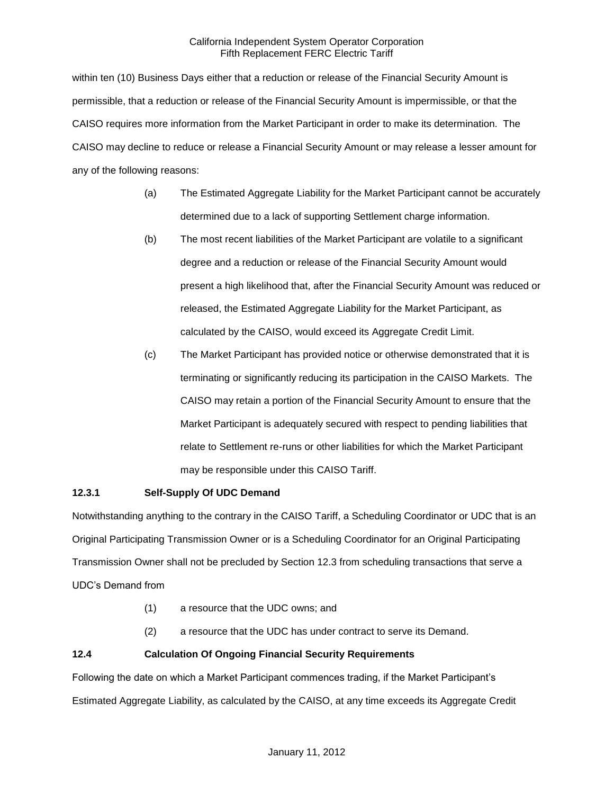within ten (10) Business Days either that a reduction or release of the Financial Security Amount is permissible, that a reduction or release of the Financial Security Amount is impermissible, or that the CAISO requires more information from the Market Participant in order to make its determination. The CAISO may decline to reduce or release a Financial Security Amount or may release a lesser amount for any of the following reasons:

- (a) The Estimated Aggregate Liability for the Market Participant cannot be accurately determined due to a lack of supporting Settlement charge information.
- (b) The most recent liabilities of the Market Participant are volatile to a significant degree and a reduction or release of the Financial Security Amount would present a high likelihood that, after the Financial Security Amount was reduced or released, the Estimated Aggregate Liability for the Market Participant, as calculated by the CAISO, would exceed its Aggregate Credit Limit.
- (c) The Market Participant has provided notice or otherwise demonstrated that it is terminating or significantly reducing its participation in the CAISO Markets. The CAISO may retain a portion of the Financial Security Amount to ensure that the Market Participant is adequately secured with respect to pending liabilities that relate to Settlement re-runs or other liabilities for which the Market Participant may be responsible under this CAISO Tariff.

# **12.3.1 Self-Supply Of UDC Demand**

Notwithstanding anything to the contrary in the CAISO Tariff, a Scheduling Coordinator or UDC that is an Original Participating Transmission Owner or is a Scheduling Coordinator for an Original Participating Transmission Owner shall not be precluded by Section 12.3 from scheduling transactions that serve a UDC's Demand from

- (1) a resource that the UDC owns; and
- (2) a resource that the UDC has under contract to serve its Demand.

# **12.4 Calculation Of Ongoing Financial Security Requirements**

Following the date on which a Market Participant commences trading, if the Market Participant's Estimated Aggregate Liability, as calculated by the CAISO, at any time exceeds its Aggregate Credit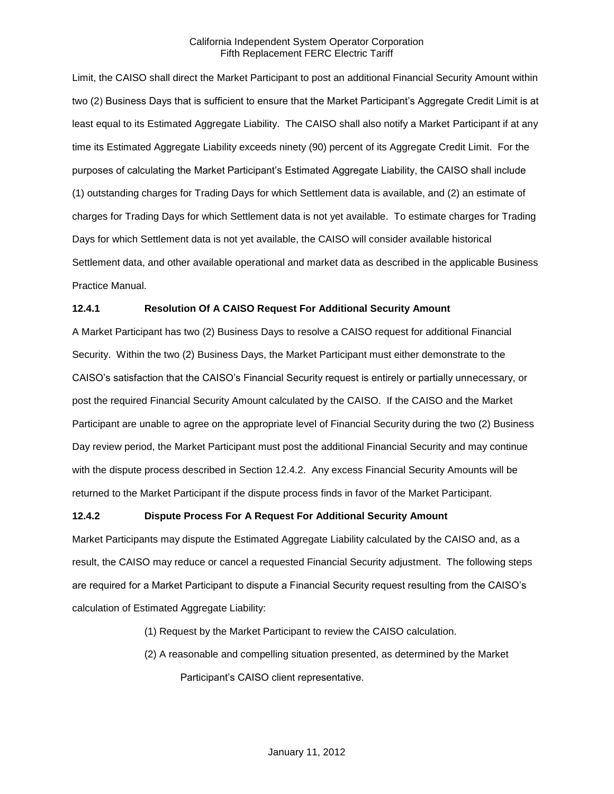Limit, the CAISO shall direct the Market Participant to post an additional Financial Security Amount within two (2) Business Days that is sufficient to ensure that the Market Participant's Aggregate Credit Limit is at least equal to its Estimated Aggregate Liability. The CAISO shall also notify a Market Participant if at any time its Estimated Aggregate Liability exceeds ninety (90) percent of its Aggregate Credit Limit. For the purposes of calculating the Market Participant's Estimated Aggregate Liability, the CAISO shall include (1) outstanding charges for Trading Days for which Settlement data is available, and (2) an estimate of charges for Trading Days for which Settlement data is not yet available. To estimate charges for Trading Days for which Settlement data is not yet available, the CAISO will consider available historical Settlement data, and other available operational and market data as described in the applicable Business Practice Manual.

# **12.4.1 Resolution Of A CAISO Request For Additional Security Amount**

A Market Participant has two (2) Business Days to resolve a CAISO request for additional Financial Security. Within the two (2) Business Days, the Market Participant must either demonstrate to the CAISO's satisfaction that the CAISO's Financial Security request is entirely or partially unnecessary, or post the required Financial Security Amount calculated by the CAISO. If the CAISO and the Market Participant are unable to agree on the appropriate level of Financial Security during the two (2) Business Day review period, the Market Participant must post the additional Financial Security and may continue with the dispute process described in Section 12.4.2. Any excess Financial Security Amounts will be returned to the Market Participant if the dispute process finds in favor of the Market Participant.

#### **12.4.2 Dispute Process For A Request For Additional Security Amount**

Market Participants may dispute the Estimated Aggregate Liability calculated by the CAISO and, as a result, the CAISO may reduce or cancel a requested Financial Security adjustment. The following steps are required for a Market Participant to dispute a Financial Security request resulting from the CAISO's calculation of Estimated Aggregate Liability:

- (1) Request by the Market Participant to review the CAISO calculation.
- (2) A reasonable and compelling situation presented, as determined by the Market Participant's CAISO client representative.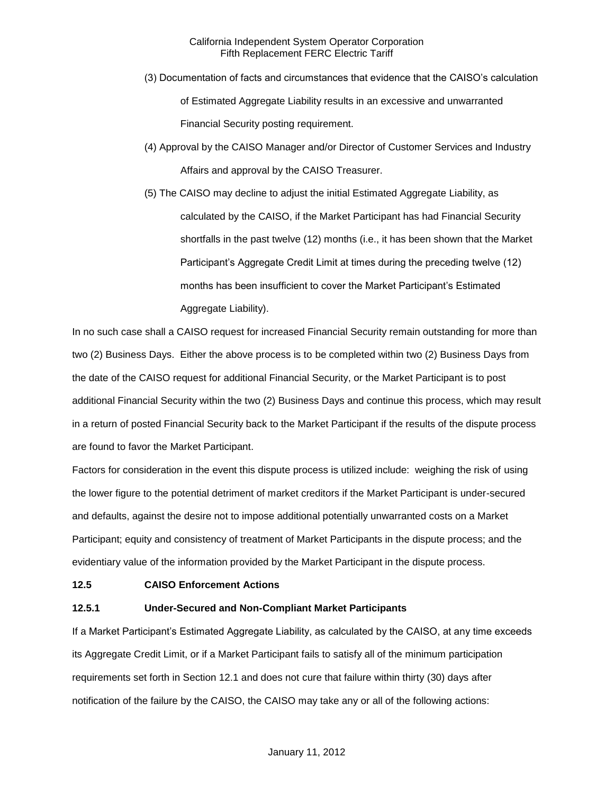- (3) Documentation of facts and circumstances that evidence that the CAISO's calculation of Estimated Aggregate Liability results in an excessive and unwarranted Financial Security posting requirement.
- (4) Approval by the CAISO Manager and/or Director of Customer Services and Industry Affairs and approval by the CAISO Treasurer.
- (5) The CAISO may decline to adjust the initial Estimated Aggregate Liability, as calculated by the CAISO, if the Market Participant has had Financial Security shortfalls in the past twelve (12) months (i.e., it has been shown that the Market Participant's Aggregate Credit Limit at times during the preceding twelve (12) months has been insufficient to cover the Market Participant's Estimated Aggregate Liability).

In no such case shall a CAISO request for increased Financial Security remain outstanding for more than two (2) Business Days. Either the above process is to be completed within two (2) Business Days from the date of the CAISO request for additional Financial Security, or the Market Participant is to post additional Financial Security within the two (2) Business Days and continue this process, which may result in a return of posted Financial Security back to the Market Participant if the results of the dispute process are found to favor the Market Participant.

Factors for consideration in the event this dispute process is utilized include: weighing the risk of using the lower figure to the potential detriment of market creditors if the Market Participant is under-secured and defaults, against the desire not to impose additional potentially unwarranted costs on a Market Participant; equity and consistency of treatment of Market Participants in the dispute process; and the evidentiary value of the information provided by the Market Participant in the dispute process.

#### **12.5 CAISO Enforcement Actions**

#### **12.5.1 Under-Secured and Non-Compliant Market Participants**

If a Market Participant's Estimated Aggregate Liability, as calculated by the CAISO, at any time exceeds its Aggregate Credit Limit, or if a Market Participant fails to satisfy all of the minimum participation requirements set forth in Section 12.1 and does not cure that failure within thirty (30) days after notification of the failure by the CAISO, the CAISO may take any or all of the following actions: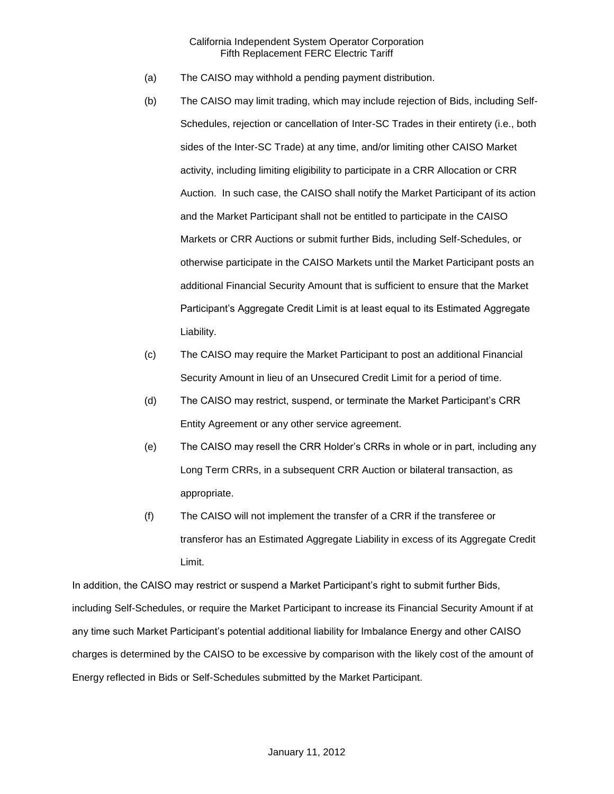- (a) The CAISO may withhold a pending payment distribution.
- (b) The CAISO may limit trading, which may include rejection of Bids, including Self-Schedules, rejection or cancellation of Inter-SC Trades in their entirety (i.e., both sides of the Inter-SC Trade) at any time, and/or limiting other CAISO Market activity, including limiting eligibility to participate in a CRR Allocation or CRR Auction. In such case, the CAISO shall notify the Market Participant of its action and the Market Participant shall not be entitled to participate in the CAISO Markets or CRR Auctions or submit further Bids, including Self-Schedules, or otherwise participate in the CAISO Markets until the Market Participant posts an additional Financial Security Amount that is sufficient to ensure that the Market Participant's Aggregate Credit Limit is at least equal to its Estimated Aggregate Liability.
- (c) The CAISO may require the Market Participant to post an additional Financial Security Amount in lieu of an Unsecured Credit Limit for a period of time.
- (d) The CAISO may restrict, suspend, or terminate the Market Participant's CRR Entity Agreement or any other service agreement.
- (e) The CAISO may resell the CRR Holder's CRRs in whole or in part, including any Long Term CRRs, in a subsequent CRR Auction or bilateral transaction, as appropriate.
- (f) The CAISO will not implement the transfer of a CRR if the transferee or transferor has an Estimated Aggregate Liability in excess of its Aggregate Credit Limit.

In addition, the CAISO may restrict or suspend a Market Participant's right to submit further Bids, including Self-Schedules, or require the Market Participant to increase its Financial Security Amount if at any time such Market Participant's potential additional liability for Imbalance Energy and other CAISO charges is determined by the CAISO to be excessive by comparison with the likely cost of the amount of Energy reflected in Bids or Self-Schedules submitted by the Market Participant.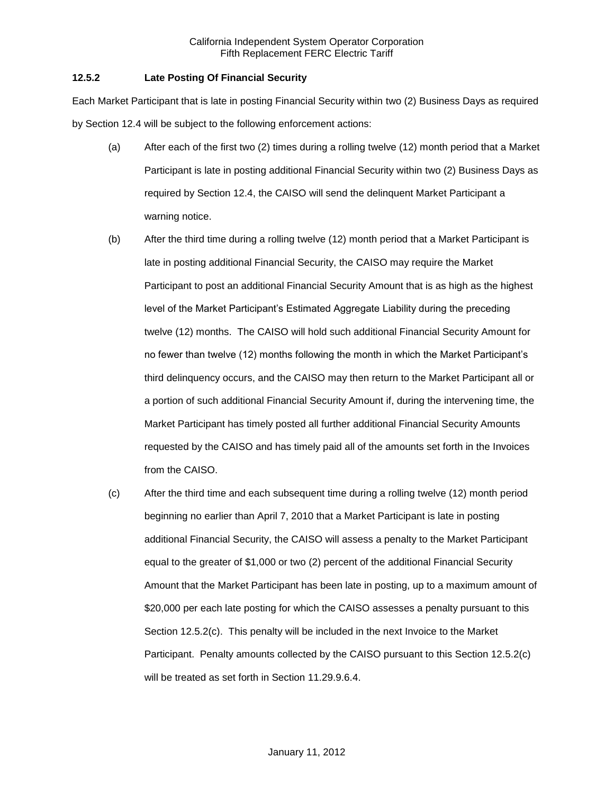# **12.5.2 Late Posting Of Financial Security**

Each Market Participant that is late in posting Financial Security within two (2) Business Days as required by Section 12.4 will be subject to the following enforcement actions:

- (a) After each of the first two (2) times during a rolling twelve (12) month period that a Market Participant is late in posting additional Financial Security within two (2) Business Days as required by Section 12.4, the CAISO will send the delinquent Market Participant a warning notice.
- (b) After the third time during a rolling twelve (12) month period that a Market Participant is late in posting additional Financial Security, the CAISO may require the Market Participant to post an additional Financial Security Amount that is as high as the highest level of the Market Participant's Estimated Aggregate Liability during the preceding twelve (12) months. The CAISO will hold such additional Financial Security Amount for no fewer than twelve (12) months following the month in which the Market Participant's third delinquency occurs, and the CAISO may then return to the Market Participant all or a portion of such additional Financial Security Amount if, during the intervening time, the Market Participant has timely posted all further additional Financial Security Amounts requested by the CAISO and has timely paid all of the amounts set forth in the Invoices from the CAISO.
- (c) After the third time and each subsequent time during a rolling twelve (12) month period beginning no earlier than April 7, 2010 that a Market Participant is late in posting additional Financial Security, the CAISO will assess a penalty to the Market Participant equal to the greater of \$1,000 or two (2) percent of the additional Financial Security Amount that the Market Participant has been late in posting, up to a maximum amount of \$20,000 per each late posting for which the CAISO assesses a penalty pursuant to this Section 12.5.2(c). This penalty will be included in the next Invoice to the Market Participant. Penalty amounts collected by the CAISO pursuant to this Section 12.5.2(c) will be treated as set forth in Section 11.29.9.6.4.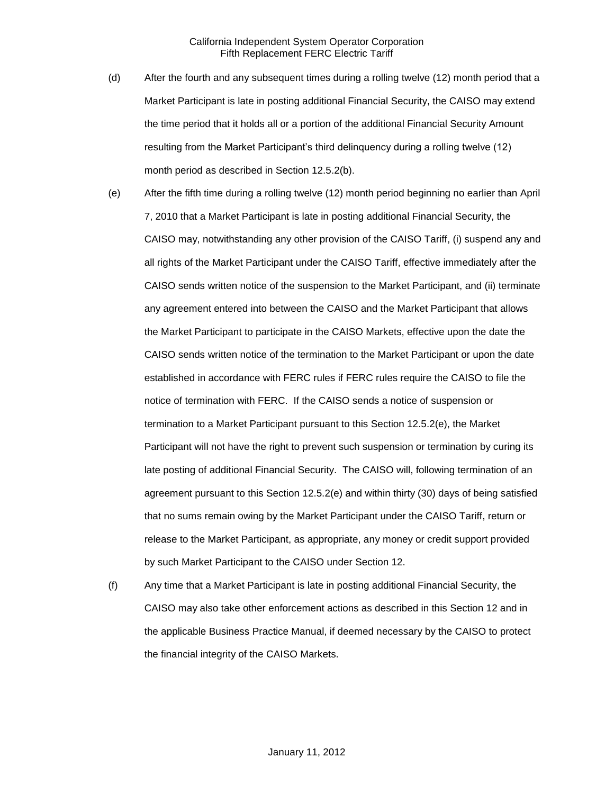- (d) After the fourth and any subsequent times during a rolling twelve (12) month period that a Market Participant is late in posting additional Financial Security, the CAISO may extend the time period that it holds all or a portion of the additional Financial Security Amount resulting from the Market Participant's third delinquency during a rolling twelve (12) month period as described in Section 12.5.2(b).
- (e) After the fifth time during a rolling twelve (12) month period beginning no earlier than April 7, 2010 that a Market Participant is late in posting additional Financial Security, the CAISO may, notwithstanding any other provision of the CAISO Tariff, (i) suspend any and all rights of the Market Participant under the CAISO Tariff, effective immediately after the CAISO sends written notice of the suspension to the Market Participant, and (ii) terminate any agreement entered into between the CAISO and the Market Participant that allows the Market Participant to participate in the CAISO Markets, effective upon the date the CAISO sends written notice of the termination to the Market Participant or upon the date established in accordance with FERC rules if FERC rules require the CAISO to file the notice of termination with FERC. If the CAISO sends a notice of suspension or termination to a Market Participant pursuant to this Section 12.5.2(e), the Market Participant will not have the right to prevent such suspension or termination by curing its late posting of additional Financial Security. The CAISO will, following termination of an agreement pursuant to this Section 12.5.2(e) and within thirty (30) days of being satisfied that no sums remain owing by the Market Participant under the CAISO Tariff, return or release to the Market Participant, as appropriate, any money or credit support provided by such Market Participant to the CAISO under Section 12.
- (f) Any time that a Market Participant is late in posting additional Financial Security, the CAISO may also take other enforcement actions as described in this Section 12 and in the applicable Business Practice Manual, if deemed necessary by the CAISO to protect the financial integrity of the CAISO Markets.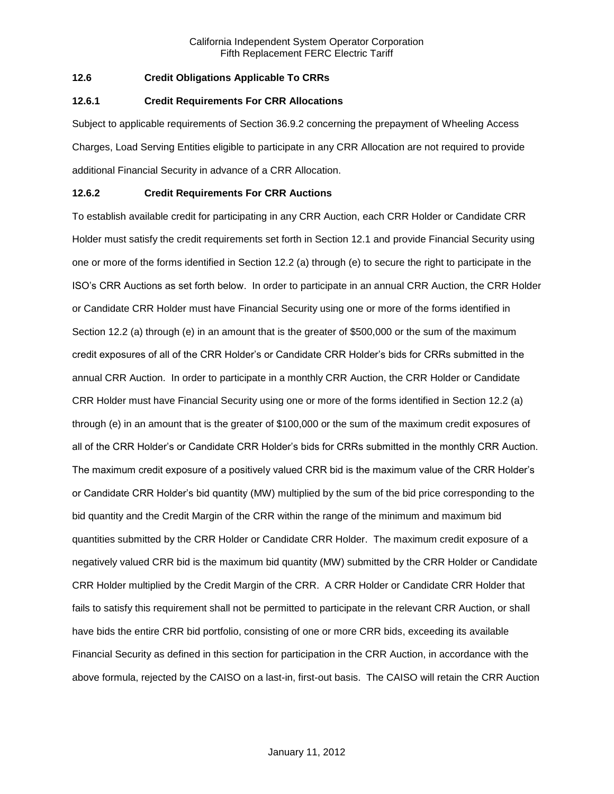# **12.6 Credit Obligations Applicable To CRRs**

#### **12.6.1 Credit Requirements For CRR Allocations**

Subject to applicable requirements of Section 36.9.2 concerning the prepayment of Wheeling Access Charges, Load Serving Entities eligible to participate in any CRR Allocation are not required to provide additional Financial Security in advance of a CRR Allocation.

# **12.6.2 Credit Requirements For CRR Auctions**

To establish available credit for participating in any CRR Auction, each CRR Holder or Candidate CRR Holder must satisfy the credit requirements set forth in Section 12.1 and provide Financial Security using one or more of the forms identified in Section 12.2 (a) through (e) to secure the right to participate in the ISO's CRR Auctions as set forth below. In order to participate in an annual CRR Auction, the CRR Holder or Candidate CRR Holder must have Financial Security using one or more of the forms identified in Section 12.2 (a) through (e) in an amount that is the greater of \$500,000 or the sum of the maximum credit exposures of all of the CRR Holder's or Candidate CRR Holder's bids for CRRs submitted in the annual CRR Auction. In order to participate in a monthly CRR Auction, the CRR Holder or Candidate CRR Holder must have Financial Security using one or more of the forms identified in Section 12.2 (a) through (e) in an amount that is the greater of \$100,000 or the sum of the maximum credit exposures of all of the CRR Holder's or Candidate CRR Holder's bids for CRRs submitted in the monthly CRR Auction. The maximum credit exposure of a positively valued CRR bid is the maximum value of the CRR Holder's or Candidate CRR Holder's bid quantity (MW) multiplied by the sum of the bid price corresponding to the bid quantity and the Credit Margin of the CRR within the range of the minimum and maximum bid quantities submitted by the CRR Holder or Candidate CRR Holder. The maximum credit exposure of a negatively valued CRR bid is the maximum bid quantity (MW) submitted by the CRR Holder or Candidate CRR Holder multiplied by the Credit Margin of the CRR. A CRR Holder or Candidate CRR Holder that fails to satisfy this requirement shall not be permitted to participate in the relevant CRR Auction, or shall have bids the entire CRR bid portfolio, consisting of one or more CRR bids, exceeding its available Financial Security as defined in this section for participation in the CRR Auction, in accordance with the above formula, rejected by the CAISO on a last-in, first-out basis. The CAISO will retain the CRR Auction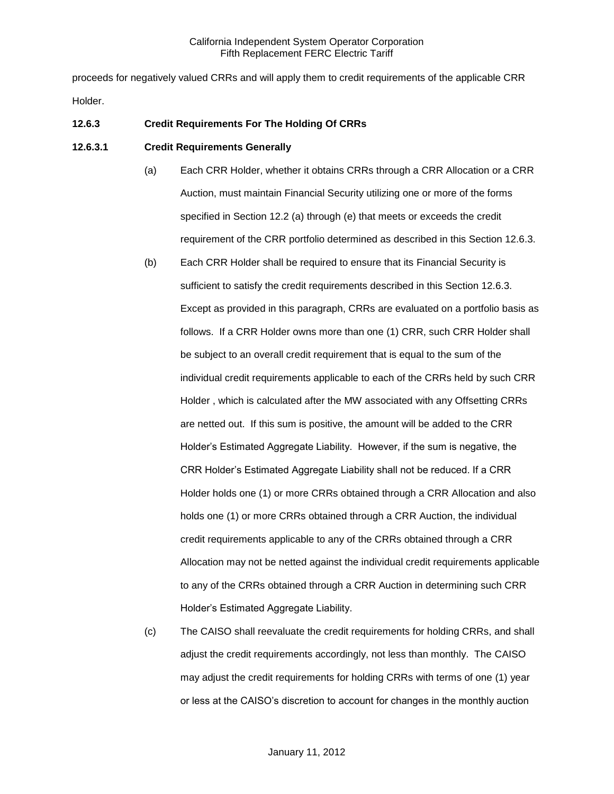proceeds for negatively valued CRRs and will apply them to credit requirements of the applicable CRR Holder.

## **12.6.3 Credit Requirements For The Holding Of CRRs**

#### **12.6.3.1 Credit Requirements Generally**

- (a) Each CRR Holder, whether it obtains CRRs through a CRR Allocation or a CRR Auction, must maintain Financial Security utilizing one or more of the forms specified in Section 12.2 (a) through (e) that meets or exceeds the credit requirement of the CRR portfolio determined as described in this Section 12.6.3.
- (b) Each CRR Holder shall be required to ensure that its Financial Security is sufficient to satisfy the credit requirements described in this Section 12.6.3. Except as provided in this paragraph, CRRs are evaluated on a portfolio basis as follows. If a CRR Holder owns more than one (1) CRR, such CRR Holder shall be subject to an overall credit requirement that is equal to the sum of the individual credit requirements applicable to each of the CRRs held by such CRR Holder , which is calculated after the MW associated with any Offsetting CRRs are netted out. If this sum is positive, the amount will be added to the CRR Holder's Estimated Aggregate Liability. However, if the sum is negative, the CRR Holder's Estimated Aggregate Liability shall not be reduced. If a CRR Holder holds one (1) or more CRRs obtained through a CRR Allocation and also holds one (1) or more CRRs obtained through a CRR Auction, the individual credit requirements applicable to any of the CRRs obtained through a CRR Allocation may not be netted against the individual credit requirements applicable to any of the CRRs obtained through a CRR Auction in determining such CRR Holder's Estimated Aggregate Liability.
- (c) The CAISO shall reevaluate the credit requirements for holding CRRs, and shall adjust the credit requirements accordingly, not less than monthly. The CAISO may adjust the credit requirements for holding CRRs with terms of one (1) year or less at the CAISO's discretion to account for changes in the monthly auction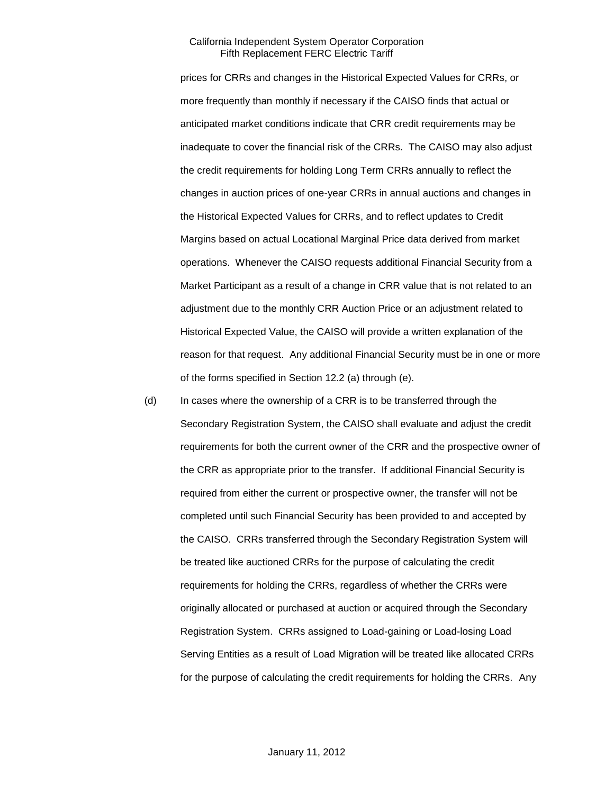prices for CRRs and changes in the Historical Expected Values for CRRs, or more frequently than monthly if necessary if the CAISO finds that actual or anticipated market conditions indicate that CRR credit requirements may be inadequate to cover the financial risk of the CRRs. The CAISO may also adjust the credit requirements for holding Long Term CRRs annually to reflect the changes in auction prices of one-year CRRs in annual auctions and changes in the Historical Expected Values for CRRs, and to reflect updates to Credit Margins based on actual Locational Marginal Price data derived from market operations. Whenever the CAISO requests additional Financial Security from a Market Participant as a result of a change in CRR value that is not related to an adjustment due to the monthly CRR Auction Price or an adjustment related to Historical Expected Value, the CAISO will provide a written explanation of the reason for that request. Any additional Financial Security must be in one or more of the forms specified in Section 12.2 (a) through (e).

(d) In cases where the ownership of a CRR is to be transferred through the Secondary Registration System, the CAISO shall evaluate and adjust the credit requirements for both the current owner of the CRR and the prospective owner of the CRR as appropriate prior to the transfer. If additional Financial Security is required from either the current or prospective owner, the transfer will not be completed until such Financial Security has been provided to and accepted by the CAISO. CRRs transferred through the Secondary Registration System will be treated like auctioned CRRs for the purpose of calculating the credit requirements for holding the CRRs, regardless of whether the CRRs were originally allocated or purchased at auction or acquired through the Secondary Registration System. CRRs assigned to Load-gaining or Load-losing Load Serving Entities as a result of Load Migration will be treated like allocated CRRs for the purpose of calculating the credit requirements for holding the CRRs. Any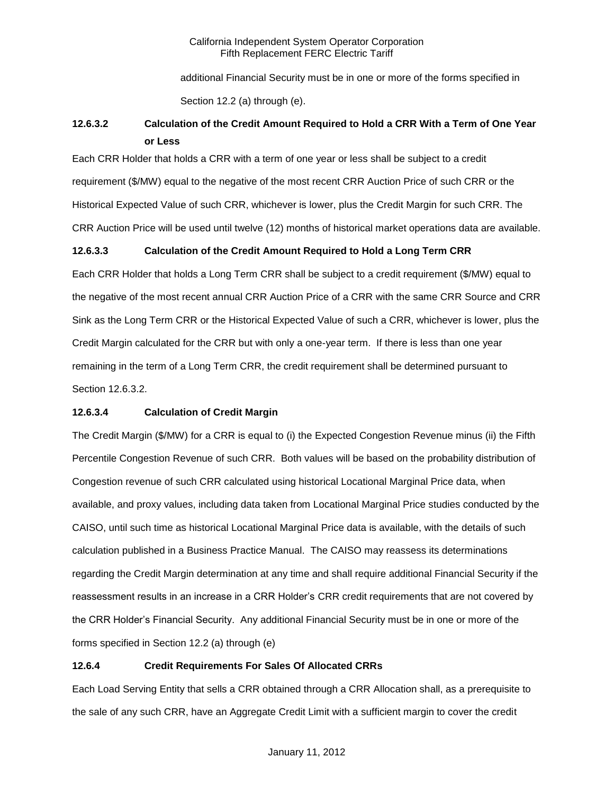additional Financial Security must be in one or more of the forms specified in Section 12.2 (a) through (e).

# **12.6.3.2 Calculation of the Credit Amount Required to Hold a CRR With a Term of One Year or Less**

Each CRR Holder that holds a CRR with a term of one year or less shall be subject to a credit requirement (\$/MW) equal to the negative of the most recent CRR Auction Price of such CRR or the Historical Expected Value of such CRR, whichever is lower, plus the Credit Margin for such CRR. The CRR Auction Price will be used until twelve (12) months of historical market operations data are available.

# **12.6.3.3 Calculation of the Credit Amount Required to Hold a Long Term CRR**

Each CRR Holder that holds a Long Term CRR shall be subject to a credit requirement (\$/MW) equal to the negative of the most recent annual CRR Auction Price of a CRR with the same CRR Source and CRR Sink as the Long Term CRR or the Historical Expected Value of such a CRR, whichever is lower, plus the Credit Margin calculated for the CRR but with only a one-year term. If there is less than one year remaining in the term of a Long Term CRR, the credit requirement shall be determined pursuant to Section 12.6.3.2.

# **12.6.3.4 Calculation of Credit Margin**

The Credit Margin (\$/MW) for a CRR is equal to (i) the Expected Congestion Revenue minus (ii) the Fifth Percentile Congestion Revenue of such CRR. Both values will be based on the probability distribution of Congestion revenue of such CRR calculated using historical Locational Marginal Price data, when available, and proxy values, including data taken from Locational Marginal Price studies conducted by the CAISO, until such time as historical Locational Marginal Price data is available, with the details of such calculation published in a Business Practice Manual. The CAISO may reassess its determinations regarding the Credit Margin determination at any time and shall require additional Financial Security if the reassessment results in an increase in a CRR Holder's CRR credit requirements that are not covered by the CRR Holder's Financial Security. Any additional Financial Security must be in one or more of the forms specified in Section 12.2 (a) through (e)

# **12.6.4 Credit Requirements For Sales Of Allocated CRRs**

Each Load Serving Entity that sells a CRR obtained through a CRR Allocation shall, as a prerequisite to the sale of any such CRR, have an Aggregate Credit Limit with a sufficient margin to cover the credit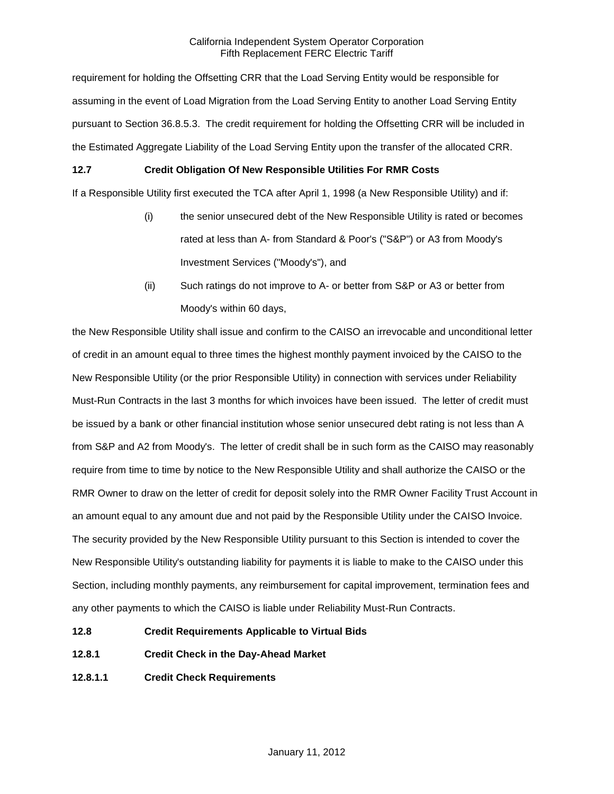requirement for holding the Offsetting CRR that the Load Serving Entity would be responsible for assuming in the event of Load Migration from the Load Serving Entity to another Load Serving Entity pursuant to Section 36.8.5.3. The credit requirement for holding the Offsetting CRR will be included in the Estimated Aggregate Liability of the Load Serving Entity upon the transfer of the allocated CRR.

# **12.7 Credit Obligation Of New Responsible Utilities For RMR Costs**

If a Responsible Utility first executed the TCA after April 1, 1998 (a New Responsible Utility) and if:

- (i) the senior unsecured debt of the New Responsible Utility is rated or becomes rated at less than A- from Standard & Poor's ("S&P") or A3 from Moody's Investment Services ("Moody's"), and
- (ii) Such ratings do not improve to A- or better from S&P or A3 or better from Moody's within 60 days,

the New Responsible Utility shall issue and confirm to the CAISO an irrevocable and unconditional letter of credit in an amount equal to three times the highest monthly payment invoiced by the CAISO to the New Responsible Utility (or the prior Responsible Utility) in connection with services under Reliability Must-Run Contracts in the last 3 months for which invoices have been issued. The letter of credit must be issued by a bank or other financial institution whose senior unsecured debt rating is not less than A from S&P and A2 from Moody's. The letter of credit shall be in such form as the CAISO may reasonably require from time to time by notice to the New Responsible Utility and shall authorize the CAISO or the RMR Owner to draw on the letter of credit for deposit solely into the RMR Owner Facility Trust Account in an amount equal to any amount due and not paid by the Responsible Utility under the CAISO Invoice. The security provided by the New Responsible Utility pursuant to this Section is intended to cover the New Responsible Utility's outstanding liability for payments it is liable to make to the CAISO under this Section, including monthly payments, any reimbursement for capital improvement, termination fees and any other payments to which the CAISO is liable under Reliability Must-Run Contracts.

- **12.8 Credit Requirements Applicable to Virtual Bids**
- **12.8.1 Credit Check in the Day-Ahead Market**
- **12.8.1.1 Credit Check Requirements**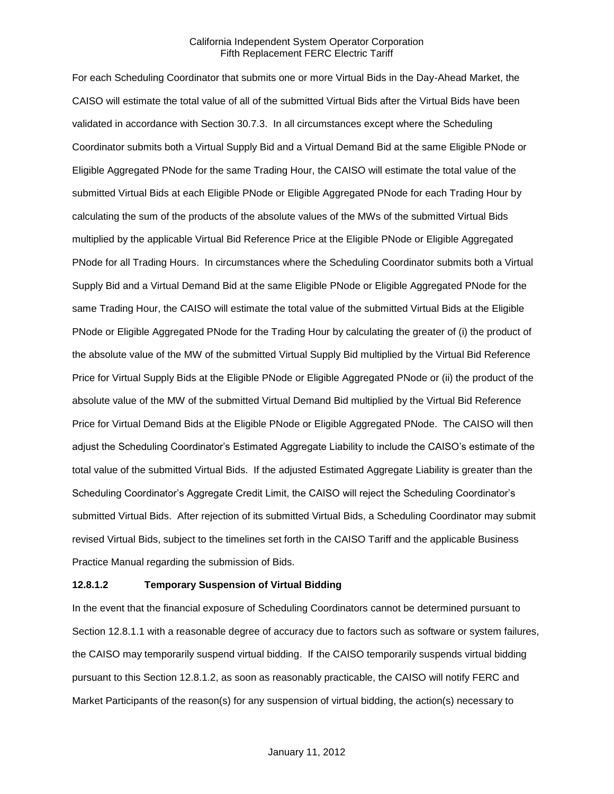For each Scheduling Coordinator that submits one or more Virtual Bids in the Day-Ahead Market, the CAISO will estimate the total value of all of the submitted Virtual Bids after the Virtual Bids have been validated in accordance with Section 30.7.3. In all circumstances except where the Scheduling Coordinator submits both a Virtual Supply Bid and a Virtual Demand Bid at the same Eligible PNode or Eligible Aggregated PNode for the same Trading Hour, the CAISO will estimate the total value of the submitted Virtual Bids at each Eligible PNode or Eligible Aggregated PNode for each Trading Hour by calculating the sum of the products of the absolute values of the MWs of the submitted Virtual Bids multiplied by the applicable Virtual Bid Reference Price at the Eligible PNode or Eligible Aggregated PNode for all Trading Hours. In circumstances where the Scheduling Coordinator submits both a Virtual Supply Bid and a Virtual Demand Bid at the same Eligible PNode or Eligible Aggregated PNode for the same Trading Hour, the CAISO will estimate the total value of the submitted Virtual Bids at the Eligible PNode or Eligible Aggregated PNode for the Trading Hour by calculating the greater of (i) the product of the absolute value of the MW of the submitted Virtual Supply Bid multiplied by the Virtual Bid Reference Price for Virtual Supply Bids at the Eligible PNode or Eligible Aggregated PNode or (ii) the product of the absolute value of the MW of the submitted Virtual Demand Bid multiplied by the Virtual Bid Reference Price for Virtual Demand Bids at the Eligible PNode or Eligible Aggregated PNode. The CAISO will then adjust the Scheduling Coordinator's Estimated Aggregate Liability to include the CAISO's estimate of the total value of the submitted Virtual Bids. If the adjusted Estimated Aggregate Liability is greater than the Scheduling Coordinator's Aggregate Credit Limit, the CAISO will reject the Scheduling Coordinator's submitted Virtual Bids. After rejection of its submitted Virtual Bids, a Scheduling Coordinator may submit revised Virtual Bids, subject to the timelines set forth in the CAISO Tariff and the applicable Business Practice Manual regarding the submission of Bids.

#### **12.8.1.2 Temporary Suspension of Virtual Bidding**

In the event that the financial exposure of Scheduling Coordinators cannot be determined pursuant to Section 12.8.1.1 with a reasonable degree of accuracy due to factors such as software or system failures, the CAISO may temporarily suspend virtual bidding. If the CAISO temporarily suspends virtual bidding pursuant to this Section 12.8.1.2, as soon as reasonably practicable, the CAISO will notify FERC and Market Participants of the reason(s) for any suspension of virtual bidding, the action(s) necessary to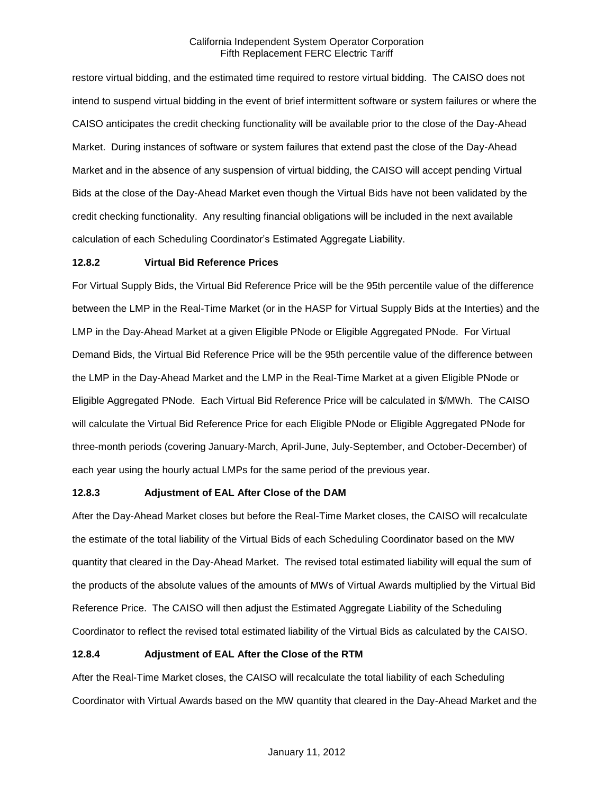restore virtual bidding, and the estimated time required to restore virtual bidding. The CAISO does not intend to suspend virtual bidding in the event of brief intermittent software or system failures or where the CAISO anticipates the credit checking functionality will be available prior to the close of the Day-Ahead Market. During instances of software or system failures that extend past the close of the Day-Ahead Market and in the absence of any suspension of virtual bidding, the CAISO will accept pending Virtual Bids at the close of the Day-Ahead Market even though the Virtual Bids have not been validated by the credit checking functionality. Any resulting financial obligations will be included in the next available calculation of each Scheduling Coordinator's Estimated Aggregate Liability.

# **12.8.2 Virtual Bid Reference Prices**

For Virtual Supply Bids, the Virtual Bid Reference Price will be the 95th percentile value of the difference between the LMP in the Real-Time Market (or in the HASP for Virtual Supply Bids at the Interties) and the LMP in the Day-Ahead Market at a given Eligible PNode or Eligible Aggregated PNode. For Virtual Demand Bids, the Virtual Bid Reference Price will be the 95th percentile value of the difference between the LMP in the Day-Ahead Market and the LMP in the Real-Time Market at a given Eligible PNode or Eligible Aggregated PNode. Each Virtual Bid Reference Price will be calculated in \$/MWh. The CAISO will calculate the Virtual Bid Reference Price for each Eligible PNode or Eligible Aggregated PNode for three-month periods (covering January-March, April-June, July-September, and October-December) of each year using the hourly actual LMPs for the same period of the previous year.

#### **12.8.3 Adjustment of EAL After Close of the DAM**

After the Day-Ahead Market closes but before the Real-Time Market closes, the CAISO will recalculate the estimate of the total liability of the Virtual Bids of each Scheduling Coordinator based on the MW quantity that cleared in the Day-Ahead Market. The revised total estimated liability will equal the sum of the products of the absolute values of the amounts of MWs of Virtual Awards multiplied by the Virtual Bid Reference Price. The CAISO will then adjust the Estimated Aggregate Liability of the Scheduling Coordinator to reflect the revised total estimated liability of the Virtual Bids as calculated by the CAISO.

#### **12.8.4 Adjustment of EAL After the Close of the RTM**

After the Real-Time Market closes, the CAISO will recalculate the total liability of each Scheduling Coordinator with Virtual Awards based on the MW quantity that cleared in the Day-Ahead Market and the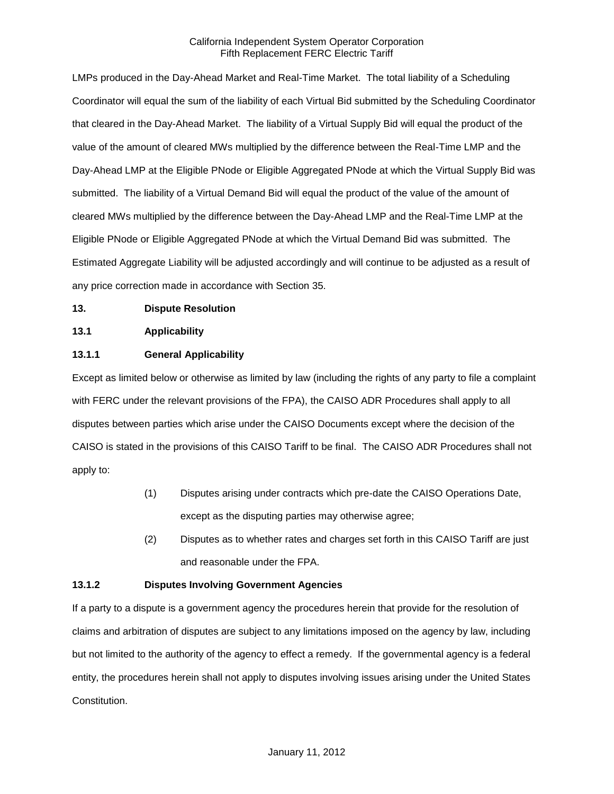LMPs produced in the Day-Ahead Market and Real-Time Market. The total liability of a Scheduling Coordinator will equal the sum of the liability of each Virtual Bid submitted by the Scheduling Coordinator that cleared in the Day-Ahead Market. The liability of a Virtual Supply Bid will equal the product of the value of the amount of cleared MWs multiplied by the difference between the Real-Time LMP and the Day-Ahead LMP at the Eligible PNode or Eligible Aggregated PNode at which the Virtual Supply Bid was submitted. The liability of a Virtual Demand Bid will equal the product of the value of the amount of cleared MWs multiplied by the difference between the Day-Ahead LMP and the Real-Time LMP at the Eligible PNode or Eligible Aggregated PNode at which the Virtual Demand Bid was submitted. The Estimated Aggregate Liability will be adjusted accordingly and will continue to be adjusted as a result of any price correction made in accordance with Section 35.

# **13. Dispute Resolution**

# **13.1 Applicability**

# **13.1.1 General Applicability**

Except as limited below or otherwise as limited by law (including the rights of any party to file a complaint with FERC under the relevant provisions of the FPA), the CAISO ADR Procedures shall apply to all disputes between parties which arise under the CAISO Documents except where the decision of the CAISO is stated in the provisions of this CAISO Tariff to be final. The CAISO ADR Procedures shall not apply to:

- (1) Disputes arising under contracts which pre-date the CAISO Operations Date, except as the disputing parties may otherwise agree;
- (2) Disputes as to whether rates and charges set forth in this CAISO Tariff are just and reasonable under the FPA.

#### **13.1.2 Disputes Involving Government Agencies**

If a party to a dispute is a government agency the procedures herein that provide for the resolution of claims and arbitration of disputes are subject to any limitations imposed on the agency by law, including but not limited to the authority of the agency to effect a remedy. If the governmental agency is a federal entity, the procedures herein shall not apply to disputes involving issues arising under the United States Constitution.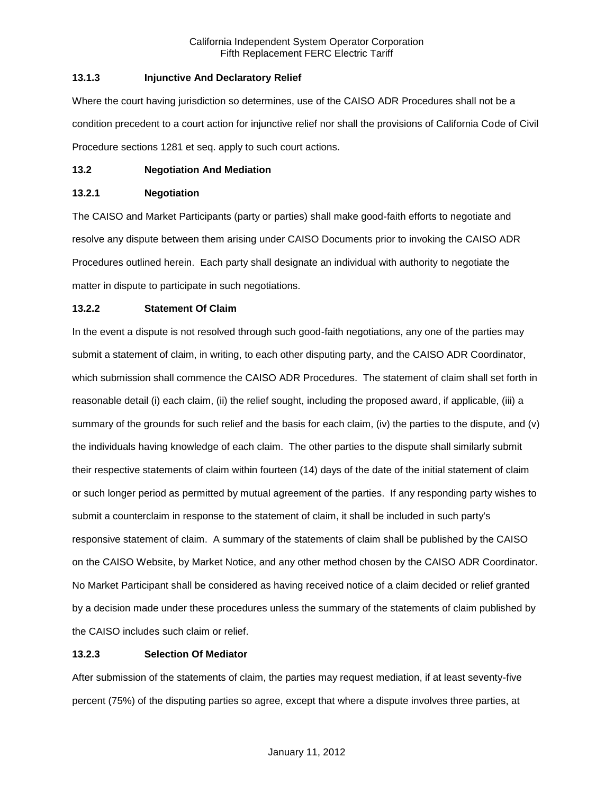## **13.1.3 Injunctive And Declaratory Relief**

Where the court having jurisdiction so determines, use of the CAISO ADR Procedures shall not be a condition precedent to a court action for injunctive relief nor shall the provisions of California Code of Civil Procedure sections 1281 et seq. apply to such court actions.

# **13.2 Negotiation And Mediation**

## **13.2.1 Negotiation**

The CAISO and Market Participants (party or parties) shall make good-faith efforts to negotiate and resolve any dispute between them arising under CAISO Documents prior to invoking the CAISO ADR Procedures outlined herein. Each party shall designate an individual with authority to negotiate the matter in dispute to participate in such negotiations.

# **13.2.2 Statement Of Claim**

In the event a dispute is not resolved through such good-faith negotiations, any one of the parties may submit a statement of claim, in writing, to each other disputing party, and the CAISO ADR Coordinator, which submission shall commence the CAISO ADR Procedures. The statement of claim shall set forth in reasonable detail (i) each claim, (ii) the relief sought, including the proposed award, if applicable, (iii) a summary of the grounds for such relief and the basis for each claim, (iv) the parties to the dispute, and (v) the individuals having knowledge of each claim. The other parties to the dispute shall similarly submit their respective statements of claim within fourteen (14) days of the date of the initial statement of claim or such longer period as permitted by mutual agreement of the parties. If any responding party wishes to submit a counterclaim in response to the statement of claim, it shall be included in such party's responsive statement of claim. A summary of the statements of claim shall be published by the CAISO on the CAISO Website, by Market Notice, and any other method chosen by the CAISO ADR Coordinator. No Market Participant shall be considered as having received notice of a claim decided or relief granted by a decision made under these procedures unless the summary of the statements of claim published by the CAISO includes such claim or relief.

# **13.2.3 Selection Of Mediator**

After submission of the statements of claim, the parties may request mediation, if at least seventy-five percent (75%) of the disputing parties so agree, except that where a dispute involves three parties, at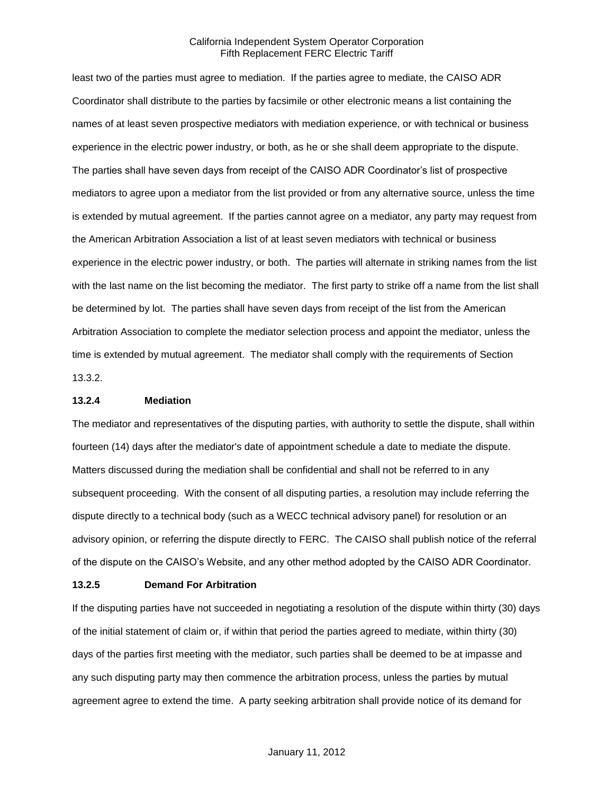least two of the parties must agree to mediation. If the parties agree to mediate, the CAISO ADR Coordinator shall distribute to the parties by facsimile or other electronic means a list containing the names of at least seven prospective mediators with mediation experience, or with technical or business experience in the electric power industry, or both, as he or she shall deem appropriate to the dispute. The parties shall have seven days from receipt of the CAISO ADR Coordinator's list of prospective mediators to agree upon a mediator from the list provided or from any alternative source, unless the time is extended by mutual agreement. If the parties cannot agree on a mediator, any party may request from the American Arbitration Association a list of at least seven mediators with technical or business experience in the electric power industry, or both. The parties will alternate in striking names from the list with the last name on the list becoming the mediator. The first party to strike off a name from the list shall be determined by lot. The parties shall have seven days from receipt of the list from the American Arbitration Association to complete the mediator selection process and appoint the mediator, unless the time is extended by mutual agreement. The mediator shall comply with the requirements of Section 13.3.2.

#### **13.2.4 Mediation**

The mediator and representatives of the disputing parties, with authority to settle the dispute, shall within fourteen (14) days after the mediator's date of appointment schedule a date to mediate the dispute. Matters discussed during the mediation shall be confidential and shall not be referred to in any subsequent proceeding. With the consent of all disputing parties, a resolution may include referring the dispute directly to a technical body (such as a WECC technical advisory panel) for resolution or an advisory opinion, or referring the dispute directly to FERC. The CAISO shall publish notice of the referral of the dispute on the CAISO's Website, and any other method adopted by the CAISO ADR Coordinator.

#### **13.2.5 Demand For Arbitration**

If the disputing parties have not succeeded in negotiating a resolution of the dispute within thirty (30) days of the initial statement of claim or, if within that period the parties agreed to mediate, within thirty (30) days of the parties first meeting with the mediator, such parties shall be deemed to be at impasse and any such disputing party may then commence the arbitration process, unless the parties by mutual agreement agree to extend the time. A party seeking arbitration shall provide notice of its demand for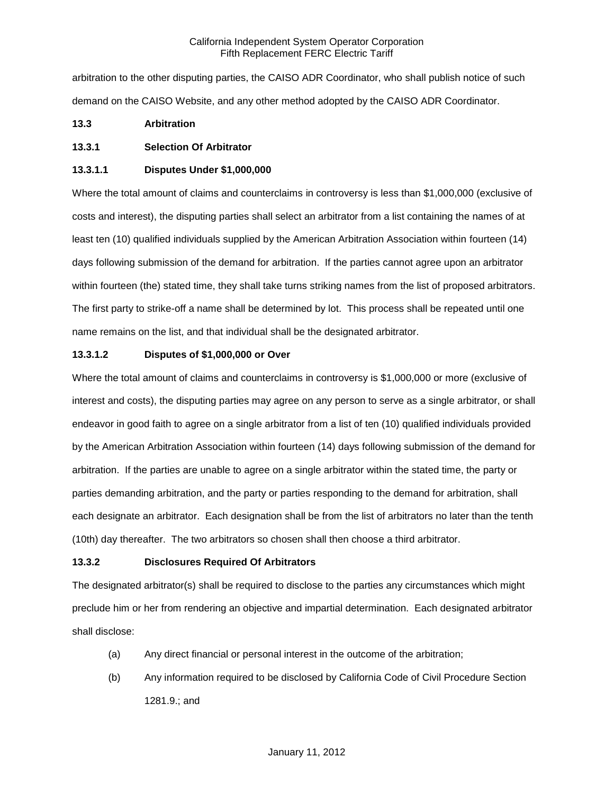arbitration to the other disputing parties, the CAISO ADR Coordinator, who shall publish notice of such demand on the CAISO Website, and any other method adopted by the CAISO ADR Coordinator.

# **13.3 Arbitration**

# **13.3.1 Selection Of Arbitrator**

# **13.3.1.1 Disputes Under \$1,000,000**

Where the total amount of claims and counterclaims in controversy is less than \$1,000,000 (exclusive of costs and interest), the disputing parties shall select an arbitrator from a list containing the names of at least ten (10) qualified individuals supplied by the American Arbitration Association within fourteen (14) days following submission of the demand for arbitration. If the parties cannot agree upon an arbitrator within fourteen (the) stated time, they shall take turns striking names from the list of proposed arbitrators. The first party to strike-off a name shall be determined by lot. This process shall be repeated until one name remains on the list, and that individual shall be the designated arbitrator.

# **13.3.1.2 Disputes of \$1,000,000 or Over**

Where the total amount of claims and counterclaims in controversy is \$1,000,000 or more (exclusive of interest and costs), the disputing parties may agree on any person to serve as a single arbitrator, or shall endeavor in good faith to agree on a single arbitrator from a list of ten (10) qualified individuals provided by the American Arbitration Association within fourteen (14) days following submission of the demand for arbitration. If the parties are unable to agree on a single arbitrator within the stated time, the party or parties demanding arbitration, and the party or parties responding to the demand for arbitration, shall each designate an arbitrator. Each designation shall be from the list of arbitrators no later than the tenth (10th) day thereafter. The two arbitrators so chosen shall then choose a third arbitrator.

#### **13.3.2 Disclosures Required Of Arbitrators**

The designated arbitrator(s) shall be required to disclose to the parties any circumstances which might preclude him or her from rendering an objective and impartial determination. Each designated arbitrator shall disclose:

- (a) Any direct financial or personal interest in the outcome of the arbitration;
- (b) Any information required to be disclosed by California Code of Civil Procedure Section 1281.9.; and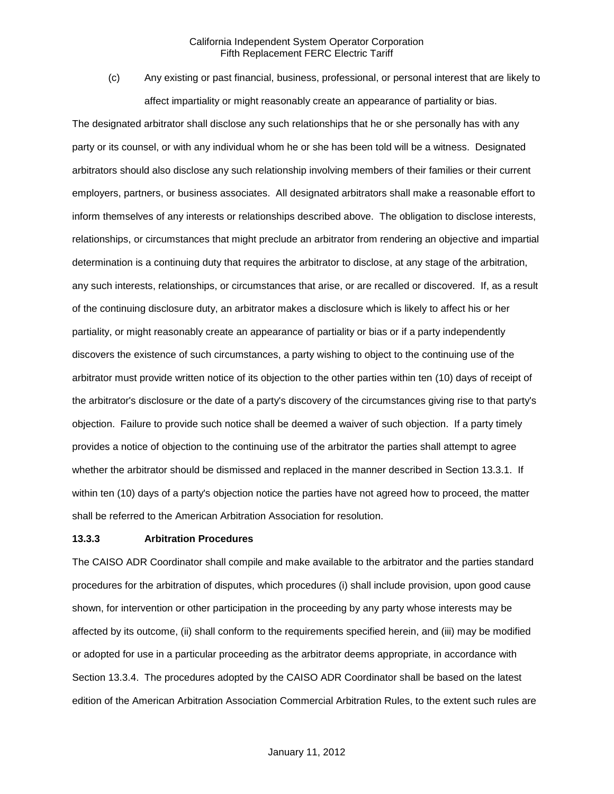(c) Any existing or past financial, business, professional, or personal interest that are likely to affect impartiality or might reasonably create an appearance of partiality or bias.

The designated arbitrator shall disclose any such relationships that he or she personally has with any party or its counsel, or with any individual whom he or she has been told will be a witness. Designated arbitrators should also disclose any such relationship involving members of their families or their current employers, partners, or business associates. All designated arbitrators shall make a reasonable effort to inform themselves of any interests or relationships described above. The obligation to disclose interests, relationships, or circumstances that might preclude an arbitrator from rendering an objective and impartial determination is a continuing duty that requires the arbitrator to disclose, at any stage of the arbitration, any such interests, relationships, or circumstances that arise, or are recalled or discovered. If, as a result of the continuing disclosure duty, an arbitrator makes a disclosure which is likely to affect his or her partiality, or might reasonably create an appearance of partiality or bias or if a party independently discovers the existence of such circumstances, a party wishing to object to the continuing use of the arbitrator must provide written notice of its objection to the other parties within ten (10) days of receipt of the arbitrator's disclosure or the date of a party's discovery of the circumstances giving rise to that party's objection. Failure to provide such notice shall be deemed a waiver of such objection. If a party timely provides a notice of objection to the continuing use of the arbitrator the parties shall attempt to agree whether the arbitrator should be dismissed and replaced in the manner described in Section 13.3.1. If within ten (10) days of a party's objection notice the parties have not agreed how to proceed, the matter shall be referred to the American Arbitration Association for resolution.

#### **13.3.3 Arbitration Procedures**

The CAISO ADR Coordinator shall compile and make available to the arbitrator and the parties standard procedures for the arbitration of disputes, which procedures (i) shall include provision, upon good cause shown, for intervention or other participation in the proceeding by any party whose interests may be affected by its outcome, (ii) shall conform to the requirements specified herein, and (iii) may be modified or adopted for use in a particular proceeding as the arbitrator deems appropriate, in accordance with Section 13.3.4. The procedures adopted by the CAISO ADR Coordinator shall be based on the latest edition of the American Arbitration Association Commercial Arbitration Rules, to the extent such rules are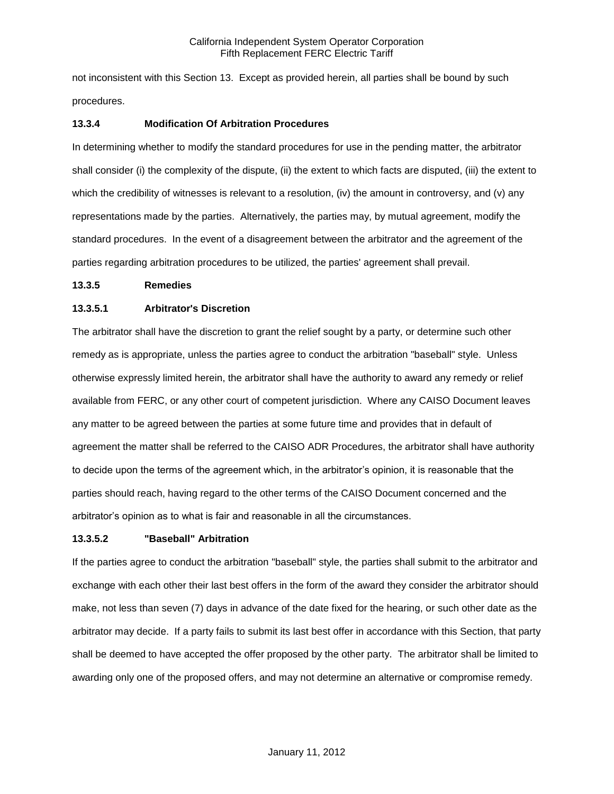not inconsistent with this Section 13. Except as provided herein, all parties shall be bound by such procedures.

## **13.3.4 Modification Of Arbitration Procedures**

In determining whether to modify the standard procedures for use in the pending matter, the arbitrator shall consider (i) the complexity of the dispute, (ii) the extent to which facts are disputed, (iii) the extent to which the credibility of witnesses is relevant to a resolution, (iv) the amount in controversy, and (v) any representations made by the parties. Alternatively, the parties may, by mutual agreement, modify the standard procedures. In the event of a disagreement between the arbitrator and the agreement of the parties regarding arbitration procedures to be utilized, the parties' agreement shall prevail.

## **13.3.5 Remedies**

# **13.3.5.1 Arbitrator's Discretion**

The arbitrator shall have the discretion to grant the relief sought by a party, or determine such other remedy as is appropriate, unless the parties agree to conduct the arbitration "baseball" style. Unless otherwise expressly limited herein, the arbitrator shall have the authority to award any remedy or relief available from FERC, or any other court of competent jurisdiction. Where any CAISO Document leaves any matter to be agreed between the parties at some future time and provides that in default of agreement the matter shall be referred to the CAISO ADR Procedures, the arbitrator shall have authority to decide upon the terms of the agreement which, in the arbitrator's opinion, it is reasonable that the parties should reach, having regard to the other terms of the CAISO Document concerned and the arbitrator's opinion as to what is fair and reasonable in all the circumstances.

## **13.3.5.2 "Baseball" Arbitration**

If the parties agree to conduct the arbitration "baseball" style, the parties shall submit to the arbitrator and exchange with each other their last best offers in the form of the award they consider the arbitrator should make, not less than seven (7) days in advance of the date fixed for the hearing, or such other date as the arbitrator may decide. If a party fails to submit its last best offer in accordance with this Section, that party shall be deemed to have accepted the offer proposed by the other party. The arbitrator shall be limited to awarding only one of the proposed offers, and may not determine an alternative or compromise remedy.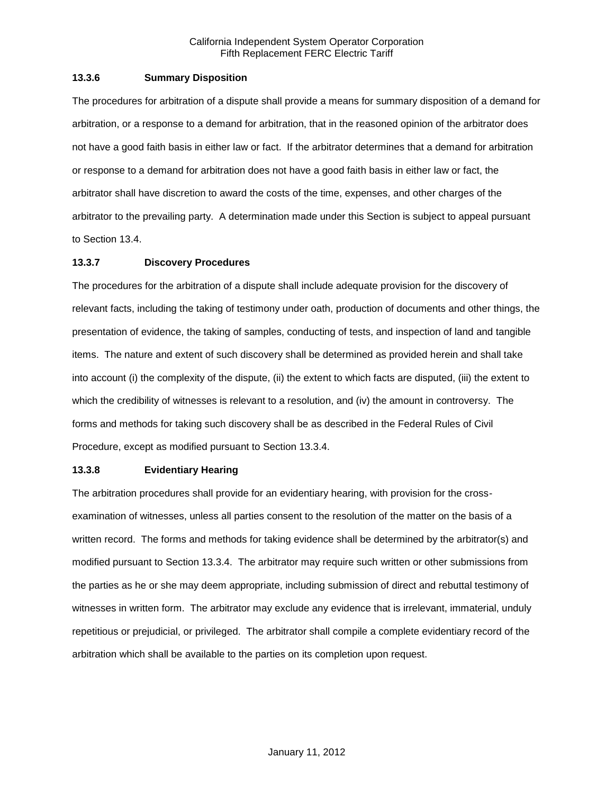## **13.3.6 Summary Disposition**

The procedures for arbitration of a dispute shall provide a means for summary disposition of a demand for arbitration, or a response to a demand for arbitration, that in the reasoned opinion of the arbitrator does not have a good faith basis in either law or fact. If the arbitrator determines that a demand for arbitration or response to a demand for arbitration does not have a good faith basis in either law or fact, the arbitrator shall have discretion to award the costs of the time, expenses, and other charges of the arbitrator to the prevailing party. A determination made under this Section is subject to appeal pursuant to Section 13.4.

# **13.3.7 Discovery Procedures**

The procedures for the arbitration of a dispute shall include adequate provision for the discovery of relevant facts, including the taking of testimony under oath, production of documents and other things, the presentation of evidence, the taking of samples, conducting of tests, and inspection of land and tangible items. The nature and extent of such discovery shall be determined as provided herein and shall take into account (i) the complexity of the dispute, (ii) the extent to which facts are disputed, (iii) the extent to which the credibility of witnesses is relevant to a resolution, and (iv) the amount in controversy. The forms and methods for taking such discovery shall be as described in the Federal Rules of Civil Procedure, except as modified pursuant to Section 13.3.4.

## **13.3.8 Evidentiary Hearing**

The arbitration procedures shall provide for an evidentiary hearing, with provision for the crossexamination of witnesses, unless all parties consent to the resolution of the matter on the basis of a written record. The forms and methods for taking evidence shall be determined by the arbitrator(s) and modified pursuant to Section 13.3.4. The arbitrator may require such written or other submissions from the parties as he or she may deem appropriate, including submission of direct and rebuttal testimony of witnesses in written form. The arbitrator may exclude any evidence that is irrelevant, immaterial, unduly repetitious or prejudicial, or privileged. The arbitrator shall compile a complete evidentiary record of the arbitration which shall be available to the parties on its completion upon request.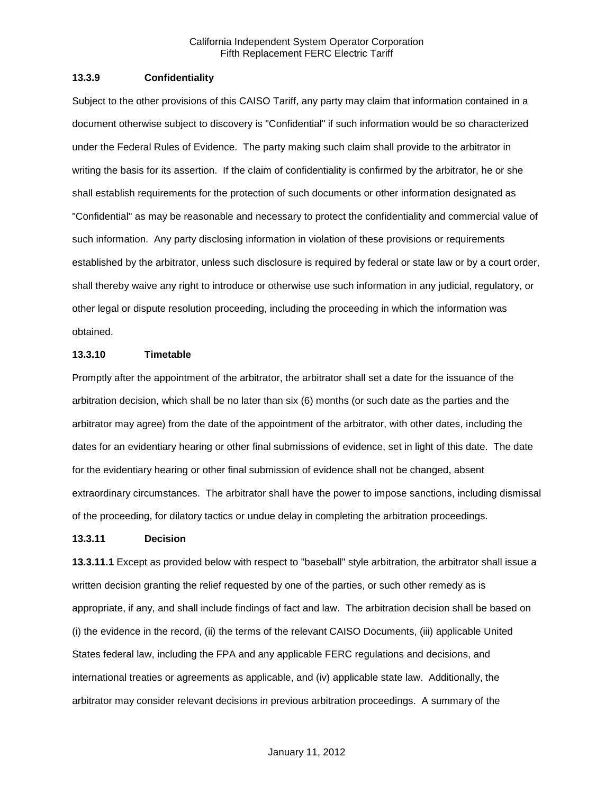### **13.3.9 Confidentiality**

Subject to the other provisions of this CAISO Tariff, any party may claim that information contained in a document otherwise subject to discovery is "Confidential" if such information would be so characterized under the Federal Rules of Evidence. The party making such claim shall provide to the arbitrator in writing the basis for its assertion. If the claim of confidentiality is confirmed by the arbitrator, he or she shall establish requirements for the protection of such documents or other information designated as "Confidential" as may be reasonable and necessary to protect the confidentiality and commercial value of such information. Any party disclosing information in violation of these provisions or requirements established by the arbitrator, unless such disclosure is required by federal or state law or by a court order, shall thereby waive any right to introduce or otherwise use such information in any judicial, regulatory, or other legal or dispute resolution proceeding, including the proceeding in which the information was obtained.

## **13.3.10 Timetable**

Promptly after the appointment of the arbitrator, the arbitrator shall set a date for the issuance of the arbitration decision, which shall be no later than six (6) months (or such date as the parties and the arbitrator may agree) from the date of the appointment of the arbitrator, with other dates, including the dates for an evidentiary hearing or other final submissions of evidence, set in light of this date. The date for the evidentiary hearing or other final submission of evidence shall not be changed, absent extraordinary circumstances. The arbitrator shall have the power to impose sanctions, including dismissal of the proceeding, for dilatory tactics or undue delay in completing the arbitration proceedings.

#### **13.3.11 Decision**

**13.3.11.1** Except as provided below with respect to "baseball" style arbitration, the arbitrator shall issue a written decision granting the relief requested by one of the parties, or such other remedy as is appropriate, if any, and shall include findings of fact and law. The arbitration decision shall be based on (i) the evidence in the record, (ii) the terms of the relevant CAISO Documents, (iii) applicable United States federal law, including the FPA and any applicable FERC regulations and decisions, and international treaties or agreements as applicable, and (iv) applicable state law. Additionally, the arbitrator may consider relevant decisions in previous arbitration proceedings. A summary of the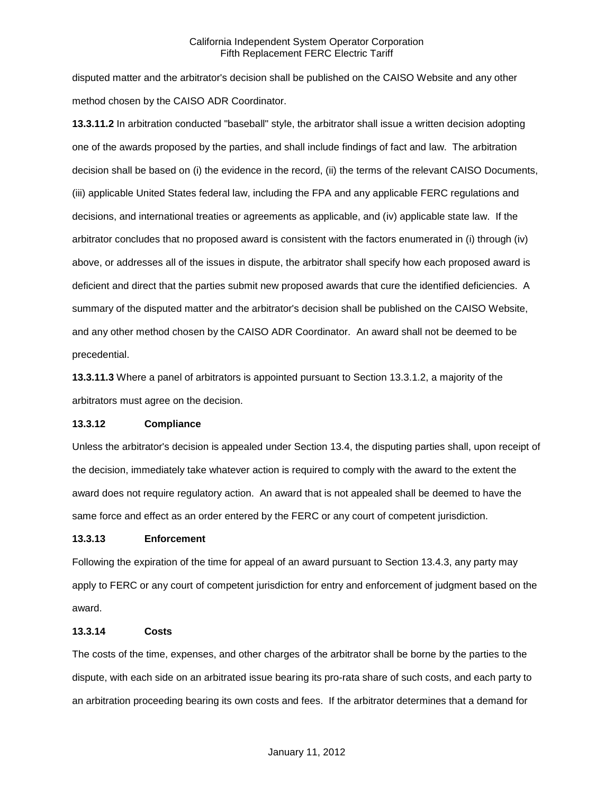disputed matter and the arbitrator's decision shall be published on the CAISO Website and any other method chosen by the CAISO ADR Coordinator.

**13.3.11.2** In arbitration conducted "baseball" style, the arbitrator shall issue a written decision adopting one of the awards proposed by the parties, and shall include findings of fact and law. The arbitration decision shall be based on (i) the evidence in the record, (ii) the terms of the relevant CAISO Documents, (iii) applicable United States federal law, including the FPA and any applicable FERC regulations and decisions, and international treaties or agreements as applicable, and (iv) applicable state law. If the arbitrator concludes that no proposed award is consistent with the factors enumerated in (i) through (iv) above, or addresses all of the issues in dispute, the arbitrator shall specify how each proposed award is deficient and direct that the parties submit new proposed awards that cure the identified deficiencies. A summary of the disputed matter and the arbitrator's decision shall be published on the CAISO Website, and any other method chosen by the CAISO ADR Coordinator. An award shall not be deemed to be precedential.

**13.3.11.3** Where a panel of arbitrators is appointed pursuant to Section 13.3.1.2, a majority of the arbitrators must agree on the decision.

## **13.3.12 Compliance**

Unless the arbitrator's decision is appealed under Section 13.4, the disputing parties shall, upon receipt of the decision, immediately take whatever action is required to comply with the award to the extent the award does not require regulatory action. An award that is not appealed shall be deemed to have the same force and effect as an order entered by the FERC or any court of competent jurisdiction.

## **13.3.13 Enforcement**

Following the expiration of the time for appeal of an award pursuant to Section 13.4.3, any party may apply to FERC or any court of competent jurisdiction for entry and enforcement of judgment based on the award.

## **13.3.14 Costs**

The costs of the time, expenses, and other charges of the arbitrator shall be borne by the parties to the dispute, with each side on an arbitrated issue bearing its pro-rata share of such costs, and each party to an arbitration proceeding bearing its own costs and fees. If the arbitrator determines that a demand for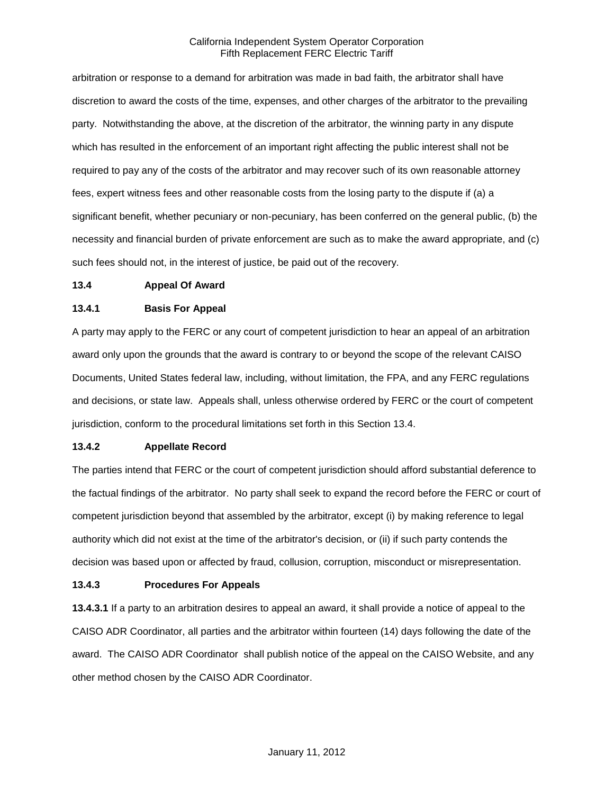arbitration or response to a demand for arbitration was made in bad faith, the arbitrator shall have discretion to award the costs of the time, expenses, and other charges of the arbitrator to the prevailing party. Notwithstanding the above, at the discretion of the arbitrator, the winning party in any dispute which has resulted in the enforcement of an important right affecting the public interest shall not be required to pay any of the costs of the arbitrator and may recover such of its own reasonable attorney fees, expert witness fees and other reasonable costs from the losing party to the dispute if (a) a significant benefit, whether pecuniary or non-pecuniary, has been conferred on the general public, (b) the necessity and financial burden of private enforcement are such as to make the award appropriate, and (c) such fees should not, in the interest of justice, be paid out of the recovery.

#### **13.4 Appeal Of Award**

### **13.4.1 Basis For Appeal**

A party may apply to the FERC or any court of competent jurisdiction to hear an appeal of an arbitration award only upon the grounds that the award is contrary to or beyond the scope of the relevant CAISO Documents, United States federal law, including, without limitation, the FPA, and any FERC regulations and decisions, or state law. Appeals shall, unless otherwise ordered by FERC or the court of competent jurisdiction, conform to the procedural limitations set forth in this Section 13.4.

## **13.4.2 Appellate Record**

The parties intend that FERC or the court of competent jurisdiction should afford substantial deference to the factual findings of the arbitrator. No party shall seek to expand the record before the FERC or court of competent jurisdiction beyond that assembled by the arbitrator, except (i) by making reference to legal authority which did not exist at the time of the arbitrator's decision, or (ii) if such party contends the decision was based upon or affected by fraud, collusion, corruption, misconduct or misrepresentation.

## **13.4.3 Procedures For Appeals**

**13.4.3.1** If a party to an arbitration desires to appeal an award, it shall provide a notice of appeal to the CAISO ADR Coordinator, all parties and the arbitrator within fourteen (14) days following the date of the award. The CAISO ADR Coordinator shall publish notice of the appeal on the CAISO Website, and any other method chosen by the CAISO ADR Coordinator.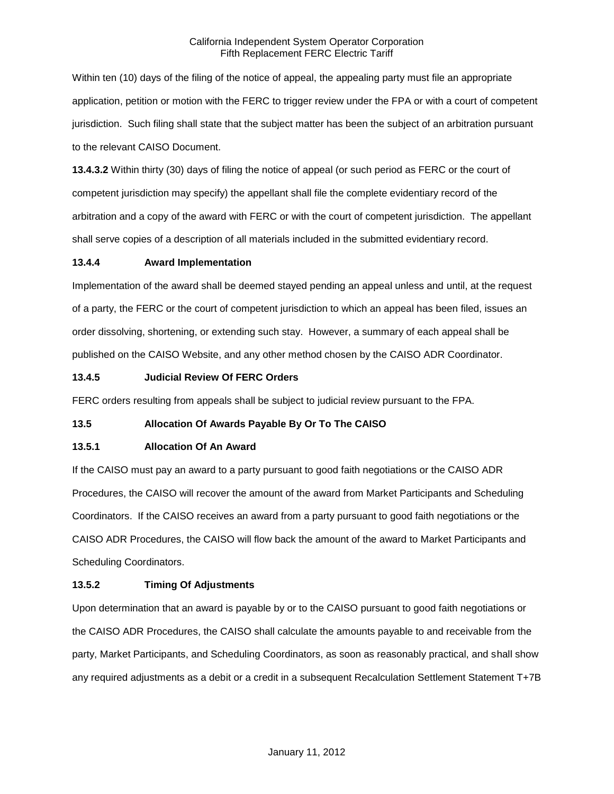Within ten (10) days of the filing of the notice of appeal, the appealing party must file an appropriate application, petition or motion with the FERC to trigger review under the FPA or with a court of competent jurisdiction. Such filing shall state that the subject matter has been the subject of an arbitration pursuant to the relevant CAISO Document.

**13.4.3.2** Within thirty (30) days of filing the notice of appeal (or such period as FERC or the court of competent jurisdiction may specify) the appellant shall file the complete evidentiary record of the arbitration and a copy of the award with FERC or with the court of competent jurisdiction. The appellant shall serve copies of a description of all materials included in the submitted evidentiary record.

# **13.4.4 Award Implementation**

Implementation of the award shall be deemed stayed pending an appeal unless and until, at the request of a party, the FERC or the court of competent jurisdiction to which an appeal has been filed, issues an order dissolving, shortening, or extending such stay. However, a summary of each appeal shall be published on the CAISO Website, and any other method chosen by the CAISO ADR Coordinator.

# **13.4.5 Judicial Review Of FERC Orders**

FERC orders resulting from appeals shall be subject to judicial review pursuant to the FPA.

# **13.5 Allocation Of Awards Payable By Or To The CAISO**

## **13.5.1 Allocation Of An Award**

If the CAISO must pay an award to a party pursuant to good faith negotiations or the CAISO ADR Procedures, the CAISO will recover the amount of the award from Market Participants and Scheduling Coordinators. If the CAISO receives an award from a party pursuant to good faith negotiations or the CAISO ADR Procedures, the CAISO will flow back the amount of the award to Market Participants and Scheduling Coordinators.

# **13.5.2 Timing Of Adjustments**

Upon determination that an award is payable by or to the CAISO pursuant to good faith negotiations or the CAISO ADR Procedures, the CAISO shall calculate the amounts payable to and receivable from the party, Market Participants, and Scheduling Coordinators, as soon as reasonably practical, and shall show any required adjustments as a debit or a credit in a subsequent Recalculation Settlement Statement T+7B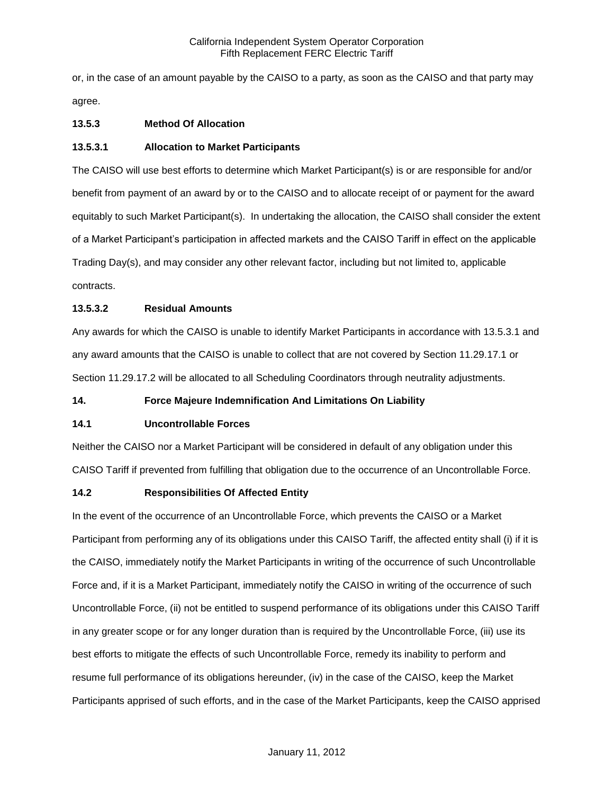or, in the case of an amount payable by the CAISO to a party, as soon as the CAISO and that party may agree.

# **13.5.3 Method Of Allocation**

## **13.5.3.1 Allocation to Market Participants**

The CAISO will use best efforts to determine which Market Participant(s) is or are responsible for and/or benefit from payment of an award by or to the CAISO and to allocate receipt of or payment for the award equitably to such Market Participant(s). In undertaking the allocation, the CAISO shall consider the extent of a Market Participant's participation in affected markets and the CAISO Tariff in effect on the applicable Trading Day(s), and may consider any other relevant factor, including but not limited to, applicable contracts.

# **13.5.3.2 Residual Amounts**

Any awards for which the CAISO is unable to identify Market Participants in accordance with 13.5.3.1 and any award amounts that the CAISO is unable to collect that are not covered by Section 11.29.17.1 or Section 11.29.17.2 will be allocated to all Scheduling Coordinators through neutrality adjustments.

## **14. Force Majeure Indemnification And Limitations On Liability**

## **14.1 Uncontrollable Forces**

Neither the CAISO nor a Market Participant will be considered in default of any obligation under this CAISO Tariff if prevented from fulfilling that obligation due to the occurrence of an Uncontrollable Force.

## **14.2 Responsibilities Of Affected Entity**

In the event of the occurrence of an Uncontrollable Force, which prevents the CAISO or a Market Participant from performing any of its obligations under this CAISO Tariff, the affected entity shall (i) if it is the CAISO, immediately notify the Market Participants in writing of the occurrence of such Uncontrollable Force and, if it is a Market Participant, immediately notify the CAISO in writing of the occurrence of such Uncontrollable Force, (ii) not be entitled to suspend performance of its obligations under this CAISO Tariff in any greater scope or for any longer duration than is required by the Uncontrollable Force, (iii) use its best efforts to mitigate the effects of such Uncontrollable Force, remedy its inability to perform and resume full performance of its obligations hereunder, (iv) in the case of the CAISO, keep the Market Participants apprised of such efforts, and in the case of the Market Participants, keep the CAISO apprised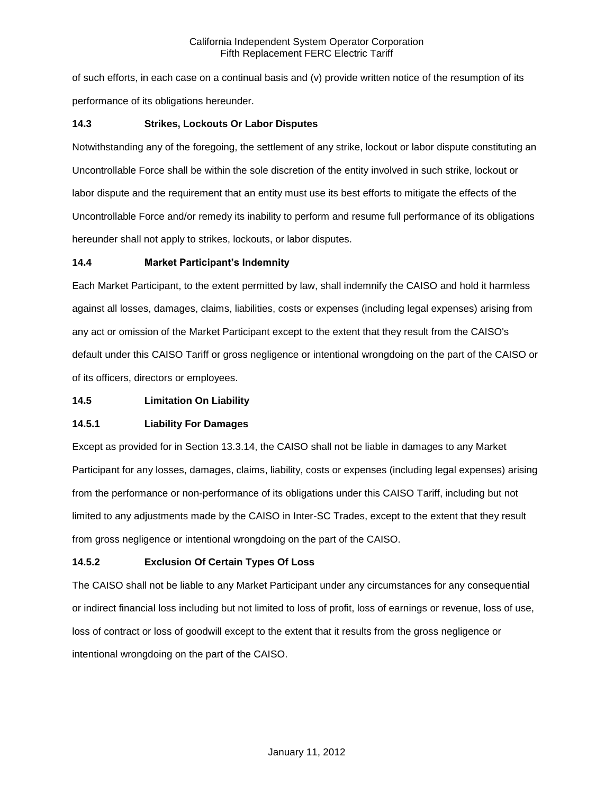of such efforts, in each case on a continual basis and (v) provide written notice of the resumption of its performance of its obligations hereunder.

# **14.3 Strikes, Lockouts Or Labor Disputes**

Notwithstanding any of the foregoing, the settlement of any strike, lockout or labor dispute constituting an Uncontrollable Force shall be within the sole discretion of the entity involved in such strike, lockout or labor dispute and the requirement that an entity must use its best efforts to mitigate the effects of the Uncontrollable Force and/or remedy its inability to perform and resume full performance of its obligations hereunder shall not apply to strikes, lockouts, or labor disputes.

# **14.4 Market Participant's Indemnity**

Each Market Participant, to the extent permitted by law, shall indemnify the CAISO and hold it harmless against all losses, damages, claims, liabilities, costs or expenses (including legal expenses) arising from any act or omission of the Market Participant except to the extent that they result from the CAISO's default under this CAISO Tariff or gross negligence or intentional wrongdoing on the part of the CAISO or of its officers, directors or employees.

## **14.5 Limitation On Liability**

# **14.5.1 Liability For Damages**

Except as provided for in Section 13.3.14, the CAISO shall not be liable in damages to any Market Participant for any losses, damages, claims, liability, costs or expenses (including legal expenses) arising from the performance or non-performance of its obligations under this CAISO Tariff, including but not limited to any adjustments made by the CAISO in Inter-SC Trades, except to the extent that they result from gross negligence or intentional wrongdoing on the part of the CAISO.

# **14.5.2 Exclusion Of Certain Types Of Loss**

The CAISO shall not be liable to any Market Participant under any circumstances for any consequential or indirect financial loss including but not limited to loss of profit, loss of earnings or revenue, loss of use, loss of contract or loss of goodwill except to the extent that it results from the gross negligence or intentional wrongdoing on the part of the CAISO.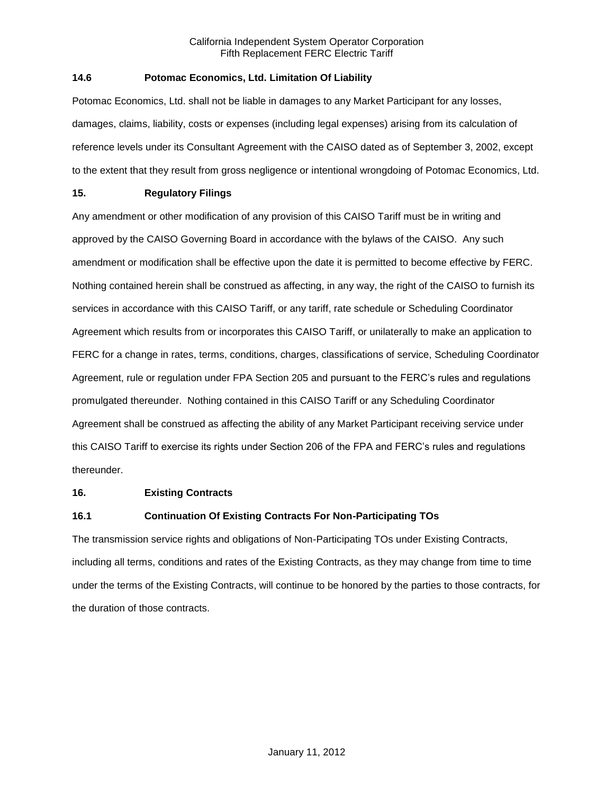# **14.6 Potomac Economics, Ltd. Limitation Of Liability**

Potomac Economics, Ltd. shall not be liable in damages to any Market Participant for any losses, damages, claims, liability, costs or expenses (including legal expenses) arising from its calculation of reference levels under its Consultant Agreement with the CAISO dated as of September 3, 2002, except to the extent that they result from gross negligence or intentional wrongdoing of Potomac Economics, Ltd.

# **15. Regulatory Filings**

Any amendment or other modification of any provision of this CAISO Tariff must be in writing and approved by the CAISO Governing Board in accordance with the bylaws of the CAISO. Any such amendment or modification shall be effective upon the date it is permitted to become effective by FERC. Nothing contained herein shall be construed as affecting, in any way, the right of the CAISO to furnish its services in accordance with this CAISO Tariff, or any tariff, rate schedule or Scheduling Coordinator Agreement which results from or incorporates this CAISO Tariff, or unilaterally to make an application to FERC for a change in rates, terms, conditions, charges, classifications of service, Scheduling Coordinator Agreement, rule or regulation under FPA Section 205 and pursuant to the FERC's rules and regulations promulgated thereunder. Nothing contained in this CAISO Tariff or any Scheduling Coordinator Agreement shall be construed as affecting the ability of any Market Participant receiving service under this CAISO Tariff to exercise its rights under Section 206 of the FPA and FERC's rules and regulations thereunder.

## **16. Existing Contracts**

# **16.1 Continuation Of Existing Contracts For Non-Participating TOs**

The transmission service rights and obligations of Non-Participating TOs under Existing Contracts, including all terms, conditions and rates of the Existing Contracts, as they may change from time to time under the terms of the Existing Contracts, will continue to be honored by the parties to those contracts, for the duration of those contracts.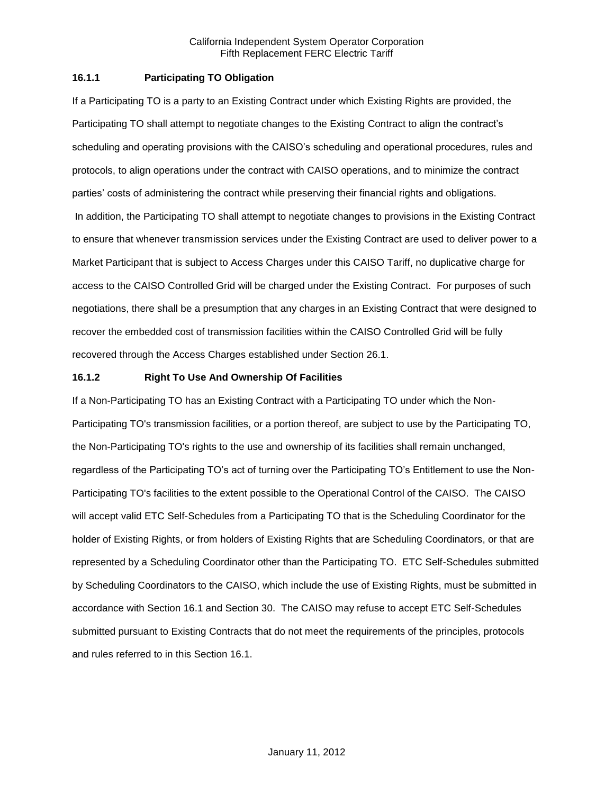# **16.1.1 Participating TO Obligation**

If a Participating TO is a party to an Existing Contract under which Existing Rights are provided, the Participating TO shall attempt to negotiate changes to the Existing Contract to align the contract's scheduling and operating provisions with the CAISO's scheduling and operational procedures, rules and protocols, to align operations under the contract with CAISO operations, and to minimize the contract parties' costs of administering the contract while preserving their financial rights and obligations. In addition, the Participating TO shall attempt to negotiate changes to provisions in the Existing Contract to ensure that whenever transmission services under the Existing Contract are used to deliver power to a Market Participant that is subject to Access Charges under this CAISO Tariff, no duplicative charge for access to the CAISO Controlled Grid will be charged under the Existing Contract. For purposes of such negotiations, there shall be a presumption that any charges in an Existing Contract that were designed to recover the embedded cost of transmission facilities within the CAISO Controlled Grid will be fully recovered through the Access Charges established under Section 26.1.

# **16.1.2 Right To Use And Ownership Of Facilities**

If a Non-Participating TO has an Existing Contract with a Participating TO under which the Non-Participating TO's transmission facilities, or a portion thereof, are subject to use by the Participating TO, the Non-Participating TO's rights to the use and ownership of its facilities shall remain unchanged, regardless of the Participating TO's act of turning over the Participating TO's Entitlement to use the Non-Participating TO's facilities to the extent possible to the Operational Control of the CAISO. The CAISO will accept valid ETC Self-Schedules from a Participating TO that is the Scheduling Coordinator for the holder of Existing Rights, or from holders of Existing Rights that are Scheduling Coordinators, or that are represented by a Scheduling Coordinator other than the Participating TO. ETC Self-Schedules submitted by Scheduling Coordinators to the CAISO, which include the use of Existing Rights, must be submitted in accordance with Section 16.1 and Section 30. The CAISO may refuse to accept ETC Self-Schedules submitted pursuant to Existing Contracts that do not meet the requirements of the principles, protocols and rules referred to in this Section 16.1.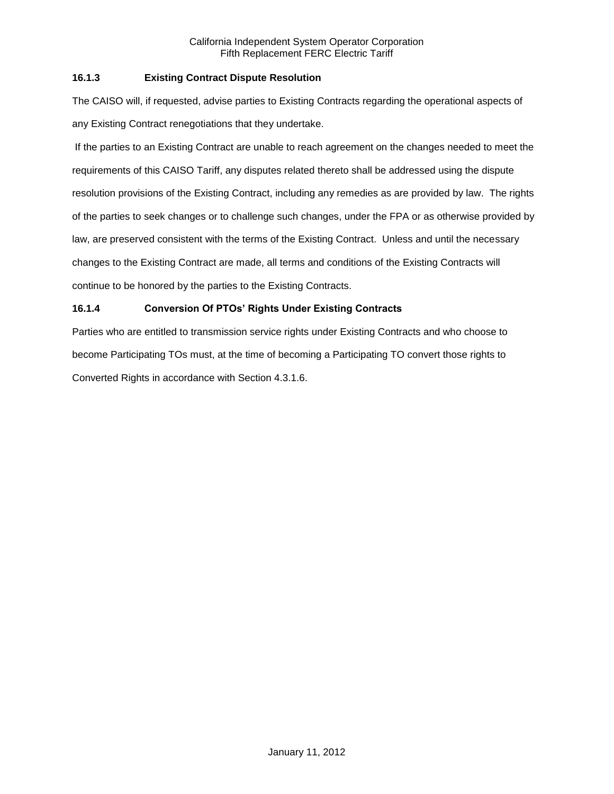# **16.1.3 Existing Contract Dispute Resolution**

The CAISO will, if requested, advise parties to Existing Contracts regarding the operational aspects of any Existing Contract renegotiations that they undertake.

If the parties to an Existing Contract are unable to reach agreement on the changes needed to meet the requirements of this CAISO Tariff, any disputes related thereto shall be addressed using the dispute resolution provisions of the Existing Contract, including any remedies as are provided by law. The rights of the parties to seek changes or to challenge such changes, under the FPA or as otherwise provided by law, are preserved consistent with the terms of the Existing Contract. Unless and until the necessary changes to the Existing Contract are made, all terms and conditions of the Existing Contracts will continue to be honored by the parties to the Existing Contracts.

# **16.1.4 Conversion Of PTOs' Rights Under Existing Contracts**

Parties who are entitled to transmission service rights under Existing Contracts and who choose to become Participating TOs must, at the time of becoming a Participating TO convert those rights to Converted Rights in accordance with Section 4.3.1.6.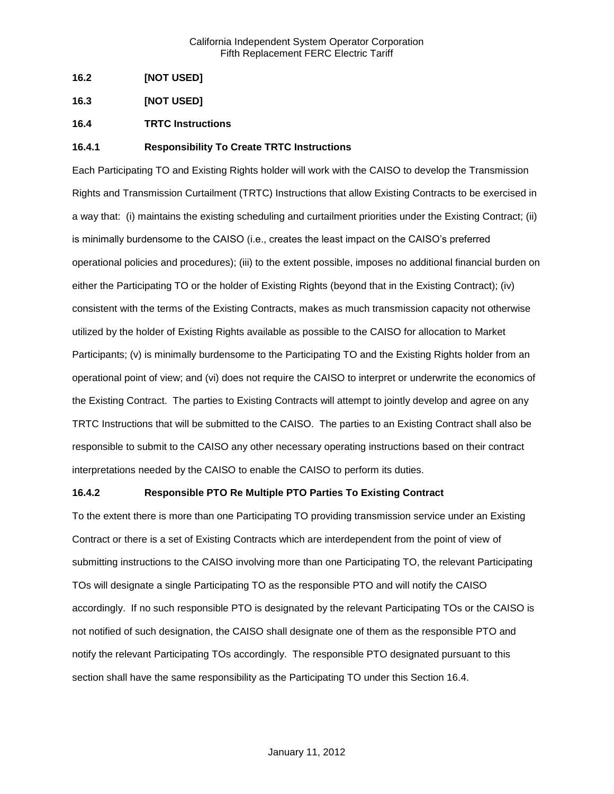- **16.2 [NOT USED]**
- **16.3 [NOT USED]**
- **16.4 TRTC Instructions**

# **16.4.1 Responsibility To Create TRTC Instructions**

Each Participating TO and Existing Rights holder will work with the CAISO to develop the Transmission Rights and Transmission Curtailment (TRTC) Instructions that allow Existing Contracts to be exercised in a way that: (i) maintains the existing scheduling and curtailment priorities under the Existing Contract; (ii) is minimally burdensome to the CAISO (i.e., creates the least impact on the CAISO's preferred operational policies and procedures); (iii) to the extent possible, imposes no additional financial burden on either the Participating TO or the holder of Existing Rights (beyond that in the Existing Contract); (iv) consistent with the terms of the Existing Contracts, makes as much transmission capacity not otherwise utilized by the holder of Existing Rights available as possible to the CAISO for allocation to Market Participants; (v) is minimally burdensome to the Participating TO and the Existing Rights holder from an operational point of view; and (vi) does not require the CAISO to interpret or underwrite the economics of the Existing Contract. The parties to Existing Contracts will attempt to jointly develop and agree on any TRTC Instructions that will be submitted to the CAISO. The parties to an Existing Contract shall also be responsible to submit to the CAISO any other necessary operating instructions based on their contract interpretations needed by the CAISO to enable the CAISO to perform its duties.

## **16.4.2 Responsible PTO Re Multiple PTO Parties To Existing Contract**

To the extent there is more than one Participating TO providing transmission service under an Existing Contract or there is a set of Existing Contracts which are interdependent from the point of view of submitting instructions to the CAISO involving more than one Participating TO, the relevant Participating TOs will designate a single Participating TO as the responsible PTO and will notify the CAISO accordingly. If no such responsible PTO is designated by the relevant Participating TOs or the CAISO is not notified of such designation, the CAISO shall designate one of them as the responsible PTO and notify the relevant Participating TOs accordingly. The responsible PTO designated pursuant to this section shall have the same responsibility as the Participating TO under this Section 16.4.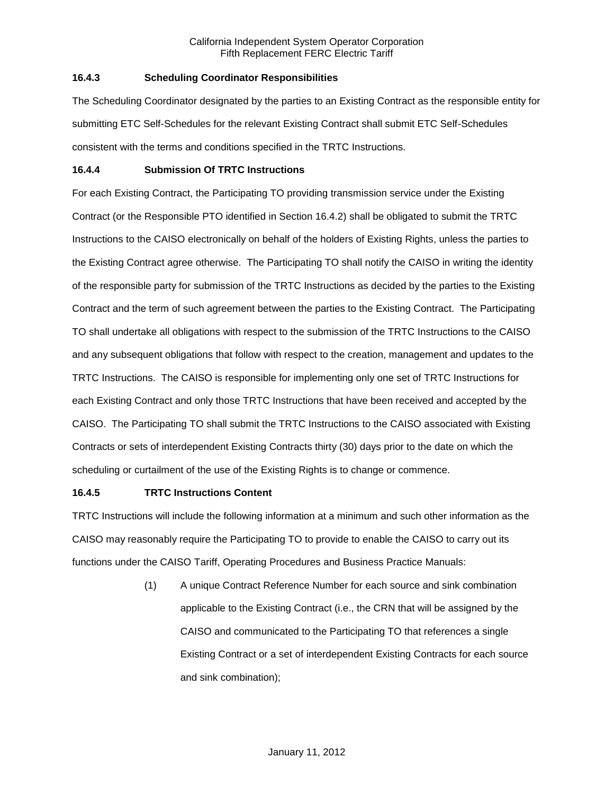# **16.4.3 Scheduling Coordinator Responsibilities**

The Scheduling Coordinator designated by the parties to an Existing Contract as the responsible entity for submitting ETC Self-Schedules for the relevant Existing Contract shall submit ETC Self-Schedules consistent with the terms and conditions specified in the TRTC Instructions.

## **16.4.4 Submission Of TRTC Instructions**

For each Existing Contract, the Participating TO providing transmission service under the Existing Contract (or the Responsible PTO identified in Section 16.4.2) shall be obligated to submit the TRTC Instructions to the CAISO electronically on behalf of the holders of Existing Rights, unless the parties to the Existing Contract agree otherwise. The Participating TO shall notify the CAISO in writing the identity of the responsible party for submission of the TRTC Instructions as decided by the parties to the Existing Contract and the term of such agreement between the parties to the Existing Contract. The Participating TO shall undertake all obligations with respect to the submission of the TRTC Instructions to the CAISO and any subsequent obligations that follow with respect to the creation, management and updates to the TRTC Instructions. The CAISO is responsible for implementing only one set of TRTC Instructions for each Existing Contract and only those TRTC Instructions that have been received and accepted by the CAISO. The Participating TO shall submit the TRTC Instructions to the CAISO associated with Existing Contracts or sets of interdependent Existing Contracts thirty (30) days prior to the date on which the scheduling or curtailment of the use of the Existing Rights is to change or commence.

# **16.4.5 TRTC Instructions Content**

TRTC Instructions will include the following information at a minimum and such other information as the CAISO may reasonably require the Participating TO to provide to enable the CAISO to carry out its functions under the CAISO Tariff, Operating Procedures and Business Practice Manuals:

> (1) A unique Contract Reference Number for each source and sink combination applicable to the Existing Contract (i.e., the CRN that will be assigned by the CAISO and communicated to the Participating TO that references a single Existing Contract or a set of interdependent Existing Contracts for each source and sink combination);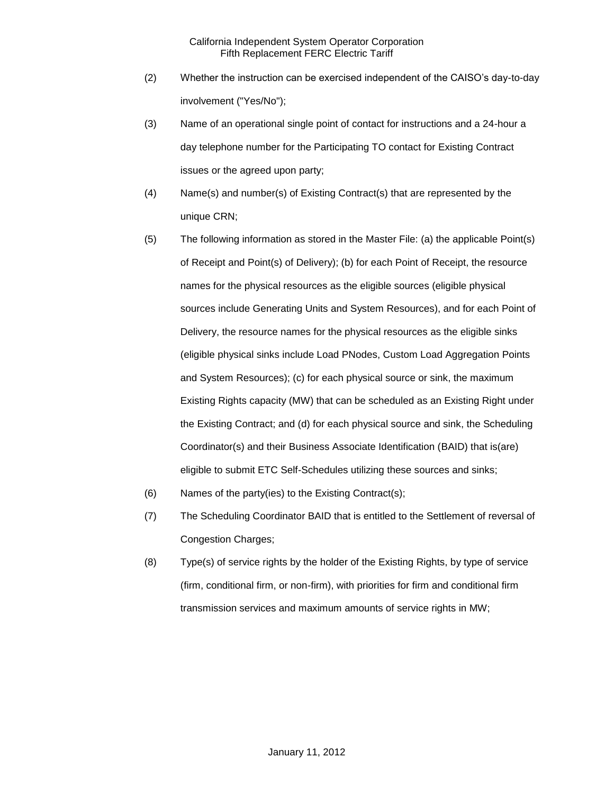- (2) Whether the instruction can be exercised independent of the CAISO's day-to-day involvement ("Yes/No");
- (3) Name of an operational single point of contact for instructions and a 24-hour a day telephone number for the Participating TO contact for Existing Contract issues or the agreed upon party;
- (4) Name(s) and number(s) of Existing Contract(s) that are represented by the unique CRN;
- (5) The following information as stored in the Master File: (a) the applicable Point(s) of Receipt and Point(s) of Delivery); (b) for each Point of Receipt, the resource names for the physical resources as the eligible sources (eligible physical sources include Generating Units and System Resources), and for each Point of Delivery, the resource names for the physical resources as the eligible sinks (eligible physical sinks include Load PNodes, Custom Load Aggregation Points and System Resources); (c) for each physical source or sink, the maximum Existing Rights capacity (MW) that can be scheduled as an Existing Right under the Existing Contract; and (d) for each physical source and sink, the Scheduling Coordinator(s) and their Business Associate Identification (BAID) that is(are) eligible to submit ETC Self-Schedules utilizing these sources and sinks;
- (6) Names of the party(ies) to the Existing Contract(s);
- (7) The Scheduling Coordinator BAID that is entitled to the Settlement of reversal of Congestion Charges;
- (8) Type(s) of service rights by the holder of the Existing Rights, by type of service (firm, conditional firm, or non-firm), with priorities for firm and conditional firm transmission services and maximum amounts of service rights in MW;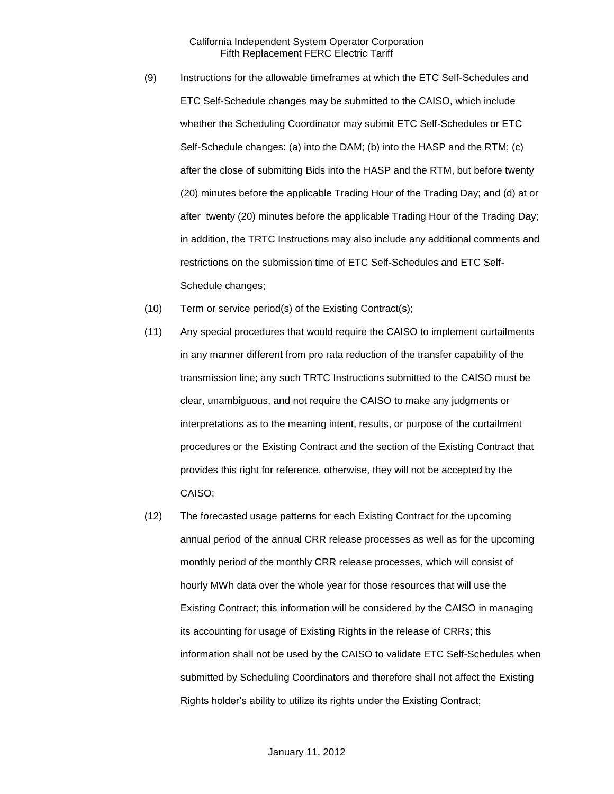- (9) Instructions for the allowable timeframes at which the ETC Self-Schedules and ETC Self-Schedule changes may be submitted to the CAISO, which include whether the Scheduling Coordinator may submit ETC Self-Schedules or ETC Self-Schedule changes: (a) into the DAM; (b) into the HASP and the RTM; (c) after the close of submitting Bids into the HASP and the RTM, but before twenty (20) minutes before the applicable Trading Hour of the Trading Day; and (d) at or after twenty (20) minutes before the applicable Trading Hour of the Trading Day; in addition, the TRTC Instructions may also include any additional comments and restrictions on the submission time of ETC Self-Schedules and ETC Self-Schedule changes;
- (10) Term or service period(s) of the Existing Contract(s);
- (11) Any special procedures that would require the CAISO to implement curtailments in any manner different from pro rata reduction of the transfer capability of the transmission line; any such TRTC Instructions submitted to the CAISO must be clear, unambiguous, and not require the CAISO to make any judgments or interpretations as to the meaning intent, results, or purpose of the curtailment procedures or the Existing Contract and the section of the Existing Contract that provides this right for reference, otherwise, they will not be accepted by the CAISO;
- (12) The forecasted usage patterns for each Existing Contract for the upcoming annual period of the annual CRR release processes as well as for the upcoming monthly period of the monthly CRR release processes, which will consist of hourly MWh data over the whole year for those resources that will use the Existing Contract; this information will be considered by the CAISO in managing its accounting for usage of Existing Rights in the release of CRRs; this information shall not be used by the CAISO to validate ETC Self-Schedules when submitted by Scheduling Coordinators and therefore shall not affect the Existing Rights holder's ability to utilize its rights under the Existing Contract;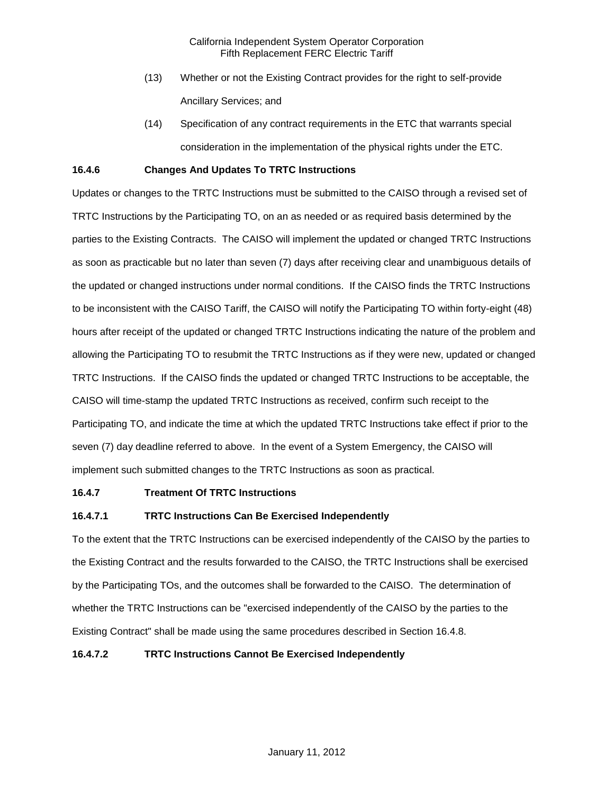- (13) Whether or not the Existing Contract provides for the right to self-provide Ancillary Services; and
- (14) Specification of any contract requirements in the ETC that warrants special consideration in the implementation of the physical rights under the ETC.

## **16.4.6 Changes And Updates To TRTC Instructions**

Updates or changes to the TRTC Instructions must be submitted to the CAISO through a revised set of TRTC Instructions by the Participating TO, on an as needed or as required basis determined by the parties to the Existing Contracts. The CAISO will implement the updated or changed TRTC Instructions as soon as practicable but no later than seven (7) days after receiving clear and unambiguous details of the updated or changed instructions under normal conditions. If the CAISO finds the TRTC Instructions to be inconsistent with the CAISO Tariff, the CAISO will notify the Participating TO within forty-eight (48) hours after receipt of the updated or changed TRTC Instructions indicating the nature of the problem and allowing the Participating TO to resubmit the TRTC Instructions as if they were new, updated or changed TRTC Instructions. If the CAISO finds the updated or changed TRTC Instructions to be acceptable, the CAISO will time-stamp the updated TRTC Instructions as received, confirm such receipt to the Participating TO, and indicate the time at which the updated TRTC Instructions take effect if prior to the seven (7) day deadline referred to above. In the event of a System Emergency, the CAISO will implement such submitted changes to the TRTC Instructions as soon as practical.

## **16.4.7 Treatment Of TRTC Instructions**

# **16.4.7.1 TRTC Instructions Can Be Exercised Independently**

To the extent that the TRTC Instructions can be exercised independently of the CAISO by the parties to the Existing Contract and the results forwarded to the CAISO, the TRTC Instructions shall be exercised by the Participating TOs, and the outcomes shall be forwarded to the CAISO. The determination of whether the TRTC Instructions can be "exercised independently of the CAISO by the parties to the Existing Contract" shall be made using the same procedures described in Section 16.4.8.

## **16.4.7.2 TRTC Instructions Cannot Be Exercised Independently**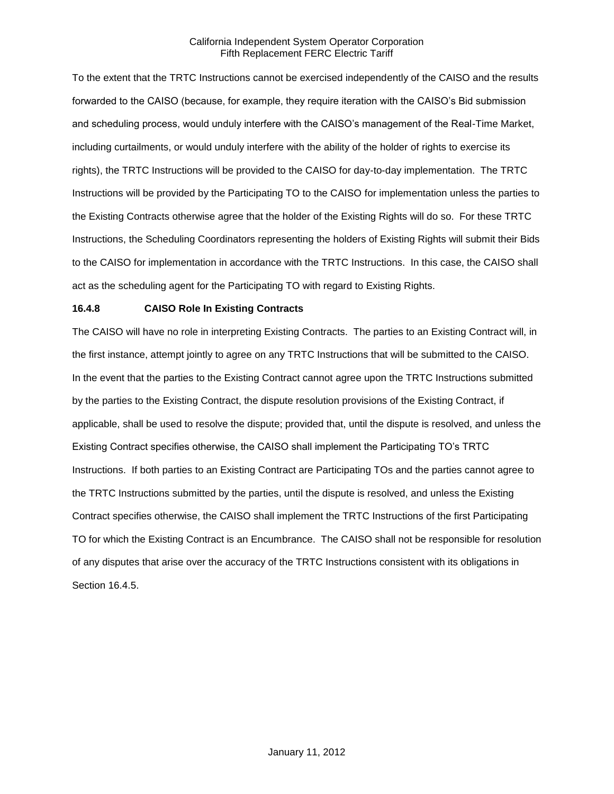To the extent that the TRTC Instructions cannot be exercised independently of the CAISO and the results forwarded to the CAISO (because, for example, they require iteration with the CAISO's Bid submission and scheduling process, would unduly interfere with the CAISO's management of the Real-Time Market, including curtailments, or would unduly interfere with the ability of the holder of rights to exercise its rights), the TRTC Instructions will be provided to the CAISO for day-to-day implementation. The TRTC Instructions will be provided by the Participating TO to the CAISO for implementation unless the parties to the Existing Contracts otherwise agree that the holder of the Existing Rights will do so. For these TRTC Instructions, the Scheduling Coordinators representing the holders of Existing Rights will submit their Bids to the CAISO for implementation in accordance with the TRTC Instructions. In this case, the CAISO shall act as the scheduling agent for the Participating TO with regard to Existing Rights.

# **16.4.8 CAISO Role In Existing Contracts**

The CAISO will have no role in interpreting Existing Contracts. The parties to an Existing Contract will, in the first instance, attempt jointly to agree on any TRTC Instructions that will be submitted to the CAISO. In the event that the parties to the Existing Contract cannot agree upon the TRTC Instructions submitted by the parties to the Existing Contract, the dispute resolution provisions of the Existing Contract, if applicable, shall be used to resolve the dispute; provided that, until the dispute is resolved, and unless the Existing Contract specifies otherwise, the CAISO shall implement the Participating TO's TRTC Instructions. If both parties to an Existing Contract are Participating TOs and the parties cannot agree to the TRTC Instructions submitted by the parties, until the dispute is resolved, and unless the Existing Contract specifies otherwise, the CAISO shall implement the TRTC Instructions of the first Participating TO for which the Existing Contract is an Encumbrance. The CAISO shall not be responsible for resolution of any disputes that arise over the accuracy of the TRTC Instructions consistent with its obligations in Section 16.4.5.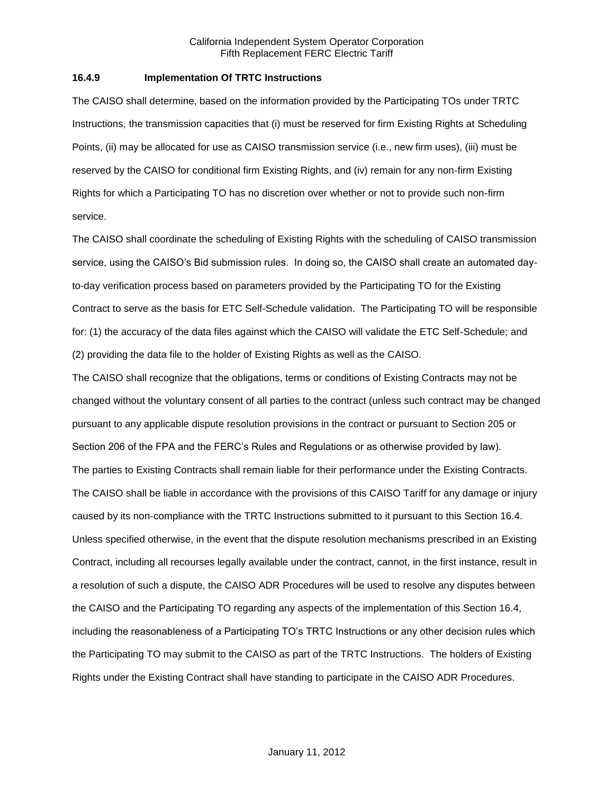### **16.4.9 Implementation Of TRTC Instructions**

The CAISO shall determine, based on the information provided by the Participating TOs under TRTC Instructions, the transmission capacities that (i) must be reserved for firm Existing Rights at Scheduling Points, (ii) may be allocated for use as CAISO transmission service (i.e., new firm uses), (iii) must be reserved by the CAISO for conditional firm Existing Rights, and (iv) remain for any non-firm Existing Rights for which a Participating TO has no discretion over whether or not to provide such non-firm service.

The CAISO shall coordinate the scheduling of Existing Rights with the scheduling of CAISO transmission service, using the CAISO's Bid submission rules. In doing so, the CAISO shall create an automated dayto-day verification process based on parameters provided by the Participating TO for the Existing Contract to serve as the basis for ETC Self-Schedule validation. The Participating TO will be responsible for: (1) the accuracy of the data files against which the CAISO will validate the ETC Self-Schedule; and (2) providing the data file to the holder of Existing Rights as well as the CAISO.

The CAISO shall recognize that the obligations, terms or conditions of Existing Contracts may not be changed without the voluntary consent of all parties to the contract (unless such contract may be changed pursuant to any applicable dispute resolution provisions in the contract or pursuant to Section 205 or Section 206 of the FPA and the FERC's Rules and Regulations or as otherwise provided by law). The parties to Existing Contracts shall remain liable for their performance under the Existing Contracts. The CAISO shall be liable in accordance with the provisions of this CAISO Tariff for any damage or injury caused by its non-compliance with the TRTC Instructions submitted to it pursuant to this Section 16.4. Unless specified otherwise, in the event that the dispute resolution mechanisms prescribed in an Existing Contract, including all recourses legally available under the contract, cannot, in the first instance, result in a resolution of such a dispute, the CAISO ADR Procedures will be used to resolve any disputes between the CAISO and the Participating TO regarding any aspects of the implementation of this Section 16.4, including the reasonableness of a Participating TO's TRTC Instructions or any other decision rules which the Participating TO may submit to the CAISO as part of the TRTC Instructions. The holders of Existing Rights under the Existing Contract shall have standing to participate in the CAISO ADR Procedures.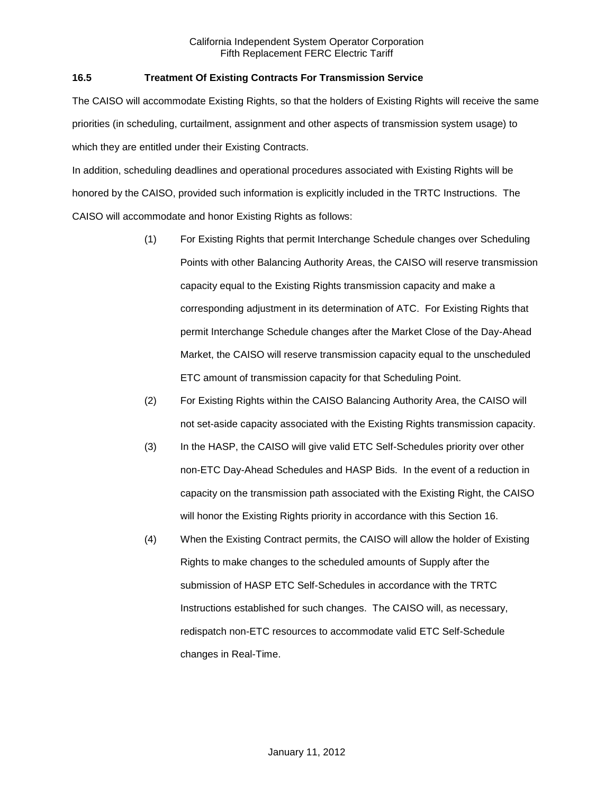# **16.5 Treatment Of Existing Contracts For Transmission Service**

The CAISO will accommodate Existing Rights, so that the holders of Existing Rights will receive the same priorities (in scheduling, curtailment, assignment and other aspects of transmission system usage) to which they are entitled under their Existing Contracts.

In addition, scheduling deadlines and operational procedures associated with Existing Rights will be honored by the CAISO, provided such information is explicitly included in the TRTC Instructions. The CAISO will accommodate and honor Existing Rights as follows:

- (1) For Existing Rights that permit Interchange Schedule changes over Scheduling Points with other Balancing Authority Areas, the CAISO will reserve transmission capacity equal to the Existing Rights transmission capacity and make a corresponding adjustment in its determination of ATC. For Existing Rights that permit Interchange Schedule changes after the Market Close of the Day-Ahead Market, the CAISO will reserve transmission capacity equal to the unscheduled ETC amount of transmission capacity for that Scheduling Point.
- (2) For Existing Rights within the CAISO Balancing Authority Area, the CAISO will not set-aside capacity associated with the Existing Rights transmission capacity.
- (3) In the HASP, the CAISO will give valid ETC Self-Schedules priority over other non-ETC Day-Ahead Schedules and HASP Bids. In the event of a reduction in capacity on the transmission path associated with the Existing Right, the CAISO will honor the Existing Rights priority in accordance with this Section 16.
- (4) When the Existing Contract permits, the CAISO will allow the holder of Existing Rights to make changes to the scheduled amounts of Supply after the submission of HASP ETC Self-Schedules in accordance with the TRTC Instructions established for such changes. The CAISO will, as necessary, redispatch non-ETC resources to accommodate valid ETC Self-Schedule changes in Real-Time.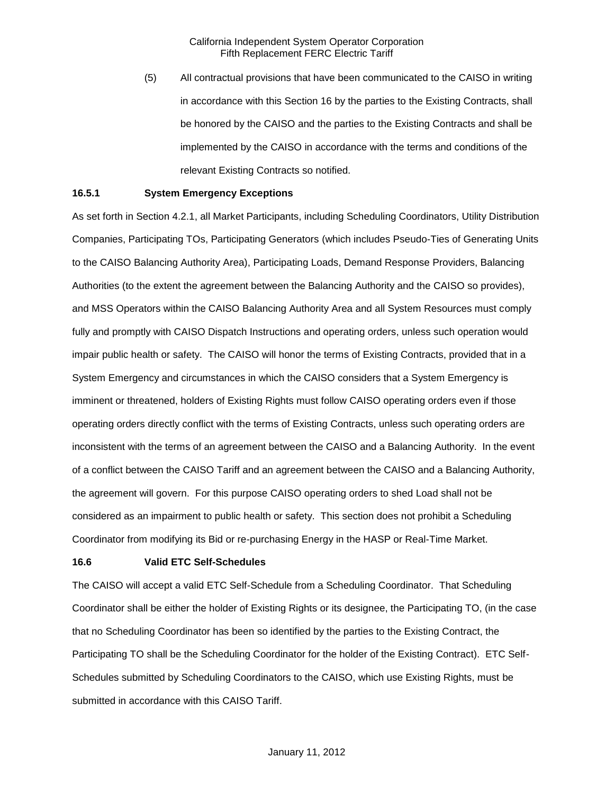(5) All contractual provisions that have been communicated to the CAISO in writing in accordance with this Section 16 by the parties to the Existing Contracts, shall be honored by the CAISO and the parties to the Existing Contracts and shall be implemented by the CAISO in accordance with the terms and conditions of the relevant Existing Contracts so notified.

### **16.5.1 System Emergency Exceptions**

As set forth in Section 4.2.1, all Market Participants, including Scheduling Coordinators, Utility Distribution Companies, Participating TOs, Participating Generators (which includes Pseudo-Ties of Generating Units to the CAISO Balancing Authority Area), Participating Loads, Demand Response Providers, Balancing Authorities (to the extent the agreement between the Balancing Authority and the CAISO so provides), and MSS Operators within the CAISO Balancing Authority Area and all System Resources must comply fully and promptly with CAISO Dispatch Instructions and operating orders, unless such operation would impair public health or safety. The CAISO will honor the terms of Existing Contracts, provided that in a System Emergency and circumstances in which the CAISO considers that a System Emergency is imminent or threatened, holders of Existing Rights must follow CAISO operating orders even if those operating orders directly conflict with the terms of Existing Contracts, unless such operating orders are inconsistent with the terms of an agreement between the CAISO and a Balancing Authority. In the event of a conflict between the CAISO Tariff and an agreement between the CAISO and a Balancing Authority, the agreement will govern. For this purpose CAISO operating orders to shed Load shall not be considered as an impairment to public health or safety. This section does not prohibit a Scheduling Coordinator from modifying its Bid or re-purchasing Energy in the HASP or Real-Time Market.

#### **16.6 Valid ETC Self-Schedules**

The CAISO will accept a valid ETC Self-Schedule from a Scheduling Coordinator. That Scheduling Coordinator shall be either the holder of Existing Rights or its designee, the Participating TO, (in the case that no Scheduling Coordinator has been so identified by the parties to the Existing Contract, the Participating TO shall be the Scheduling Coordinator for the holder of the Existing Contract). ETC Self-Schedules submitted by Scheduling Coordinators to the CAISO, which use Existing Rights, must be submitted in accordance with this CAISO Tariff.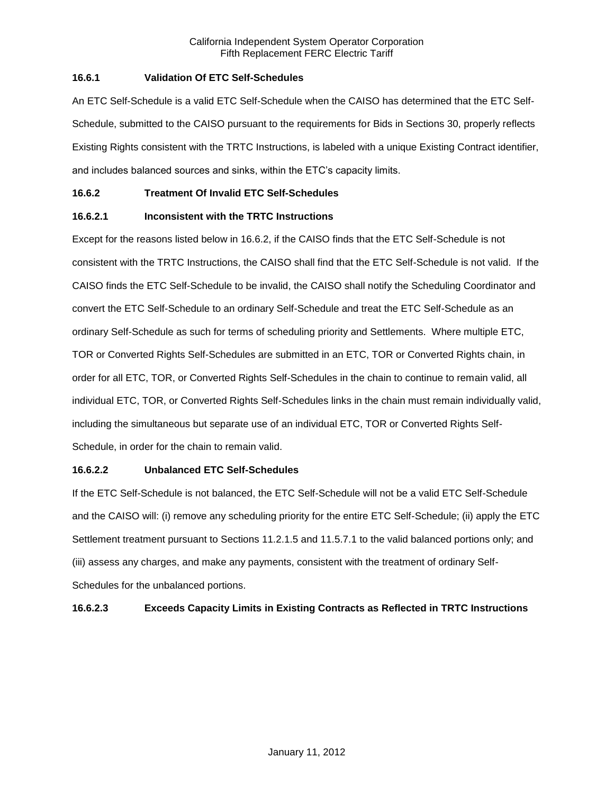# **16.6.1 Validation Of ETC Self-Schedules**

An ETC Self-Schedule is a valid ETC Self-Schedule when the CAISO has determined that the ETC Self-Schedule, submitted to the CAISO pursuant to the requirements for Bids in Sections 30, properly reflects Existing Rights consistent with the TRTC Instructions, is labeled with a unique Existing Contract identifier, and includes balanced sources and sinks, within the ETC's capacity limits.

# **16.6.2 Treatment Of Invalid ETC Self-Schedules**

# **16.6.2.1 Inconsistent with the TRTC Instructions**

Except for the reasons listed below in 16.6.2, if the CAISO finds that the ETC Self-Schedule is not consistent with the TRTC Instructions, the CAISO shall find that the ETC Self-Schedule is not valid. If the CAISO finds the ETC Self-Schedule to be invalid, the CAISO shall notify the Scheduling Coordinator and convert the ETC Self-Schedule to an ordinary Self-Schedule and treat the ETC Self-Schedule as an ordinary Self-Schedule as such for terms of scheduling priority and Settlements. Where multiple ETC, TOR or Converted Rights Self-Schedules are submitted in an ETC, TOR or Converted Rights chain, in order for all ETC, TOR, or Converted Rights Self-Schedules in the chain to continue to remain valid, all individual ETC, TOR, or Converted Rights Self-Schedules links in the chain must remain individually valid, including the simultaneous but separate use of an individual ETC, TOR or Converted Rights Self-Schedule, in order for the chain to remain valid.

# **16.6.2.2 Unbalanced ETC Self-Schedules**

If the ETC Self-Schedule is not balanced, the ETC Self-Schedule will not be a valid ETC Self-Schedule and the CAISO will: (i) remove any scheduling priority for the entire ETC Self-Schedule; (ii) apply the ETC Settlement treatment pursuant to Sections 11.2.1.5 and 11.5.7.1 to the valid balanced portions only; and (iii) assess any charges, and make any payments, consistent with the treatment of ordinary Self-Schedules for the unbalanced portions.

# **16.6.2.3 Exceeds Capacity Limits in Existing Contracts as Reflected in TRTC Instructions**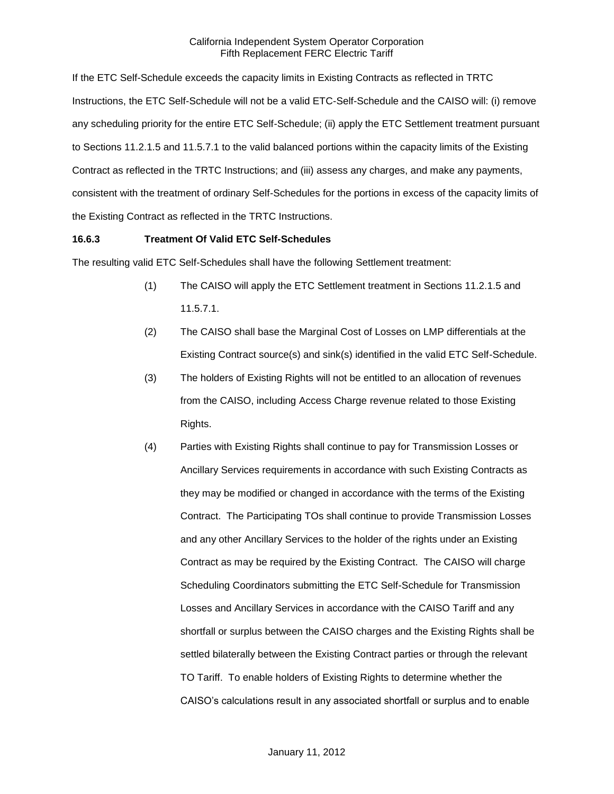If the ETC Self-Schedule exceeds the capacity limits in Existing Contracts as reflected in TRTC Instructions, the ETC Self-Schedule will not be a valid ETC-Self-Schedule and the CAISO will: (i) remove any scheduling priority for the entire ETC Self-Schedule; (ii) apply the ETC Settlement treatment pursuant to Sections 11.2.1.5 and 11.5.7.1 to the valid balanced portions within the capacity limits of the Existing Contract as reflected in the TRTC Instructions; and (iii) assess any charges, and make any payments, consistent with the treatment of ordinary Self-Schedules for the portions in excess of the capacity limits of the Existing Contract as reflected in the TRTC Instructions.

## **16.6.3 Treatment Of Valid ETC Self-Schedules**

The resulting valid ETC Self-Schedules shall have the following Settlement treatment:

- (1) The CAISO will apply the ETC Settlement treatment in Sections 11.2.1.5 and 11.5.7.1.
- (2) The CAISO shall base the Marginal Cost of Losses on LMP differentials at the Existing Contract source(s) and sink(s) identified in the valid ETC Self-Schedule.
- (3) The holders of Existing Rights will not be entitled to an allocation of revenues from the CAISO, including Access Charge revenue related to those Existing Rights.
- (4) Parties with Existing Rights shall continue to pay for Transmission Losses or Ancillary Services requirements in accordance with such Existing Contracts as they may be modified or changed in accordance with the terms of the Existing Contract. The Participating TOs shall continue to provide Transmission Losses and any other Ancillary Services to the holder of the rights under an Existing Contract as may be required by the Existing Contract. The CAISO will charge Scheduling Coordinators submitting the ETC Self-Schedule for Transmission Losses and Ancillary Services in accordance with the CAISO Tariff and any shortfall or surplus between the CAISO charges and the Existing Rights shall be settled bilaterally between the Existing Contract parties or through the relevant TO Tariff. To enable holders of Existing Rights to determine whether the CAISO's calculations result in any associated shortfall or surplus and to enable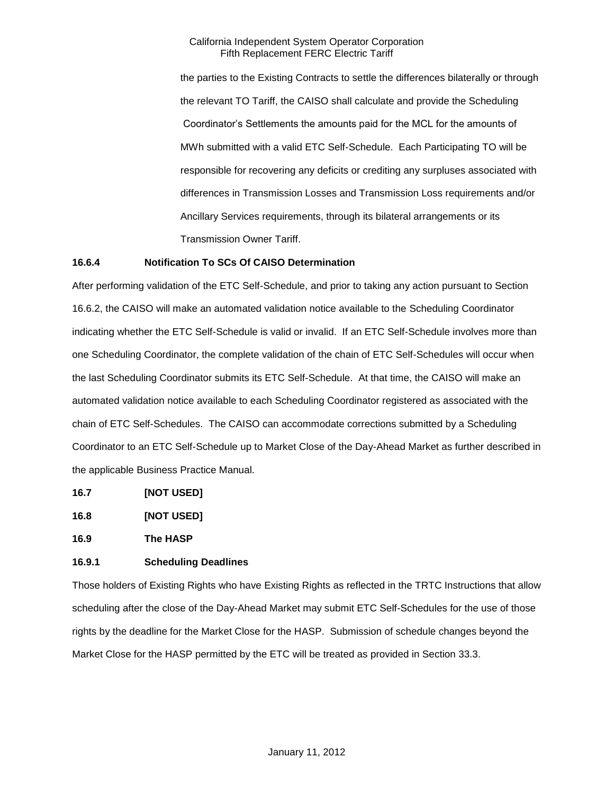the parties to the Existing Contracts to settle the differences bilaterally or through the relevant TO Tariff, the CAISO shall calculate and provide the Scheduling Coordinator's Settlements the amounts paid for the MCL for the amounts of MWh submitted with a valid ETC Self-Schedule. Each Participating TO will be responsible for recovering any deficits or crediting any surpluses associated with differences in Transmission Losses and Transmission Loss requirements and/or Ancillary Services requirements, through its bilateral arrangements or its Transmission Owner Tariff.

## **16.6.4 Notification To SCs Of CAISO Determination**

After performing validation of the ETC Self-Schedule, and prior to taking any action pursuant to Section 16.6.2, the CAISO will make an automated validation notice available to the Scheduling Coordinator indicating whether the ETC Self-Schedule is valid or invalid. If an ETC Self-Schedule involves more than one Scheduling Coordinator, the complete validation of the chain of ETC Self-Schedules will occur when the last Scheduling Coordinator submits its ETC Self-Schedule. At that time, the CAISO will make an automated validation notice available to each Scheduling Coordinator registered as associated with the chain of ETC Self-Schedules. The CAISO can accommodate corrections submitted by a Scheduling Coordinator to an ETC Self-Schedule up to Market Close of the Day-Ahead Market as further described in the applicable Business Practice Manual.

- **16.7 [NOT USED]**
- **16.8 [NOT USED]**

**16.9 The HASP**

## **16.9.1 Scheduling Deadlines**

Those holders of Existing Rights who have Existing Rights as reflected in the TRTC Instructions that allow scheduling after the close of the Day-Ahead Market may submit ETC Self-Schedules for the use of those rights by the deadline for the Market Close for the HASP. Submission of schedule changes beyond the Market Close for the HASP permitted by the ETC will be treated as provided in Section 33.3.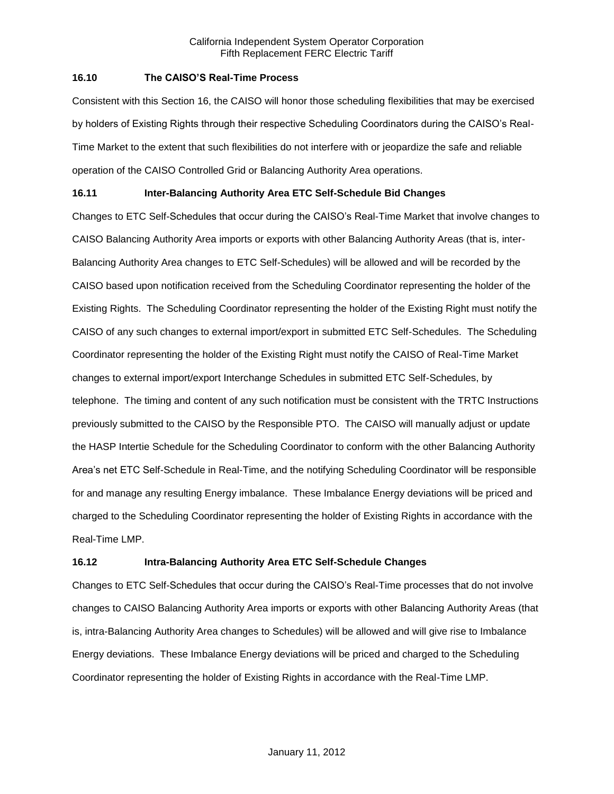## **16.10 The CAISO'S Real-Time Process**

Consistent with this Section 16, the CAISO will honor those scheduling flexibilities that may be exercised by holders of Existing Rights through their respective Scheduling Coordinators during the CAISO's Real-Time Market to the extent that such flexibilities do not interfere with or jeopardize the safe and reliable operation of the CAISO Controlled Grid or Balancing Authority Area operations.

# **16.11 Inter-Balancing Authority Area ETC Self-Schedule Bid Changes**

Changes to ETC Self-Schedules that occur during the CAISO's Real-Time Market that involve changes to CAISO Balancing Authority Area imports or exports with other Balancing Authority Areas (that is, inter-Balancing Authority Area changes to ETC Self-Schedules) will be allowed and will be recorded by the CAISO based upon notification received from the Scheduling Coordinator representing the holder of the Existing Rights. The Scheduling Coordinator representing the holder of the Existing Right must notify the CAISO of any such changes to external import/export in submitted ETC Self-Schedules. The Scheduling Coordinator representing the holder of the Existing Right must notify the CAISO of Real-Time Market changes to external import/export Interchange Schedules in submitted ETC Self-Schedules, by telephone. The timing and content of any such notification must be consistent with the TRTC Instructions previously submitted to the CAISO by the Responsible PTO. The CAISO will manually adjust or update the HASP Intertie Schedule for the Scheduling Coordinator to conform with the other Balancing Authority Area's net ETC Self-Schedule in Real-Time, and the notifying Scheduling Coordinator will be responsible for and manage any resulting Energy imbalance. These Imbalance Energy deviations will be priced and charged to the Scheduling Coordinator representing the holder of Existing Rights in accordance with the Real-Time LMP.

# **16.12 Intra-Balancing Authority Area ETC Self-Schedule Changes**

Changes to ETC Self-Schedules that occur during the CAISO's Real-Time processes that do not involve changes to CAISO Balancing Authority Area imports or exports with other Balancing Authority Areas (that is, intra-Balancing Authority Area changes to Schedules) will be allowed and will give rise to Imbalance Energy deviations. These Imbalance Energy deviations will be priced and charged to the Scheduling Coordinator representing the holder of Existing Rights in accordance with the Real-Time LMP.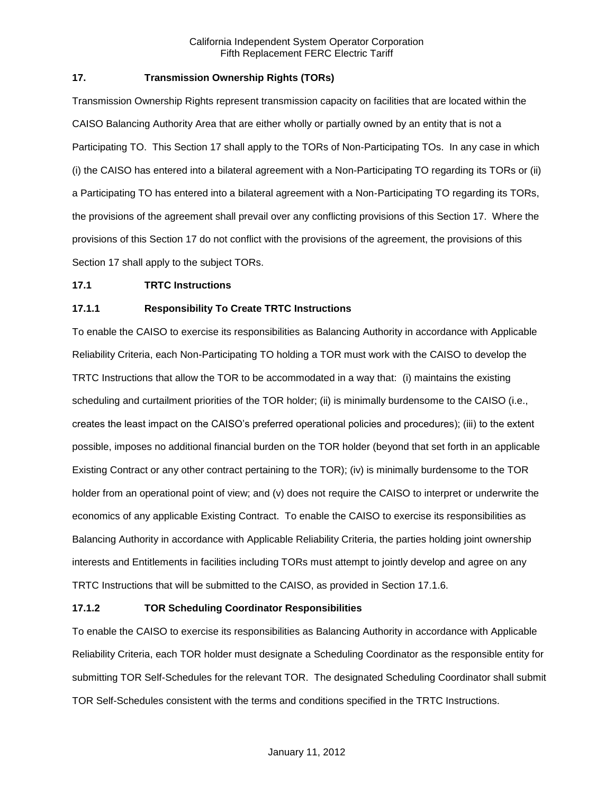# **17. Transmission Ownership Rights (TORs)**

Transmission Ownership Rights represent transmission capacity on facilities that are located within the CAISO Balancing Authority Area that are either wholly or partially owned by an entity that is not a Participating TO. This Section 17 shall apply to the TORs of Non-Participating TOs. In any case in which (i) the CAISO has entered into a bilateral agreement with a Non-Participating TO regarding its TORs or (ii) a Participating TO has entered into a bilateral agreement with a Non-Participating TO regarding its TORs, the provisions of the agreement shall prevail over any conflicting provisions of this Section 17. Where the provisions of this Section 17 do not conflict with the provisions of the agreement, the provisions of this Section 17 shall apply to the subject TORs.

## **17.1 TRTC Instructions**

# **17.1.1 Responsibility To Create TRTC Instructions**

To enable the CAISO to exercise its responsibilities as Balancing Authority in accordance with Applicable Reliability Criteria, each Non-Participating TO holding a TOR must work with the CAISO to develop the TRTC Instructions that allow the TOR to be accommodated in a way that: (i) maintains the existing scheduling and curtailment priorities of the TOR holder; (ii) is minimally burdensome to the CAISO (i.e., creates the least impact on the CAISO's preferred operational policies and procedures); (iii) to the extent possible, imposes no additional financial burden on the TOR holder (beyond that set forth in an applicable Existing Contract or any other contract pertaining to the TOR); (iv) is minimally burdensome to the TOR holder from an operational point of view; and (v) does not require the CAISO to interpret or underwrite the economics of any applicable Existing Contract. To enable the CAISO to exercise its responsibilities as Balancing Authority in accordance with Applicable Reliability Criteria, the parties holding joint ownership interests and Entitlements in facilities including TORs must attempt to jointly develop and agree on any TRTC Instructions that will be submitted to the CAISO, as provided in Section 17.1.6.

## **17.1.2 TOR Scheduling Coordinator Responsibilities**

To enable the CAISO to exercise its responsibilities as Balancing Authority in accordance with Applicable Reliability Criteria, each TOR holder must designate a Scheduling Coordinator as the responsible entity for submitting TOR Self-Schedules for the relevant TOR. The designated Scheduling Coordinator shall submit TOR Self-Schedules consistent with the terms and conditions specified in the TRTC Instructions.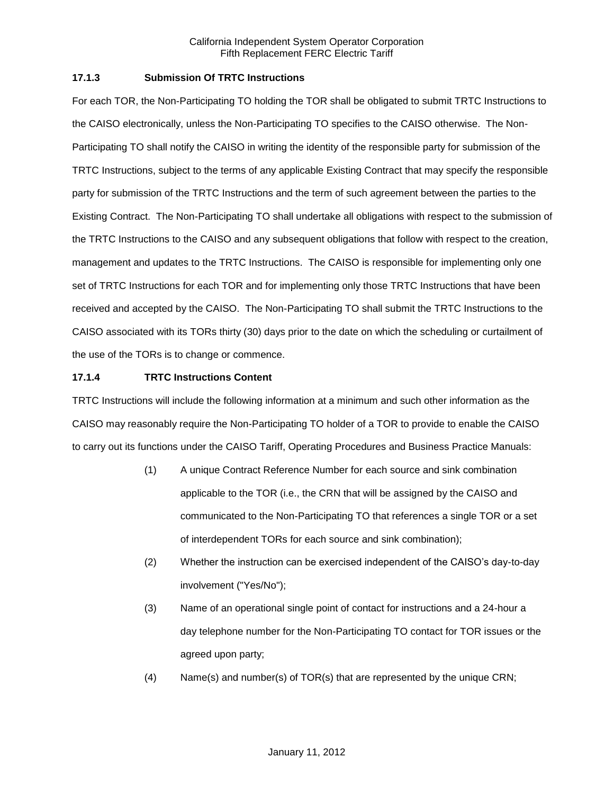# **17.1.3 Submission Of TRTC Instructions**

For each TOR, the Non-Participating TO holding the TOR shall be obligated to submit TRTC Instructions to the CAISO electronically, unless the Non-Participating TO specifies to the CAISO otherwise. The Non-Participating TO shall notify the CAISO in writing the identity of the responsible party for submission of the TRTC Instructions, subject to the terms of any applicable Existing Contract that may specify the responsible party for submission of the TRTC Instructions and the term of such agreement between the parties to the Existing Contract. The Non-Participating TO shall undertake all obligations with respect to the submission of the TRTC Instructions to the CAISO and any subsequent obligations that follow with respect to the creation, management and updates to the TRTC Instructions. The CAISO is responsible for implementing only one set of TRTC Instructions for each TOR and for implementing only those TRTC Instructions that have been received and accepted by the CAISO. The Non-Participating TO shall submit the TRTC Instructions to the CAISO associated with its TORs thirty (30) days prior to the date on which the scheduling or curtailment of the use of the TORs is to change or commence.

# **17.1.4 TRTC Instructions Content**

TRTC Instructions will include the following information at a minimum and such other information as the CAISO may reasonably require the Non-Participating TO holder of a TOR to provide to enable the CAISO to carry out its functions under the CAISO Tariff, Operating Procedures and Business Practice Manuals:

- (1) A unique Contract Reference Number for each source and sink combination applicable to the TOR (i.e., the CRN that will be assigned by the CAISO and communicated to the Non-Participating TO that references a single TOR or a set of interdependent TORs for each source and sink combination);
- (2) Whether the instruction can be exercised independent of the CAISO's day-to-day involvement ("Yes/No");
- (3) Name of an operational single point of contact for instructions and a 24-hour a day telephone number for the Non-Participating TO contact for TOR issues or the agreed upon party;
- (4) Name(s) and number(s) of TOR(s) that are represented by the unique CRN;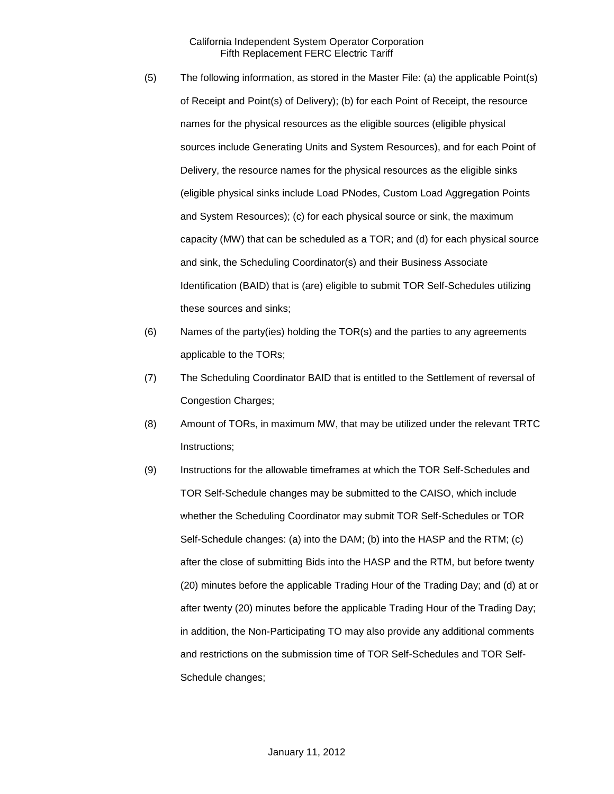- (5) The following information, as stored in the Master File: (a) the applicable Point(s) of Receipt and Point(s) of Delivery); (b) for each Point of Receipt, the resource names for the physical resources as the eligible sources (eligible physical sources include Generating Units and System Resources), and for each Point of Delivery, the resource names for the physical resources as the eligible sinks (eligible physical sinks include Load PNodes, Custom Load Aggregation Points and System Resources); (c) for each physical source or sink, the maximum capacity (MW) that can be scheduled as a TOR; and (d) for each physical source and sink, the Scheduling Coordinator(s) and their Business Associate Identification (BAID) that is (are) eligible to submit TOR Self-Schedules utilizing these sources and sinks;
- (6) Names of the party(ies) holding the TOR(s) and the parties to any agreements applicable to the TORs;
- (7) The Scheduling Coordinator BAID that is entitled to the Settlement of reversal of Congestion Charges;
- (8) Amount of TORs, in maximum MW, that may be utilized under the relevant TRTC Instructions;
- (9) Instructions for the allowable timeframes at which the TOR Self-Schedules and TOR Self-Schedule changes may be submitted to the CAISO, which include whether the Scheduling Coordinator may submit TOR Self-Schedules or TOR Self-Schedule changes: (a) into the DAM; (b) into the HASP and the RTM; (c) after the close of submitting Bids into the HASP and the RTM, but before twenty (20) minutes before the applicable Trading Hour of the Trading Day; and (d) at or after twenty (20) minutes before the applicable Trading Hour of the Trading Day; in addition, the Non-Participating TO may also provide any additional comments and restrictions on the submission time of TOR Self-Schedules and TOR Self-Schedule changes;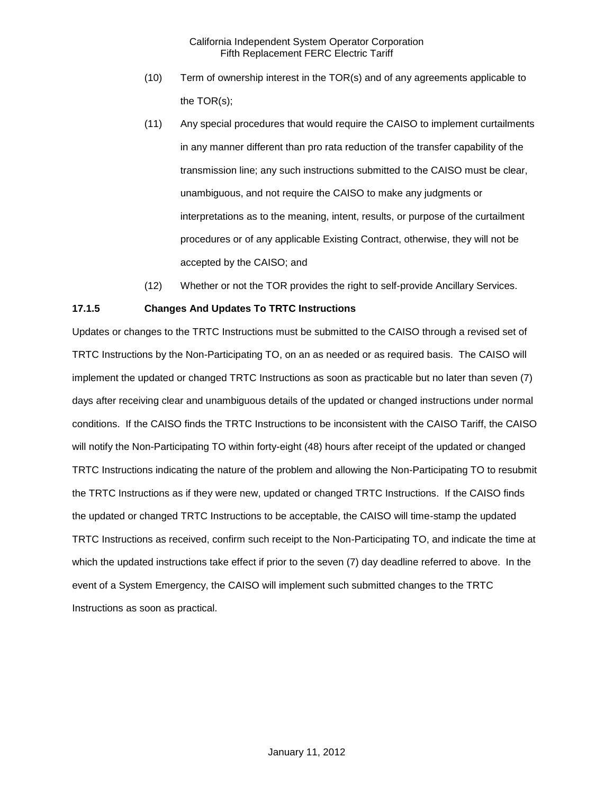- (10) Term of ownership interest in the TOR(s) and of any agreements applicable to the TOR(s);
- (11) Any special procedures that would require the CAISO to implement curtailments in any manner different than pro rata reduction of the transfer capability of the transmission line; any such instructions submitted to the CAISO must be clear, unambiguous, and not require the CAISO to make any judgments or interpretations as to the meaning, intent, results, or purpose of the curtailment procedures or of any applicable Existing Contract, otherwise, they will not be accepted by the CAISO; and
- (12) Whether or not the TOR provides the right to self-provide Ancillary Services.

# **17.1.5 Changes And Updates To TRTC Instructions**

Updates or changes to the TRTC Instructions must be submitted to the CAISO through a revised set of TRTC Instructions by the Non-Participating TO, on an as needed or as required basis. The CAISO will implement the updated or changed TRTC Instructions as soon as practicable but no later than seven (7) days after receiving clear and unambiguous details of the updated or changed instructions under normal conditions. If the CAISO finds the TRTC Instructions to be inconsistent with the CAISO Tariff, the CAISO will notify the Non-Participating TO within forty-eight (48) hours after receipt of the updated or changed TRTC Instructions indicating the nature of the problem and allowing the Non-Participating TO to resubmit the TRTC Instructions as if they were new, updated or changed TRTC Instructions. If the CAISO finds the updated or changed TRTC Instructions to be acceptable, the CAISO will time-stamp the updated TRTC Instructions as received, confirm such receipt to the Non-Participating TO, and indicate the time at which the updated instructions take effect if prior to the seven (7) day deadline referred to above. In the event of a System Emergency, the CAISO will implement such submitted changes to the TRTC Instructions as soon as practical.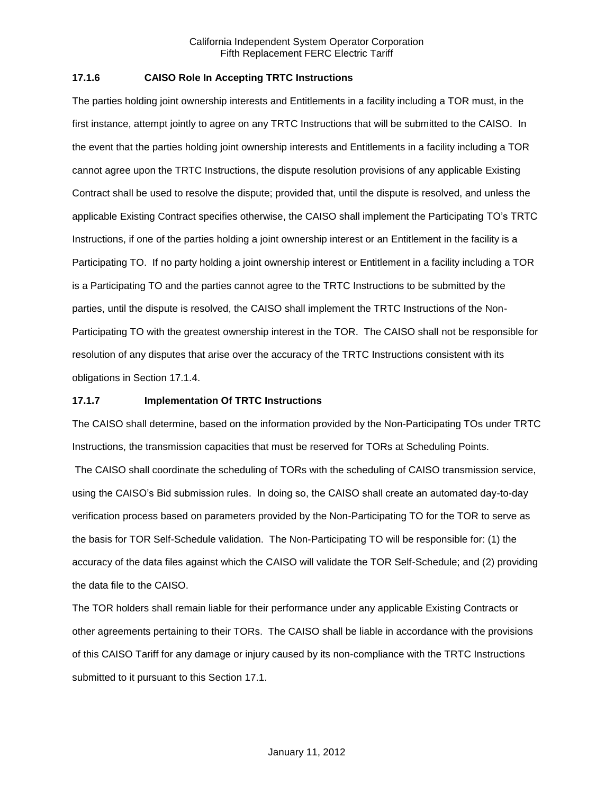# **17.1.6 CAISO Role In Accepting TRTC Instructions**

The parties holding joint ownership interests and Entitlements in a facility including a TOR must, in the first instance, attempt jointly to agree on any TRTC Instructions that will be submitted to the CAISO. In the event that the parties holding joint ownership interests and Entitlements in a facility including a TOR cannot agree upon the TRTC Instructions, the dispute resolution provisions of any applicable Existing Contract shall be used to resolve the dispute; provided that, until the dispute is resolved, and unless the applicable Existing Contract specifies otherwise, the CAISO shall implement the Participating TO's TRTC Instructions, if one of the parties holding a joint ownership interest or an Entitlement in the facility is a Participating TO. If no party holding a joint ownership interest or Entitlement in a facility including a TOR is a Participating TO and the parties cannot agree to the TRTC Instructions to be submitted by the parties, until the dispute is resolved, the CAISO shall implement the TRTC Instructions of the Non-Participating TO with the greatest ownership interest in the TOR. The CAISO shall not be responsible for resolution of any disputes that arise over the accuracy of the TRTC Instructions consistent with its obligations in Section 17.1.4.

# **17.1.7 Implementation Of TRTC Instructions**

The CAISO shall determine, based on the information provided by the Non-Participating TOs under TRTC Instructions, the transmission capacities that must be reserved for TORs at Scheduling Points.

The CAISO shall coordinate the scheduling of TORs with the scheduling of CAISO transmission service, using the CAISO's Bid submission rules. In doing so, the CAISO shall create an automated day-to-day verification process based on parameters provided by the Non-Participating TO for the TOR to serve as the basis for TOR Self-Schedule validation. The Non-Participating TO will be responsible for: (1) the accuracy of the data files against which the CAISO will validate the TOR Self-Schedule; and (2) providing the data file to the CAISO.

The TOR holders shall remain liable for their performance under any applicable Existing Contracts or other agreements pertaining to their TORs. The CAISO shall be liable in accordance with the provisions of this CAISO Tariff for any damage or injury caused by its non-compliance with the TRTC Instructions submitted to it pursuant to this Section 17.1.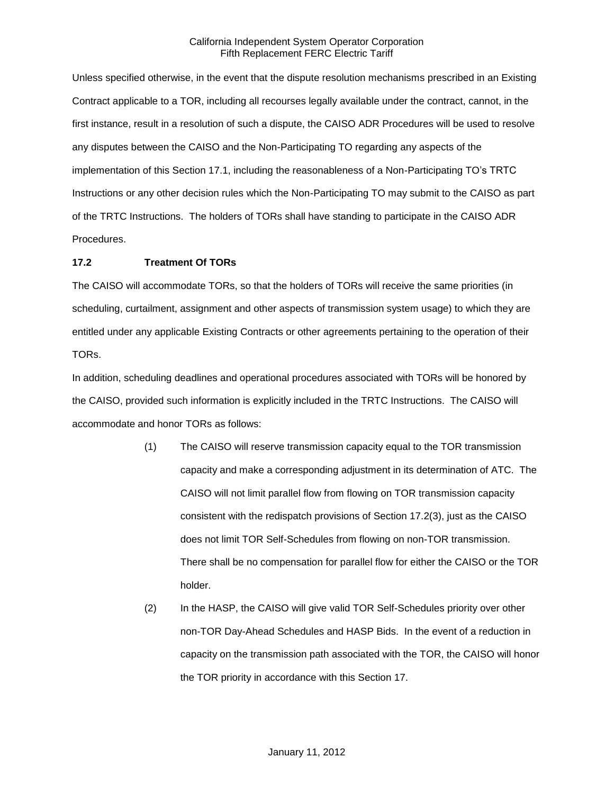Unless specified otherwise, in the event that the dispute resolution mechanisms prescribed in an Existing Contract applicable to a TOR, including all recourses legally available under the contract, cannot, in the first instance, result in a resolution of such a dispute, the CAISO ADR Procedures will be used to resolve any disputes between the CAISO and the Non-Participating TO regarding any aspects of the implementation of this Section 17.1, including the reasonableness of a Non-Participating TO's TRTC Instructions or any other decision rules which the Non-Participating TO may submit to the CAISO as part of the TRTC Instructions. The holders of TORs shall have standing to participate in the CAISO ADR Procedures.

# **17.2 Treatment Of TORs**

The CAISO will accommodate TORs, so that the holders of TORs will receive the same priorities (in scheduling, curtailment, assignment and other aspects of transmission system usage) to which they are entitled under any applicable Existing Contracts or other agreements pertaining to the operation of their TORs.

In addition, scheduling deadlines and operational procedures associated with TORs will be honored by the CAISO, provided such information is explicitly included in the TRTC Instructions. The CAISO will accommodate and honor TORs as follows:

- (1) The CAISO will reserve transmission capacity equal to the TOR transmission capacity and make a corresponding adjustment in its determination of ATC. The CAISO will not limit parallel flow from flowing on TOR transmission capacity consistent with the redispatch provisions of Section 17.2(3), just as the CAISO does not limit TOR Self-Schedules from flowing on non-TOR transmission. There shall be no compensation for parallel flow for either the CAISO or the TOR holder.
- (2) In the HASP, the CAISO will give valid TOR Self-Schedules priority over other non-TOR Day-Ahead Schedules and HASP Bids. In the event of a reduction in capacity on the transmission path associated with the TOR, the CAISO will honor the TOR priority in accordance with this Section 17.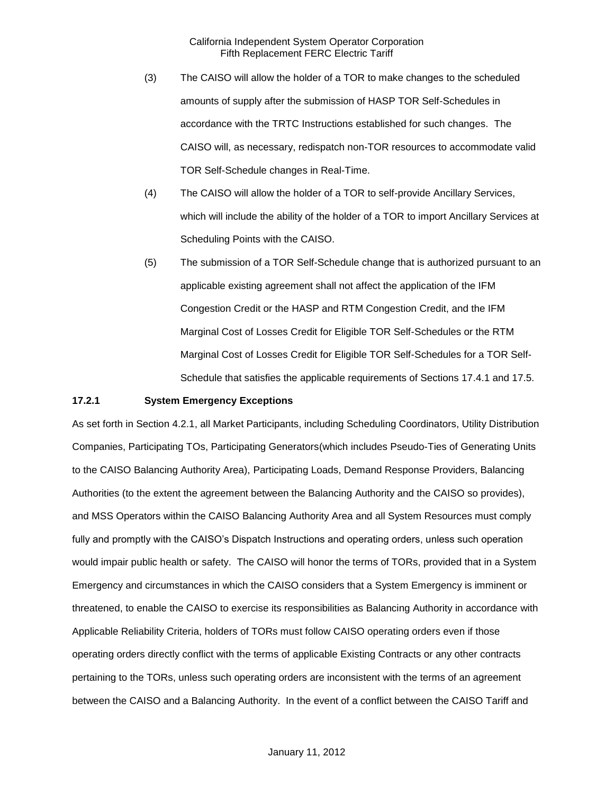- (3) The CAISO will allow the holder of a TOR to make changes to the scheduled amounts of supply after the submission of HASP TOR Self-Schedules in accordance with the TRTC Instructions established for such changes. The CAISO will, as necessary, redispatch non-TOR resources to accommodate valid TOR Self-Schedule changes in Real-Time.
- (4) The CAISO will allow the holder of a TOR to self-provide Ancillary Services, which will include the ability of the holder of a TOR to import Ancillary Services at Scheduling Points with the CAISO.
- (5) The submission of a TOR Self-Schedule change that is authorized pursuant to an applicable existing agreement shall not affect the application of the IFM Congestion Credit or the HASP and RTM Congestion Credit, and the IFM Marginal Cost of Losses Credit for Eligible TOR Self-Schedules or the RTM Marginal Cost of Losses Credit for Eligible TOR Self-Schedules for a TOR Self-Schedule that satisfies the applicable requirements of Sections 17.4.1 and 17.5.

#### **17.2.1 System Emergency Exceptions**

As set forth in Section 4.2.1, all Market Participants, including Scheduling Coordinators, Utility Distribution Companies, Participating TOs, Participating Generators(which includes Pseudo-Ties of Generating Units to the CAISO Balancing Authority Area), Participating Loads, Demand Response Providers, Balancing Authorities (to the extent the agreement between the Balancing Authority and the CAISO so provides), and MSS Operators within the CAISO Balancing Authority Area and all System Resources must comply fully and promptly with the CAISO's Dispatch Instructions and operating orders, unless such operation would impair public health or safety. The CAISO will honor the terms of TORs, provided that in a System Emergency and circumstances in which the CAISO considers that a System Emergency is imminent or threatened, to enable the CAISO to exercise its responsibilities as Balancing Authority in accordance with Applicable Reliability Criteria, holders of TORs must follow CAISO operating orders even if those operating orders directly conflict with the terms of applicable Existing Contracts or any other contracts pertaining to the TORs, unless such operating orders are inconsistent with the terms of an agreement between the CAISO and a Balancing Authority. In the event of a conflict between the CAISO Tariff and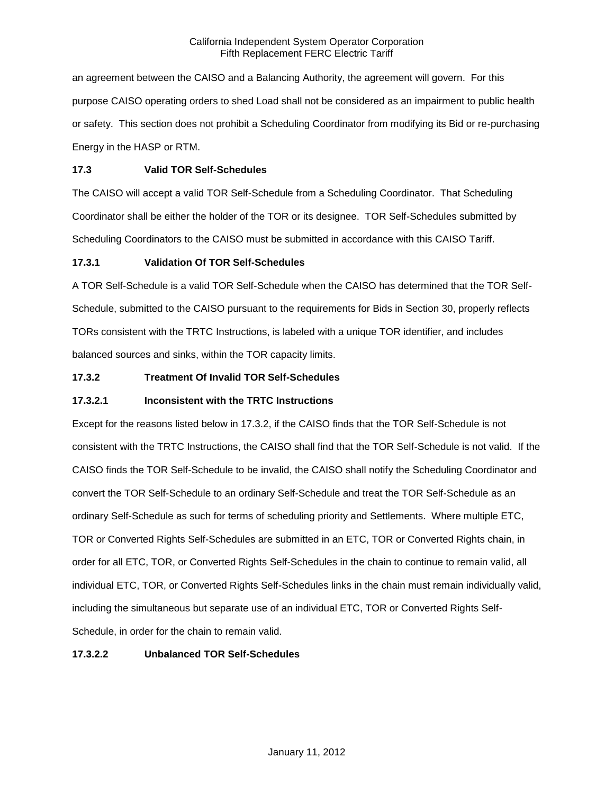an agreement between the CAISO and a Balancing Authority, the agreement will govern. For this purpose CAISO operating orders to shed Load shall not be considered as an impairment to public health or safety. This section does not prohibit a Scheduling Coordinator from modifying its Bid or re-purchasing Energy in the HASP or RTM.

# **17.3 Valid TOR Self-Schedules**

The CAISO will accept a valid TOR Self-Schedule from a Scheduling Coordinator. That Scheduling Coordinator shall be either the holder of the TOR or its designee. TOR Self-Schedules submitted by Scheduling Coordinators to the CAISO must be submitted in accordance with this CAISO Tariff.

# **17.3.1 Validation Of TOR Self-Schedules**

A TOR Self-Schedule is a valid TOR Self-Schedule when the CAISO has determined that the TOR Self-Schedule, submitted to the CAISO pursuant to the requirements for Bids in Section 30, properly reflects TORs consistent with the TRTC Instructions, is labeled with a unique TOR identifier, and includes balanced sources and sinks, within the TOR capacity limits.

# **17.3.2 Treatment Of Invalid TOR Self-Schedules**

# **17.3.2.1 Inconsistent with the TRTC Instructions**

Except for the reasons listed below in 17.3.2, if the CAISO finds that the TOR Self-Schedule is not consistent with the TRTC Instructions, the CAISO shall find that the TOR Self-Schedule is not valid. If the CAISO finds the TOR Self-Schedule to be invalid, the CAISO shall notify the Scheduling Coordinator and convert the TOR Self-Schedule to an ordinary Self-Schedule and treat the TOR Self-Schedule as an ordinary Self-Schedule as such for terms of scheduling priority and Settlements. Where multiple ETC, TOR or Converted Rights Self-Schedules are submitted in an ETC, TOR or Converted Rights chain, in order for all ETC, TOR, or Converted Rights Self-Schedules in the chain to continue to remain valid, all individual ETC, TOR, or Converted Rights Self-Schedules links in the chain must remain individually valid, including the simultaneous but separate use of an individual ETC, TOR or Converted Rights Self-Schedule, in order for the chain to remain valid.

# **17.3.2.2 Unbalanced TOR Self-Schedules**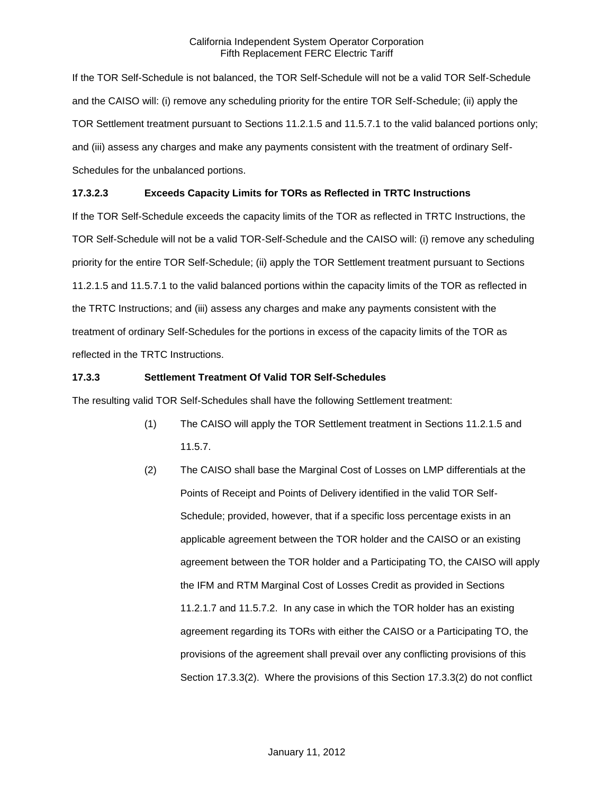If the TOR Self-Schedule is not balanced, the TOR Self-Schedule will not be a valid TOR Self-Schedule and the CAISO will: (i) remove any scheduling priority for the entire TOR Self-Schedule; (ii) apply the TOR Settlement treatment pursuant to Sections 11.2.1.5 and 11.5.7.1 to the valid balanced portions only; and (iii) assess any charges and make any payments consistent with the treatment of ordinary Self-Schedules for the unbalanced portions.

# **17.3.2.3 Exceeds Capacity Limits for TORs as Reflected in TRTC Instructions**

If the TOR Self-Schedule exceeds the capacity limits of the TOR as reflected in TRTC Instructions, the TOR Self-Schedule will not be a valid TOR-Self-Schedule and the CAISO will: (i) remove any scheduling priority for the entire TOR Self-Schedule; (ii) apply the TOR Settlement treatment pursuant to Sections 11.2.1.5 and 11.5.7.1 to the valid balanced portions within the capacity limits of the TOR as reflected in the TRTC Instructions; and (iii) assess any charges and make any payments consistent with the treatment of ordinary Self-Schedules for the portions in excess of the capacity limits of the TOR as reflected in the TRTC Instructions.

## **17.3.3 Settlement Treatment Of Valid TOR Self-Schedules**

The resulting valid TOR Self-Schedules shall have the following Settlement treatment:

- (1) The CAISO will apply the TOR Settlement treatment in Sections 11.2.1.5 and 11.5.7.
- (2) The CAISO shall base the Marginal Cost of Losses on LMP differentials at the Points of Receipt and Points of Delivery identified in the valid TOR Self-Schedule; provided, however, that if a specific loss percentage exists in an applicable agreement between the TOR holder and the CAISO or an existing agreement between the TOR holder and a Participating TO, the CAISO will apply the IFM and RTM Marginal Cost of Losses Credit as provided in Sections 11.2.1.7 and 11.5.7.2. In any case in which the TOR holder has an existing agreement regarding its TORs with either the CAISO or a Participating TO, the provisions of the agreement shall prevail over any conflicting provisions of this Section 17.3.3(2). Where the provisions of this Section 17.3.3(2) do not conflict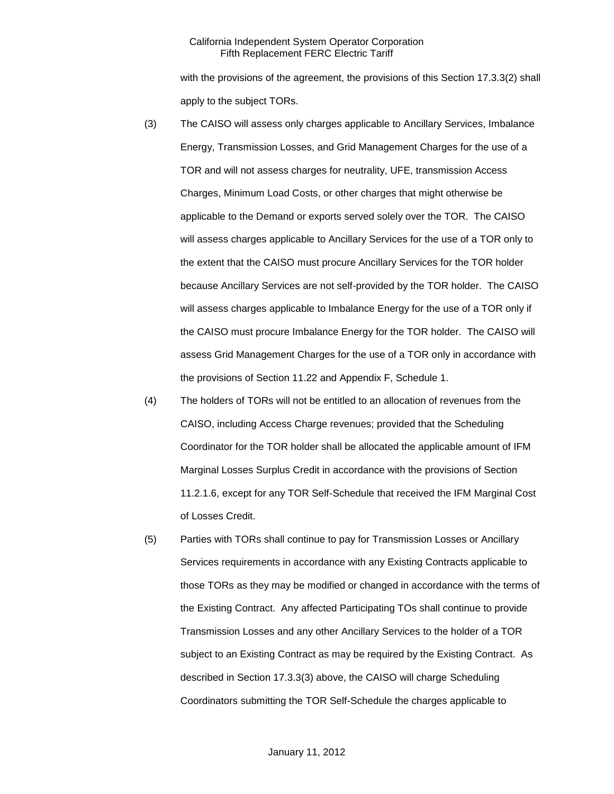with the provisions of the agreement, the provisions of this Section 17.3.3(2) shall apply to the subject TORs.

- (3) The CAISO will assess only charges applicable to Ancillary Services, Imbalance Energy, Transmission Losses, and Grid Management Charges for the use of a TOR and will not assess charges for neutrality, UFE, transmission Access Charges, Minimum Load Costs, or other charges that might otherwise be applicable to the Demand or exports served solely over the TOR. The CAISO will assess charges applicable to Ancillary Services for the use of a TOR only to the extent that the CAISO must procure Ancillary Services for the TOR holder because Ancillary Services are not self-provided by the TOR holder. The CAISO will assess charges applicable to Imbalance Energy for the use of a TOR only if the CAISO must procure Imbalance Energy for the TOR holder. The CAISO will assess Grid Management Charges for the use of a TOR only in accordance with the provisions of Section 11.22 and Appendix F, Schedule 1.
- (4) The holders of TORs will not be entitled to an allocation of revenues from the CAISO, including Access Charge revenues; provided that the Scheduling Coordinator for the TOR holder shall be allocated the applicable amount of IFM Marginal Losses Surplus Credit in accordance with the provisions of Section 11.2.1.6, except for any TOR Self-Schedule that received the IFM Marginal Cost of Losses Credit.
- (5) Parties with TORs shall continue to pay for Transmission Losses or Ancillary Services requirements in accordance with any Existing Contracts applicable to those TORs as they may be modified or changed in accordance with the terms of the Existing Contract. Any affected Participating TOs shall continue to provide Transmission Losses and any other Ancillary Services to the holder of a TOR subject to an Existing Contract as may be required by the Existing Contract. As described in Section 17.3.3(3) above, the CAISO will charge Scheduling Coordinators submitting the TOR Self-Schedule the charges applicable to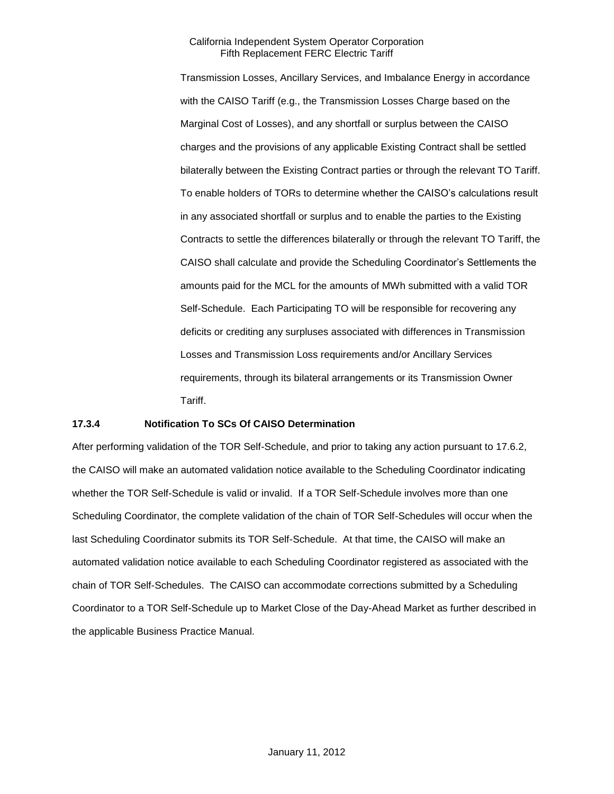Transmission Losses, Ancillary Services, and Imbalance Energy in accordance with the CAISO Tariff (e.g., the Transmission Losses Charge based on the Marginal Cost of Losses), and any shortfall or surplus between the CAISO charges and the provisions of any applicable Existing Contract shall be settled bilaterally between the Existing Contract parties or through the relevant TO Tariff. To enable holders of TORs to determine whether the CAISO's calculations result in any associated shortfall or surplus and to enable the parties to the Existing Contracts to settle the differences bilaterally or through the relevant TO Tariff, the CAISO shall calculate and provide the Scheduling Coordinator's Settlements the amounts paid for the MCL for the amounts of MWh submitted with a valid TOR Self-Schedule. Each Participating TO will be responsible for recovering any deficits or crediting any surpluses associated with differences in Transmission Losses and Transmission Loss requirements and/or Ancillary Services requirements, through its bilateral arrangements or its Transmission Owner Tariff.

## **17.3.4 Notification To SCs Of CAISO Determination**

After performing validation of the TOR Self-Schedule, and prior to taking any action pursuant to 17.6.2, the CAISO will make an automated validation notice available to the Scheduling Coordinator indicating whether the TOR Self-Schedule is valid or invalid. If a TOR Self-Schedule involves more than one Scheduling Coordinator, the complete validation of the chain of TOR Self-Schedules will occur when the last Scheduling Coordinator submits its TOR Self-Schedule. At that time, the CAISO will make an automated validation notice available to each Scheduling Coordinator registered as associated with the chain of TOR Self-Schedules. The CAISO can accommodate corrections submitted by a Scheduling Coordinator to a TOR Self-Schedule up to Market Close of the Day-Ahead Market as further described in the applicable Business Practice Manual.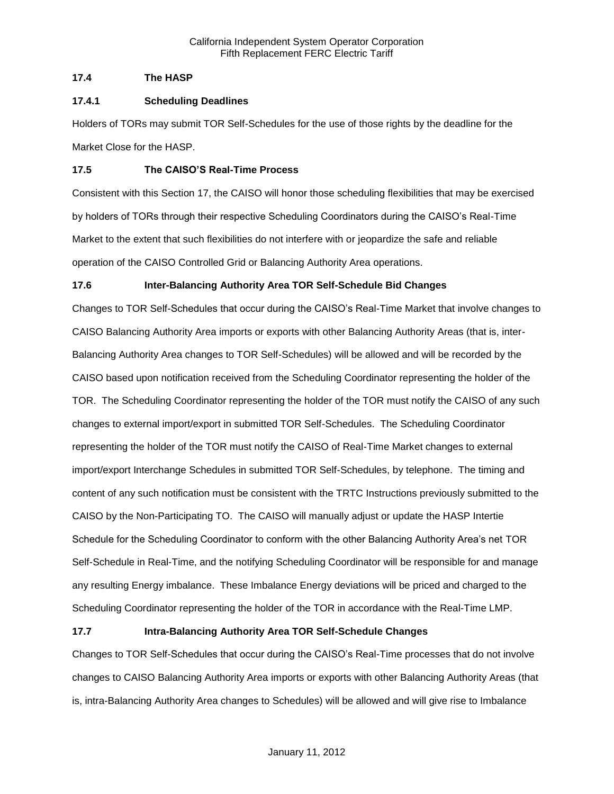# **17.4 The HASP**

# **17.4.1 Scheduling Deadlines**

Holders of TORs may submit TOR Self-Schedules for the use of those rights by the deadline for the Market Close for the HASP.

# **17.5 The CAISO'S Real-Time Process**

Consistent with this Section 17, the CAISO will honor those scheduling flexibilities that may be exercised by holders of TORs through their respective Scheduling Coordinators during the CAISO's Real-Time Market to the extent that such flexibilities do not interfere with or jeopardize the safe and reliable operation of the CAISO Controlled Grid or Balancing Authority Area operations.

# **17.6 Inter-Balancing Authority Area TOR Self-Schedule Bid Changes**

Changes to TOR Self-Schedules that occur during the CAISO's Real-Time Market that involve changes to CAISO Balancing Authority Area imports or exports with other Balancing Authority Areas (that is, inter-Balancing Authority Area changes to TOR Self-Schedules) will be allowed and will be recorded by the CAISO based upon notification received from the Scheduling Coordinator representing the holder of the TOR. The Scheduling Coordinator representing the holder of the TOR must notify the CAISO of any such changes to external import/export in submitted TOR Self-Schedules. The Scheduling Coordinator representing the holder of the TOR must notify the CAISO of Real-Time Market changes to external import/export Interchange Schedules in submitted TOR Self-Schedules, by telephone. The timing and content of any such notification must be consistent with the TRTC Instructions previously submitted to the CAISO by the Non-Participating TO. The CAISO will manually adjust or update the HASP Intertie Schedule for the Scheduling Coordinator to conform with the other Balancing Authority Area's net TOR Self-Schedule in Real-Time, and the notifying Scheduling Coordinator will be responsible for and manage any resulting Energy imbalance. These Imbalance Energy deviations will be priced and charged to the Scheduling Coordinator representing the holder of the TOR in accordance with the Real-Time LMP.

# **17.7 Intra-Balancing Authority Area TOR Self-Schedule Changes**

Changes to TOR Self-Schedules that occur during the CAISO's Real-Time processes that do not involve changes to CAISO Balancing Authority Area imports or exports with other Balancing Authority Areas (that is, intra-Balancing Authority Area changes to Schedules) will be allowed and will give rise to Imbalance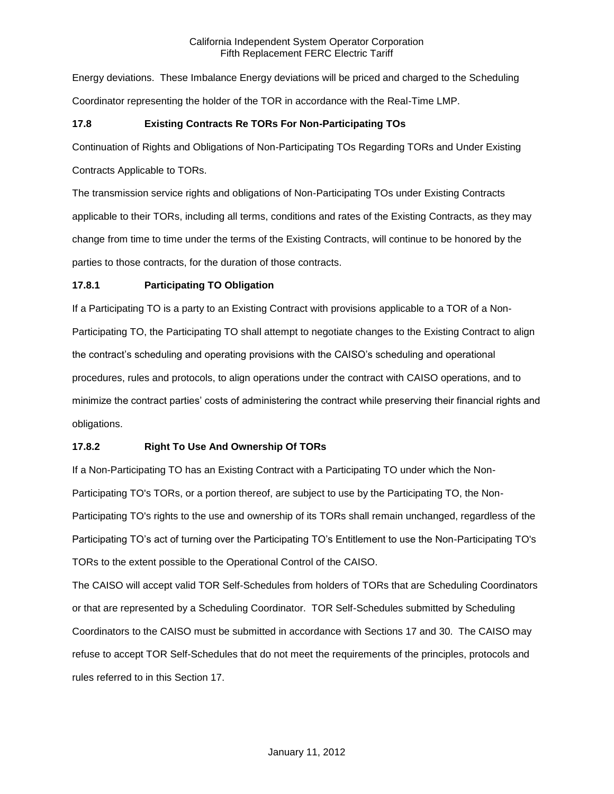Energy deviations. These Imbalance Energy deviations will be priced and charged to the Scheduling Coordinator representing the holder of the TOR in accordance with the Real-Time LMP.

# **17.8 Existing Contracts Re TORs For Non-Participating TOs**

Continuation of Rights and Obligations of Non-Participating TOs Regarding TORs and Under Existing

Contracts Applicable to TORs.

The transmission service rights and obligations of Non-Participating TOs under Existing Contracts applicable to their TORs, including all terms, conditions and rates of the Existing Contracts, as they may change from time to time under the terms of the Existing Contracts, will continue to be honored by the parties to those contracts, for the duration of those contracts.

# **17.8.1 Participating TO Obligation**

If a Participating TO is a party to an Existing Contract with provisions applicable to a TOR of a Non-Participating TO, the Participating TO shall attempt to negotiate changes to the Existing Contract to align the contract's scheduling and operating provisions with the CAISO's scheduling and operational procedures, rules and protocols, to align operations under the contract with CAISO operations, and to minimize the contract parties' costs of administering the contract while preserving their financial rights and obligations.

# **17.8.2 Right To Use And Ownership Of TORs**

If a Non-Participating TO has an Existing Contract with a Participating TO under which the Non-Participating TO's TORs, or a portion thereof, are subject to use by the Participating TO, the Non-Participating TO's rights to the use and ownership of its TORs shall remain unchanged, regardless of the Participating TO's act of turning over the Participating TO's Entitlement to use the Non-Participating TO's TORs to the extent possible to the Operational Control of the CAISO.

The CAISO will accept valid TOR Self-Schedules from holders of TORs that are Scheduling Coordinators or that are represented by a Scheduling Coordinator. TOR Self-Schedules submitted by Scheduling Coordinators to the CAISO must be submitted in accordance with Sections 17 and 30. The CAISO may refuse to accept TOR Self-Schedules that do not meet the requirements of the principles, protocols and rules referred to in this Section 17.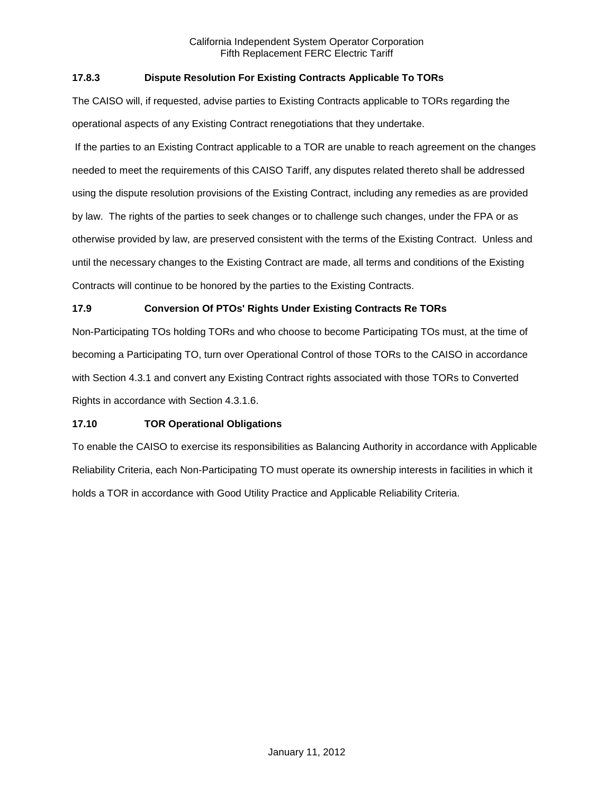# **17.8.3 Dispute Resolution For Existing Contracts Applicable To TORs**

The CAISO will, if requested, advise parties to Existing Contracts applicable to TORs regarding the operational aspects of any Existing Contract renegotiations that they undertake.

If the parties to an Existing Contract applicable to a TOR are unable to reach agreement on the changes needed to meet the requirements of this CAISO Tariff, any disputes related thereto shall be addressed using the dispute resolution provisions of the Existing Contract, including any remedies as are provided by law. The rights of the parties to seek changes or to challenge such changes, under the FPA or as otherwise provided by law, are preserved consistent with the terms of the Existing Contract. Unless and until the necessary changes to the Existing Contract are made, all terms and conditions of the Existing Contracts will continue to be honored by the parties to the Existing Contracts.

# **17.9 Conversion Of PTOs' Rights Under Existing Contracts Re TORs**

Non-Participating TOs holding TORs and who choose to become Participating TOs must, at the time of becoming a Participating TO, turn over Operational Control of those TORs to the CAISO in accordance with Section 4.3.1 and convert any Existing Contract rights associated with those TORs to Converted Rights in accordance with Section 4.3.1.6.

### **17.10 TOR Operational Obligations**

To enable the CAISO to exercise its responsibilities as Balancing Authority in accordance with Applicable Reliability Criteria, each Non-Participating TO must operate its ownership interests in facilities in which it holds a TOR in accordance with Good Utility Practice and Applicable Reliability Criteria.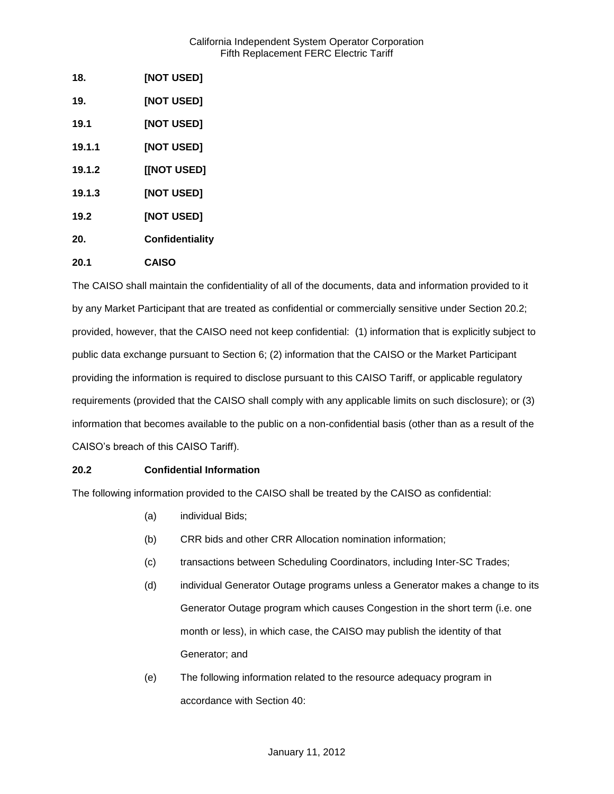| 18.    | [NOT USED]        |
|--------|-------------------|
| 19.    | <b>[NOT USED]</b> |
| 19.1   | [NOT USED]        |
| 19.1.1 | <b>[NOT USED]</b> |
| 19.1.2 | [[NOT USED]       |
| 19.1.3 | <b>[NOT USED]</b> |
| 19.2   | [NOT USED]        |
| 20.    | Confidentiality   |
| 20.1   | <b>CAISO</b>      |

The CAISO shall maintain the confidentiality of all of the documents, data and information provided to it by any Market Participant that are treated as confidential or commercially sensitive under Section 20.2; provided, however, that the CAISO need not keep confidential: (1) information that is explicitly subject to public data exchange pursuant to Section 6; (2) information that the CAISO or the Market Participant providing the information is required to disclose pursuant to this CAISO Tariff, or applicable regulatory requirements (provided that the CAISO shall comply with any applicable limits on such disclosure); or (3) information that becomes available to the public on a non-confidential basis (other than as a result of the CAISO's breach of this CAISO Tariff).

# **20.2 Confidential Information**

The following information provided to the CAISO shall be treated by the CAISO as confidential:

- (a) individual Bids;
- (b) CRR bids and other CRR Allocation nomination information;
- (c) transactions between Scheduling Coordinators, including Inter-SC Trades;
- (d) individual Generator Outage programs unless a Generator makes a change to its Generator Outage program which causes Congestion in the short term (i.e. one month or less), in which case, the CAISO may publish the identity of that Generator; and
- (e) The following information related to the resource adequacy program in accordance with Section 40: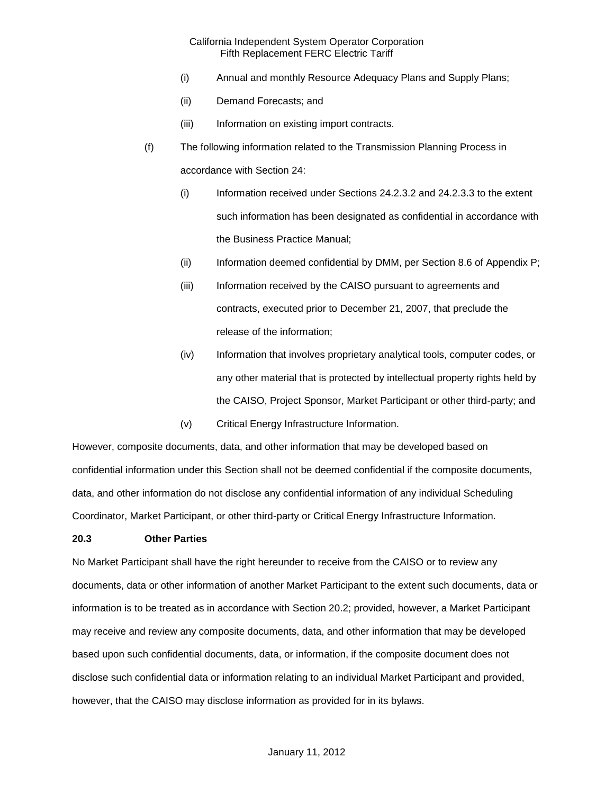- (i) Annual and monthly Resource Adequacy Plans and Supply Plans;
- (ii) Demand Forecasts; and
- (iii) Information on existing import contracts.
- (f) The following information related to the Transmission Planning Process in accordance with Section 24:
	- (i) Information received under Sections 24.2.3.2 and 24.2.3.3 to the extent such information has been designated as confidential in accordance with the Business Practice Manual;
	- (ii) Information deemed confidential by DMM, per Section 8.6 of Appendix P;
	- (iii) Information received by the CAISO pursuant to agreements and contracts, executed prior to December 21, 2007, that preclude the release of the information;
	- (iv) Information that involves proprietary analytical tools, computer codes, or any other material that is protected by intellectual property rights held by the CAISO, Project Sponsor, Market Participant or other third-party; and
	- (v) Critical Energy Infrastructure Information.

However, composite documents, data, and other information that may be developed based on confidential information under this Section shall not be deemed confidential if the composite documents, data, and other information do not disclose any confidential information of any individual Scheduling Coordinator, Market Participant, or other third-party or Critical Energy Infrastructure Information.

### **20.3 Other Parties**

No Market Participant shall have the right hereunder to receive from the CAISO or to review any documents, data or other information of another Market Participant to the extent such documents, data or information is to be treated as in accordance with Section 20.2; provided, however, a Market Participant may receive and review any composite documents, data, and other information that may be developed based upon such confidential documents, data, or information, if the composite document does not disclose such confidential data or information relating to an individual Market Participant and provided, however, that the CAISO may disclose information as provided for in its bylaws.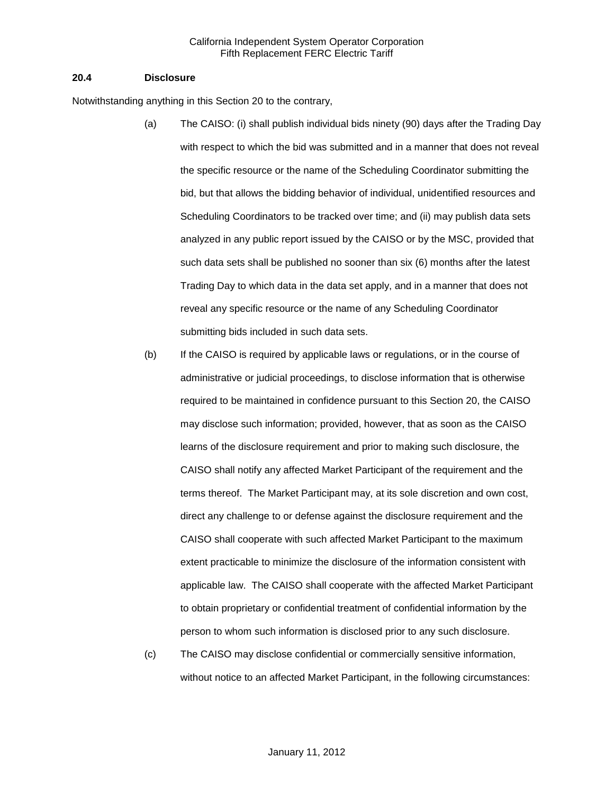#### **20.4 Disclosure**

Notwithstanding anything in this Section 20 to the contrary,

- (a) The CAISO: (i) shall publish individual bids ninety (90) days after the Trading Day with respect to which the bid was submitted and in a manner that does not reveal the specific resource or the name of the Scheduling Coordinator submitting the bid, but that allows the bidding behavior of individual, unidentified resources and Scheduling Coordinators to be tracked over time; and (ii) may publish data sets analyzed in any public report issued by the CAISO or by the MSC, provided that such data sets shall be published no sooner than six (6) months after the latest Trading Day to which data in the data set apply, and in a manner that does not reveal any specific resource or the name of any Scheduling Coordinator submitting bids included in such data sets.
- (b) If the CAISO is required by applicable laws or regulations, or in the course of administrative or judicial proceedings, to disclose information that is otherwise required to be maintained in confidence pursuant to this Section 20, the CAISO may disclose such information; provided, however, that as soon as the CAISO learns of the disclosure requirement and prior to making such disclosure, the CAISO shall notify any affected Market Participant of the requirement and the terms thereof. The Market Participant may, at its sole discretion and own cost, direct any challenge to or defense against the disclosure requirement and the CAISO shall cooperate with such affected Market Participant to the maximum extent practicable to minimize the disclosure of the information consistent with applicable law. The CAISO shall cooperate with the affected Market Participant to obtain proprietary or confidential treatment of confidential information by the person to whom such information is disclosed prior to any such disclosure.
- (c) The CAISO may disclose confidential or commercially sensitive information, without notice to an affected Market Participant, in the following circumstances: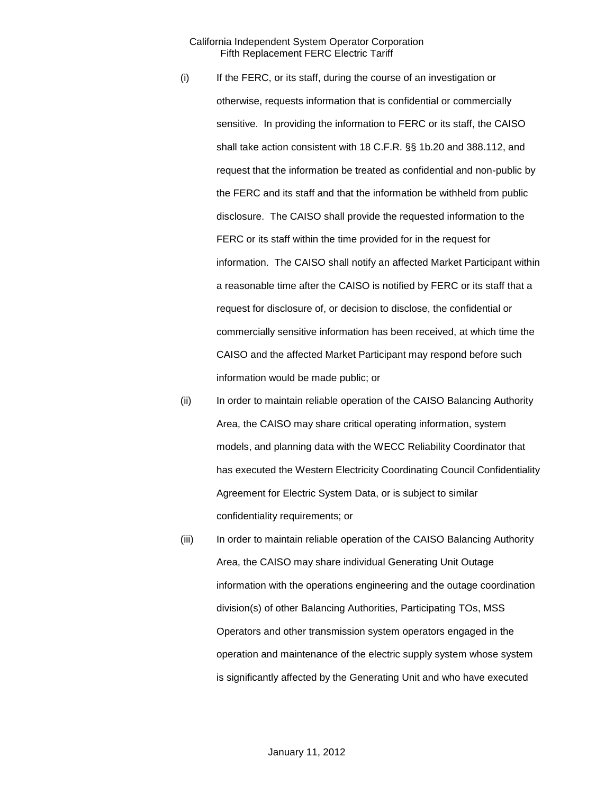- (i) If the FERC, or its staff, during the course of an investigation or otherwise, requests information that is confidential or commercially sensitive. In providing the information to FERC or its staff, the CAISO shall take action consistent with 18 C.F.R. §§ 1b.20 and 388.112, and request that the information be treated as confidential and non-public by the FERC and its staff and that the information be withheld from public disclosure. The CAISO shall provide the requested information to the FERC or its staff within the time provided for in the request for information. The CAISO shall notify an affected Market Participant within a reasonable time after the CAISO is notified by FERC or its staff that a request for disclosure of, or decision to disclose, the confidential or commercially sensitive information has been received, at which time the CAISO and the affected Market Participant may respond before such information would be made public; or
- (ii) In order to maintain reliable operation of the CAISO Balancing Authority Area, the CAISO may share critical operating information, system models, and planning data with the WECC Reliability Coordinator that has executed the Western Electricity Coordinating Council Confidentiality Agreement for Electric System Data, or is subject to similar confidentiality requirements; or
- (iii) In order to maintain reliable operation of the CAISO Balancing Authority Area, the CAISO may share individual Generating Unit Outage information with the operations engineering and the outage coordination division(s) of other Balancing Authorities, Participating TOs, MSS Operators and other transmission system operators engaged in the operation and maintenance of the electric supply system whose system is significantly affected by the Generating Unit and who have executed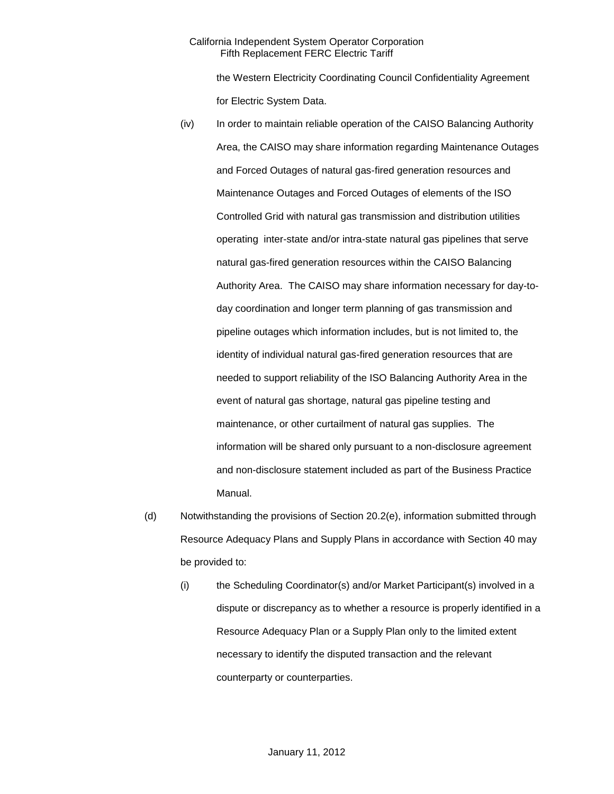the Western Electricity Coordinating Council Confidentiality Agreement for Electric System Data.

- (iv) In order to maintain reliable operation of the CAISO Balancing Authority Area, the CAISO may share information regarding Maintenance Outages and Forced Outages of natural gas-fired generation resources and Maintenance Outages and Forced Outages of elements of the ISO Controlled Grid with natural gas transmission and distribution utilities operating inter-state and/or intra-state natural gas pipelines that serve natural gas-fired generation resources within the CAISO Balancing Authority Area. The CAISO may share information necessary for day-today coordination and longer term planning of gas transmission and pipeline outages which information includes, but is not limited to, the identity of individual natural gas-fired generation resources that are needed to support reliability of the ISO Balancing Authority Area in the event of natural gas shortage, natural gas pipeline testing and maintenance, or other curtailment of natural gas supplies. The information will be shared only pursuant to a non-disclosure agreement and non-disclosure statement included as part of the Business Practice Manual.
- (d) Notwithstanding the provisions of Section 20.2(e), information submitted through Resource Adequacy Plans and Supply Plans in accordance with Section 40 may be provided to:
	- (i) the Scheduling Coordinator(s) and/or Market Participant(s) involved in a dispute or discrepancy as to whether a resource is properly identified in a Resource Adequacy Plan or a Supply Plan only to the limited extent necessary to identify the disputed transaction and the relevant counterparty or counterparties.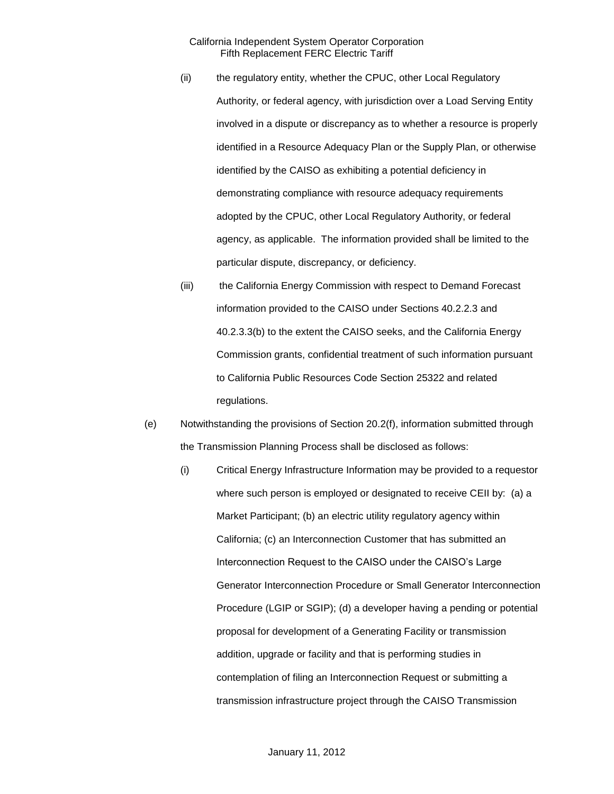- (ii) the regulatory entity, whether the CPUC, other Local Regulatory Authority, or federal agency, with jurisdiction over a Load Serving Entity involved in a dispute or discrepancy as to whether a resource is properly identified in a Resource Adequacy Plan or the Supply Plan, or otherwise identified by the CAISO as exhibiting a potential deficiency in demonstrating compliance with resource adequacy requirements adopted by the CPUC, other Local Regulatory Authority, or federal agency, as applicable. The information provided shall be limited to the particular dispute, discrepancy, or deficiency.
- (iii) the California Energy Commission with respect to Demand Forecast information provided to the CAISO under Sections 40.2.2.3 and 40.2.3.3(b) to the extent the CAISO seeks, and the California Energy Commission grants, confidential treatment of such information pursuant to California Public Resources Code Section 25322 and related regulations.
- (e) Notwithstanding the provisions of Section 20.2(f), information submitted through the Transmission Planning Process shall be disclosed as follows:
	- (i) Critical Energy Infrastructure Information may be provided to a requestor where such person is employed or designated to receive CEII by: (a) a Market Participant; (b) an electric utility regulatory agency within California; (c) an Interconnection Customer that has submitted an Interconnection Request to the CAISO under the CAISO's Large Generator Interconnection Procedure or Small Generator Interconnection Procedure (LGIP or SGIP); (d) a developer having a pending or potential proposal for development of a Generating Facility or transmission addition, upgrade or facility and that is performing studies in contemplation of filing an Interconnection Request or submitting a transmission infrastructure project through the CAISO Transmission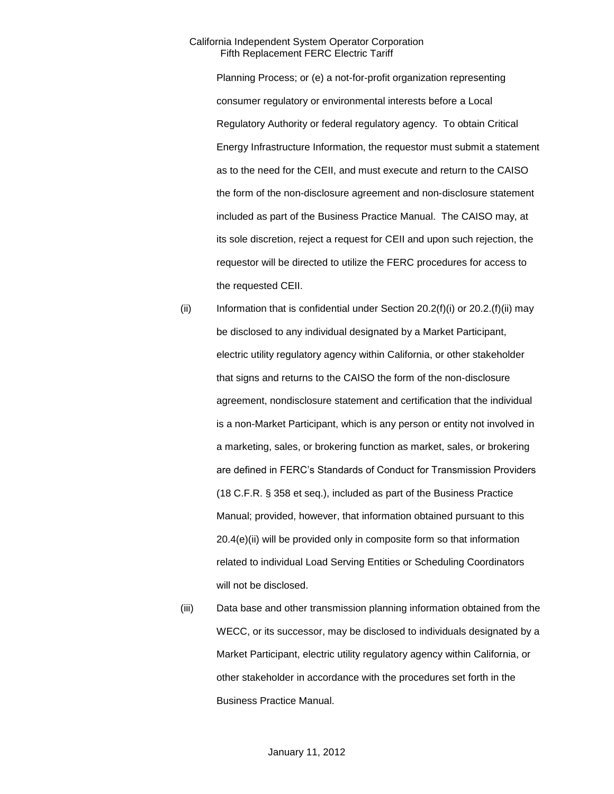Planning Process; or (e) a not-for-profit organization representing consumer regulatory or environmental interests before a Local Regulatory Authority or federal regulatory agency. To obtain Critical Energy Infrastructure Information, the requestor must submit a statement as to the need for the CEII, and must execute and return to the CAISO the form of the non-disclosure agreement and non-disclosure statement included as part of the Business Practice Manual. The CAISO may, at its sole discretion, reject a request for CEII and upon such rejection, the requestor will be directed to utilize the FERC procedures for access to the requested CEII.

- (ii) Information that is confidential under Section  $20.2(f)(i)$  or  $20.2(f)(ii)$  may be disclosed to any individual designated by a Market Participant, electric utility regulatory agency within California, or other stakeholder that signs and returns to the CAISO the form of the non-disclosure agreement, nondisclosure statement and certification that the individual is a non-Market Participant, which is any person or entity not involved in a marketing, sales, or brokering function as market, sales, or brokering are defined in FERC's Standards of Conduct for Transmission Providers (18 C.F.R. § 358 et seq.), included as part of the Business Practice Manual; provided, however, that information obtained pursuant to this 20.4(e)(ii) will be provided only in composite form so that information related to individual Load Serving Entities or Scheduling Coordinators will not be disclosed.
- (iii) Data base and other transmission planning information obtained from the WECC, or its successor, may be disclosed to individuals designated by a Market Participant, electric utility regulatory agency within California, or other stakeholder in accordance with the procedures set forth in the Business Practice Manual.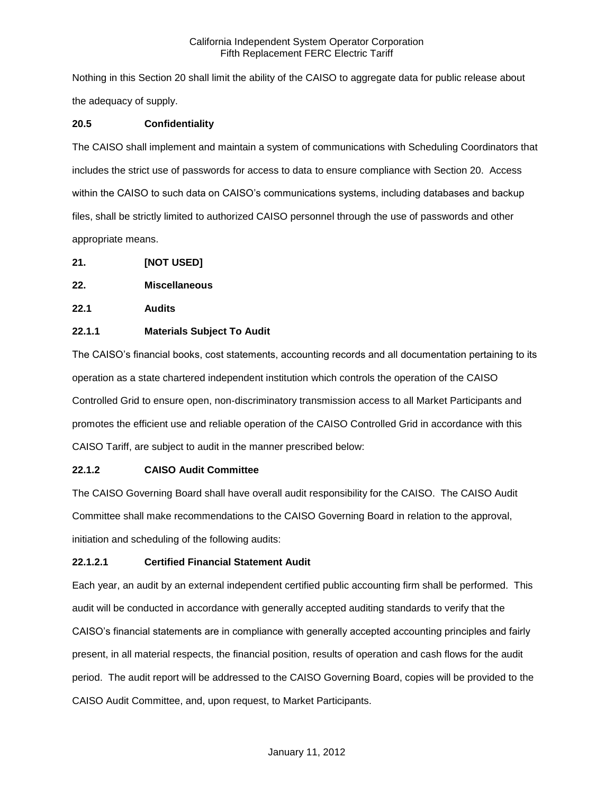Nothing in this Section 20 shall limit the ability of the CAISO to aggregate data for public release about the adequacy of supply.

# **20.5 Confidentiality**

The CAISO shall implement and maintain a system of communications with Scheduling Coordinators that includes the strict use of passwords for access to data to ensure compliance with Section 20. Access within the CAISO to such data on CAISO's communications systems, including databases and backup files, shall be strictly limited to authorized CAISO personnel through the use of passwords and other appropriate means.

- **21. [NOT USED]**
- **22. Miscellaneous**
- **22.1 Audits**

# **22.1.1 Materials Subject To Audit**

The CAISO's financial books, cost statements, accounting records and all documentation pertaining to its operation as a state chartered independent institution which controls the operation of the CAISO Controlled Grid to ensure open, non-discriminatory transmission access to all Market Participants and promotes the efficient use and reliable operation of the CAISO Controlled Grid in accordance with this CAISO Tariff, are subject to audit in the manner prescribed below:

# **22.1.2 CAISO Audit Committee**

The CAISO Governing Board shall have overall audit responsibility for the CAISO. The CAISO Audit Committee shall make recommendations to the CAISO Governing Board in relation to the approval, initiation and scheduling of the following audits:

# **22.1.2.1 Certified Financial Statement Audit**

Each year, an audit by an external independent certified public accounting firm shall be performed. This audit will be conducted in accordance with generally accepted auditing standards to verify that the CAISO's financial statements are in compliance with generally accepted accounting principles and fairly present, in all material respects, the financial position, results of operation and cash flows for the audit period. The audit report will be addressed to the CAISO Governing Board, copies will be provided to the CAISO Audit Committee, and, upon request, to Market Participants.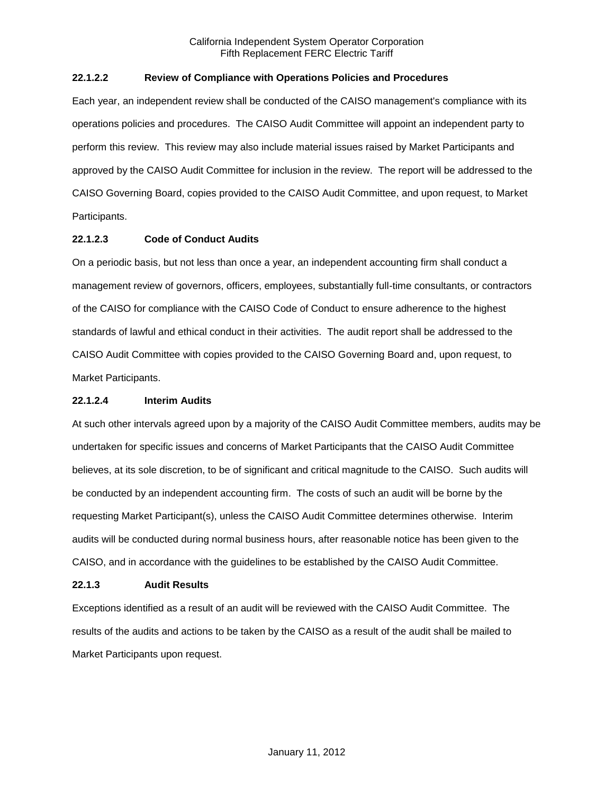# **22.1.2.2 Review of Compliance with Operations Policies and Procedures**

Each year, an independent review shall be conducted of the CAISO management's compliance with its operations policies and procedures. The CAISO Audit Committee will appoint an independent party to perform this review. This review may also include material issues raised by Market Participants and approved by the CAISO Audit Committee for inclusion in the review. The report will be addressed to the CAISO Governing Board, copies provided to the CAISO Audit Committee, and upon request, to Market Participants.

# **22.1.2.3 Code of Conduct Audits**

On a periodic basis, but not less than once a year, an independent accounting firm shall conduct a management review of governors, officers, employees, substantially full-time consultants, or contractors of the CAISO for compliance with the CAISO Code of Conduct to ensure adherence to the highest standards of lawful and ethical conduct in their activities. The audit report shall be addressed to the CAISO Audit Committee with copies provided to the CAISO Governing Board and, upon request, to Market Participants.

### **22.1.2.4 Interim Audits**

At such other intervals agreed upon by a majority of the CAISO Audit Committee members, audits may be undertaken for specific issues and concerns of Market Participants that the CAISO Audit Committee believes, at its sole discretion, to be of significant and critical magnitude to the CAISO. Such audits will be conducted by an independent accounting firm. The costs of such an audit will be borne by the requesting Market Participant(s), unless the CAISO Audit Committee determines otherwise. Interim audits will be conducted during normal business hours, after reasonable notice has been given to the CAISO, and in accordance with the guidelines to be established by the CAISO Audit Committee.

### **22.1.3 Audit Results**

Exceptions identified as a result of an audit will be reviewed with the CAISO Audit Committee. The results of the audits and actions to be taken by the CAISO as a result of the audit shall be mailed to Market Participants upon request.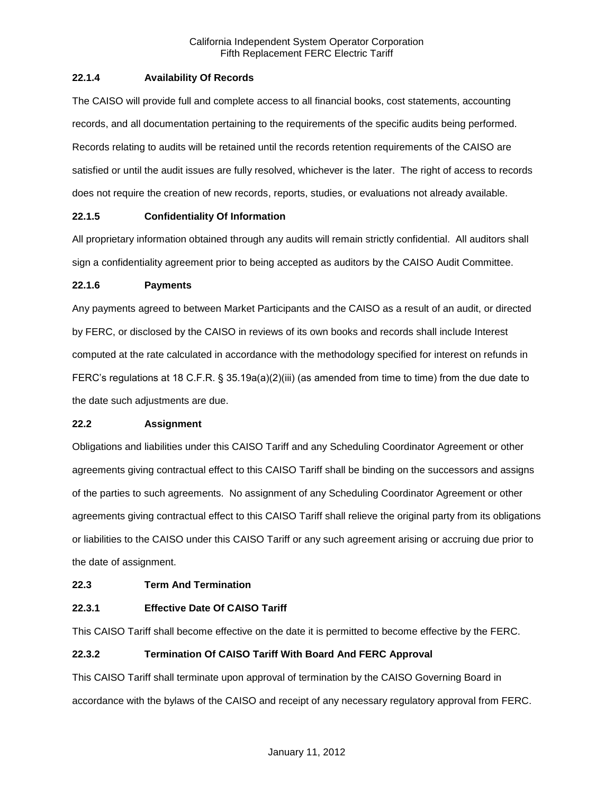# **22.1.4 Availability Of Records**

The CAISO will provide full and complete access to all financial books, cost statements, accounting records, and all documentation pertaining to the requirements of the specific audits being performed. Records relating to audits will be retained until the records retention requirements of the CAISO are satisfied or until the audit issues are fully resolved, whichever is the later. The right of access to records does not require the creation of new records, reports, studies, or evaluations not already available.

# **22.1.5 Confidentiality Of Information**

All proprietary information obtained through any audits will remain strictly confidential. All auditors shall sign a confidentiality agreement prior to being accepted as auditors by the CAISO Audit Committee.

### **22.1.6 Payments**

Any payments agreed to between Market Participants and the CAISO as a result of an audit, or directed by FERC, or disclosed by the CAISO in reviews of its own books and records shall include Interest computed at the rate calculated in accordance with the methodology specified for interest on refunds in FERC's regulations at 18 C.F.R. § 35.19a(a)(2)(iii) (as amended from time to time) from the due date to the date such adjustments are due.

### **22.2 Assignment**

Obligations and liabilities under this CAISO Tariff and any Scheduling Coordinator Agreement or other agreements giving contractual effect to this CAISO Tariff shall be binding on the successors and assigns of the parties to such agreements. No assignment of any Scheduling Coordinator Agreement or other agreements giving contractual effect to this CAISO Tariff shall relieve the original party from its obligations or liabilities to the CAISO under this CAISO Tariff or any such agreement arising or accruing due prior to the date of assignment.

### **22.3 Term And Termination**

### **22.3.1 Effective Date Of CAISO Tariff**

This CAISO Tariff shall become effective on the date it is permitted to become effective by the FERC.

### **22.3.2 Termination Of CAISO Tariff With Board And FERC Approval**

This CAISO Tariff shall terminate upon approval of termination by the CAISO Governing Board in accordance with the bylaws of the CAISO and receipt of any necessary regulatory approval from FERC.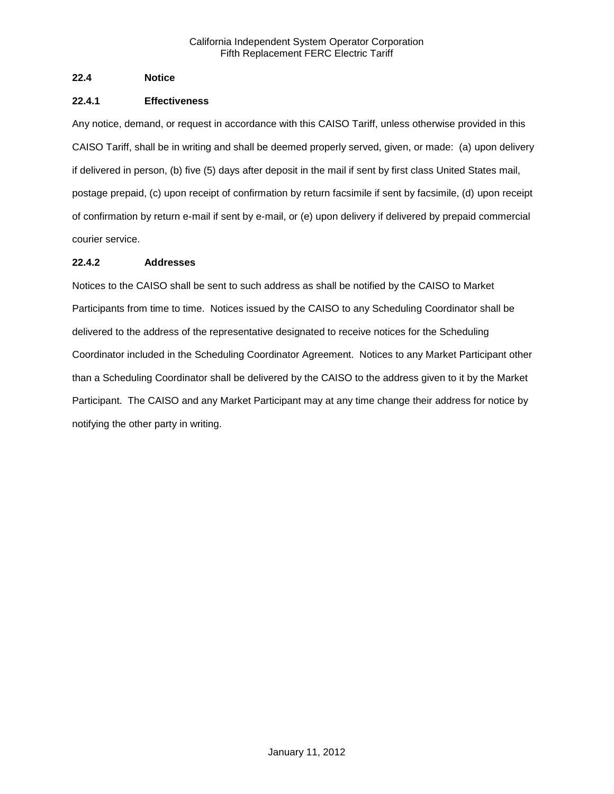# **22.4 Notice**

# **22.4.1 Effectiveness**

Any notice, demand, or request in accordance with this CAISO Tariff, unless otherwise provided in this CAISO Tariff, shall be in writing and shall be deemed properly served, given, or made: (a) upon delivery if delivered in person, (b) five (5) days after deposit in the mail if sent by first class United States mail, postage prepaid, (c) upon receipt of confirmation by return facsimile if sent by facsimile, (d) upon receipt of confirmation by return e-mail if sent by e-mail, or (e) upon delivery if delivered by prepaid commercial courier service.

# **22.4.2 Addresses**

Notices to the CAISO shall be sent to such address as shall be notified by the CAISO to Market Participants from time to time. Notices issued by the CAISO to any Scheduling Coordinator shall be delivered to the address of the representative designated to receive notices for the Scheduling Coordinator included in the Scheduling Coordinator Agreement. Notices to any Market Participant other than a Scheduling Coordinator shall be delivered by the CAISO to the address given to it by the Market Participant. The CAISO and any Market Participant may at any time change their address for notice by notifying the other party in writing.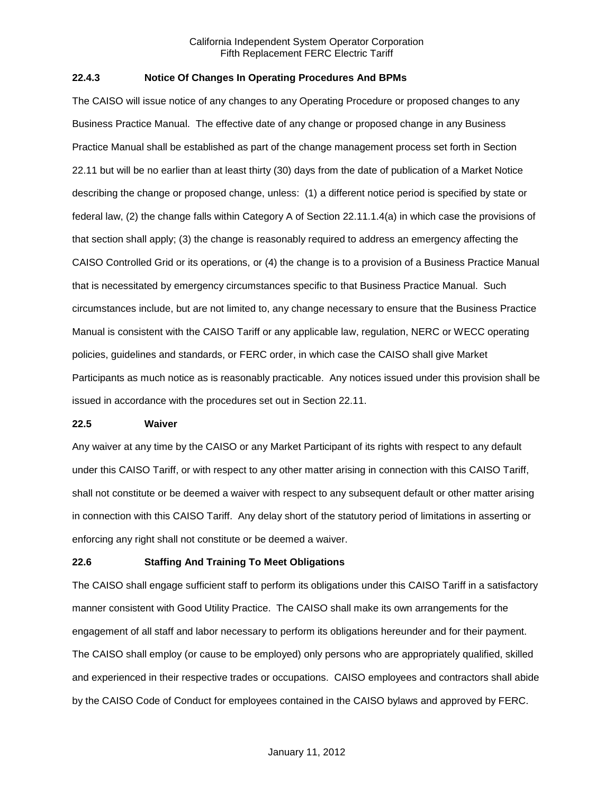### **22.4.3 Notice Of Changes In Operating Procedures And BPMs**

The CAISO will issue notice of any changes to any Operating Procedure or proposed changes to any Business Practice Manual. The effective date of any change or proposed change in any Business Practice Manual shall be established as part of the change management process set forth in Section 22.11 but will be no earlier than at least thirty (30) days from the date of publication of a Market Notice describing the change or proposed change, unless: (1) a different notice period is specified by state or federal law, (2) the change falls within Category A of Section 22.11.1.4(a) in which case the provisions of that section shall apply; (3) the change is reasonably required to address an emergency affecting the CAISO Controlled Grid or its operations, or (4) the change is to a provision of a Business Practice Manual that is necessitated by emergency circumstances specific to that Business Practice Manual. Such circumstances include, but are not limited to, any change necessary to ensure that the Business Practice Manual is consistent with the CAISO Tariff or any applicable law, regulation, NERC or WECC operating policies, guidelines and standards, or FERC order, in which case the CAISO shall give Market Participants as much notice as is reasonably practicable. Any notices issued under this provision shall be issued in accordance with the procedures set out in Section 22.11.

#### **22.5 Waiver**

Any waiver at any time by the CAISO or any Market Participant of its rights with respect to any default under this CAISO Tariff, or with respect to any other matter arising in connection with this CAISO Tariff, shall not constitute or be deemed a waiver with respect to any subsequent default or other matter arising in connection with this CAISO Tariff. Any delay short of the statutory period of limitations in asserting or enforcing any right shall not constitute or be deemed a waiver.

### **22.6 Staffing And Training To Meet Obligations**

The CAISO shall engage sufficient staff to perform its obligations under this CAISO Tariff in a satisfactory manner consistent with Good Utility Practice. The CAISO shall make its own arrangements for the engagement of all staff and labor necessary to perform its obligations hereunder and for their payment. The CAISO shall employ (or cause to be employed) only persons who are appropriately qualified, skilled and experienced in their respective trades or occupations. CAISO employees and contractors shall abide by the CAISO Code of Conduct for employees contained in the CAISO bylaws and approved by FERC.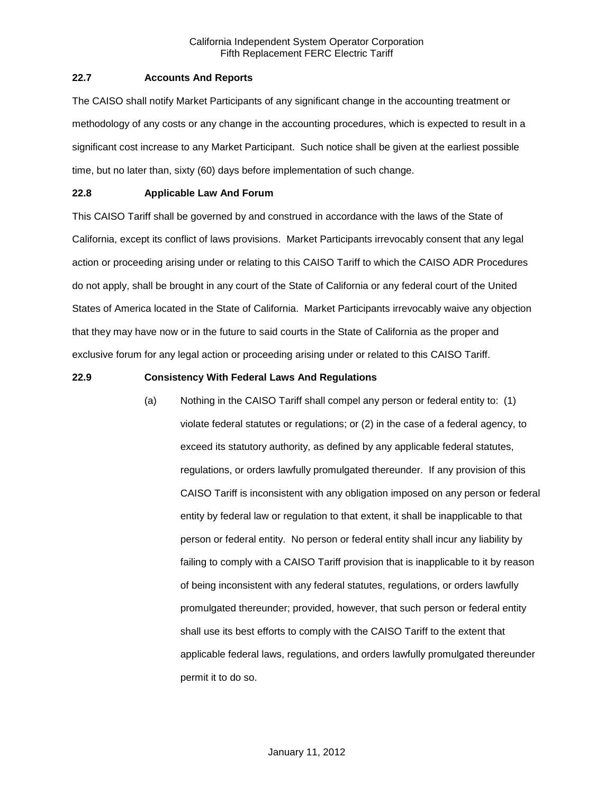### **22.7 Accounts And Reports**

The CAISO shall notify Market Participants of any significant change in the accounting treatment or methodology of any costs or any change in the accounting procedures, which is expected to result in a significant cost increase to any Market Participant. Such notice shall be given at the earliest possible time, but no later than, sixty (60) days before implementation of such change.

# **22.8 Applicable Law And Forum**

This CAISO Tariff shall be governed by and construed in accordance with the laws of the State of California, except its conflict of laws provisions. Market Participants irrevocably consent that any legal action or proceeding arising under or relating to this CAISO Tariff to which the CAISO ADR Procedures do not apply, shall be brought in any court of the State of California or any federal court of the United States of America located in the State of California. Market Participants irrevocably waive any objection that they may have now or in the future to said courts in the State of California as the proper and exclusive forum for any legal action or proceeding arising under or related to this CAISO Tariff.

# **22.9 Consistency With Federal Laws And Regulations**

(a) Nothing in the CAISO Tariff shall compel any person or federal entity to: (1) violate federal statutes or regulations; or (2) in the case of a federal agency, to exceed its statutory authority, as defined by any applicable federal statutes, regulations, or orders lawfully promulgated thereunder. If any provision of this CAISO Tariff is inconsistent with any obligation imposed on any person or federal entity by federal law or regulation to that extent, it shall be inapplicable to that person or federal entity. No person or federal entity shall incur any liability by failing to comply with a CAISO Tariff provision that is inapplicable to it by reason of being inconsistent with any federal statutes, regulations, or orders lawfully promulgated thereunder; provided, however, that such person or federal entity shall use its best efforts to comply with the CAISO Tariff to the extent that applicable federal laws, regulations, and orders lawfully promulgated thereunder permit it to do so.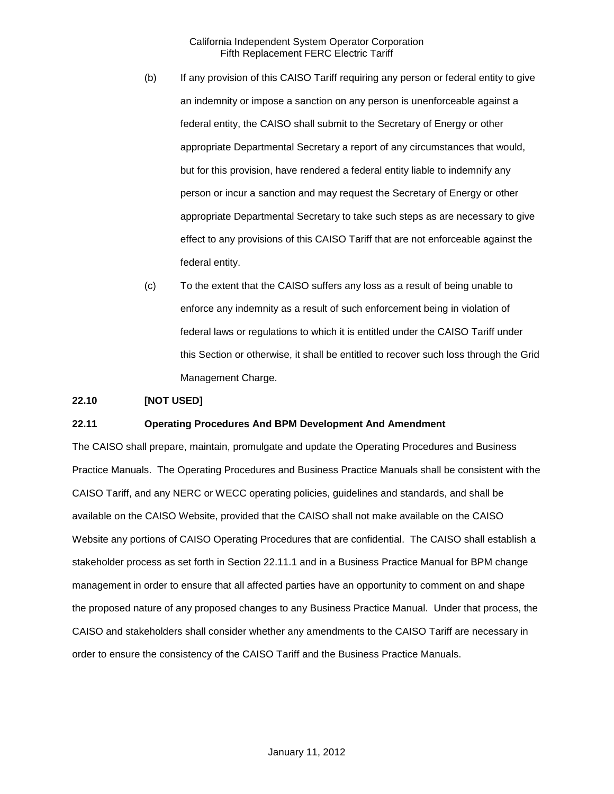- (b) If any provision of this CAISO Tariff requiring any person or federal entity to give an indemnity or impose a sanction on any person is unenforceable against a federal entity, the CAISO shall submit to the Secretary of Energy or other appropriate Departmental Secretary a report of any circumstances that would, but for this provision, have rendered a federal entity liable to indemnify any person or incur a sanction and may request the Secretary of Energy or other appropriate Departmental Secretary to take such steps as are necessary to give effect to any provisions of this CAISO Tariff that are not enforceable against the federal entity.
- (c) To the extent that the CAISO suffers any loss as a result of being unable to enforce any indemnity as a result of such enforcement being in violation of federal laws or regulations to which it is entitled under the CAISO Tariff under this Section or otherwise, it shall be entitled to recover such loss through the Grid Management Charge.

### **22.10 [NOT USED]**

#### **22.11 Operating Procedures And BPM Development And Amendment**

The CAISO shall prepare, maintain, promulgate and update the Operating Procedures and Business Practice Manuals. The Operating Procedures and Business Practice Manuals shall be consistent with the CAISO Tariff, and any NERC or WECC operating policies, guidelines and standards, and shall be available on the CAISO Website, provided that the CAISO shall not make available on the CAISO Website any portions of CAISO Operating Procedures that are confidential. The CAISO shall establish a stakeholder process as set forth in Section 22.11.1 and in a Business Practice Manual for BPM change management in order to ensure that all affected parties have an opportunity to comment on and shape the proposed nature of any proposed changes to any Business Practice Manual. Under that process, the CAISO and stakeholders shall consider whether any amendments to the CAISO Tariff are necessary in order to ensure the consistency of the CAISO Tariff and the Business Practice Manuals.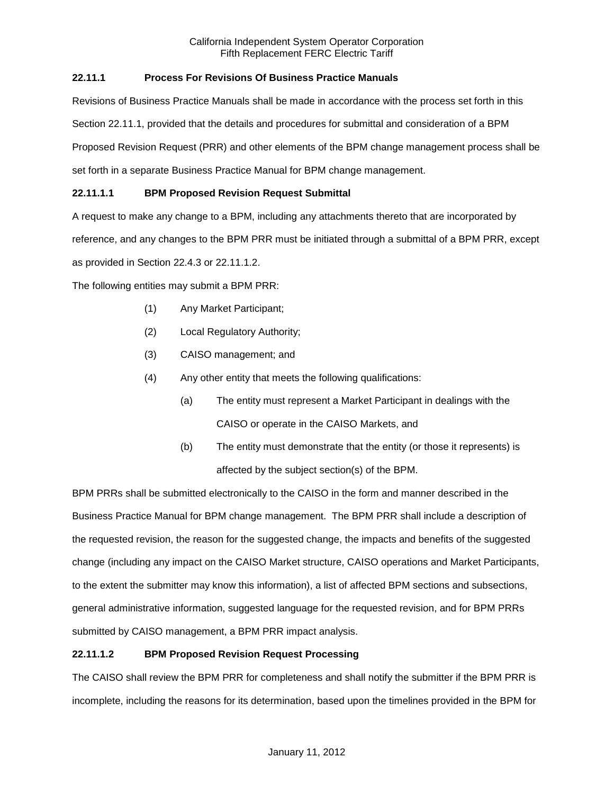# **22.11.1 Process For Revisions Of Business Practice Manuals**

Revisions of Business Practice Manuals shall be made in accordance with the process set forth in this Section 22.11.1, provided that the details and procedures for submittal and consideration of a BPM Proposed Revision Request (PRR) and other elements of the BPM change management process shall be set forth in a separate Business Practice Manual for BPM change management.

# **22.11.1.1 BPM Proposed Revision Request Submittal**

A request to make any change to a BPM, including any attachments thereto that are incorporated by

reference, and any changes to the BPM PRR must be initiated through a submittal of a BPM PRR, except

as provided in Section 22.4.3 or 22.11.1.2.

The following entities may submit a BPM PRR:

- (1) Any Market Participant;
- (2) Local Regulatory Authority;
- (3) CAISO management; and
- (4) Any other entity that meets the following qualifications:
	- (a) The entity must represent a Market Participant in dealings with the CAISO or operate in the CAISO Markets, and
	- (b) The entity must demonstrate that the entity (or those it represents) is affected by the subject section(s) of the BPM.

BPM PRRs shall be submitted electronically to the CAISO in the form and manner described in the Business Practice Manual for BPM change management. The BPM PRR shall include a description of the requested revision, the reason for the suggested change, the impacts and benefits of the suggested change (including any impact on the CAISO Market structure, CAISO operations and Market Participants, to the extent the submitter may know this information), a list of affected BPM sections and subsections, general administrative information, suggested language for the requested revision, and for BPM PRRs submitted by CAISO management, a BPM PRR impact analysis.

# **22.11.1.2 BPM Proposed Revision Request Processing**

The CAISO shall review the BPM PRR for completeness and shall notify the submitter if the BPM PRR is incomplete, including the reasons for its determination, based upon the timelines provided in the BPM for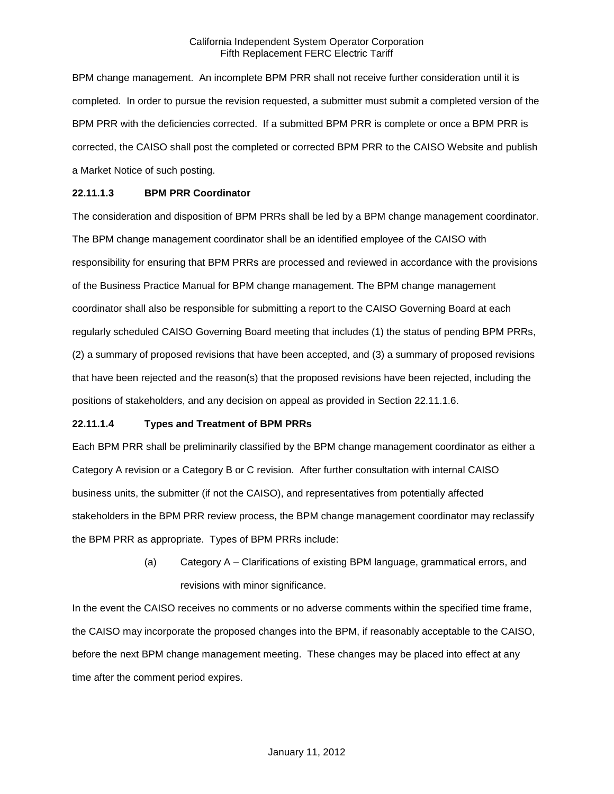BPM change management. An incomplete BPM PRR shall not receive further consideration until it is completed. In order to pursue the revision requested, a submitter must submit a completed version of the BPM PRR with the deficiencies corrected. If a submitted BPM PRR is complete or once a BPM PRR is corrected, the CAISO shall post the completed or corrected BPM PRR to the CAISO Website and publish a Market Notice of such posting.

### **22.11.1.3 BPM PRR Coordinator**

The consideration and disposition of BPM PRRs shall be led by a BPM change management coordinator. The BPM change management coordinator shall be an identified employee of the CAISO with responsibility for ensuring that BPM PRRs are processed and reviewed in accordance with the provisions of the Business Practice Manual for BPM change management. The BPM change management coordinator shall also be responsible for submitting a report to the CAISO Governing Board at each regularly scheduled CAISO Governing Board meeting that includes (1) the status of pending BPM PRRs, (2) a summary of proposed revisions that have been accepted, and (3) a summary of proposed revisions that have been rejected and the reason(s) that the proposed revisions have been rejected, including the positions of stakeholders, and any decision on appeal as provided in Section 22.11.1.6.

### **22.11.1.4 Types and Treatment of BPM PRRs**

Each BPM PRR shall be preliminarily classified by the BPM change management coordinator as either a Category A revision or a Category B or C revision. After further consultation with internal CAISO business units, the submitter (if not the CAISO), and representatives from potentially affected stakeholders in the BPM PRR review process, the BPM change management coordinator may reclassify the BPM PRR as appropriate. Types of BPM PRRs include:

> (a) Category A – Clarifications of existing BPM language, grammatical errors, and revisions with minor significance.

In the event the CAISO receives no comments or no adverse comments within the specified time frame, the CAISO may incorporate the proposed changes into the BPM, if reasonably acceptable to the CAISO, before the next BPM change management meeting. These changes may be placed into effect at any time after the comment period expires.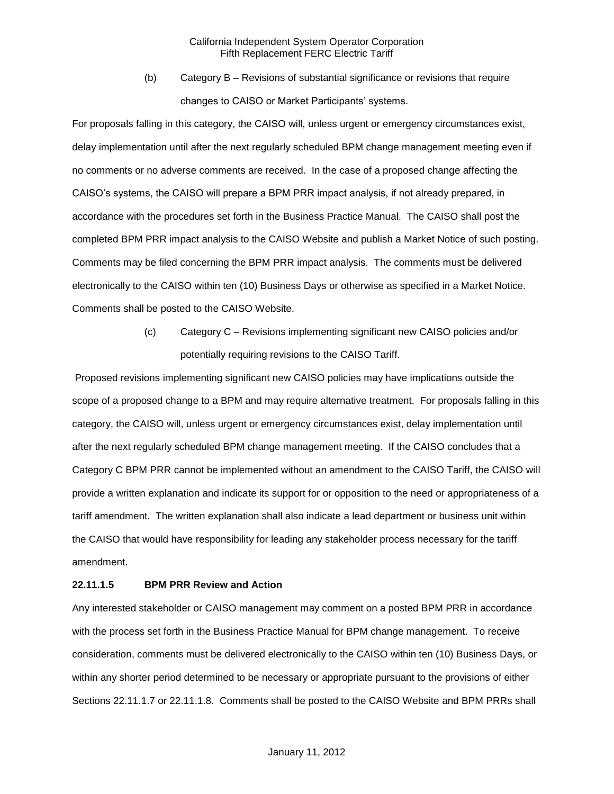(b) Category B – Revisions of substantial significance or revisions that require changes to CAISO or Market Participants' systems.

For proposals falling in this category, the CAISO will, unless urgent or emergency circumstances exist, delay implementation until after the next regularly scheduled BPM change management meeting even if no comments or no adverse comments are received. In the case of a proposed change affecting the CAISO's systems, the CAISO will prepare a BPM PRR impact analysis, if not already prepared, in accordance with the procedures set forth in the Business Practice Manual. The CAISO shall post the completed BPM PRR impact analysis to the CAISO Website and publish a Market Notice of such posting. Comments may be filed concerning the BPM PRR impact analysis. The comments must be delivered electronically to the CAISO within ten (10) Business Days or otherwise as specified in a Market Notice. Comments shall be posted to the CAISO Website.

> (c) Category C – Revisions implementing significant new CAISO policies and/or potentially requiring revisions to the CAISO Tariff.

Proposed revisions implementing significant new CAISO policies may have implications outside the scope of a proposed change to a BPM and may require alternative treatment. For proposals falling in this category, the CAISO will, unless urgent or emergency circumstances exist, delay implementation until after the next regularly scheduled BPM change management meeting. If the CAISO concludes that a Category C BPM PRR cannot be implemented without an amendment to the CAISO Tariff, the CAISO will provide a written explanation and indicate its support for or opposition to the need or appropriateness of a tariff amendment. The written explanation shall also indicate a lead department or business unit within the CAISO that would have responsibility for leading any stakeholder process necessary for the tariff amendment.

### **22.11.1.5 BPM PRR Review and Action**

Any interested stakeholder or CAISO management may comment on a posted BPM PRR in accordance with the process set forth in the Business Practice Manual for BPM change management. To receive consideration, comments must be delivered electronically to the CAISO within ten (10) Business Days, or within any shorter period determined to be necessary or appropriate pursuant to the provisions of either Sections 22.11.1.7 or 22.11.1.8. Comments shall be posted to the CAISO Website and BPM PRRs shall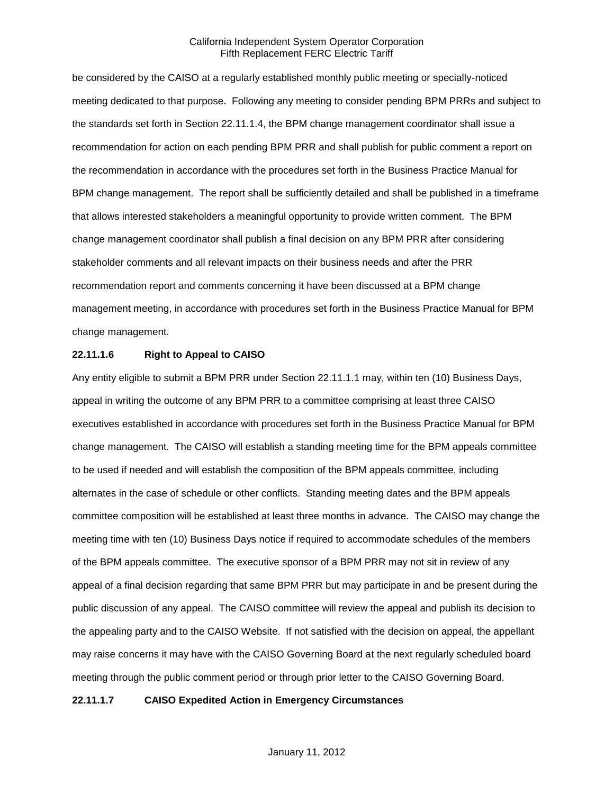be considered by the CAISO at a regularly established monthly public meeting or specially-noticed meeting dedicated to that purpose. Following any meeting to consider pending BPM PRRs and subject to the standards set forth in Section 22.11.1.4, the BPM change management coordinator shall issue a recommendation for action on each pending BPM PRR and shall publish for public comment a report on the recommendation in accordance with the procedures set forth in the Business Practice Manual for BPM change management. The report shall be sufficiently detailed and shall be published in a timeframe that allows interested stakeholders a meaningful opportunity to provide written comment. The BPM change management coordinator shall publish a final decision on any BPM PRR after considering stakeholder comments and all relevant impacts on their business needs and after the PRR recommendation report and comments concerning it have been discussed at a BPM change management meeting, in accordance with procedures set forth in the Business Practice Manual for BPM change management.

### **22.11.1.6 Right to Appeal to CAISO**

Any entity eligible to submit a BPM PRR under Section 22.11.1.1 may, within ten (10) Business Days, appeal in writing the outcome of any BPM PRR to a committee comprising at least three CAISO executives established in accordance with procedures set forth in the Business Practice Manual for BPM change management. The CAISO will establish a standing meeting time for the BPM appeals committee to be used if needed and will establish the composition of the BPM appeals committee, including alternates in the case of schedule or other conflicts. Standing meeting dates and the BPM appeals committee composition will be established at least three months in advance. The CAISO may change the meeting time with ten (10) Business Days notice if required to accommodate schedules of the members of the BPM appeals committee. The executive sponsor of a BPM PRR may not sit in review of any appeal of a final decision regarding that same BPM PRR but may participate in and be present during the public discussion of any appeal. The CAISO committee will review the appeal and publish its decision to the appealing party and to the CAISO Website. If not satisfied with the decision on appeal, the appellant may raise concerns it may have with the CAISO Governing Board at the next regularly scheduled board meeting through the public comment period or through prior letter to the CAISO Governing Board.

#### **22.11.1.7 CAISO Expedited Action in Emergency Circumstances**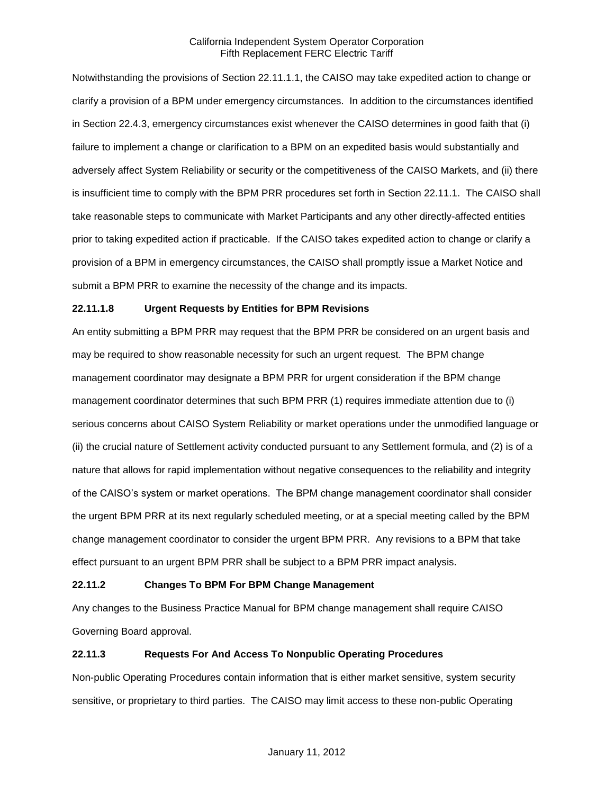Notwithstanding the provisions of Section 22.11.1.1, the CAISO may take expedited action to change or clarify a provision of a BPM under emergency circumstances. In addition to the circumstances identified in Section 22.4.3, emergency circumstances exist whenever the CAISO determines in good faith that (i) failure to implement a change or clarification to a BPM on an expedited basis would substantially and adversely affect System Reliability or security or the competitiveness of the CAISO Markets, and (ii) there is insufficient time to comply with the BPM PRR procedures set forth in Section 22.11.1. The CAISO shall take reasonable steps to communicate with Market Participants and any other directly-affected entities prior to taking expedited action if practicable. If the CAISO takes expedited action to change or clarify a provision of a BPM in emergency circumstances, the CAISO shall promptly issue a Market Notice and submit a BPM PRR to examine the necessity of the change and its impacts.

# **22.11.1.8 Urgent Requests by Entities for BPM Revisions**

An entity submitting a BPM PRR may request that the BPM PRR be considered on an urgent basis and may be required to show reasonable necessity for such an urgent request. The BPM change management coordinator may designate a BPM PRR for urgent consideration if the BPM change management coordinator determines that such BPM PRR (1) requires immediate attention due to (i) serious concerns about CAISO System Reliability or market operations under the unmodified language or (ii) the crucial nature of Settlement activity conducted pursuant to any Settlement formula, and (2) is of a nature that allows for rapid implementation without negative consequences to the reliability and integrity of the CAISO's system or market operations. The BPM change management coordinator shall consider the urgent BPM PRR at its next regularly scheduled meeting, or at a special meeting called by the BPM change management coordinator to consider the urgent BPM PRR. Any revisions to a BPM that take effect pursuant to an urgent BPM PRR shall be subject to a BPM PRR impact analysis.

### **22.11.2 Changes To BPM For BPM Change Management**

Any changes to the Business Practice Manual for BPM change management shall require CAISO Governing Board approval.

### **22.11.3 Requests For And Access To Nonpublic Operating Procedures**

Non-public Operating Procedures contain information that is either market sensitive, system security sensitive, or proprietary to third parties. The CAISO may limit access to these non-public Operating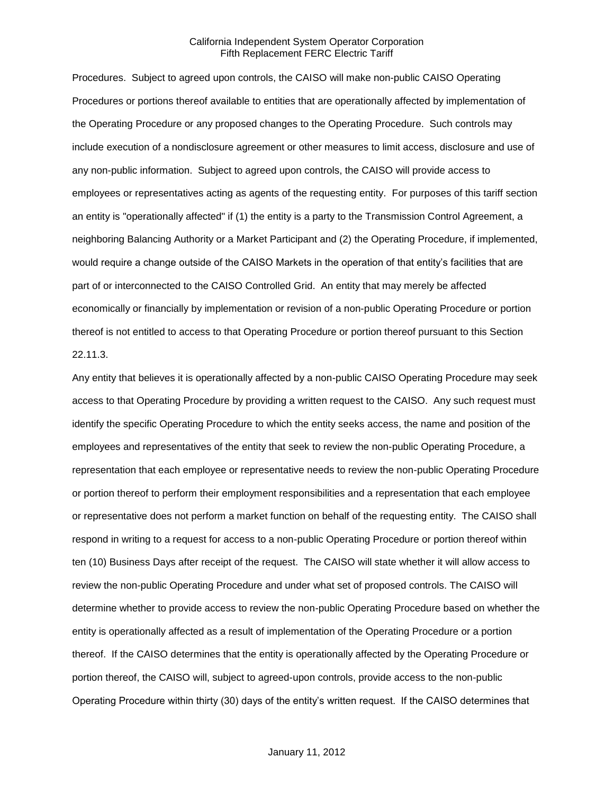Procedures. Subject to agreed upon controls, the CAISO will make non-public CAISO Operating Procedures or portions thereof available to entities that are operationally affected by implementation of the Operating Procedure or any proposed changes to the Operating Procedure. Such controls may include execution of a nondisclosure agreement or other measures to limit access, disclosure and use of any non-public information. Subject to agreed upon controls, the CAISO will provide access to employees or representatives acting as agents of the requesting entity. For purposes of this tariff section an entity is "operationally affected" if (1) the entity is a party to the Transmission Control Agreement, a neighboring Balancing Authority or a Market Participant and (2) the Operating Procedure, if implemented, would require a change outside of the CAISO Markets in the operation of that entity's facilities that are part of or interconnected to the CAISO Controlled Grid. An entity that may merely be affected economically or financially by implementation or revision of a non-public Operating Procedure or portion thereof is not entitled to access to that Operating Procedure or portion thereof pursuant to this Section 22.11.3.

Any entity that believes it is operationally affected by a non-public CAISO Operating Procedure may seek access to that Operating Procedure by providing a written request to the CAISO. Any such request must identify the specific Operating Procedure to which the entity seeks access, the name and position of the employees and representatives of the entity that seek to review the non-public Operating Procedure, a representation that each employee or representative needs to review the non-public Operating Procedure or portion thereof to perform their employment responsibilities and a representation that each employee or representative does not perform a market function on behalf of the requesting entity. The CAISO shall respond in writing to a request for access to a non-public Operating Procedure or portion thereof within ten (10) Business Days after receipt of the request. The CAISO will state whether it will allow access to review the non-public Operating Procedure and under what set of proposed controls. The CAISO will determine whether to provide access to review the non-public Operating Procedure based on whether the entity is operationally affected as a result of implementation of the Operating Procedure or a portion thereof. If the CAISO determines that the entity is operationally affected by the Operating Procedure or portion thereof, the CAISO will, subject to agreed-upon controls, provide access to the non-public Operating Procedure within thirty (30) days of the entity's written request. If the CAISO determines that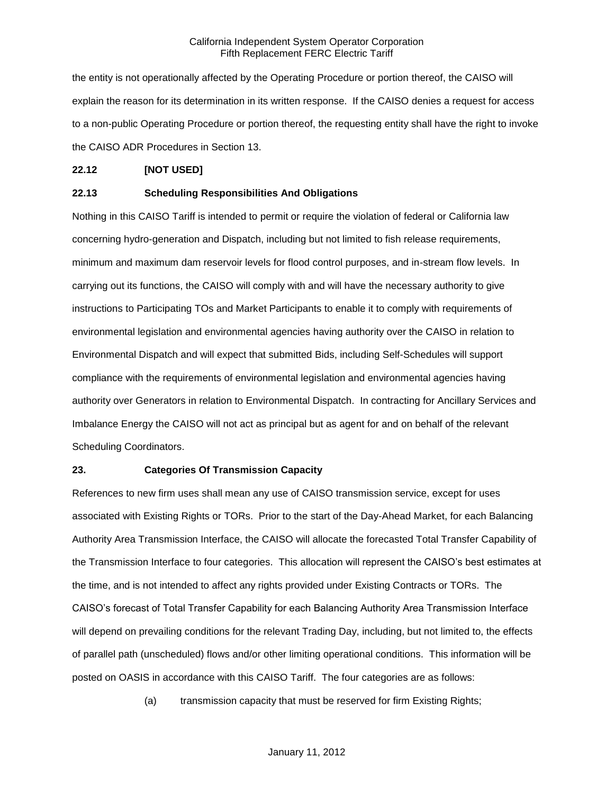the entity is not operationally affected by the Operating Procedure or portion thereof, the CAISO will explain the reason for its determination in its written response. If the CAISO denies a request for access to a non-public Operating Procedure or portion thereof, the requesting entity shall have the right to invoke the CAISO ADR Procedures in Section 13.

### **22.12 [NOT USED]**

#### **22.13 Scheduling Responsibilities And Obligations**

Nothing in this CAISO Tariff is intended to permit or require the violation of federal or California law concerning hydro-generation and Dispatch, including but not limited to fish release requirements, minimum and maximum dam reservoir levels for flood control purposes, and in-stream flow levels. In carrying out its functions, the CAISO will comply with and will have the necessary authority to give instructions to Participating TOs and Market Participants to enable it to comply with requirements of environmental legislation and environmental agencies having authority over the CAISO in relation to Environmental Dispatch and will expect that submitted Bids, including Self-Schedules will support compliance with the requirements of environmental legislation and environmental agencies having authority over Generators in relation to Environmental Dispatch. In contracting for Ancillary Services and Imbalance Energy the CAISO will not act as principal but as agent for and on behalf of the relevant Scheduling Coordinators.

#### **23. Categories Of Transmission Capacity**

References to new firm uses shall mean any use of CAISO transmission service, except for uses associated with Existing Rights or TORs. Prior to the start of the Day-Ahead Market, for each Balancing Authority Area Transmission Interface, the CAISO will allocate the forecasted Total Transfer Capability of the Transmission Interface to four categories. This allocation will represent the CAISO's best estimates at the time, and is not intended to affect any rights provided under Existing Contracts or TORs. The CAISO's forecast of Total Transfer Capability for each Balancing Authority Area Transmission Interface will depend on prevailing conditions for the relevant Trading Day, including, but not limited to, the effects of parallel path (unscheduled) flows and/or other limiting operational conditions. This information will be posted on OASIS in accordance with this CAISO Tariff. The four categories are as follows:

(a) transmission capacity that must be reserved for firm Existing Rights;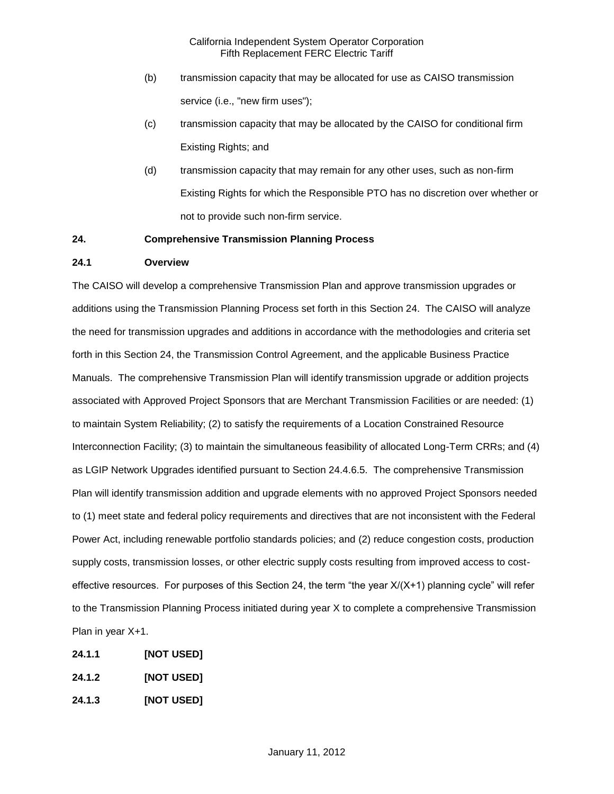- (b) transmission capacity that may be allocated for use as CAISO transmission service (i.e., "new firm uses");
- (c) transmission capacity that may be allocated by the CAISO for conditional firm Existing Rights; and
- (d) transmission capacity that may remain for any other uses, such as non-firm Existing Rights for which the Responsible PTO has no discretion over whether or not to provide such non-firm service.

# **24. Comprehensive Transmission Planning Process**

### **24.1 Overview**

The CAISO will develop a comprehensive Transmission Plan and approve transmission upgrades or additions using the Transmission Planning Process set forth in this Section 24. The CAISO will analyze the need for transmission upgrades and additions in accordance with the methodologies and criteria set forth in this Section 24, the Transmission Control Agreement, and the applicable Business Practice Manuals. The comprehensive Transmission Plan will identify transmission upgrade or addition projects associated with Approved Project Sponsors that are Merchant Transmission Facilities or are needed: (1) to maintain System Reliability; (2) to satisfy the requirements of a Location Constrained Resource Interconnection Facility; (3) to maintain the simultaneous feasibility of allocated Long-Term CRRs; and (4) as LGIP Network Upgrades identified pursuant to Section 24.4.6.5. The comprehensive Transmission Plan will identify transmission addition and upgrade elements with no approved Project Sponsors needed to (1) meet state and federal policy requirements and directives that are not inconsistent with the Federal Power Act, including renewable portfolio standards policies; and (2) reduce congestion costs, production supply costs, transmission losses, or other electric supply costs resulting from improved access to costeffective resources. For purposes of this Section 24, the term "the year X/(X+1) planning cycle" will refer to the Transmission Planning Process initiated during year X to complete a comprehensive Transmission Plan in year X+1.

- **24.1.1 [NOT USED]**
- **24.1.2 [NOT USED]**
- **24.1.3 [NOT USED]**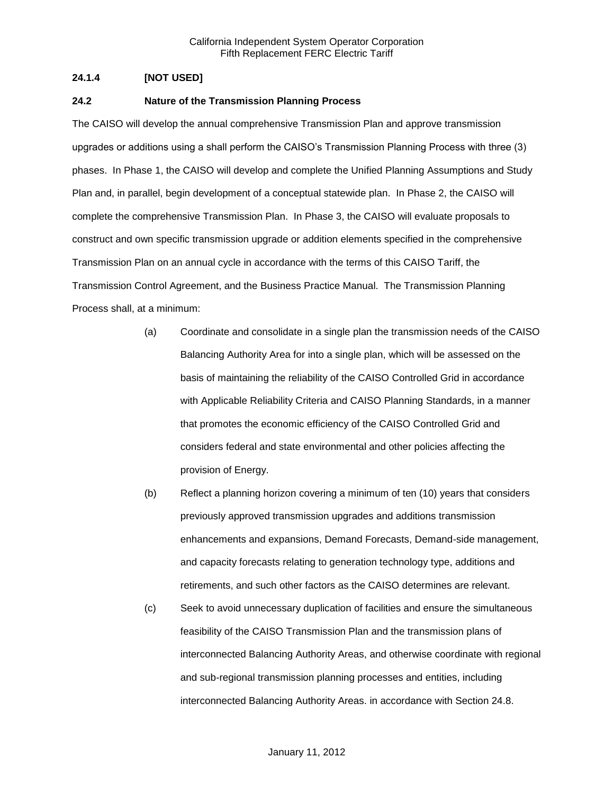# **24.1.4 [NOT USED]**

#### **24.2 Nature of the Transmission Planning Process**

The CAISO will develop the annual comprehensive Transmission Plan and approve transmission upgrades or additions using a shall perform the CAISO's Transmission Planning Process with three (3) phases. In Phase 1, the CAISO will develop and complete the Unified Planning Assumptions and Study Plan and, in parallel, begin development of a conceptual statewide plan. In Phase 2, the CAISO will complete the comprehensive Transmission Plan. In Phase 3, the CAISO will evaluate proposals to construct and own specific transmission upgrade or addition elements specified in the comprehensive Transmission Plan on an annual cycle in accordance with the terms of this CAISO Tariff, the Transmission Control Agreement, and the Business Practice Manual. The Transmission Planning Process shall, at a minimum:

- (a) Coordinate and consolidate in a single plan the transmission needs of the CAISO Balancing Authority Area for into a single plan, which will be assessed on the basis of maintaining the reliability of the CAISO Controlled Grid in accordance with Applicable Reliability Criteria and CAISO Planning Standards, in a manner that promotes the economic efficiency of the CAISO Controlled Grid and considers federal and state environmental and other policies affecting the provision of Energy.
- (b) Reflect a planning horizon covering a minimum of ten (10) years that considers previously approved transmission upgrades and additions transmission enhancements and expansions, Demand Forecasts, Demand-side management, and capacity forecasts relating to generation technology type, additions and retirements, and such other factors as the CAISO determines are relevant.
- (c) Seek to avoid unnecessary duplication of facilities and ensure the simultaneous feasibility of the CAISO Transmission Plan and the transmission plans of interconnected Balancing Authority Areas, and otherwise coordinate with regional and sub-regional transmission planning processes and entities, including interconnected Balancing Authority Areas. in accordance with Section 24.8.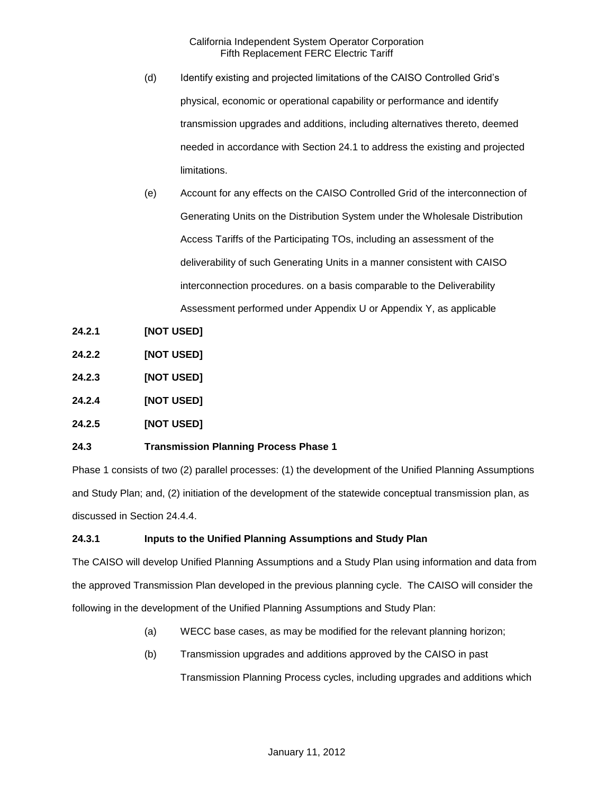- (d) Identify existing and projected limitations of the CAISO Controlled Grid's physical, economic or operational capability or performance and identify transmission upgrades and additions, including alternatives thereto, deemed needed in accordance with Section 24.1 to address the existing and projected limitations.
- (e) Account for any effects on the CAISO Controlled Grid of the interconnection of Generating Units on the Distribution System under the Wholesale Distribution Access Tariffs of the Participating TOs, including an assessment of the deliverability of such Generating Units in a manner consistent with CAISO interconnection procedures. on a basis comparable to the Deliverability Assessment performed under Appendix U or Appendix Y, as applicable
- **24.2.1 [NOT USED]**
- **24.2.2 [NOT USED]**
- **24.2.3 [NOT USED]**
- **24.2.4 [NOT USED]**
- **24.2.5 [NOT USED]**

### **24.3 Transmission Planning Process Phase 1**

Phase 1 consists of two (2) parallel processes: (1) the development of the Unified Planning Assumptions and Study Plan; and, (2) initiation of the development of the statewide conceptual transmission plan, as discussed in Section 24.4.4.

### **24.3.1 Inputs to the Unified Planning Assumptions and Study Plan**

The CAISO will develop Unified Planning Assumptions and a Study Plan using information and data from the approved Transmission Plan developed in the previous planning cycle. The CAISO will consider the following in the development of the Unified Planning Assumptions and Study Plan:

- (a) WECC base cases, as may be modified for the relevant planning horizon;
- (b) Transmission upgrades and additions approved by the CAISO in past

Transmission Planning Process cycles, including upgrades and additions which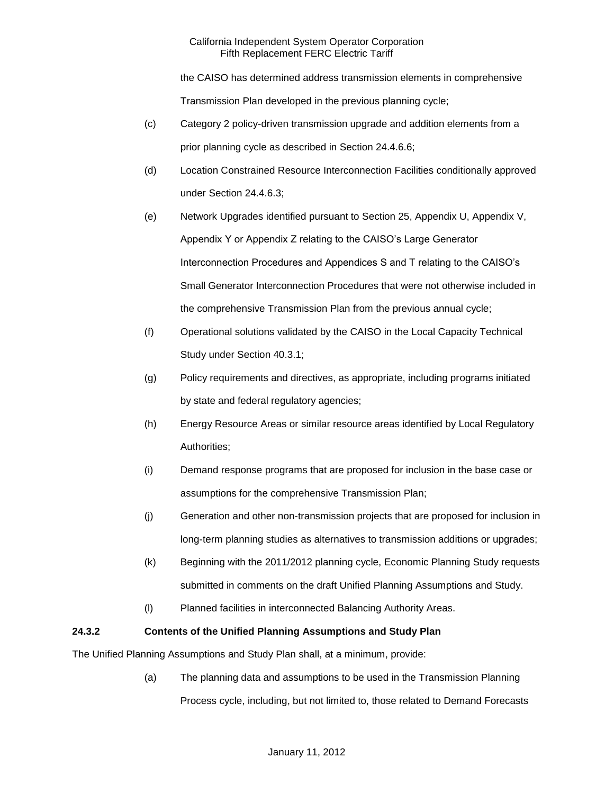the CAISO has determined address transmission elements in comprehensive

Transmission Plan developed in the previous planning cycle;

- (c) Category 2 policy-driven transmission upgrade and addition elements from a prior planning cycle as described in Section 24.4.6.6;
- (d) Location Constrained Resource Interconnection Facilities conditionally approved under Section 24.4.6.3;
- (e) Network Upgrades identified pursuant to Section 25, Appendix U, Appendix V, Appendix Y or Appendix Z relating to the CAISO's Large Generator Interconnection Procedures and Appendices S and T relating to the CAISO's Small Generator Interconnection Procedures that were not otherwise included in the comprehensive Transmission Plan from the previous annual cycle;
- (f) Operational solutions validated by the CAISO in the Local Capacity Technical Study under Section 40.3.1;
- (g) Policy requirements and directives, as appropriate, including programs initiated by state and federal regulatory agencies;
- (h) Energy Resource Areas or similar resource areas identified by Local Regulatory Authorities;
- (i) Demand response programs that are proposed for inclusion in the base case or assumptions for the comprehensive Transmission Plan;
- (j) Generation and other non-transmission projects that are proposed for inclusion in long-term planning studies as alternatives to transmission additions or upgrades;
- (k) Beginning with the 2011/2012 planning cycle, Economic Planning Study requests submitted in comments on the draft Unified Planning Assumptions and Study.
- (l) Planned facilities in interconnected Balancing Authority Areas.

# **24.3.2 Contents of the Unified Planning Assumptions and Study Plan**

The Unified Planning Assumptions and Study Plan shall, at a minimum, provide:

(a) The planning data and assumptions to be used in the Transmission Planning Process cycle, including, but not limited to, those related to Demand Forecasts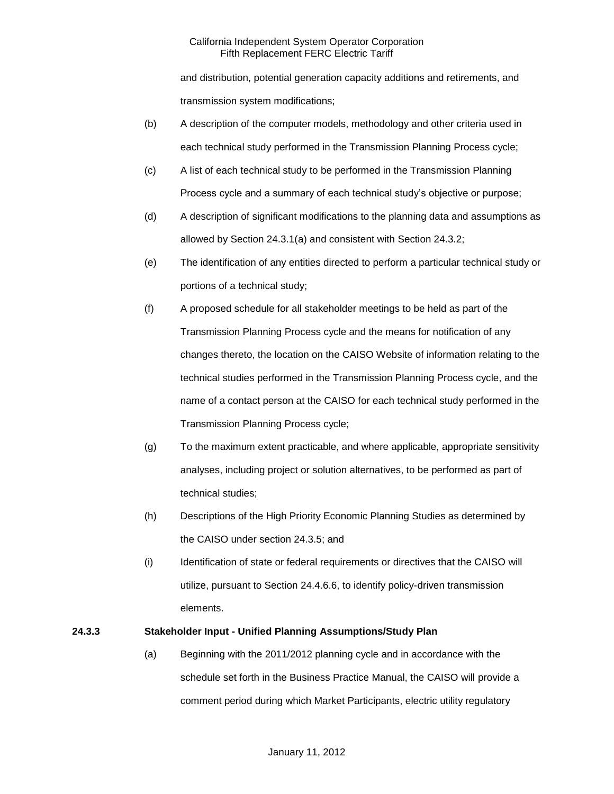and distribution, potential generation capacity additions and retirements, and transmission system modifications;

- (b) A description of the computer models, methodology and other criteria used in each technical study performed in the Transmission Planning Process cycle;
- (c) A list of each technical study to be performed in the Transmission Planning Process cycle and a summary of each technical study's objective or purpose;
- (d) A description of significant modifications to the planning data and assumptions as allowed by Section 24.3.1(a) and consistent with Section 24.3.2;
- (e) The identification of any entities directed to perform a particular technical study or portions of a technical study;
- (f) A proposed schedule for all stakeholder meetings to be held as part of the Transmission Planning Process cycle and the means for notification of any changes thereto, the location on the CAISO Website of information relating to the technical studies performed in the Transmission Planning Process cycle, and the name of a contact person at the CAISO for each technical study performed in the Transmission Planning Process cycle;
- (g) To the maximum extent practicable, and where applicable, appropriate sensitivity analyses, including project or solution alternatives, to be performed as part of technical studies;
- (h) Descriptions of the High Priority Economic Planning Studies as determined by the CAISO under section 24.3.5; and
- (i) Identification of state or federal requirements or directives that the CAISO will utilize, pursuant to Section 24.4.6.6, to identify policy-driven transmission elements.

# **24.3.3 Stakeholder Input - Unified Planning Assumptions/Study Plan**

(a) Beginning with the 2011/2012 planning cycle and in accordance with the schedule set forth in the Business Practice Manual, the CAISO will provide a comment period during which Market Participants, electric utility regulatory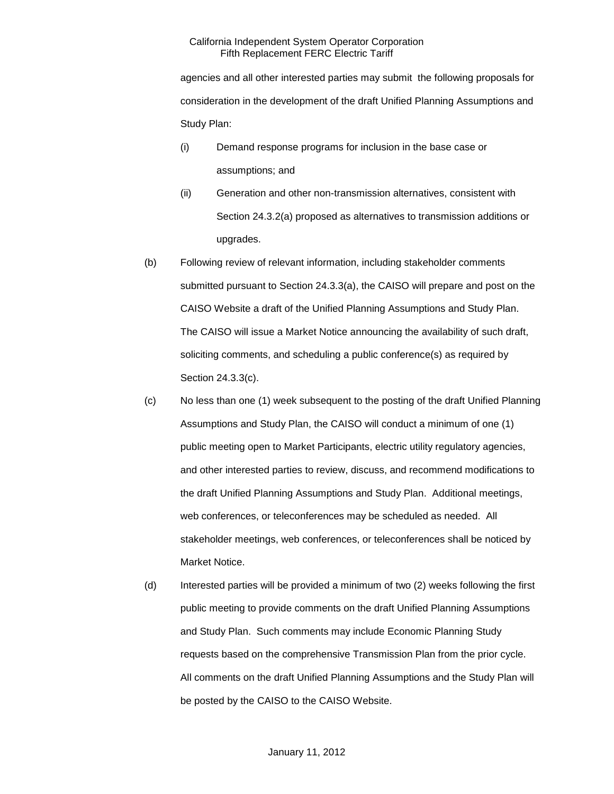agencies and all other interested parties may submit the following proposals for consideration in the development of the draft Unified Planning Assumptions and Study Plan:

- (i) Demand response programs for inclusion in the base case or assumptions; and
- (ii) Generation and other non-transmission alternatives, consistent with Section 24.3.2(a) proposed as alternatives to transmission additions or upgrades.
- (b) Following review of relevant information, including stakeholder comments submitted pursuant to Section 24.3.3(a), the CAISO will prepare and post on the CAISO Website a draft of the Unified Planning Assumptions and Study Plan. The CAISO will issue a Market Notice announcing the availability of such draft, soliciting comments, and scheduling a public conference(s) as required by Section 24.3.3(c).
- (c) No less than one (1) week subsequent to the posting of the draft Unified Planning Assumptions and Study Plan, the CAISO will conduct a minimum of one (1) public meeting open to Market Participants, electric utility regulatory agencies, and other interested parties to review, discuss, and recommend modifications to the draft Unified Planning Assumptions and Study Plan. Additional meetings, web conferences, or teleconferences may be scheduled as needed. All stakeholder meetings, web conferences, or teleconferences shall be noticed by Market Notice.
- (d) Interested parties will be provided a minimum of two (2) weeks following the first public meeting to provide comments on the draft Unified Planning Assumptions and Study Plan. Such comments may include Economic Planning Study requests based on the comprehensive Transmission Plan from the prior cycle. All comments on the draft Unified Planning Assumptions and the Study Plan will be posted by the CAISO to the CAISO Website.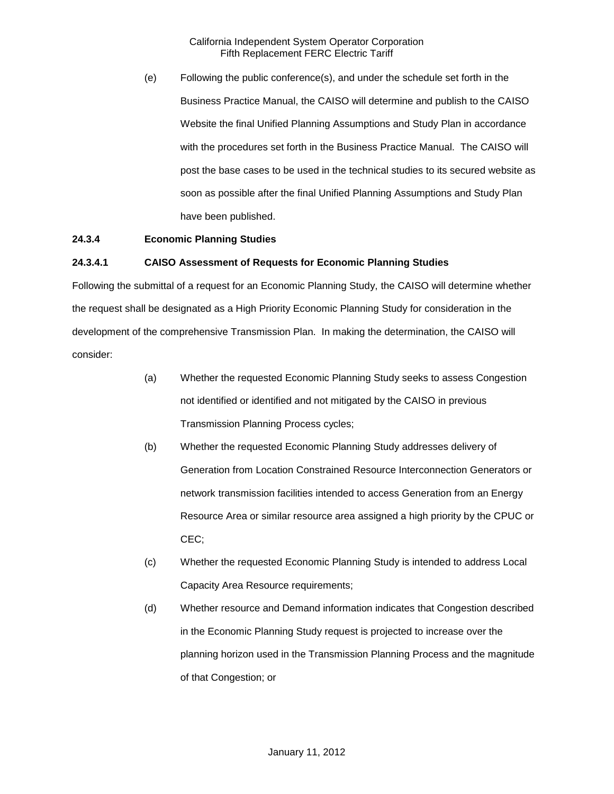(e) Following the public conference(s), and under the schedule set forth in the Business Practice Manual, the CAISO will determine and publish to the CAISO Website the final Unified Planning Assumptions and Study Plan in accordance with the procedures set forth in the Business Practice Manual. The CAISO will post the base cases to be used in the technical studies to its secured website as soon as possible after the final Unified Planning Assumptions and Study Plan have been published.

# **24.3.4 Economic Planning Studies**

### **24.3.4.1 CAISO Assessment of Requests for Economic Planning Studies**

Following the submittal of a request for an Economic Planning Study, the CAISO will determine whether the request shall be designated as a High Priority Economic Planning Study for consideration in the development of the comprehensive Transmission Plan. In making the determination, the CAISO will consider:

- (a) Whether the requested Economic Planning Study seeks to assess Congestion not identified or identified and not mitigated by the CAISO in previous Transmission Planning Process cycles;
- (b) Whether the requested Economic Planning Study addresses delivery of Generation from Location Constrained Resource Interconnection Generators or network transmission facilities intended to access Generation from an Energy Resource Area or similar resource area assigned a high priority by the CPUC or CEC;
- (c) Whether the requested Economic Planning Study is intended to address Local Capacity Area Resource requirements;
- (d) Whether resource and Demand information indicates that Congestion described in the Economic Planning Study request is projected to increase over the planning horizon used in the Transmission Planning Process and the magnitude of that Congestion; or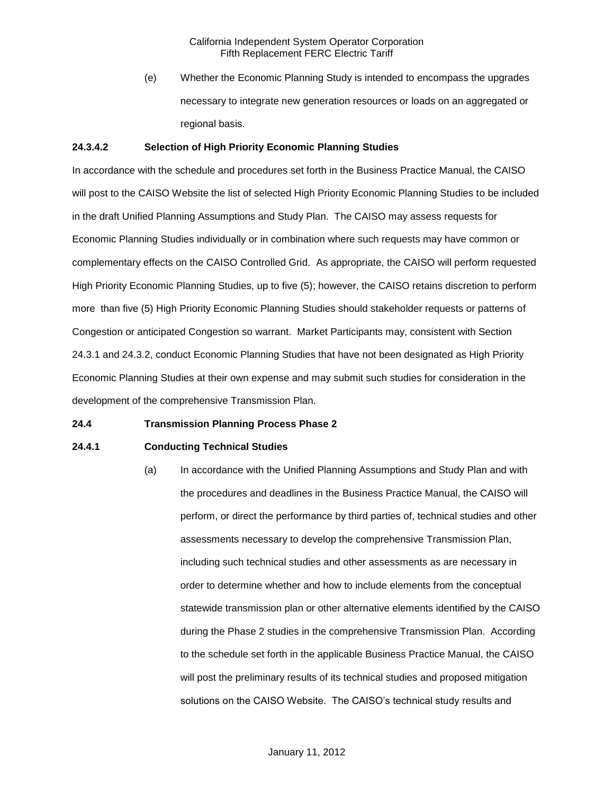(e) Whether the Economic Planning Study is intended to encompass the upgrades necessary to integrate new generation resources or loads on an aggregated or regional basis.

### **24.3.4.2 Selection of High Priority Economic Planning Studies**

In accordance with the schedule and procedures set forth in the Business Practice Manual, the CAISO will post to the CAISO Website the list of selected High Priority Economic Planning Studies to be included in the draft Unified Planning Assumptions and Study Plan. The CAISO may assess requests for Economic Planning Studies individually or in combination where such requests may have common or complementary effects on the CAISO Controlled Grid. As appropriate, the CAISO will perform requested High Priority Economic Planning Studies, up to five (5); however, the CAISO retains discretion to perform more than five (5) High Priority Economic Planning Studies should stakeholder requests or patterns of Congestion or anticipated Congestion so warrant. Market Participants may, consistent with Section 24.3.1 and 24.3.2, conduct Economic Planning Studies that have not been designated as High Priority Economic Planning Studies at their own expense and may submit such studies for consideration in the development of the comprehensive Transmission Plan.

#### **24.4 Transmission Planning Process Phase 2**

#### **24.4.1 Conducting Technical Studies**

(a) In accordance with the Unified Planning Assumptions and Study Plan and with the procedures and deadlines in the Business Practice Manual, the CAISO will perform, or direct the performance by third parties of, technical studies and other assessments necessary to develop the comprehensive Transmission Plan, including such technical studies and other assessments as are necessary in order to determine whether and how to include elements from the conceptual statewide transmission plan or other alternative elements identified by the CAISO during the Phase 2 studies in the comprehensive Transmission Plan. According to the schedule set forth in the applicable Business Practice Manual, the CAISO will post the preliminary results of its technical studies and proposed mitigation solutions on the CAISO Website. The CAISO's technical study results and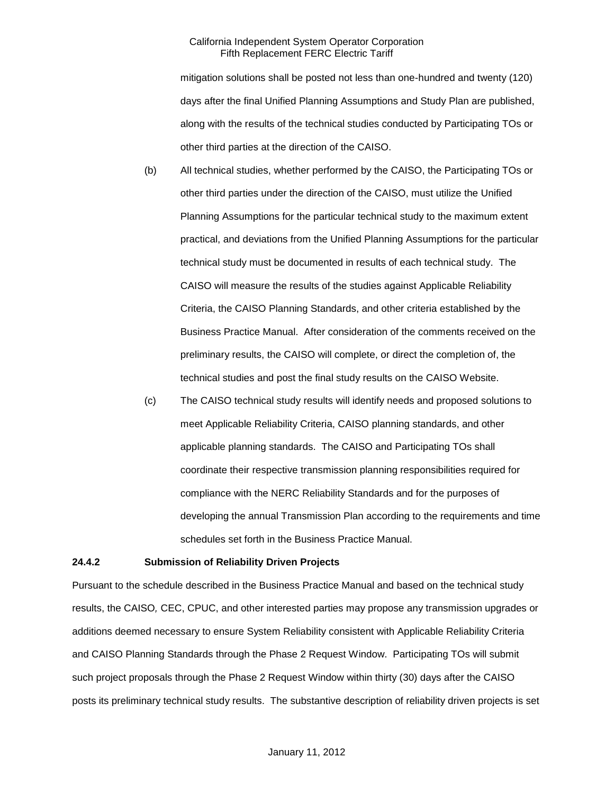mitigation solutions shall be posted not less than one-hundred and twenty (120) days after the final Unified Planning Assumptions and Study Plan are published, along with the results of the technical studies conducted by Participating TOs or other third parties at the direction of the CAISO.

- (b) All technical studies, whether performed by the CAISO, the Participating TOs or other third parties under the direction of the CAISO, must utilize the Unified Planning Assumptions for the particular technical study to the maximum extent practical, and deviations from the Unified Planning Assumptions for the particular technical study must be documented in results of each technical study. The CAISO will measure the results of the studies against Applicable Reliability Criteria, the CAISO Planning Standards, and other criteria established by the Business Practice Manual. After consideration of the comments received on the preliminary results, the CAISO will complete, or direct the completion of, the technical studies and post the final study results on the CAISO Website.
- (c) The CAISO technical study results will identify needs and proposed solutions to meet Applicable Reliability Criteria, CAISO planning standards, and other applicable planning standards. The CAISO and Participating TOs shall coordinate their respective transmission planning responsibilities required for compliance with the NERC Reliability Standards and for the purposes of developing the annual Transmission Plan according to the requirements and time schedules set forth in the Business Practice Manual.

#### **24.4.2 Submission of Reliability Driven Projects**

Pursuant to the schedule described in the Business Practice Manual and based on the technical study results, the CAISO*,* CEC, CPUC, and other interested parties may propose any transmission upgrades or additions deemed necessary to ensure System Reliability consistent with Applicable Reliability Criteria and CAISO Planning Standards through the Phase 2 Request Window. Participating TOs will submit such project proposals through the Phase 2 Request Window within thirty (30) days after the CAISO posts its preliminary technical study results. The substantive description of reliability driven projects is set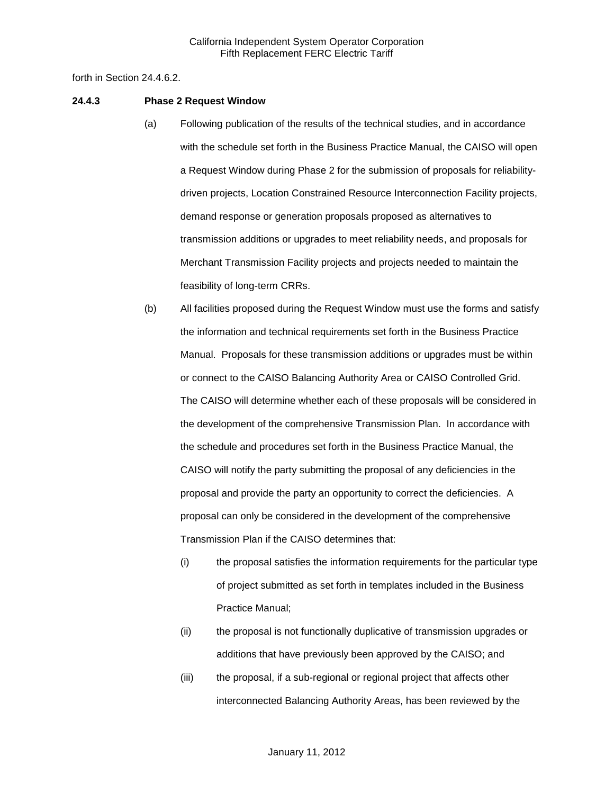forth in Section 24.4.6.2.

#### **24.4.3 Phase 2 Request Window**

- (a) Following publication of the results of the technical studies, and in accordance with the schedule set forth in the Business Practice Manual, the CAISO will open a Request Window during Phase 2 for the submission of proposals for reliabilitydriven projects, Location Constrained Resource Interconnection Facility projects, demand response or generation proposals proposed as alternatives to transmission additions or upgrades to meet reliability needs, and proposals for Merchant Transmission Facility projects and projects needed to maintain the feasibility of long-term CRRs.
- (b) All facilities proposed during the Request Window must use the forms and satisfy the information and technical requirements set forth in the Business Practice Manual. Proposals for these transmission additions or upgrades must be within or connect to the CAISO Balancing Authority Area or CAISO Controlled Grid. The CAISO will determine whether each of these proposals will be considered in the development of the comprehensive Transmission Plan. In accordance with the schedule and procedures set forth in the Business Practice Manual, the CAISO will notify the party submitting the proposal of any deficiencies in the proposal and provide the party an opportunity to correct the deficiencies. A proposal can only be considered in the development of the comprehensive Transmission Plan if the CAISO determines that:
	- (i) the proposal satisfies the information requirements for the particular type of project submitted as set forth in templates included in the Business Practice Manual;
	- (ii) the proposal is not functionally duplicative of transmission upgrades or additions that have previously been approved by the CAISO; and
	- (iii) the proposal, if a sub-regional or regional project that affects other interconnected Balancing Authority Areas, has been reviewed by the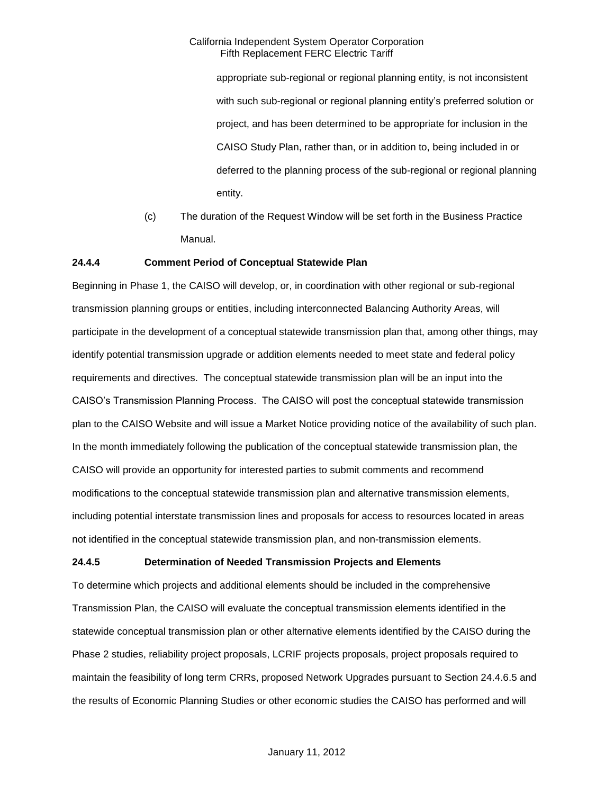appropriate sub-regional or regional planning entity, is not inconsistent with such sub-regional or regional planning entity's preferred solution or project, and has been determined to be appropriate for inclusion in the CAISO Study Plan, rather than, or in addition to, being included in or deferred to the planning process of the sub-regional or regional planning entity.

(c) The duration of the Request Window will be set forth in the Business Practice Manual.

### **24.4.4 Comment Period of Conceptual Statewide Plan**

Beginning in Phase 1, the CAISO will develop, or, in coordination with other regional or sub-regional transmission planning groups or entities, including interconnected Balancing Authority Areas, will participate in the development of a conceptual statewide transmission plan that, among other things, may identify potential transmission upgrade or addition elements needed to meet state and federal policy requirements and directives. The conceptual statewide transmission plan will be an input into the CAISO's Transmission Planning Process. The CAISO will post the conceptual statewide transmission plan to the CAISO Website and will issue a Market Notice providing notice of the availability of such plan. In the month immediately following the publication of the conceptual statewide transmission plan, the CAISO will provide an opportunity for interested parties to submit comments and recommend modifications to the conceptual statewide transmission plan and alternative transmission elements, including potential interstate transmission lines and proposals for access to resources located in areas not identified in the conceptual statewide transmission plan, and non-transmission elements.

#### **24.4.5 Determination of Needed Transmission Projects and Elements**

To determine which projects and additional elements should be included in the comprehensive Transmission Plan, the CAISO will evaluate the conceptual transmission elements identified in the statewide conceptual transmission plan or other alternative elements identified by the CAISO during the Phase 2 studies, reliability project proposals, LCRIF projects proposals, project proposals required to maintain the feasibility of long term CRRs, proposed Network Upgrades pursuant to Section 24.4.6.5 and the results of Economic Planning Studies or other economic studies the CAISO has performed and will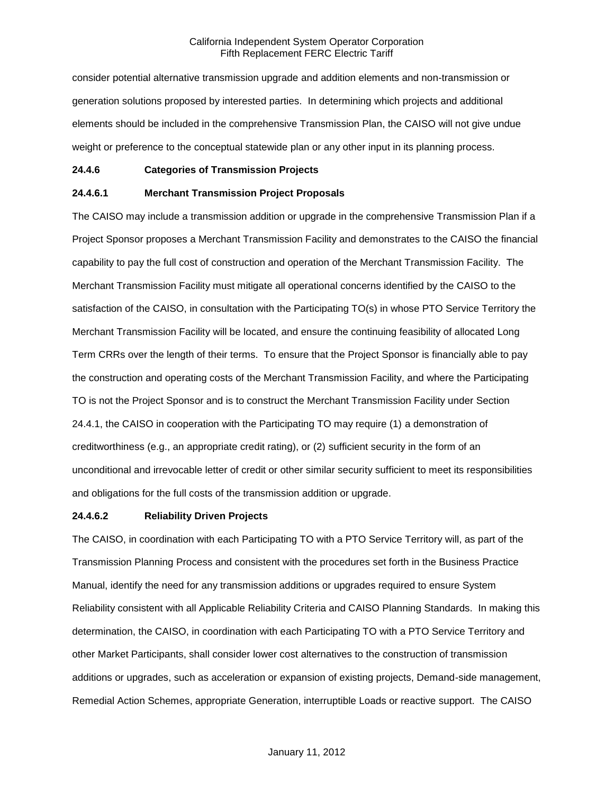consider potential alternative transmission upgrade and addition elements and non-transmission or generation solutions proposed by interested parties. In determining which projects and additional elements should be included in the comprehensive Transmission Plan, the CAISO will not give undue weight or preference to the conceptual statewide plan or any other input in its planning process.

#### **24.4.6 Categories of Transmission Projects**

### **24.4.6.1 Merchant Transmission Project Proposals**

The CAISO may include a transmission addition or upgrade in the comprehensive Transmission Plan if a Project Sponsor proposes a Merchant Transmission Facility and demonstrates to the CAISO the financial capability to pay the full cost of construction and operation of the Merchant Transmission Facility. The Merchant Transmission Facility must mitigate all operational concerns identified by the CAISO to the satisfaction of the CAISO, in consultation with the Participating TO(s) in whose PTO Service Territory the Merchant Transmission Facility will be located, and ensure the continuing feasibility of allocated Long Term CRRs over the length of their terms. To ensure that the Project Sponsor is financially able to pay the construction and operating costs of the Merchant Transmission Facility, and where the Participating TO is not the Project Sponsor and is to construct the Merchant Transmission Facility under Section 24.4.1, the CAISO in cooperation with the Participating TO may require (1) a demonstration of creditworthiness (e.g., an appropriate credit rating), or (2) sufficient security in the form of an unconditional and irrevocable letter of credit or other similar security sufficient to meet its responsibilities and obligations for the full costs of the transmission addition or upgrade.

#### **24.4.6.2 Reliability Driven Projects**

The CAISO, in coordination with each Participating TO with a PTO Service Territory will, as part of the Transmission Planning Process and consistent with the procedures set forth in the Business Practice Manual, identify the need for any transmission additions or upgrades required to ensure System Reliability consistent with all Applicable Reliability Criteria and CAISO Planning Standards. In making this determination, the CAISO, in coordination with each Participating TO with a PTO Service Territory and other Market Participants, shall consider lower cost alternatives to the construction of transmission additions or upgrades, such as acceleration or expansion of existing projects, Demand-side management, Remedial Action Schemes, appropriate Generation, interruptible Loads or reactive support. The CAISO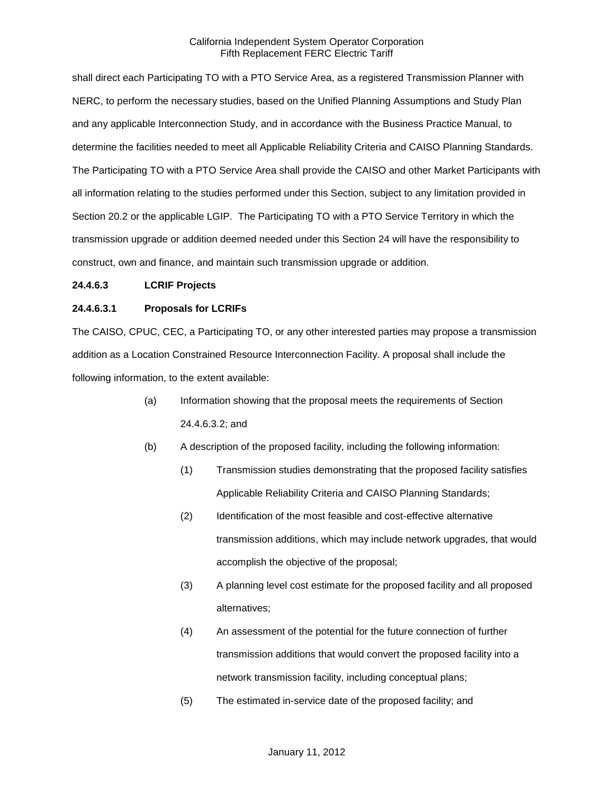shall direct each Participating TO with a PTO Service Area, as a registered Transmission Planner with NERC, to perform the necessary studies, based on the Unified Planning Assumptions and Study Plan and any applicable Interconnection Study, and in accordance with the Business Practice Manual, to determine the facilities needed to meet all Applicable Reliability Criteria and CAISO Planning Standards. The Participating TO with a PTO Service Area shall provide the CAISO and other Market Participants with all information relating to the studies performed under this Section, subject to any limitation provided in Section 20.2 or the applicable LGIP. The Participating TO with a PTO Service Territory in which the transmission upgrade or addition deemed needed under this Section 24 will have the responsibility to construct, own and finance, and maintain such transmission upgrade or addition.

### **24.4.6.3 LCRIF Projects**

### **24.4.6.3.1 Proposals for LCRIFs**

The CAISO, CPUC, CEC, a Participating TO, or any other interested parties may propose a transmission addition as a Location Constrained Resource Interconnection Facility. A proposal shall include the following information, to the extent available:

- (a) Information showing that the proposal meets the requirements of Section 24.4.6.3.2; and
- (b) A description of the proposed facility, including the following information:
	- (1) Transmission studies demonstrating that the proposed facility satisfies Applicable Reliability Criteria and CAISO Planning Standards;
	- (2) Identification of the most feasible and cost-effective alternative transmission additions, which may include network upgrades, that would accomplish the objective of the proposal;
	- (3) A planning level cost estimate for the proposed facility and all proposed alternatives;
	- (4) An assessment of the potential for the future connection of further transmission additions that would convert the proposed facility into a network transmission facility, including conceptual plans;
	- (5) The estimated in-service date of the proposed facility; and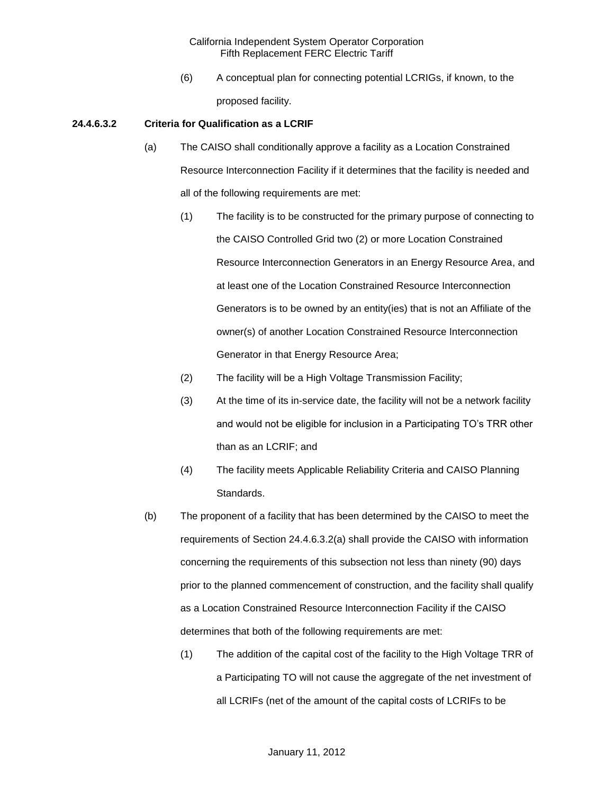(6) A conceptual plan for connecting potential LCRIGs, if known, to the proposed facility.

#### **24.4.6.3.2 Criteria for Qualification as a LCRIF**

- (a) The CAISO shall conditionally approve a facility as a Location Constrained Resource Interconnection Facility if it determines that the facility is needed and all of the following requirements are met:
	- (1) The facility is to be constructed for the primary purpose of connecting to the CAISO Controlled Grid two (2) or more Location Constrained Resource Interconnection Generators in an Energy Resource Area, and at least one of the Location Constrained Resource Interconnection Generators is to be owned by an entity(ies) that is not an Affiliate of the owner(s) of another Location Constrained Resource Interconnection Generator in that Energy Resource Area;
	- (2) The facility will be a High Voltage Transmission Facility;
	- (3) At the time of its in-service date, the facility will not be a network facility and would not be eligible for inclusion in a Participating TO's TRR other than as an LCRIF; and
	- (4) The facility meets Applicable Reliability Criteria and CAISO Planning Standards.
- (b) The proponent of a facility that has been determined by the CAISO to meet the requirements of Section 24.4.6.3.2(a) shall provide the CAISO with information concerning the requirements of this subsection not less than ninety (90) days prior to the planned commencement of construction, and the facility shall qualify as a Location Constrained Resource Interconnection Facility if the CAISO determines that both of the following requirements are met:
	- (1) The addition of the capital cost of the facility to the High Voltage TRR of a Participating TO will not cause the aggregate of the net investment of all LCRIFs (net of the amount of the capital costs of LCRIFs to be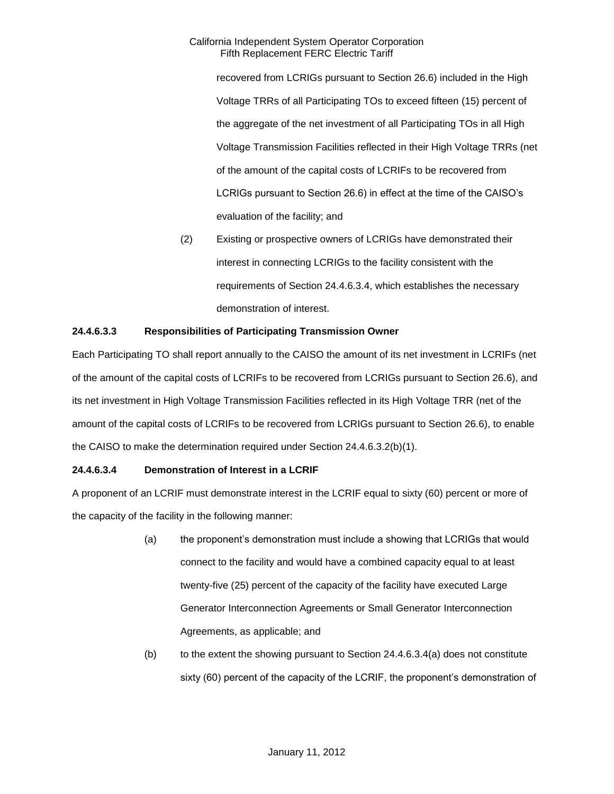recovered from LCRIGs pursuant to Section 26.6) included in the High Voltage TRRs of all Participating TOs to exceed fifteen (15) percent of the aggregate of the net investment of all Participating TOs in all High Voltage Transmission Facilities reflected in their High Voltage TRRs (net of the amount of the capital costs of LCRIFs to be recovered from LCRIGs pursuant to Section 26.6) in effect at the time of the CAISO's evaluation of the facility; and

(2) Existing or prospective owners of LCRIGs have demonstrated their interest in connecting LCRIGs to the facility consistent with the requirements of Section 24.4.6.3.4, which establishes the necessary demonstration of interest.

### **24.4.6.3.3 Responsibilities of Participating Transmission Owner**

Each Participating TO shall report annually to the CAISO the amount of its net investment in LCRIFs (net of the amount of the capital costs of LCRIFs to be recovered from LCRIGs pursuant to Section 26.6), and its net investment in High Voltage Transmission Facilities reflected in its High Voltage TRR (net of the amount of the capital costs of LCRIFs to be recovered from LCRIGs pursuant to Section 26.6), to enable the CAISO to make the determination required under Section 24.4.6.3.2(b)(1).

### **24.4.6.3.4 Demonstration of Interest in a LCRIF**

A proponent of an LCRIF must demonstrate interest in the LCRIF equal to sixty (60) percent or more of the capacity of the facility in the following manner:

- (a) the proponent's demonstration must include a showing that LCRIGs that would connect to the facility and would have a combined capacity equal to at least twenty-five (25) percent of the capacity of the facility have executed Large Generator Interconnection Agreements or Small Generator Interconnection Agreements, as applicable; and
- (b) to the extent the showing pursuant to Section 24.4.6.3.4(a) does not constitute sixty (60) percent of the capacity of the LCRIF, the proponent's demonstration of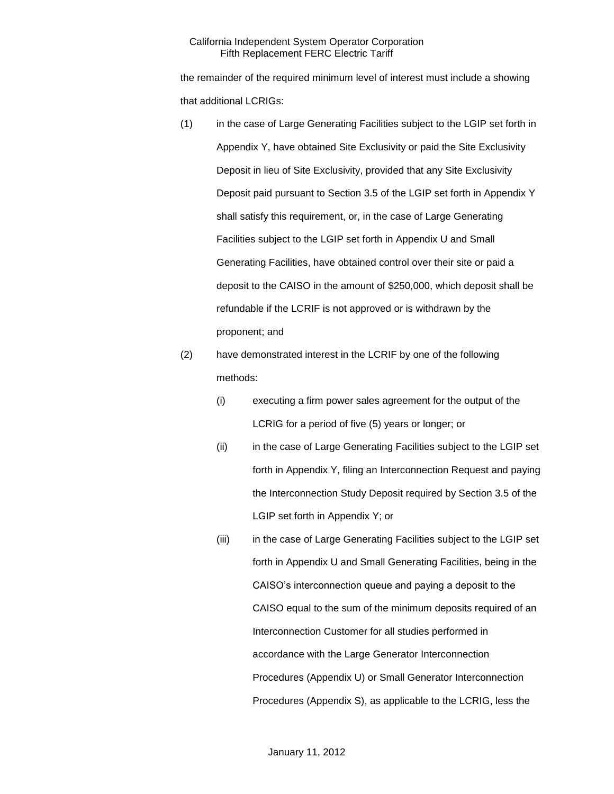the remainder of the required minimum level of interest must include a showing that additional LCRIGs:

- (1) in the case of Large Generating Facilities subject to the LGIP set forth in Appendix Y, have obtained Site Exclusivity or paid the Site Exclusivity Deposit in lieu of Site Exclusivity, provided that any Site Exclusivity Deposit paid pursuant to Section 3.5 of the LGIP set forth in Appendix Y shall satisfy this requirement, or, in the case of Large Generating Facilities subject to the LGIP set forth in Appendix U and Small Generating Facilities, have obtained control over their site or paid a deposit to the CAISO in the amount of \$250,000, which deposit shall be refundable if the LCRIF is not approved or is withdrawn by the proponent; and
- (2) have demonstrated interest in the LCRIF by one of the following methods:
	- (i) executing a firm power sales agreement for the output of the LCRIG for a period of five (5) years or longer; or
	- (ii) in the case of Large Generating Facilities subject to the LGIP set forth in Appendix Y, filing an Interconnection Request and paying the Interconnection Study Deposit required by Section 3.5 of the LGIP set forth in Appendix Y; or
	- (iii) in the case of Large Generating Facilities subject to the LGIP set forth in Appendix U and Small Generating Facilities, being in the CAISO's interconnection queue and paying a deposit to the CAISO equal to the sum of the minimum deposits required of an Interconnection Customer for all studies performed in accordance with the Large Generator Interconnection Procedures (Appendix U) or Small Generator Interconnection Procedures (Appendix S), as applicable to the LCRIG, less the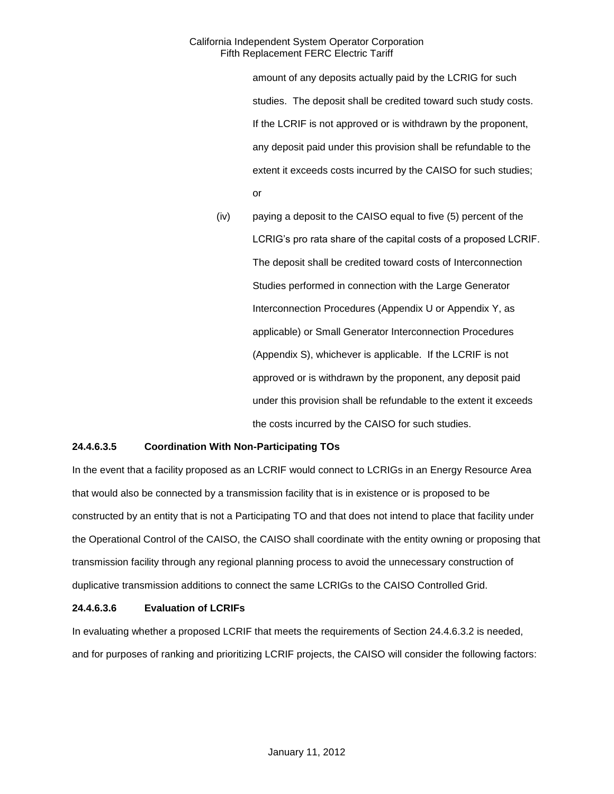amount of any deposits actually paid by the LCRIG for such studies. The deposit shall be credited toward such study costs. If the LCRIF is not approved or is withdrawn by the proponent, any deposit paid under this provision shall be refundable to the extent it exceeds costs incurred by the CAISO for such studies; or

(iv) paying a deposit to the CAISO equal to five (5) percent of the LCRIG's pro rata share of the capital costs of a proposed LCRIF. The deposit shall be credited toward costs of Interconnection Studies performed in connection with the Large Generator Interconnection Procedures (Appendix U or Appendix Y, as applicable) or Small Generator Interconnection Procedures (Appendix S), whichever is applicable. If the LCRIF is not approved or is withdrawn by the proponent, any deposit paid under this provision shall be refundable to the extent it exceeds the costs incurred by the CAISO for such studies.

# **24.4.6.3.5 Coordination With Non-Participating TOs**

In the event that a facility proposed as an LCRIF would connect to LCRIGs in an Energy Resource Area that would also be connected by a transmission facility that is in existence or is proposed to be constructed by an entity that is not a Participating TO and that does not intend to place that facility under the Operational Control of the CAISO, the CAISO shall coordinate with the entity owning or proposing that transmission facility through any regional planning process to avoid the unnecessary construction of duplicative transmission additions to connect the same LCRIGs to the CAISO Controlled Grid.

### **24.4.6.3.6 Evaluation of LCRIFs**

In evaluating whether a proposed LCRIF that meets the requirements of Section 24.4.6.3.2 is needed, and for purposes of ranking and prioritizing LCRIF projects, the CAISO will consider the following factors: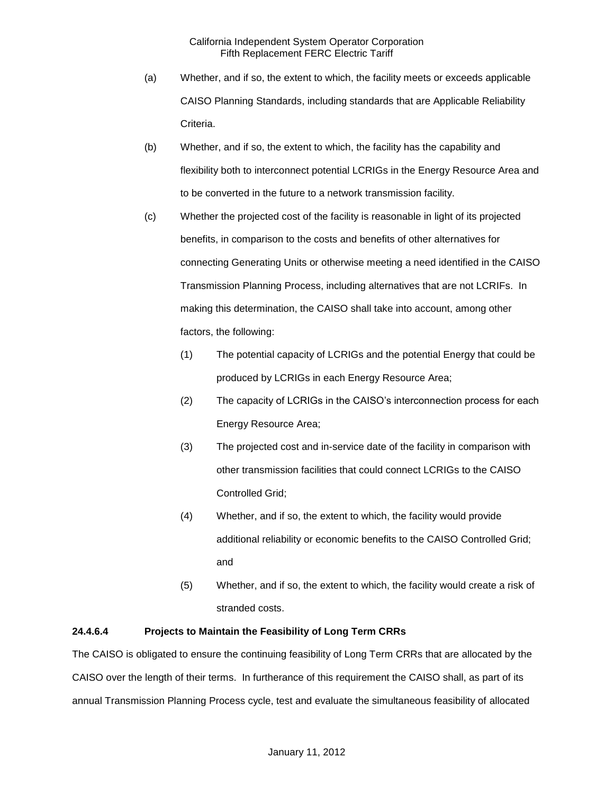- (a) Whether, and if so, the extent to which, the facility meets or exceeds applicable CAISO Planning Standards, including standards that are Applicable Reliability Criteria.
- (b) Whether, and if so, the extent to which, the facility has the capability and flexibility both to interconnect potential LCRIGs in the Energy Resource Area and to be converted in the future to a network transmission facility.
- (c) Whether the projected cost of the facility is reasonable in light of its projected benefits, in comparison to the costs and benefits of other alternatives for connecting Generating Units or otherwise meeting a need identified in the CAISO Transmission Planning Process, including alternatives that are not LCRIFs. In making this determination, the CAISO shall take into account, among other factors, the following:
	- (1) The potential capacity of LCRIGs and the potential Energy that could be produced by LCRIGs in each Energy Resource Area;
	- (2) The capacity of LCRIGs in the CAISO's interconnection process for each Energy Resource Area;
	- (3) The projected cost and in-service date of the facility in comparison with other transmission facilities that could connect LCRIGs to the CAISO Controlled Grid;
	- (4) Whether, and if so, the extent to which, the facility would provide additional reliability or economic benefits to the CAISO Controlled Grid; and
	- (5) Whether, and if so, the extent to which, the facility would create a risk of stranded costs.

# **24.4.6.4 Projects to Maintain the Feasibility of Long Term CRRs**

The CAISO is obligated to ensure the continuing feasibility of Long Term CRRs that are allocated by the CAISO over the length of their terms. In furtherance of this requirement the CAISO shall, as part of its annual Transmission Planning Process cycle, test and evaluate the simultaneous feasibility of allocated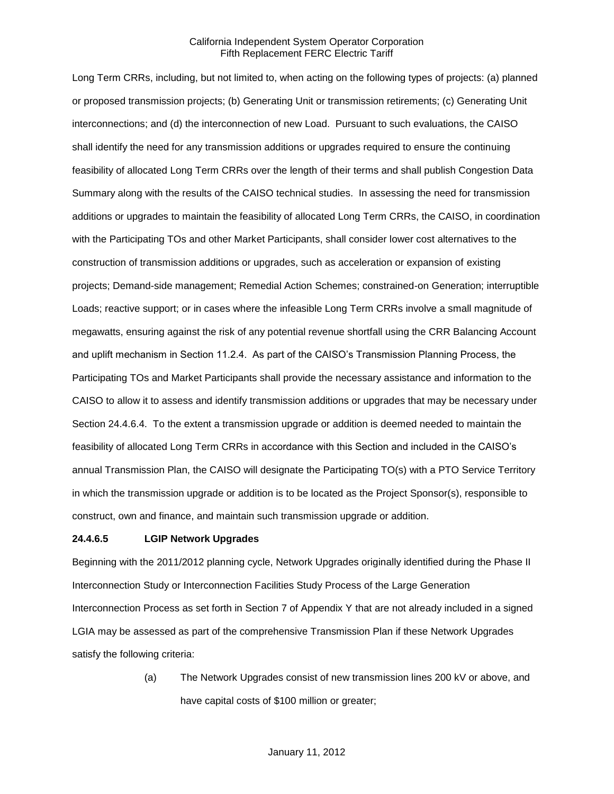Long Term CRRs, including, but not limited to, when acting on the following types of projects: (a) planned or proposed transmission projects; (b) Generating Unit or transmission retirements; (c) Generating Unit interconnections; and (d) the interconnection of new Load. Pursuant to such evaluations, the CAISO shall identify the need for any transmission additions or upgrades required to ensure the continuing feasibility of allocated Long Term CRRs over the length of their terms and shall publish Congestion Data Summary along with the results of the CAISO technical studies. In assessing the need for transmission additions or upgrades to maintain the feasibility of allocated Long Term CRRs, the CAISO, in coordination with the Participating TOs and other Market Participants, shall consider lower cost alternatives to the construction of transmission additions or upgrades, such as acceleration or expansion of existing projects; Demand-side management; Remedial Action Schemes; constrained-on Generation; interruptible Loads; reactive support; or in cases where the infeasible Long Term CRRs involve a small magnitude of megawatts, ensuring against the risk of any potential revenue shortfall using the CRR Balancing Account and uplift mechanism in Section 11.2.4. As part of the CAISO's Transmission Planning Process, the Participating TOs and Market Participants shall provide the necessary assistance and information to the CAISO to allow it to assess and identify transmission additions or upgrades that may be necessary under Section 24.4.6.4. To the extent a transmission upgrade or addition is deemed needed to maintain the feasibility of allocated Long Term CRRs in accordance with this Section and included in the CAISO's annual Transmission Plan, the CAISO will designate the Participating TO(s) with a PTO Service Territory in which the transmission upgrade or addition is to be located as the Project Sponsor(s), responsible to construct, own and finance, and maintain such transmission upgrade or addition.

#### **24.4.6.5 LGIP Network Upgrades**

Beginning with the 2011/2012 planning cycle, Network Upgrades originally identified during the Phase II Interconnection Study or Interconnection Facilities Study Process of the Large Generation Interconnection Process as set forth in Section 7 of Appendix Y that are not already included in a signed LGIA may be assessed as part of the comprehensive Transmission Plan if these Network Upgrades satisfy the following criteria:

> (a) The Network Upgrades consist of new transmission lines 200 kV or above, and have capital costs of \$100 million or greater;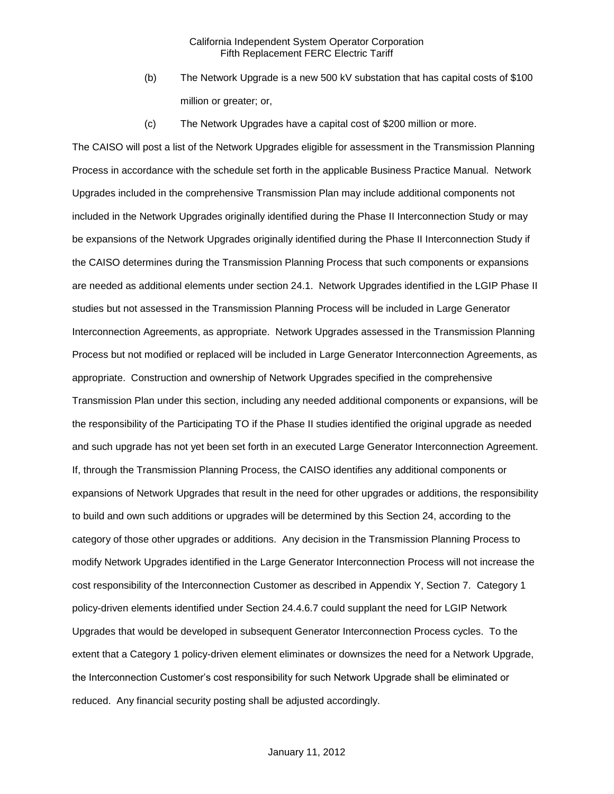- (b) The Network Upgrade is a new 500 kV substation that has capital costs of \$100 million or greater; or,
- (c) The Network Upgrades have a capital cost of \$200 million or more.

The CAISO will post a list of the Network Upgrades eligible for assessment in the Transmission Planning Process in accordance with the schedule set forth in the applicable Business Practice Manual. Network Upgrades included in the comprehensive Transmission Plan may include additional components not included in the Network Upgrades originally identified during the Phase II Interconnection Study or may be expansions of the Network Upgrades originally identified during the Phase II Interconnection Study if the CAISO determines during the Transmission Planning Process that such components or expansions are needed as additional elements under section 24.1. Network Upgrades identified in the LGIP Phase II studies but not assessed in the Transmission Planning Process will be included in Large Generator Interconnection Agreements, as appropriate. Network Upgrades assessed in the Transmission Planning Process but not modified or replaced will be included in Large Generator Interconnection Agreements, as appropriate. Construction and ownership of Network Upgrades specified in the comprehensive Transmission Plan under this section, including any needed additional components or expansions, will be the responsibility of the Participating TO if the Phase II studies identified the original upgrade as needed and such upgrade has not yet been set forth in an executed Large Generator Interconnection Agreement. If, through the Transmission Planning Process, the CAISO identifies any additional components or expansions of Network Upgrades that result in the need for other upgrades or additions, the responsibility to build and own such additions or upgrades will be determined by this Section 24, according to the category of those other upgrades or additions. Any decision in the Transmission Planning Process to modify Network Upgrades identified in the Large Generator Interconnection Process will not increase the cost responsibility of the Interconnection Customer as described in Appendix Y, Section 7. Category 1 policy-driven elements identified under Section 24.4.6.7 could supplant the need for LGIP Network Upgrades that would be developed in subsequent Generator Interconnection Process cycles. To the extent that a Category 1 policy-driven element eliminates or downsizes the need for a Network Upgrade, the Interconnection Customer's cost responsibility for such Network Upgrade shall be eliminated or reduced. Any financial security posting shall be adjusted accordingly.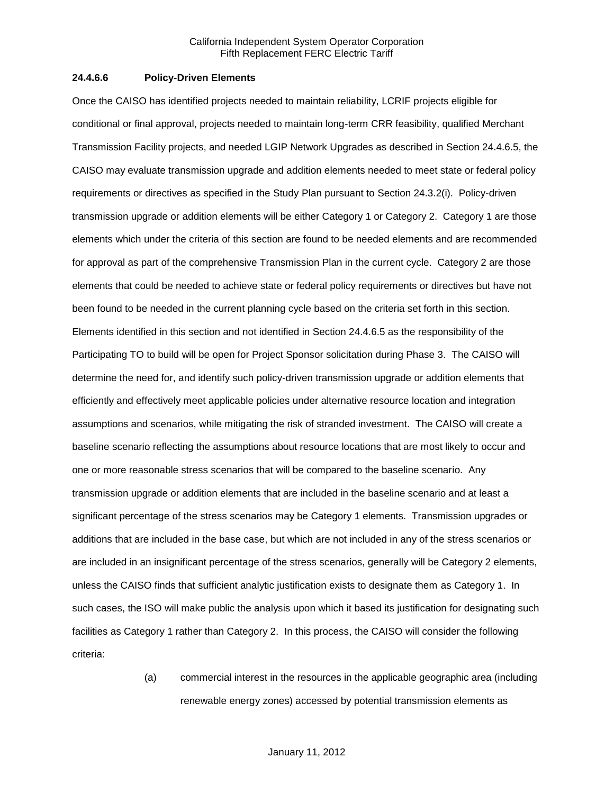#### **24.4.6.6 Policy-Driven Elements**

Once the CAISO has identified projects needed to maintain reliability, LCRIF projects eligible for conditional or final approval, projects needed to maintain long-term CRR feasibility, qualified Merchant Transmission Facility projects, and needed LGIP Network Upgrades as described in Section 24.4.6.5, the CAISO may evaluate transmission upgrade and addition elements needed to meet state or federal policy requirements or directives as specified in the Study Plan pursuant to Section 24.3.2(i). Policy-driven transmission upgrade or addition elements will be either Category 1 or Category 2. Category 1 are those elements which under the criteria of this section are found to be needed elements and are recommended for approval as part of the comprehensive Transmission Plan in the current cycle. Category 2 are those elements that could be needed to achieve state or federal policy requirements or directives but have not been found to be needed in the current planning cycle based on the criteria set forth in this section. Elements identified in this section and not identified in Section 24.4.6.5 as the responsibility of the Participating TO to build will be open for Project Sponsor solicitation during Phase 3. The CAISO will determine the need for, and identify such policy-driven transmission upgrade or addition elements that efficiently and effectively meet applicable policies under alternative resource location and integration assumptions and scenarios, while mitigating the risk of stranded investment. The CAISO will create a baseline scenario reflecting the assumptions about resource locations that are most likely to occur and one or more reasonable stress scenarios that will be compared to the baseline scenario. Any transmission upgrade or addition elements that are included in the baseline scenario and at least a significant percentage of the stress scenarios may be Category 1 elements. Transmission upgrades or additions that are included in the base case, but which are not included in any of the stress scenarios or are included in an insignificant percentage of the stress scenarios, generally will be Category 2 elements, unless the CAISO finds that sufficient analytic justification exists to designate them as Category 1. In such cases, the ISO will make public the analysis upon which it based its justification for designating such facilities as Category 1 rather than Category 2. In this process, the CAISO will consider the following criteria:

> (a) commercial interest in the resources in the applicable geographic area (including renewable energy zones) accessed by potential transmission elements as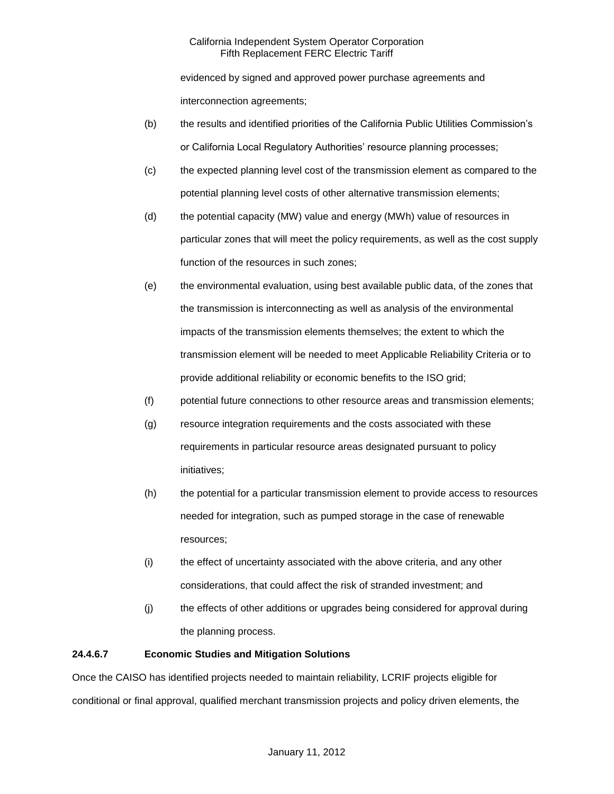evidenced by signed and approved power purchase agreements and interconnection agreements;

- (b) the results and identified priorities of the California Public Utilities Commission's or California Local Regulatory Authorities' resource planning processes;
- (c) the expected planning level cost of the transmission element as compared to the potential planning level costs of other alternative transmission elements;
- (d) the potential capacity (MW) value and energy (MWh) value of resources in particular zones that will meet the policy requirements, as well as the cost supply function of the resources in such zones;
- (e) the environmental evaluation, using best available public data, of the zones that the transmission is interconnecting as well as analysis of the environmental impacts of the transmission elements themselves; the extent to which the transmission element will be needed to meet Applicable Reliability Criteria or to provide additional reliability or economic benefits to the ISO grid;
- (f) potential future connections to other resource areas and transmission elements;
- (g) resource integration requirements and the costs associated with these requirements in particular resource areas designated pursuant to policy initiatives;
- (h) the potential for a particular transmission element to provide access to resources needed for integration, such as pumped storage in the case of renewable resources;
- (i) the effect of uncertainty associated with the above criteria, and any other considerations, that could affect the risk of stranded investment; and
- (j) the effects of other additions or upgrades being considered for approval during the planning process.

# **24.4.6.7 Economic Studies and Mitigation Solutions**

Once the CAISO has identified projects needed to maintain reliability, LCRIF projects eligible for conditional or final approval, qualified merchant transmission projects and policy driven elements, the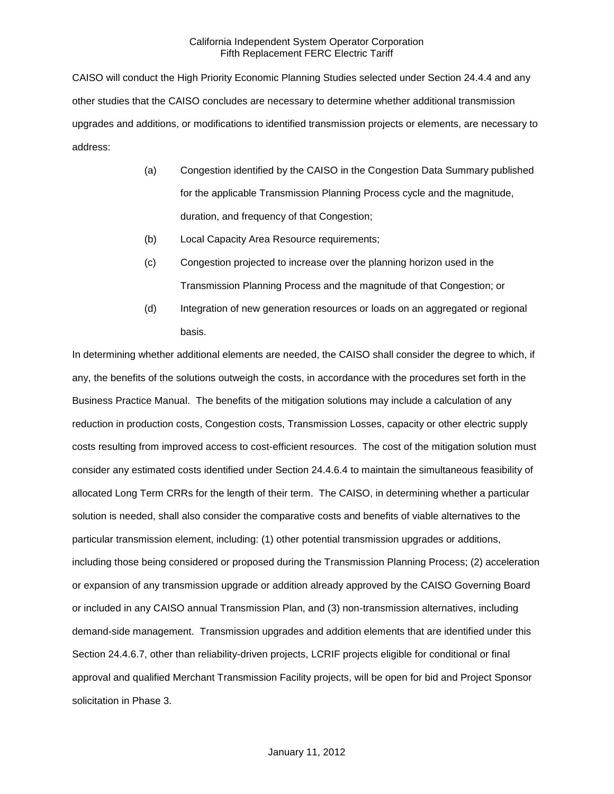CAISO will conduct the High Priority Economic Planning Studies selected under Section 24.4.4 and any other studies that the CAISO concludes are necessary to determine whether additional transmission upgrades and additions, or modifications to identified transmission projects or elements, are necessary to address:

- (a) Congestion identified by the CAISO in the Congestion Data Summary published for the applicable Transmission Planning Process cycle and the magnitude, duration, and frequency of that Congestion;
- (b) Local Capacity Area Resource requirements;
- (c) Congestion projected to increase over the planning horizon used in the Transmission Planning Process and the magnitude of that Congestion; or
- (d) Integration of new generation resources or loads on an aggregated or regional basis.

In determining whether additional elements are needed, the CAISO shall consider the degree to which, if any, the benefits of the solutions outweigh the costs, in accordance with the procedures set forth in the Business Practice Manual. The benefits of the mitigation solutions may include a calculation of any reduction in production costs, Congestion costs, Transmission Losses, capacity or other electric supply costs resulting from improved access to cost-efficient resources. The cost of the mitigation solution must consider any estimated costs identified under Section 24.4.6.4 to maintain the simultaneous feasibility of allocated Long Term CRRs for the length of their term. The CAISO, in determining whether a particular solution is needed, shall also consider the comparative costs and benefits of viable alternatives to the particular transmission element, including: (1) other potential transmission upgrades or additions, including those being considered or proposed during the Transmission Planning Process; (2) acceleration or expansion of any transmission upgrade or addition already approved by the CAISO Governing Board or included in any CAISO annual Transmission Plan, and (3) non-transmission alternatives, including demand-side management. Transmission upgrades and addition elements that are identified under this Section 24.4.6.7, other than reliability-driven projects, LCRIF projects eligible for conditional or final approval and qualified Merchant Transmission Facility projects, will be open for bid and Project Sponsor solicitation in Phase 3.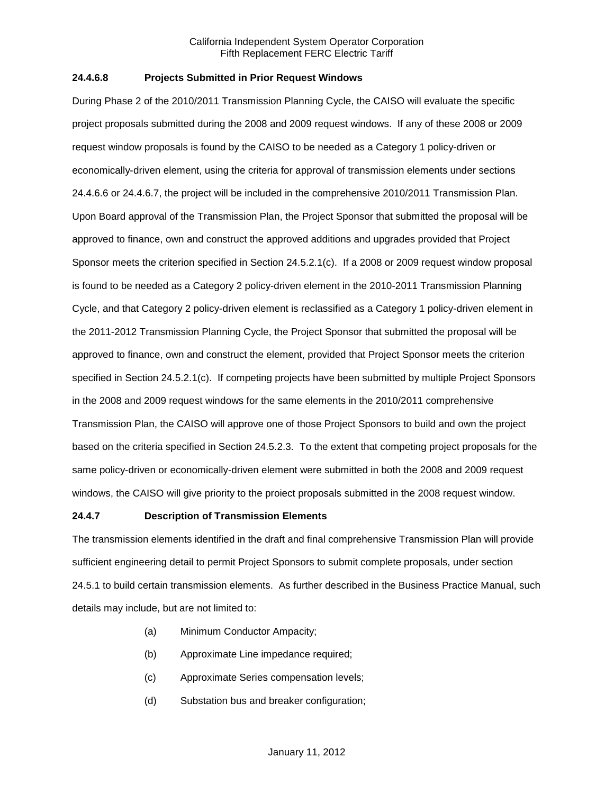### **24.4.6.8 Projects Submitted in Prior Request Windows**

During Phase 2 of the 2010/2011 Transmission Planning Cycle, the CAISO will evaluate the specific project proposals submitted during the 2008 and 2009 request windows. If any of these 2008 or 2009 request window proposals is found by the CAISO to be needed as a Category 1 policy-driven or economically-driven element, using the criteria for approval of transmission elements under sections 24.4.6.6 or 24.4.6.7, the project will be included in the comprehensive 2010/2011 Transmission Plan. Upon Board approval of the Transmission Plan, the Project Sponsor that submitted the proposal will be approved to finance, own and construct the approved additions and upgrades provided that Project Sponsor meets the criterion specified in Section 24.5.2.1(c). If a 2008 or 2009 request window proposal is found to be needed as a Category 2 policy-driven element in the 2010-2011 Transmission Planning Cycle, and that Category 2 policy-driven element is reclassified as a Category 1 policy-driven element in the 2011-2012 Transmission Planning Cycle, the Project Sponsor that submitted the proposal will be approved to finance, own and construct the element, provided that Project Sponsor meets the criterion specified in Section 24.5.2.1(c). If competing projects have been submitted by multiple Project Sponsors in the 2008 and 2009 request windows for the same elements in the 2010/2011 comprehensive Transmission Plan, the CAISO will approve one of those Project Sponsors to build and own the project based on the criteria specified in Section 24.5.2.3. To the extent that competing project proposals for the same policy-driven or economically-driven element were submitted in both the 2008 and 2009 request windows, the CAISO will give priority to the proiect proposals submitted in the 2008 request window.

#### **24.4.7 Description of Transmission Elements**

The transmission elements identified in the draft and final comprehensive Transmission Plan will provide sufficient engineering detail to permit Project Sponsors to submit complete proposals, under section 24.5.1 to build certain transmission elements. As further described in the Business Practice Manual, such details may include, but are not limited to:

- (a) Minimum Conductor Ampacity;
- (b) Approximate Line impedance required;
- (c) Approximate Series compensation levels;
- (d) Substation bus and breaker configuration;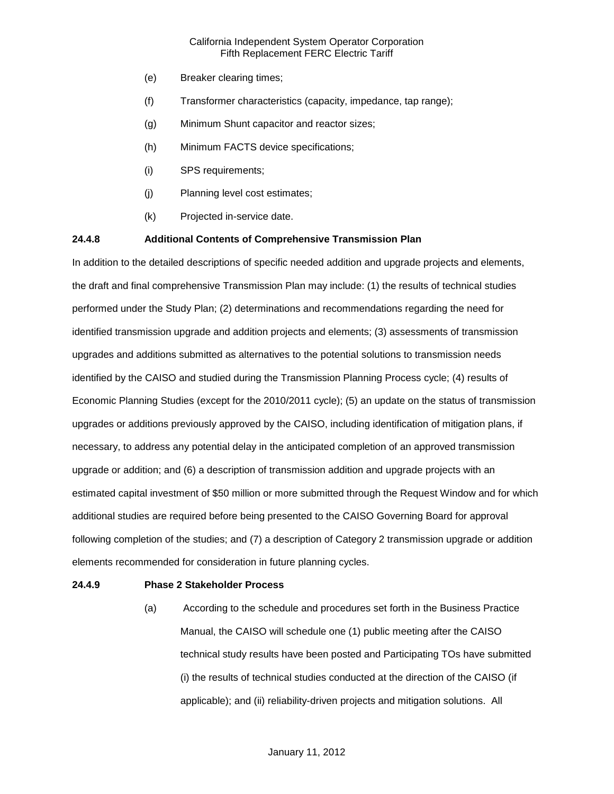- (e) Breaker clearing times;
- (f) Transformer characteristics (capacity, impedance, tap range);
- (g) Minimum Shunt capacitor and reactor sizes;
- (h) Minimum FACTS device specifications;
- (i) SPS requirements;
- (j) Planning level cost estimates;
- (k) Projected in-service date.

### **24.4.8 Additional Contents of Comprehensive Transmission Plan**

In addition to the detailed descriptions of specific needed addition and upgrade projects and elements, the draft and final comprehensive Transmission Plan may include: (1) the results of technical studies performed under the Study Plan; (2) determinations and recommendations regarding the need for identified transmission upgrade and addition projects and elements; (3) assessments of transmission upgrades and additions submitted as alternatives to the potential solutions to transmission needs identified by the CAISO and studied during the Transmission Planning Process cycle; (4) results of Economic Planning Studies (except for the 2010/2011 cycle); (5) an update on the status of transmission upgrades or additions previously approved by the CAISO, including identification of mitigation plans, if necessary, to address any potential delay in the anticipated completion of an approved transmission upgrade or addition; and (6) a description of transmission addition and upgrade projects with an estimated capital investment of \$50 million or more submitted through the Request Window and for which additional studies are required before being presented to the CAISO Governing Board for approval following completion of the studies; and (7) a description of Category 2 transmission upgrade or addition elements recommended for consideration in future planning cycles.

### **24.4.9 Phase 2 Stakeholder Process**

(a) According to the schedule and procedures set forth in the Business Practice Manual, the CAISO will schedule one (1) public meeting after the CAISO technical study results have been posted and Participating TOs have submitted (i) the results of technical studies conducted at the direction of the CAISO (if applicable); and (ii) reliability-driven projects and mitigation solutions. All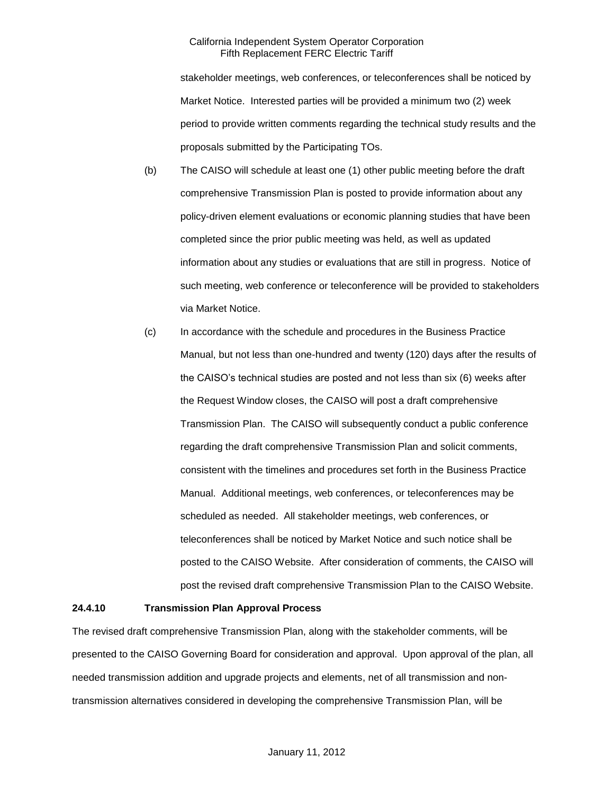stakeholder meetings, web conferences, or teleconferences shall be noticed by Market Notice. Interested parties will be provided a minimum two (2) week period to provide written comments regarding the technical study results and the proposals submitted by the Participating TOs.

- (b) The CAISO will schedule at least one (1) other public meeting before the draft comprehensive Transmission Plan is posted to provide information about any policy-driven element evaluations or economic planning studies that have been completed since the prior public meeting was held, as well as updated information about any studies or evaluations that are still in progress. Notice of such meeting, web conference or teleconference will be provided to stakeholders via Market Notice.
- (c) In accordance with the schedule and procedures in the Business Practice Manual, but not less than one-hundred and twenty (120) days after the results of the CAISO's technical studies are posted and not less than six (6) weeks after the Request Window closes, the CAISO will post a draft comprehensive Transmission Plan. The CAISO will subsequently conduct a public conference regarding the draft comprehensive Transmission Plan and solicit comments, consistent with the timelines and procedures set forth in the Business Practice Manual. Additional meetings, web conferences, or teleconferences may be scheduled as needed. All stakeholder meetings, web conferences, or teleconferences shall be noticed by Market Notice and such notice shall be posted to the CAISO Website. After consideration of comments, the CAISO will post the revised draft comprehensive Transmission Plan to the CAISO Website.

#### **24.4.10 Transmission Plan Approval Process**

The revised draft comprehensive Transmission Plan, along with the stakeholder comments, will be presented to the CAISO Governing Board for consideration and approval. Upon approval of the plan, all needed transmission addition and upgrade projects and elements, net of all transmission and nontransmission alternatives considered in developing the comprehensive Transmission Plan, will be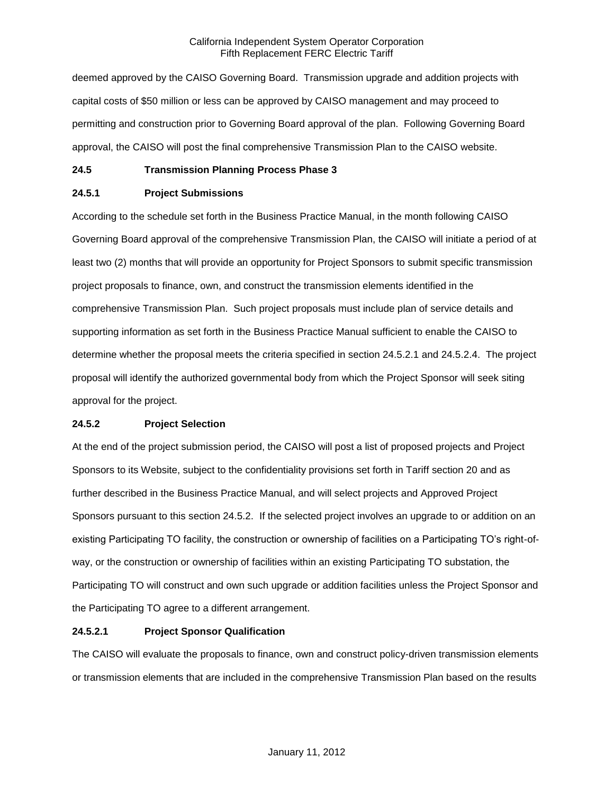deemed approved by the CAISO Governing Board. Transmission upgrade and addition projects with capital costs of \$50 million or less can be approved by CAISO management and may proceed to permitting and construction prior to Governing Board approval of the plan. Following Governing Board approval, the CAISO will post the final comprehensive Transmission Plan to the CAISO website.

### **24.5 Transmission Planning Process Phase 3**

## **24.5.1 Project Submissions**

According to the schedule set forth in the Business Practice Manual, in the month following CAISO Governing Board approval of the comprehensive Transmission Plan, the CAISO will initiate a period of at least two (2) months that will provide an opportunity for Project Sponsors to submit specific transmission project proposals to finance, own, and construct the transmission elements identified in the comprehensive Transmission Plan. Such project proposals must include plan of service details and supporting information as set forth in the Business Practice Manual sufficient to enable the CAISO to determine whether the proposal meets the criteria specified in section 24.5.2.1 and 24.5.2.4. The project proposal will identify the authorized governmental body from which the Project Sponsor will seek siting approval for the project.

### **24.5.2 Project Selection**

At the end of the project submission period, the CAISO will post a list of proposed projects and Project Sponsors to its Website, subject to the confidentiality provisions set forth in Tariff section 20 and as further described in the Business Practice Manual, and will select projects and Approved Project Sponsors pursuant to this section 24.5.2. If the selected project involves an upgrade to or addition on an existing Participating TO facility, the construction or ownership of facilities on a Participating TO's right-ofway, or the construction or ownership of facilities within an existing Participating TO substation, the Participating TO will construct and own such upgrade or addition facilities unless the Project Sponsor and the Participating TO agree to a different arrangement.

### **24.5.2.1 Project Sponsor Qualification**

The CAISO will evaluate the proposals to finance, own and construct policy-driven transmission elements or transmission elements that are included in the comprehensive Transmission Plan based on the results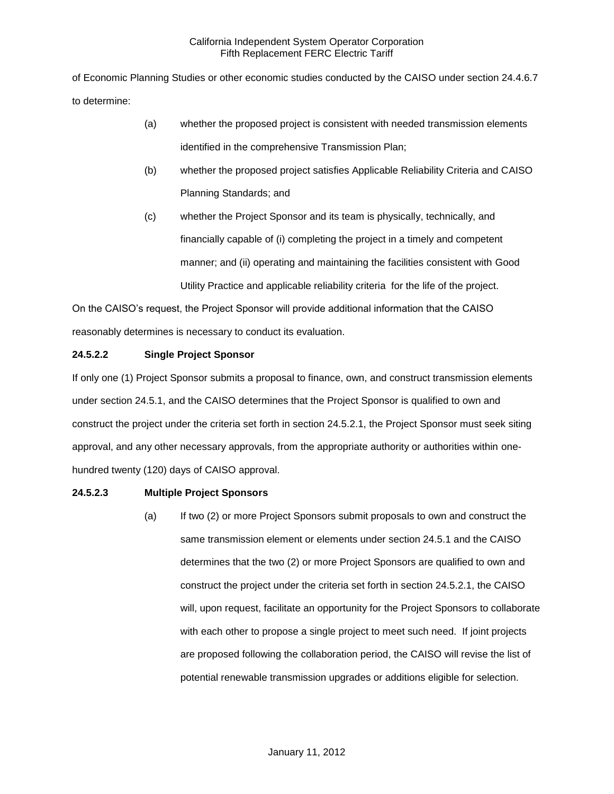of Economic Planning Studies or other economic studies conducted by the CAISO under section 24.4.6.7 to determine:

- (a) whether the proposed project is consistent with needed transmission elements identified in the comprehensive Transmission Plan;
- (b) whether the proposed project satisfies Applicable Reliability Criteria and CAISO Planning Standards; and
- (c) whether the Project Sponsor and its team is physically, technically, and financially capable of (i) completing the project in a timely and competent manner; and (ii) operating and maintaining the facilities consistent with Good Utility Practice and applicable reliability criteria for the life of the project.

On the CAISO's request, the Project Sponsor will provide additional information that the CAISO reasonably determines is necessary to conduct its evaluation.

# **24.5.2.2 Single Project Sponsor**

If only one (1) Project Sponsor submits a proposal to finance, own, and construct transmission elements under section 24.5.1, and the CAISO determines that the Project Sponsor is qualified to own and construct the project under the criteria set forth in section 24.5.2.1, the Project Sponsor must seek siting approval, and any other necessary approvals, from the appropriate authority or authorities within onehundred twenty (120) days of CAISO approval.

### **24.5.2.3 Multiple Project Sponsors**

(a) If two (2) or more Project Sponsors submit proposals to own and construct the same transmission element or elements under section 24.5.1 and the CAISO determines that the two (2) or more Project Sponsors are qualified to own and construct the project under the criteria set forth in section 24.5.2.1, the CAISO will, upon request, facilitate an opportunity for the Project Sponsors to collaborate with each other to propose a single project to meet such need. If joint projects are proposed following the collaboration period, the CAISO will revise the list of potential renewable transmission upgrades or additions eligible for selection.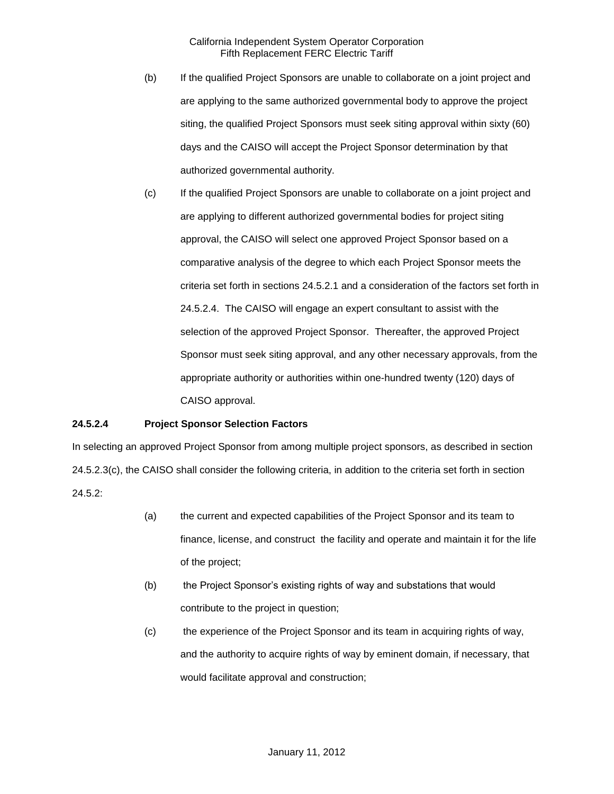- (b) If the qualified Project Sponsors are unable to collaborate on a joint project and are applying to the same authorized governmental body to approve the project siting, the qualified Project Sponsors must seek siting approval within sixty (60) days and the CAISO will accept the Project Sponsor determination by that authorized governmental authority.
- (c) If the qualified Project Sponsors are unable to collaborate on a joint project and are applying to different authorized governmental bodies for project siting approval, the CAISO will select one approved Project Sponsor based on a comparative analysis of the degree to which each Project Sponsor meets the criteria set forth in sections 24.5.2.1 and a consideration of the factors set forth in 24.5.2.4. The CAISO will engage an expert consultant to assist with the selection of the approved Project Sponsor. Thereafter, the approved Project Sponsor must seek siting approval, and any other necessary approvals, from the appropriate authority or authorities within one-hundred twenty (120) days of CAISO approval.

### **24.5.2.4 Project Sponsor Selection Factors**

In selecting an approved Project Sponsor from among multiple project sponsors, as described in section 24.5.2.3(c), the CAISO shall consider the following criteria, in addition to the criteria set forth in section  $24.5.2:$ 

- (a) the current and expected capabilities of the Project Sponsor and its team to finance, license, and construct the facility and operate and maintain it for the life of the project;
- (b) the Project Sponsor's existing rights of way and substations that would contribute to the project in question;
- (c) the experience of the Project Sponsor and its team in acquiring rights of way, and the authority to acquire rights of way by eminent domain, if necessary, that would facilitate approval and construction;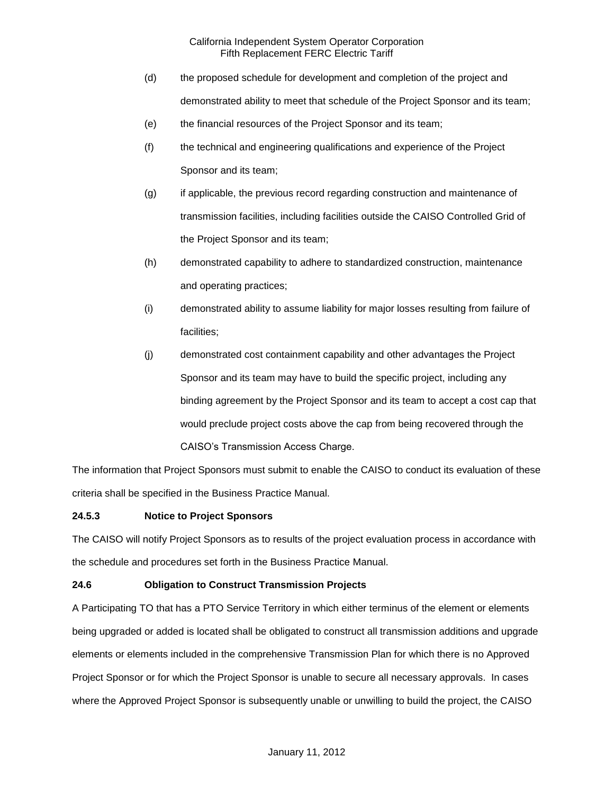- (d) the proposed schedule for development and completion of the project and demonstrated ability to meet that schedule of the Project Sponsor and its team;
- (e) the financial resources of the Project Sponsor and its team;
- (f) the technical and engineering qualifications and experience of the Project Sponsor and its team;
- (g) if applicable, the previous record regarding construction and maintenance of transmission facilities, including facilities outside the CAISO Controlled Grid of the Project Sponsor and its team;
- (h) demonstrated capability to adhere to standardized construction, maintenance and operating practices;
- (i) demonstrated ability to assume liability for major losses resulting from failure of facilities;
- (j) demonstrated cost containment capability and other advantages the Project Sponsor and its team may have to build the specific project, including any binding agreement by the Project Sponsor and its team to accept a cost cap that would preclude project costs above the cap from being recovered through the CAISO's Transmission Access Charge.

The information that Project Sponsors must submit to enable the CAISO to conduct its evaluation of these criteria shall be specified in the Business Practice Manual.

# **24.5.3 Notice to Project Sponsors**

The CAISO will notify Project Sponsors as to results of the project evaluation process in accordance with the schedule and procedures set forth in the Business Practice Manual.

# **24.6 Obligation to Construct Transmission Projects**

A Participating TO that has a PTO Service Territory in which either terminus of the element or elements being upgraded or added is located shall be obligated to construct all transmission additions and upgrade elements or elements included in the comprehensive Transmission Plan for which there is no Approved Project Sponsor or for which the Project Sponsor is unable to secure all necessary approvals. In cases where the Approved Project Sponsor is subsequently unable or unwilling to build the project, the CAISO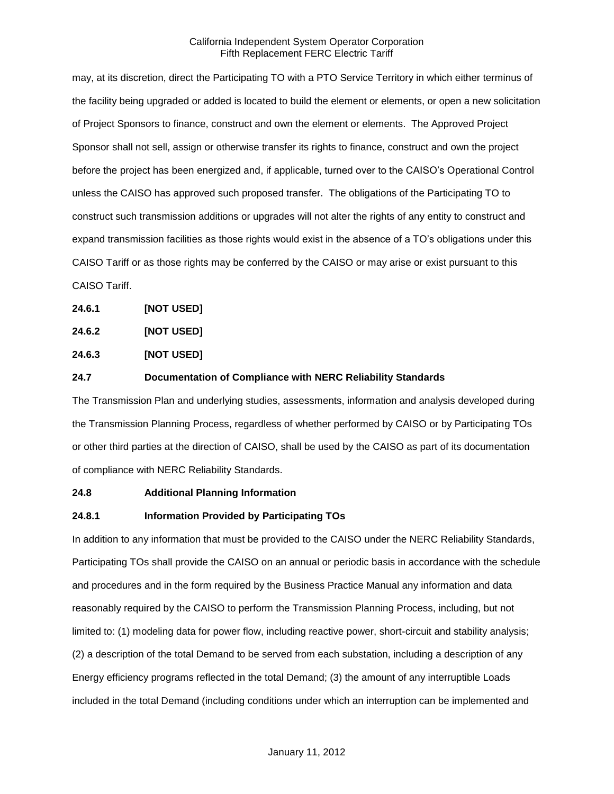may, at its discretion, direct the Participating TO with a PTO Service Territory in which either terminus of the facility being upgraded or added is located to build the element or elements, or open a new solicitation of Project Sponsors to finance, construct and own the element or elements. The Approved Project Sponsor shall not sell, assign or otherwise transfer its rights to finance, construct and own the project before the project has been energized and, if applicable, turned over to the CAISO's Operational Control unless the CAISO has approved such proposed transfer. The obligations of the Participating TO to construct such transmission additions or upgrades will not alter the rights of any entity to construct and expand transmission facilities as those rights would exist in the absence of a TO's obligations under this CAISO Tariff or as those rights may be conferred by the CAISO or may arise or exist pursuant to this CAISO Tariff.

- **24.6.1 [NOT USED]**
- **24.6.2 [NOT USED]**
- **24.6.3 [NOT USED]**
- **24.7 Documentation of Compliance with NERC Reliability Standards**

The Transmission Plan and underlying studies, assessments, information and analysis developed during the Transmission Planning Process, regardless of whether performed by CAISO or by Participating TOs or other third parties at the direction of CAISO, shall be used by the CAISO as part of its documentation of compliance with NERC Reliability Standards.

### **24.8 Additional Planning Information**

### **24.8.1 Information Provided by Participating TOs**

In addition to any information that must be provided to the CAISO under the NERC Reliability Standards, Participating TOs shall provide the CAISO on an annual or periodic basis in accordance with the schedule and procedures and in the form required by the Business Practice Manual any information and data reasonably required by the CAISO to perform the Transmission Planning Process, including, but not limited to: (1) modeling data for power flow, including reactive power, short-circuit and stability analysis; (2) a description of the total Demand to be served from each substation, including a description of any Energy efficiency programs reflected in the total Demand; (3) the amount of any interruptible Loads included in the total Demand (including conditions under which an interruption can be implemented and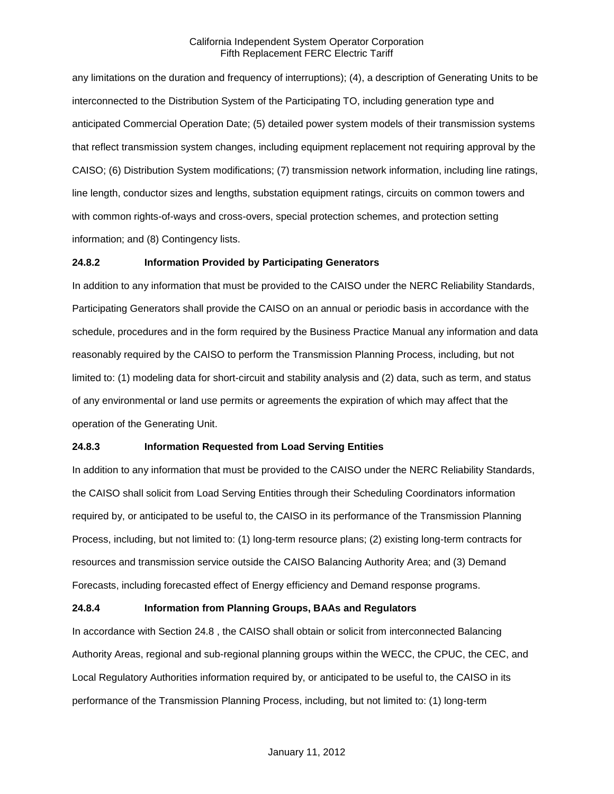any limitations on the duration and frequency of interruptions); (4), a description of Generating Units to be interconnected to the Distribution System of the Participating TO, including generation type and anticipated Commercial Operation Date; (5) detailed power system models of their transmission systems that reflect transmission system changes, including equipment replacement not requiring approval by the CAISO; (6) Distribution System modifications; (7) transmission network information, including line ratings, line length, conductor sizes and lengths, substation equipment ratings, circuits on common towers and with common rights-of-ways and cross-overs, special protection schemes, and protection setting information; and (8) Contingency lists.

### **24.8.2 Information Provided by Participating Generators**

In addition to any information that must be provided to the CAISO under the NERC Reliability Standards, Participating Generators shall provide the CAISO on an annual or periodic basis in accordance with the schedule, procedures and in the form required by the Business Practice Manual any information and data reasonably required by the CAISO to perform the Transmission Planning Process, including, but not limited to: (1) modeling data for short-circuit and stability analysis and (2) data, such as term, and status of any environmental or land use permits or agreements the expiration of which may affect that the operation of the Generating Unit.

# **24.8.3 Information Requested from Load Serving Entities**

In addition to any information that must be provided to the CAISO under the NERC Reliability Standards, the CAISO shall solicit from Load Serving Entities through their Scheduling Coordinators information required by, or anticipated to be useful to, the CAISO in its performance of the Transmission Planning Process, including, but not limited to: (1) long-term resource plans; (2) existing long-term contracts for resources and transmission service outside the CAISO Balancing Authority Area; and (3) Demand Forecasts, including forecasted effect of Energy efficiency and Demand response programs.

# **24.8.4 Information from Planning Groups, BAAs and Regulators**

In accordance with Section 24.8 , the CAISO shall obtain or solicit from interconnected Balancing Authority Areas, regional and sub-regional planning groups within the WECC, the CPUC, the CEC, and Local Regulatory Authorities information required by, or anticipated to be useful to, the CAISO in its performance of the Transmission Planning Process, including, but not limited to: (1) long-term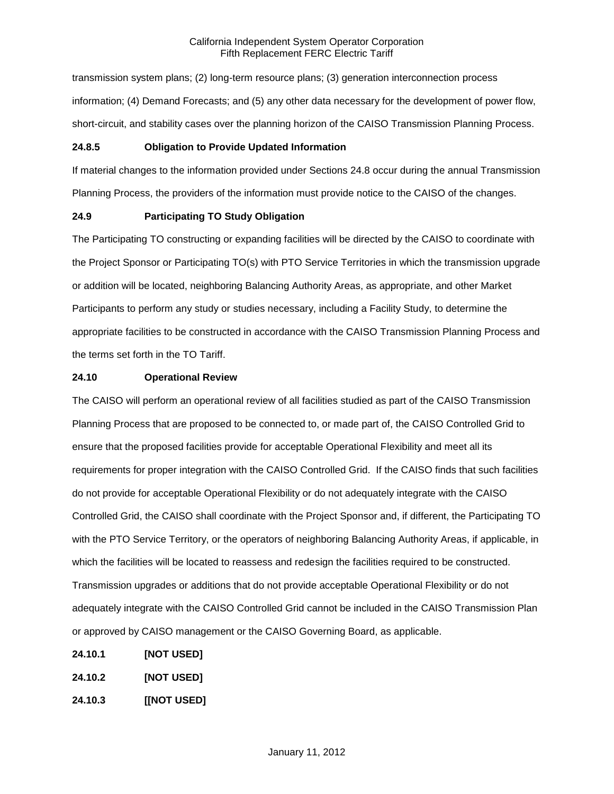transmission system plans; (2) long-term resource plans; (3) generation interconnection process information; (4) Demand Forecasts; and (5) any other data necessary for the development of power flow, short-circuit, and stability cases over the planning horizon of the CAISO Transmission Planning Process.

#### **24.8.5 Obligation to Provide Updated Information**

If material changes to the information provided under Sections 24.8 occur during the annual Transmission Planning Process, the providers of the information must provide notice to the CAISO of the changes.

### **24.9 Participating TO Study Obligation**

The Participating TO constructing or expanding facilities will be directed by the CAISO to coordinate with the Project Sponsor or Participating TO(s) with PTO Service Territories in which the transmission upgrade or addition will be located, neighboring Balancing Authority Areas, as appropriate, and other Market Participants to perform any study or studies necessary, including a Facility Study, to determine the appropriate facilities to be constructed in accordance with the CAISO Transmission Planning Process and the terms set forth in the TO Tariff.

#### **24.10 Operational Review**

The CAISO will perform an operational review of all facilities studied as part of the CAISO Transmission Planning Process that are proposed to be connected to, or made part of, the CAISO Controlled Grid to ensure that the proposed facilities provide for acceptable Operational Flexibility and meet all its requirements for proper integration with the CAISO Controlled Grid. If the CAISO finds that such facilities do not provide for acceptable Operational Flexibility or do not adequately integrate with the CAISO Controlled Grid, the CAISO shall coordinate with the Project Sponsor and, if different, the Participating TO with the PTO Service Territory, or the operators of neighboring Balancing Authority Areas, if applicable, in which the facilities will be located to reassess and redesign the facilities required to be constructed. Transmission upgrades or additions that do not provide acceptable Operational Flexibility or do not adequately integrate with the CAISO Controlled Grid cannot be included in the CAISO Transmission Plan or approved by CAISO management or the CAISO Governing Board, as applicable.

- **24.10.1 [NOT USED]**
- **24.10.2 [NOT USED]**
- **24.10.3 [[NOT USED]**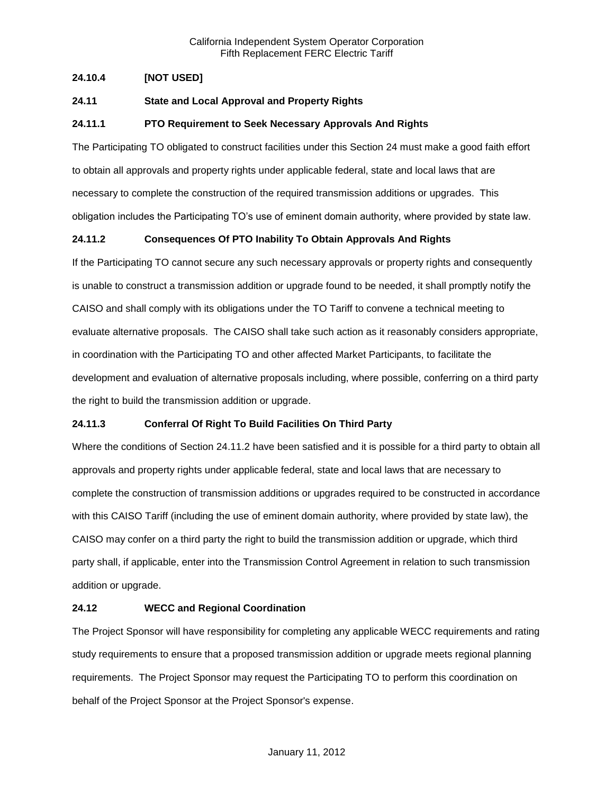# **24.10.4 [NOT USED]**

## **24.11 State and Local Approval and Property Rights**

#### **24.11.1 PTO Requirement to Seek Necessary Approvals And Rights**

The Participating TO obligated to construct facilities under this Section 24 must make a good faith effort to obtain all approvals and property rights under applicable federal, state and local laws that are necessary to complete the construction of the required transmission additions or upgrades. This obligation includes the Participating TO's use of eminent domain authority, where provided by state law.

### **24.11.2 Consequences Of PTO Inability To Obtain Approvals And Rights**

If the Participating TO cannot secure any such necessary approvals or property rights and consequently is unable to construct a transmission addition or upgrade found to be needed, it shall promptly notify the CAISO and shall comply with its obligations under the TO Tariff to convene a technical meeting to evaluate alternative proposals. The CAISO shall take such action as it reasonably considers appropriate, in coordination with the Participating TO and other affected Market Participants, to facilitate the development and evaluation of alternative proposals including, where possible, conferring on a third party the right to build the transmission addition or upgrade.

### **24.11.3 Conferral Of Right To Build Facilities On Third Party**

Where the conditions of Section 24.11.2 have been satisfied and it is possible for a third party to obtain all approvals and property rights under applicable federal, state and local laws that are necessary to complete the construction of transmission additions or upgrades required to be constructed in accordance with this CAISO Tariff (including the use of eminent domain authority, where provided by state law), the CAISO may confer on a third party the right to build the transmission addition or upgrade, which third party shall, if applicable, enter into the Transmission Control Agreement in relation to such transmission addition or upgrade.

### **24.12 WECC and Regional Coordination**

The Project Sponsor will have responsibility for completing any applicable WECC requirements and rating study requirements to ensure that a proposed transmission addition or upgrade meets regional planning requirements. The Project Sponsor may request the Participating TO to perform this coordination on behalf of the Project Sponsor at the Project Sponsor's expense.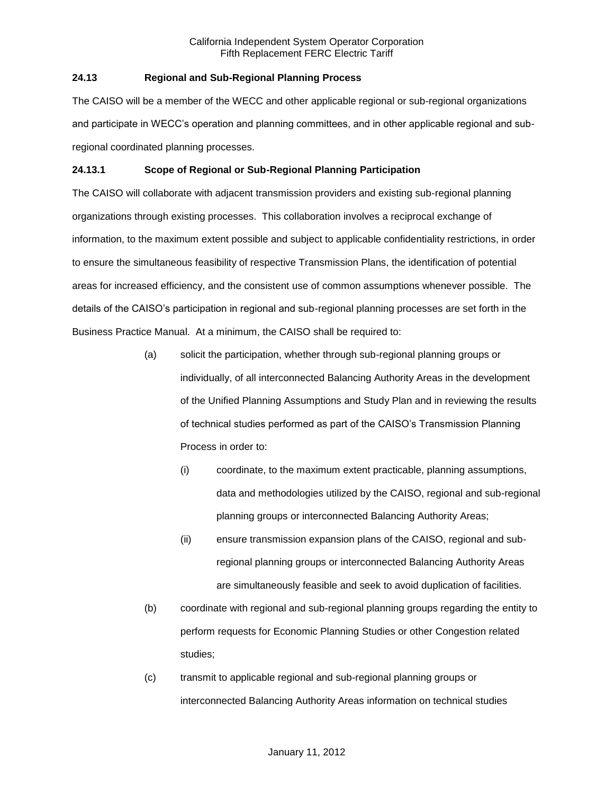# **24.13 Regional and Sub-Regional Planning Process**

The CAISO will be a member of the WECC and other applicable regional or sub-regional organizations and participate in WECC's operation and planning committees, and in other applicable regional and subregional coordinated planning processes.

### **24.13.1 Scope of Regional or Sub-Regional Planning Participation**

The CAISO will collaborate with adjacent transmission providers and existing sub-regional planning organizations through existing processes. This collaboration involves a reciprocal exchange of information, to the maximum extent possible and subject to applicable confidentiality restrictions, in order to ensure the simultaneous feasibility of respective Transmission Plans, the identification of potential areas for increased efficiency, and the consistent use of common assumptions whenever possible. The details of the CAISO's participation in regional and sub-regional planning processes are set forth in the Business Practice Manual. At a minimum, the CAISO shall be required to:

- (a) solicit the participation, whether through sub-regional planning groups or individually, of all interconnected Balancing Authority Areas in the development of the Unified Planning Assumptions and Study Plan and in reviewing the results of technical studies performed as part of the CAISO's Transmission Planning Process in order to:
	- (i) coordinate, to the maximum extent practicable, planning assumptions, data and methodologies utilized by the CAISO, regional and sub-regional planning groups or interconnected Balancing Authority Areas;
	- (ii) ensure transmission expansion plans of the CAISO, regional and subregional planning groups or interconnected Balancing Authority Areas are simultaneously feasible and seek to avoid duplication of facilities.
- (b) coordinate with regional and sub-regional planning groups regarding the entity to perform requests for Economic Planning Studies or other Congestion related studies;
- (c) transmit to applicable regional and sub-regional planning groups or interconnected Balancing Authority Areas information on technical studies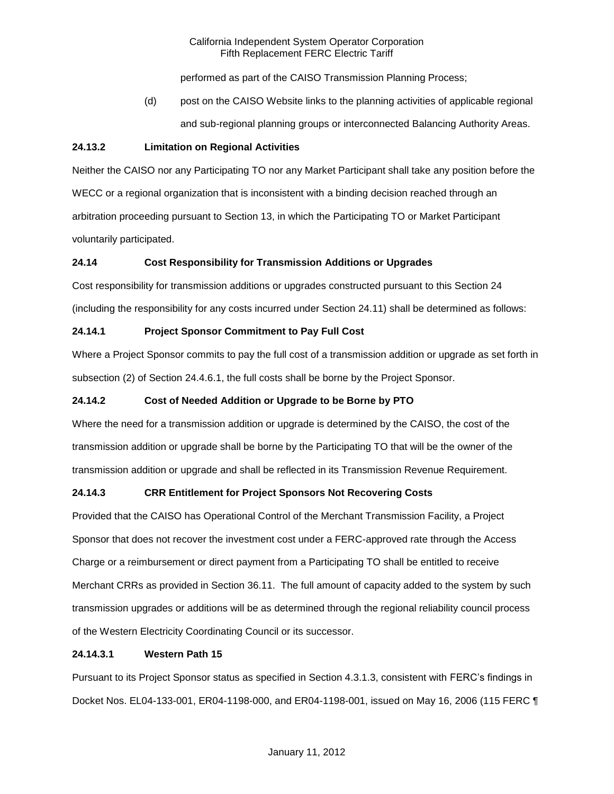performed as part of the CAISO Transmission Planning Process;

(d) post on the CAISO Website links to the planning activities of applicable regional and sub-regional planning groups or interconnected Balancing Authority Areas.

## **24.13.2 Limitation on Regional Activities**

Neither the CAISO nor any Participating TO nor any Market Participant shall take any position before the WECC or a regional organization that is inconsistent with a binding decision reached through an arbitration proceeding pursuant to Section 13, in which the Participating TO or Market Participant voluntarily participated.

# **24.14 Cost Responsibility for Transmission Additions or Upgrades**

Cost responsibility for transmission additions or upgrades constructed pursuant to this Section 24 (including the responsibility for any costs incurred under Section 24.11) shall be determined as follows:

# **24.14.1 Project Sponsor Commitment to Pay Full Cost**

Where a Project Sponsor commits to pay the full cost of a transmission addition or upgrade as set forth in subsection (2) of Section 24.4.6.1, the full costs shall be borne by the Project Sponsor.

# **24.14.2 Cost of Needed Addition or Upgrade to be Borne by PTO**

Where the need for a transmission addition or upgrade is determined by the CAISO, the cost of the transmission addition or upgrade shall be borne by the Participating TO that will be the owner of the transmission addition or upgrade and shall be reflected in its Transmission Revenue Requirement.

### **24.14.3 CRR Entitlement for Project Sponsors Not Recovering Costs**

Provided that the CAISO has Operational Control of the Merchant Transmission Facility, a Project Sponsor that does not recover the investment cost under a FERC-approved rate through the Access Charge or a reimbursement or direct payment from a Participating TO shall be entitled to receive Merchant CRRs as provided in Section 36.11. The full amount of capacity added to the system by such transmission upgrades or additions will be as determined through the regional reliability council process of the Western Electricity Coordinating Council or its successor.

### **24.14.3.1 Western Path 15**

Pursuant to its Project Sponsor status as specified in Section 4.3.1.3, consistent with FERC's findings in Docket Nos. EL04-133-001, ER04-1198-000, and ER04-1198-001, issued on May 16, 2006 (115 FERC ¶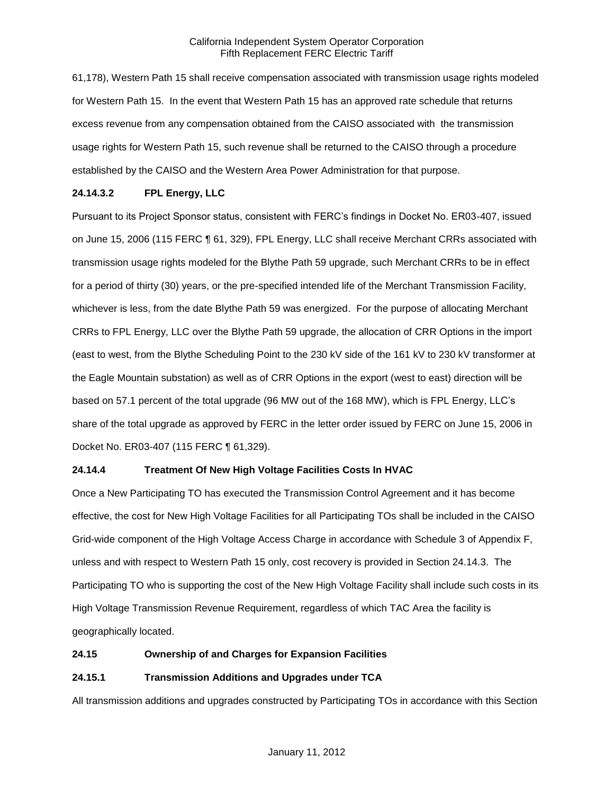61,178), Western Path 15 shall receive compensation associated with transmission usage rights modeled for Western Path 15. In the event that Western Path 15 has an approved rate schedule that returns excess revenue from any compensation obtained from the CAISO associated with the transmission usage rights for Western Path 15, such revenue shall be returned to the CAISO through a procedure established by the CAISO and the Western Area Power Administration for that purpose.

# **24.14.3.2 FPL Energy, LLC**

Pursuant to its Project Sponsor status, consistent with FERC's findings in Docket No. ER03-407, issued on June 15, 2006 (115 FERC ¶ 61, 329), FPL Energy, LLC shall receive Merchant CRRs associated with transmission usage rights modeled for the Blythe Path 59 upgrade, such Merchant CRRs to be in effect for a period of thirty (30) years, or the pre-specified intended life of the Merchant Transmission Facility, whichever is less, from the date Blythe Path 59 was energized. For the purpose of allocating Merchant CRRs to FPL Energy, LLC over the Blythe Path 59 upgrade, the allocation of CRR Options in the import (east to west, from the Blythe Scheduling Point to the 230 kV side of the 161 kV to 230 kV transformer at the Eagle Mountain substation) as well as of CRR Options in the export (west to east) direction will be based on 57.1 percent of the total upgrade (96 MW out of the 168 MW), which is FPL Energy, LLC's share of the total upgrade as approved by FERC in the letter order issued by FERC on June 15, 2006 in Docket No. ER03-407 (115 FERC ¶ 61,329).

### **24.14.4 Treatment Of New High Voltage Facilities Costs In HVAC**

Once a New Participating TO has executed the Transmission Control Agreement and it has become effective, the cost for New High Voltage Facilities for all Participating TOs shall be included in the CAISO Grid-wide component of the High Voltage Access Charge in accordance with Schedule 3 of Appendix F, unless and with respect to Western Path 15 only, cost recovery is provided in Section 24.14.3. The Participating TO who is supporting the cost of the New High Voltage Facility shall include such costs in its High Voltage Transmission Revenue Requirement, regardless of which TAC Area the facility is geographically located.

### **24.15 Ownership of and Charges for Expansion Facilities**

### **24.15.1 Transmission Additions and Upgrades under TCA**

All transmission additions and upgrades constructed by Participating TOs in accordance with this Section